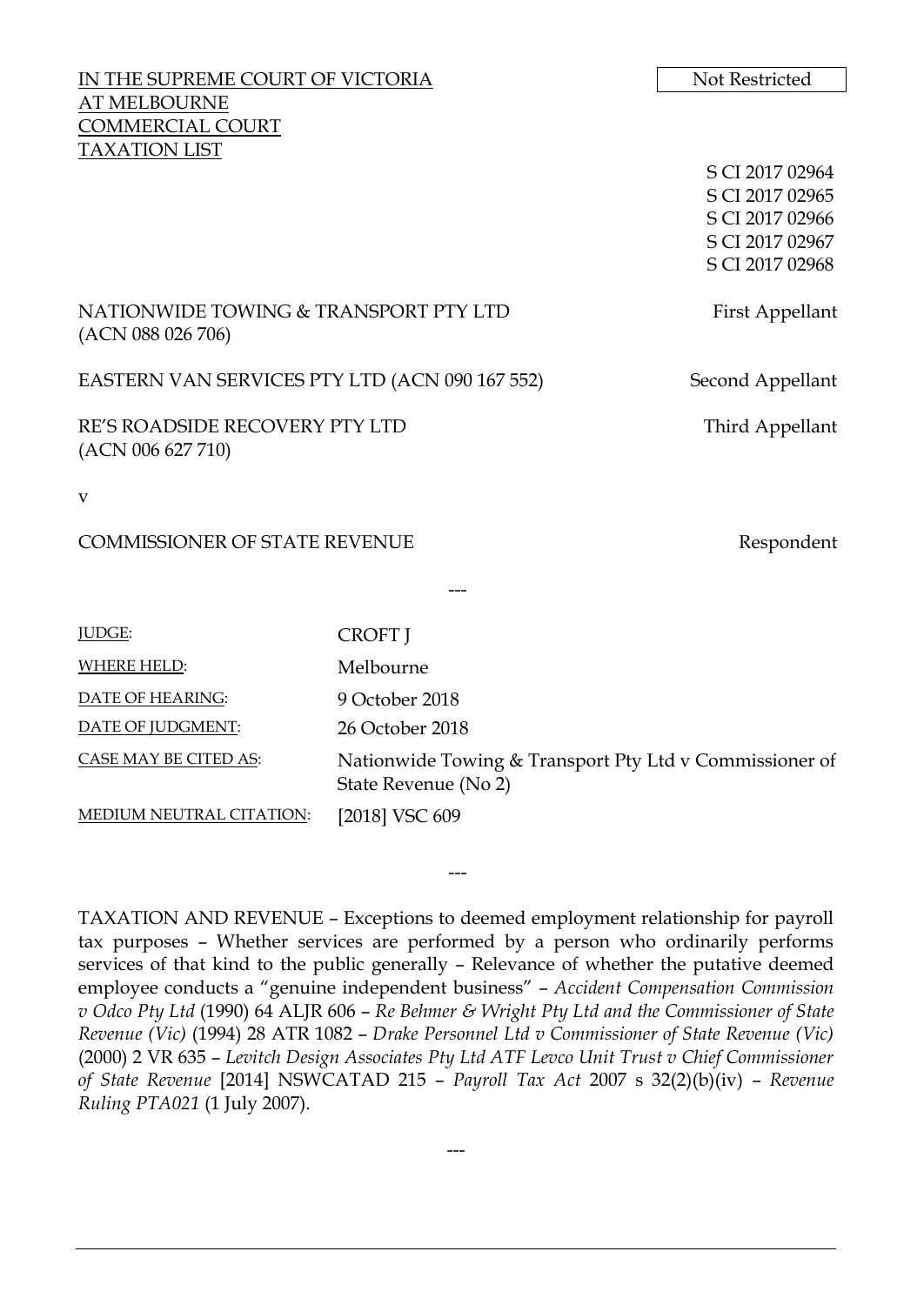| IN THE SUPREME COURT OF VICTORIA                           |                                                                                 | Not Restricted                     |
|------------------------------------------------------------|---------------------------------------------------------------------------------|------------------------------------|
| <b>AT MELBOURNE</b>                                        |                                                                                 |                                    |
| <b>COMMERCIAL COURT</b>                                    |                                                                                 |                                    |
| <b>TAXATION LIST</b>                                       |                                                                                 |                                    |
|                                                            |                                                                                 | S CI 2017 02964<br>S CI 2017 02965 |
|                                                            |                                                                                 | S CI 2017 02966                    |
|                                                            |                                                                                 | S CI 2017 02967                    |
|                                                            |                                                                                 | S CI 2017 02968                    |
|                                                            |                                                                                 |                                    |
| NATIONWIDE TOWING & TRANSPORT PTY LTD<br>(ACN 088 026 706) |                                                                                 | First Appellant                    |
| EASTERN VAN SERVICES PTY LTD (ACN 090 167 552)             |                                                                                 | Second Appellant                   |
| RE'S ROADSIDE RECOVERY PTY LTD<br>(ACN 006 627 710)        |                                                                                 | Third Appellant                    |
| v                                                          |                                                                                 |                                    |
| <b>COMMISSIONER OF STATE REVENUE</b>                       |                                                                                 | Respondent                         |
|                                                            |                                                                                 |                                    |
| <b>JUDGE:</b>                                              | <b>CROFT</b> J                                                                  |                                    |
| <b>WHERE HELD:</b>                                         | Melbourne                                                                       |                                    |
| DATE OF HEARING:                                           | 9 October 2018                                                                  |                                    |
| DATE OF JUDGMENT:                                          | 26 October 2018                                                                 |                                    |
| CASE MAY BE CITED AS:                                      | Nationwide Towing & Transport Pty Ltd v Commissioner of<br>State Revenue (No 2) |                                    |

MEDIUM NEUTRAL CITATION: [2018] VSC 609

TAXATION AND REVENUE – Exceptions to deemed employment relationship for payroll tax purposes – Whether services are performed by a person who ordinarily performs services of that kind to the public generally – Relevance of whether the putative deemed employee conducts a "genuine independent business" – *Accident Compensation Commission v Odco Pty Ltd* (1990) 64 ALJR 606 – *Re Behmer & Wright Pty Ltd and the Commissioner of State Revenue (Vic)* (1994) 28 ATR 1082 – *Drake Personnel Ltd v Commissioner of State Revenue (Vic)* (2000) 2 VR 635 – *Levitch Design Associates Pty Ltd ATF Levco Unit Trust v Chief Commissioner of State Revenue* [2014] NSWCATAD 215 – *Payroll Tax Act* 2007 s 32(2)(b)(iv) – *Revenue Ruling PTA021* (1 July 2007).

---

---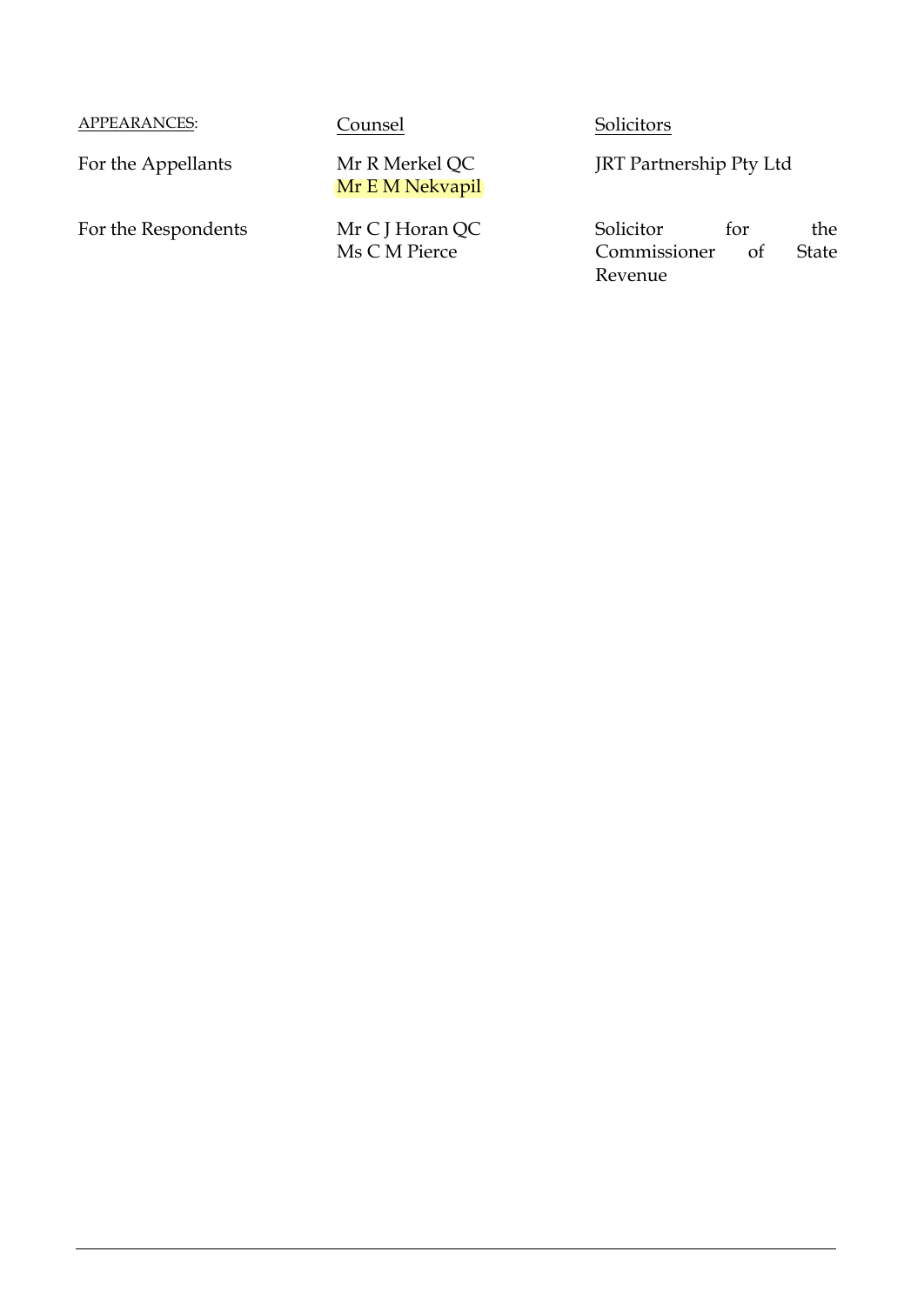APPEARANCES: Counsel Solicitors

For the Appellants Mr R Merkel QC

For the Respondents Mr C J Horan QC

Mr E M Nekvapil

Ms C M Pierce

JRT Partnership Pty Ltd

Solicitor for the<br>Commissioner of State Commissioner Revenue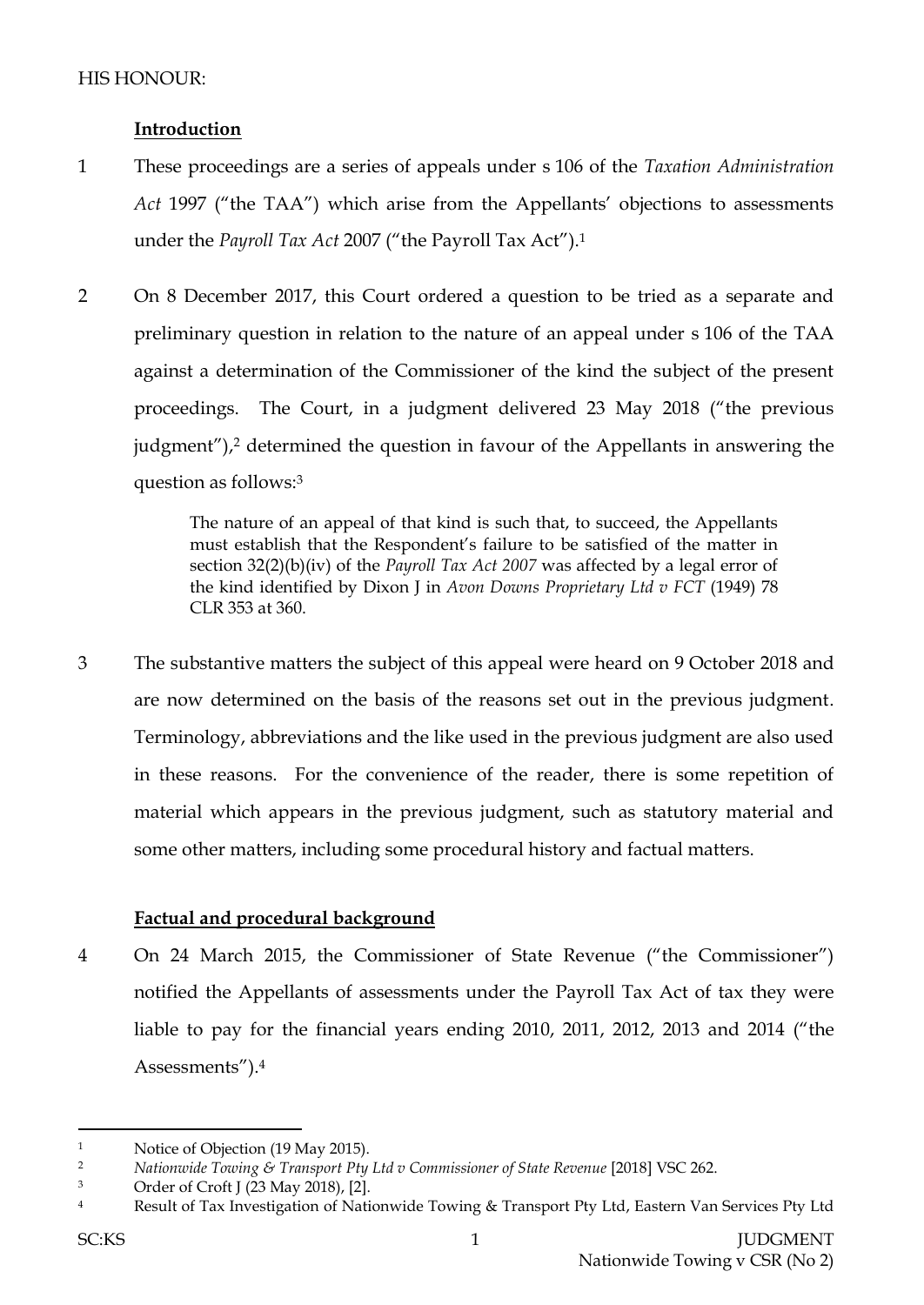# **Introduction**

- 1 These proceedings are a series of appeals under s 106 of the *Taxation Administration Act* 1997 ("the TAA") which arise from the Appellants' objections to assessments under the *Payroll Tax Act* 2007 ("the Payroll Tax Act"). 1
- 2 On 8 December 2017, this Court ordered a question to be tried as a separate and preliminary question in relation to the nature of an appeal under s 106 of the TAA against a determination of the Commissioner of the kind the subject of the present proceedings. The Court, in a judgment delivered 23 May 2018 ("the previous judgment"),<sup>2</sup> determined the question in favour of the Appellants in answering the question as follows:<sup>3</sup>

The nature of an appeal of that kind is such that, to succeed, the Appellants must establish that the Respondent's failure to be satisfied of the matter in section 32(2)(b)(iv) of the *Payroll Tax Act 2007* was affected by a legal error of the kind identified by Dixon J in *Avon Downs Proprietary Ltd v FCT* (1949) 78 CLR 353 at 360.

3 The substantive matters the subject of this appeal were heard on 9 October 2018 and are now determined on the basis of the reasons set out in the previous judgment. Terminology, abbreviations and the like used in the previous judgment are also used in these reasons. For the convenience of the reader, there is some repetition of material which appears in the previous judgment, such as statutory material and some other matters, including some procedural history and factual matters.

## **Factual and procedural background**

4 On 24 March 2015, the Commissioner of State Revenue ("the Commissioner") notified the Appellants of assessments under the Payroll Tax Act of tax they were liable to pay for the financial years ending 2010, 2011, 2012, 2013 and 2014 ("the Assessments").<sup>4</sup>

<sup>&</sup>lt;sup>1</sup> Notice of Objection (19 May 2015).

<sup>2</sup> *Nationwide Towing & Transport Pty Ltd v Commissioner of State Revenue* [2018] VSC 262.

<sup>3</sup> Order of Croft J (23 May 2018), [2].

<sup>&</sup>lt;sup>4</sup> Result of Tax Investigation of Nationwide Towing & Transport Pty Ltd, Eastern Van Services Pty Ltd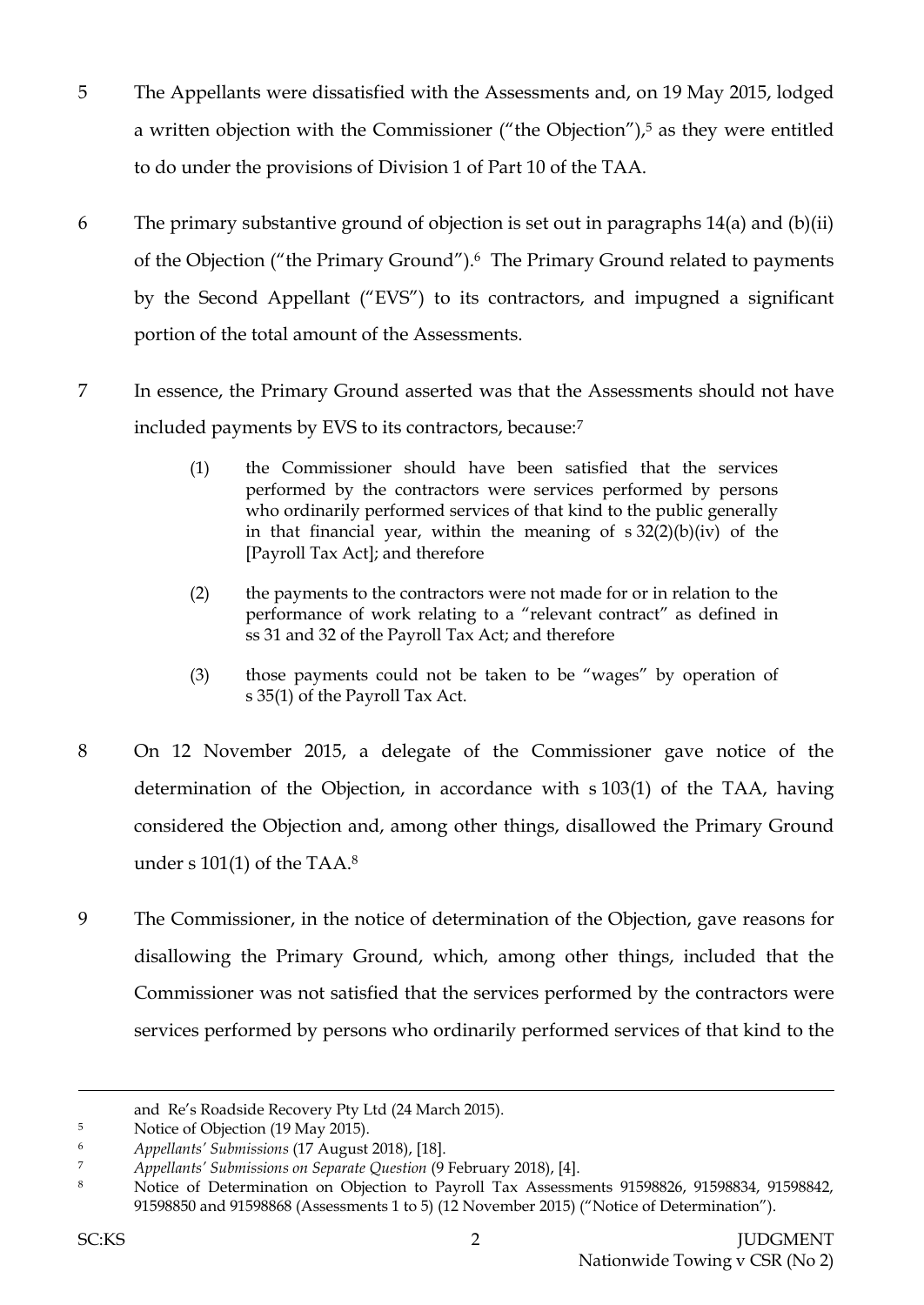- 5 The Appellants were dissatisfied with the Assessments and, on 19 May 2015, lodged a written objection with the Commissioner ("the Objection"), <sup>5</sup> as they were entitled to do under the provisions of Division 1 of Part 10 of the TAA.
- 6 The primary substantive ground of objection is set out in paragraphs 14(a) and (b)(ii) of the Objection ("the Primary Ground").6 The Primary Ground related to payments by the Second Appellant ("EVS") to its contractors, and impugned a significant portion of the total amount of the Assessments.
- 7 In essence, the Primary Ground asserted was that the Assessments should not have included payments by EVS to its contractors, because:<sup>7</sup>
	- (1) the Commissioner should have been satisfied that the services performed by the contractors were services performed by persons who ordinarily performed services of that kind to the public generally in that financial year, within the meaning of s 32(2)(b)(iv) of the [Payroll Tax Act]; and therefore
	- (2) the payments to the contractors were not made for or in relation to the performance of work relating to a "relevant contract" as defined in ss 31 and 32 of the Payroll Tax Act; and therefore
	- (3) those payments could not be taken to be "wages" by operation of s 35(1) of the Payroll Tax Act.
- 8 On 12 November 2015, a delegate of the Commissioner gave notice of the determination of the Objection, in accordance with s 103(1) of the TAA, having considered the Objection and, among other things, disallowed the Primary Ground under s 101(1) of the TAA. $^8$
- 9 The Commissioner, in the notice of determination of the Objection, gave reasons for disallowing the Primary Ground, which, among other things, included that the Commissioner was not satisfied that the services performed by the contractors were services performed by persons who ordinarily performed services of that kind to the

and Re's Roadside Recovery Pty Ltd (24 March 2015).

<sup>&</sup>lt;sup>5</sup> Notice of Objection (19 May 2015).

<sup>6</sup> *Appellants' Submissions* (17 August 2018), [18].

<sup>7</sup> *Appellants' Submissions on Separate Question* (9 February 2018), [4].

<sup>8</sup> Notice of Determination on Objection to Payroll Tax Assessments 91598826, 91598834, 91598842, 91598850 and 91598868 (Assessments 1 to 5) (12 November 2015) ("Notice of Determination").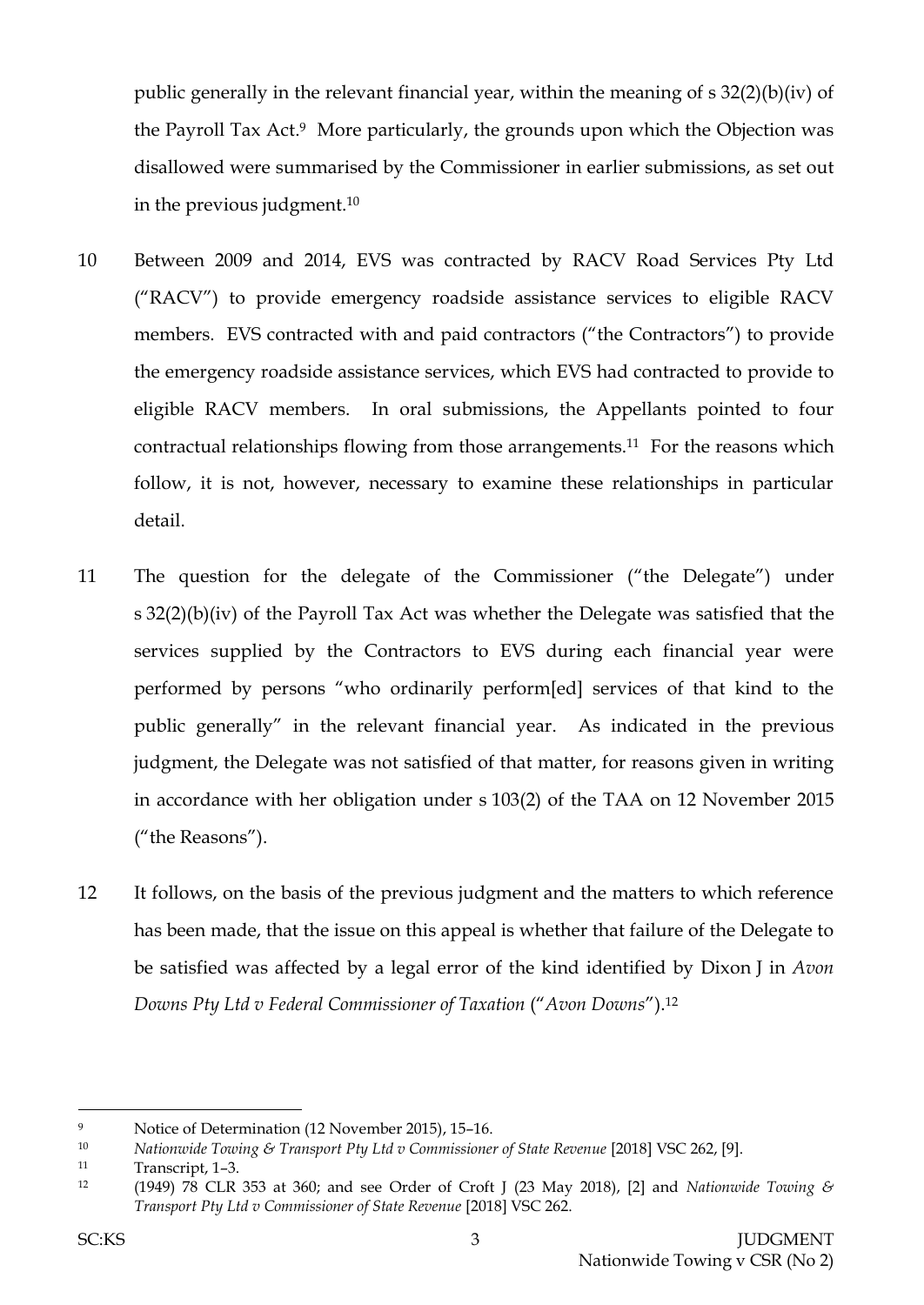public generally in the relevant financial year, within the meaning of s 32(2)(b)(iv) of the Payroll Tax Act. <sup>9</sup> More particularly, the grounds upon which the Objection was disallowed were summarised by the Commissioner in earlier submissions, as set out in the previous judgment.<sup>10</sup>

- 10 Between 2009 and 2014, EVS was contracted by RACV Road Services Pty Ltd ("RACV") to provide emergency roadside assistance services to eligible RACV members. EVS contracted with and paid contractors ("the Contractors") to provide the emergency roadside assistance services, which EVS had contracted to provide to eligible RACV members. In oral submissions, the Appellants pointed to four contractual relationships flowing from those arrangements.11 For the reasons which follow, it is not, however, necessary to examine these relationships in particular detail.
- 11 The question for the delegate of the Commissioner ("the Delegate") under s 32(2)(b)(iv) of the Payroll Tax Act was whether the Delegate was satisfied that the services supplied by the Contractors to EVS during each financial year were performed by persons "who ordinarily perform[ed] services of that kind to the public generally" in the relevant financial year. As indicated in the previous judgment, the Delegate was not satisfied of that matter, for reasons given in writing in accordance with her obligation under s 103(2) of the TAA on 12 November 2015 ("the Reasons").
- 12 It follows, on the basis of the previous judgment and the matters to which reference has been made, that the issue on this appeal is whether that failure of the Delegate to be satisfied was affected by a legal error of the kind identified by Dixon J in *Avon Downs Pty Ltd v Federal Commissioner of Taxation* ("*Avon Downs*").<sup>12</sup>

<sup>9</sup> Notice of Determination (12 November 2015), 15–16.

<sup>10</sup> *Nationwide Towing & Transport Pty Ltd v Commissioner of State Revenue* [2018] VSC 262, [9].

<sup>11</sup> Transcript, 1–3.

<sup>12</sup> (1949) 78 CLR 353 at 360; and see Order of Croft J (23 May 2018), [2] and *Nationwide Towing & Transport Pty Ltd v Commissioner of State Revenue* [2018] VSC 262.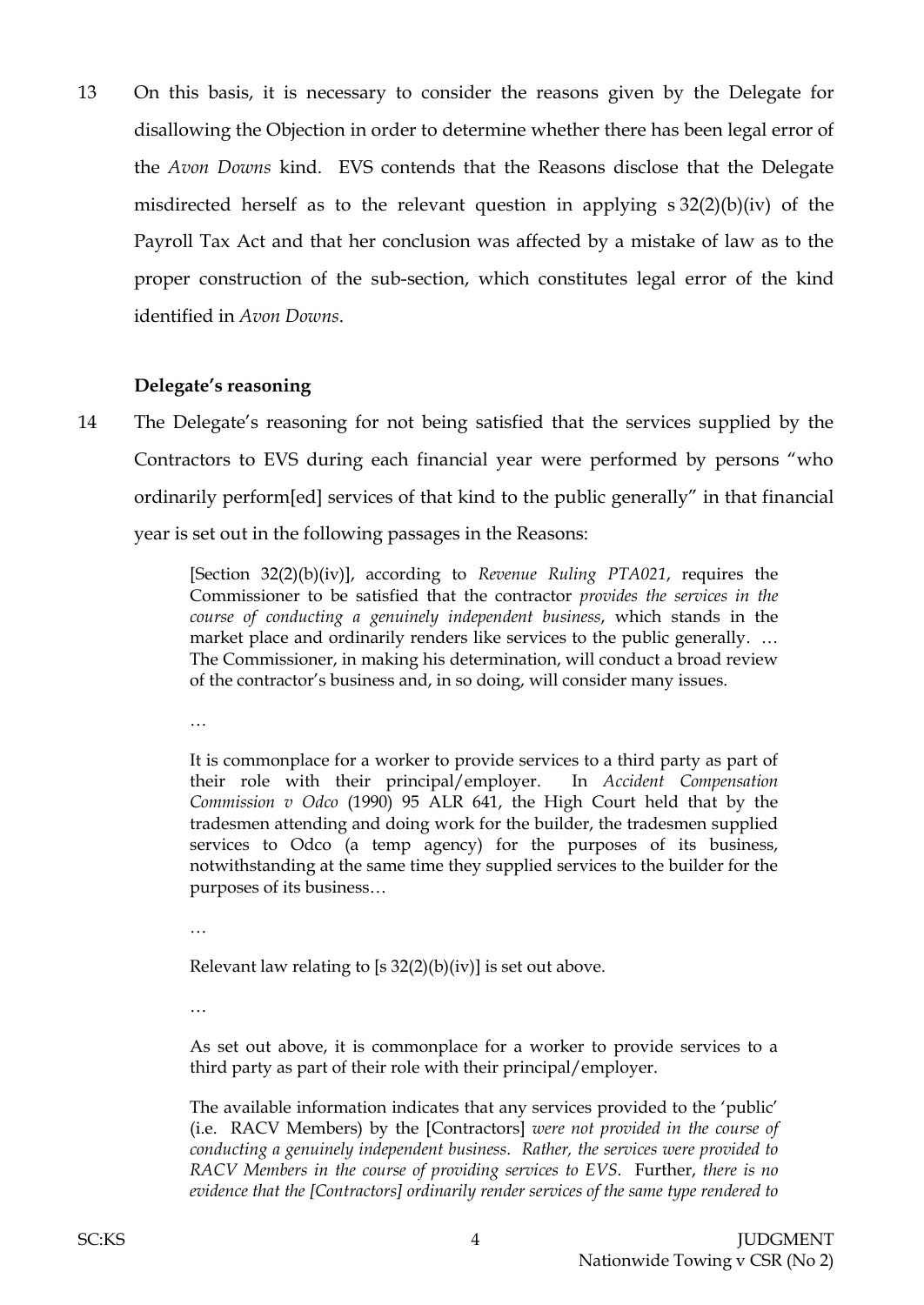13 On this basis, it is necessary to consider the reasons given by the Delegate for disallowing the Objection in order to determine whether there has been legal error of the *Avon Downs* kind. EVS contends that the Reasons disclose that the Delegate misdirected herself as to the relevant question in applying s 32(2)(b)(iv) of the Payroll Tax Act and that her conclusion was affected by a mistake of law as to the proper construction of the sub-section, which constitutes legal error of the kind identified in *Avon Downs*.

#### **Delegate's reasoning**

14 The Delegate's reasoning for not being satisfied that the services supplied by the Contractors to EVS during each financial year were performed by persons "who ordinarily perform[ed] services of that kind to the public generally" in that financial year is set out in the following passages in the Reasons:

> [Section 32(2)(b)(iv)], according to *Revenue Ruling PTA021*, requires the Commissioner to be satisfied that the contractor *provides the services in the course of conducting a genuinely independent business*, which stands in the market place and ordinarily renders like services to the public generally. ... The Commissioner, in making his determination, will conduct a broad review of the contractor's business and, in so doing, will consider many issues.

…

It is commonplace for a worker to provide services to a third party as part of their role with their principal/employer. In *Accident Compensation Commission v Odco* (1990) 95 ALR 641, the High Court held that by the tradesmen attending and doing work for the builder, the tradesmen supplied services to Odco (a temp agency) for the purposes of its business, notwithstanding at the same time they supplied services to the builder for the purposes of its business…

…

Relevant law relating to [s  $32(2)(b)(iv)$ ] is set out above.

…

As set out above, it is commonplace for a worker to provide services to a third party as part of their role with their principal/employer.

The available information indicates that any services provided to the 'public' (i.e. RACV Members) by the [Contractors] *were not provided in the course of conducting a genuinely independent business. Rather, the services were provided to RACV Members in the course of providing services to EVS.* Further, *there is no evidence that the [Contractors] ordinarily render services of the same type rendered to*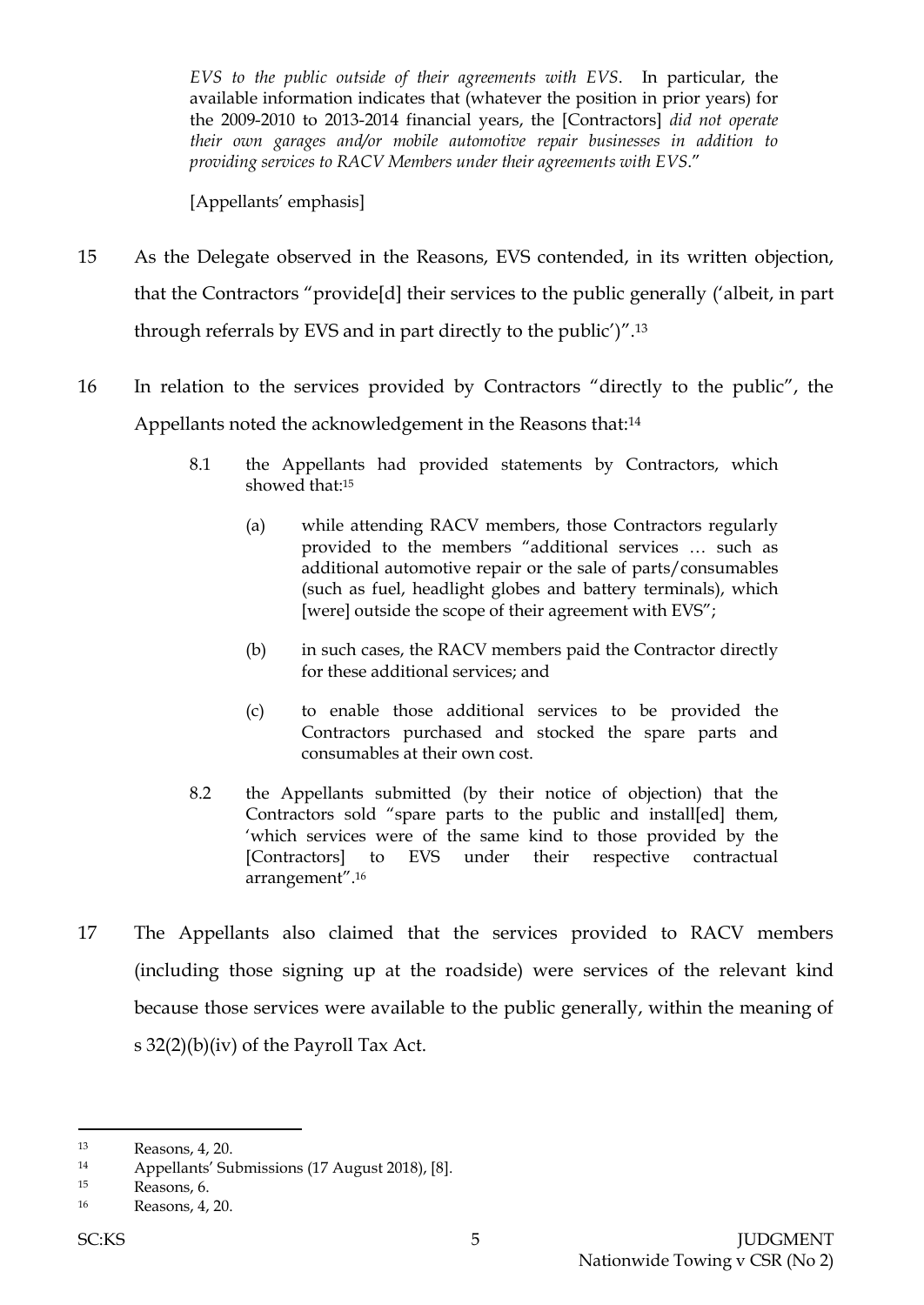*EVS to the public outside of their agreements with EVS*. In particular, the available information indicates that (whatever the position in prior years) for the 2009-2010 to 2013-2014 financial years, the [Contractors] *did not operate their own garages and/or mobile automotive repair businesses in addition to providing services to RACV Members under their agreements with EVS*."

[Appellants' emphasis]

- 15 As the Delegate observed in the Reasons, EVS contended, in its written objection, that the Contractors "provide[d] their services to the public generally ('albeit, in part through referrals by EVS and in part directly to the public')".<sup>13</sup>
- 16 In relation to the services provided by Contractors "directly to the public", the Appellants noted the acknowledgement in the Reasons that:<sup>14</sup>
	- 8.1 the Appellants had provided statements by Contractors, which showed that:<sup>15</sup>
		- (a) while attending RACV members, those Contractors regularly provided to the members "additional services … such as additional automotive repair or the sale of parts/consumables (such as fuel, headlight globes and battery terminals), which [were] outside the scope of their agreement with EVS";
		- (b) in such cases, the RACV members paid the Contractor directly for these additional services; and
		- (c) to enable those additional services to be provided the Contractors purchased and stocked the spare parts and consumables at their own cost.
	- 8.2 the Appellants submitted (by their notice of objection) that the Contractors sold "spare parts to the public and install[ed] them, 'which services were of the same kind to those provided by the [Contractors] to EVS under their respective contractual arrangement". 16
- 17 The Appellants also claimed that the services provided to RACV members (including those signing up at the roadside) were services of the relevant kind because those services were available to the public generally, within the meaning of s 32(2)(b)(iv) of the Payroll Tax Act.

<sup>13</sup> Reasons, 4, 20.

<sup>14</sup> Appellants' Submissions (17 August 2018), [8].

<sup>15</sup> Reasons, 6.

<sup>16</sup> Reasons, 4, 20.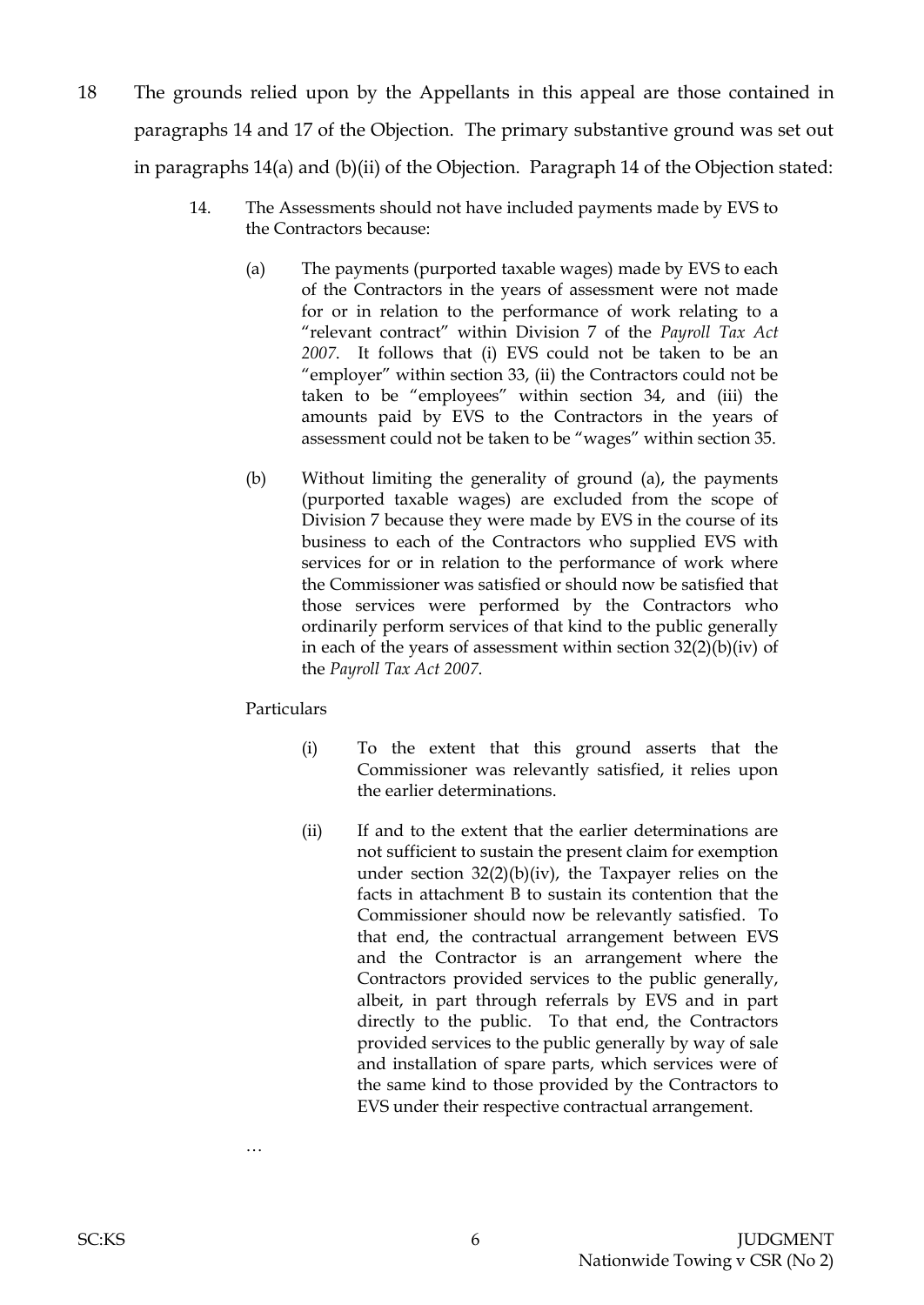- 18 The grounds relied upon by the Appellants in this appeal are those contained in paragraphs 14 and 17 of the Objection. The primary substantive ground was set out in paragraphs 14(a) and (b)(ii) of the Objection. Paragraph 14 of the Objection stated:
	- 14. The Assessments should not have included payments made by EVS to the Contractors because:
		- (a) The payments (purported taxable wages) made by EVS to each of the Contractors in the years of assessment were not made for or in relation to the performance of work relating to a "relevant contract" within Division 7 of the *Payroll Tax Act 2007*. It follows that (i) EVS could not be taken to be an "employer" within section 33, (ii) the Contractors could not be taken to be "employees" within section 34, and (iii) the amounts paid by EVS to the Contractors in the years of assessment could not be taken to be "wages" within section 35.
		- (b) Without limiting the generality of ground (a), the payments (purported taxable wages) are excluded from the scope of Division 7 because they were made by EVS in the course of its business to each of the Contractors who supplied EVS with services for or in relation to the performance of work where the Commissioner was satisfied or should now be satisfied that those services were performed by the Contractors who ordinarily perform services of that kind to the public generally in each of the years of assessment within section 32(2)(b)(iv) of the *Payroll Tax Act 2007*.

Particulars

…

- (i) To the extent that this ground asserts that the Commissioner was relevantly satisfied, it relies upon the earlier determinations.
- (ii) If and to the extent that the earlier determinations are not sufficient to sustain the present claim for exemption under section  $32(2)(b)(iv)$ , the Taxpayer relies on the facts in attachment B to sustain its contention that the Commissioner should now be relevantly satisfied. To that end, the contractual arrangement between EVS and the Contractor is an arrangement where the Contractors provided services to the public generally, albeit, in part through referrals by EVS and in part directly to the public. To that end, the Contractors provided services to the public generally by way of sale and installation of spare parts, which services were of the same kind to those provided by the Contractors to EVS under their respective contractual arrangement.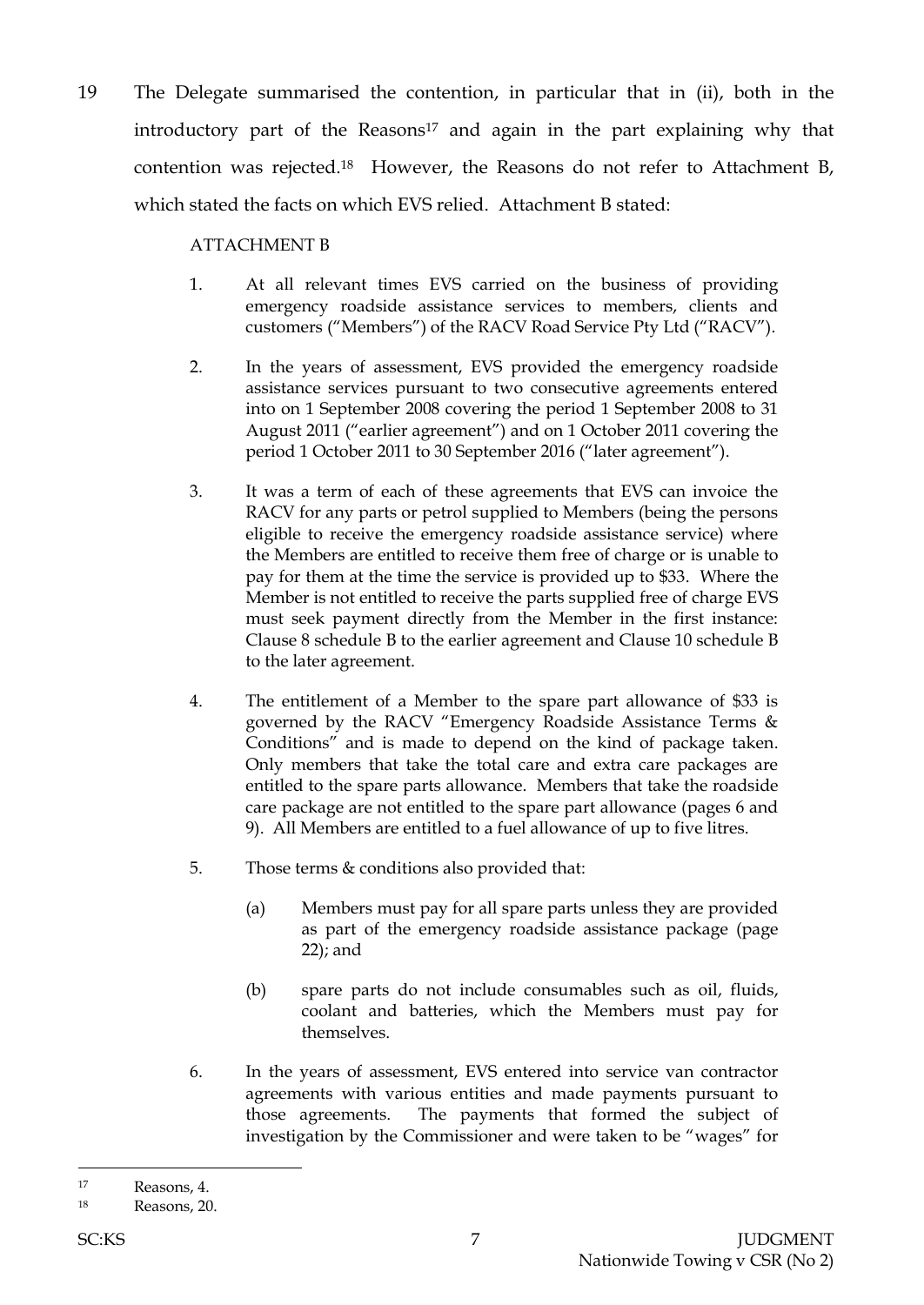19 The Delegate summarised the contention, in particular that in (ii), both in the introductory part of the Reasons<sup>17</sup> and again in the part explaining why that contention was rejected.18 However, the Reasons do not refer to Attachment B, which stated the facts on which EVS relied. Attachment B stated:

#### ATTACHMENT B

- 1. At all relevant times EVS carried on the business of providing emergency roadside assistance services to members, clients and customers ("Members") of the RACV Road Service Pty Ltd ("RACV").
- 2. In the years of assessment, EVS provided the emergency roadside assistance services pursuant to two consecutive agreements entered into on 1 September 2008 covering the period 1 September 2008 to 31 August 2011 ("earlier agreement") and on 1 October 2011 covering the period 1 October 2011 to 30 September 2016 ("later agreement").
- 3. It was a term of each of these agreements that EVS can invoice the RACV for any parts or petrol supplied to Members (being the persons eligible to receive the emergency roadside assistance service) where the Members are entitled to receive them free of charge or is unable to pay for them at the time the service is provided up to \$33. Where the Member is not entitled to receive the parts supplied free of charge EVS must seek payment directly from the Member in the first instance: Clause 8 schedule B to the earlier agreement and Clause 10 schedule B to the later agreement.
- 4. The entitlement of a Member to the spare part allowance of \$33 is governed by the RACV "Emergency Roadside Assistance Terms & Conditions" and is made to depend on the kind of package taken. Only members that take the total care and extra care packages are entitled to the spare parts allowance. Members that take the roadside care package are not entitled to the spare part allowance (pages 6 and 9). All Members are entitled to a fuel allowance of up to five litres.
- 5. Those terms & conditions also provided that:
	- (a) Members must pay for all spare parts unless they are provided as part of the emergency roadside assistance package (page 22); and
	- (b) spare parts do not include consumables such as oil, fluids, coolant and batteries, which the Members must pay for themselves.
- 6. In the years of assessment, EVS entered into service van contractor agreements with various entities and made payments pursuant to those agreements. The payments that formed the subject of investigation by the Commissioner and were taken to be "wages" for

<sup>17</sup> Reasons, 4.

<sup>18</sup> Reasons, 20.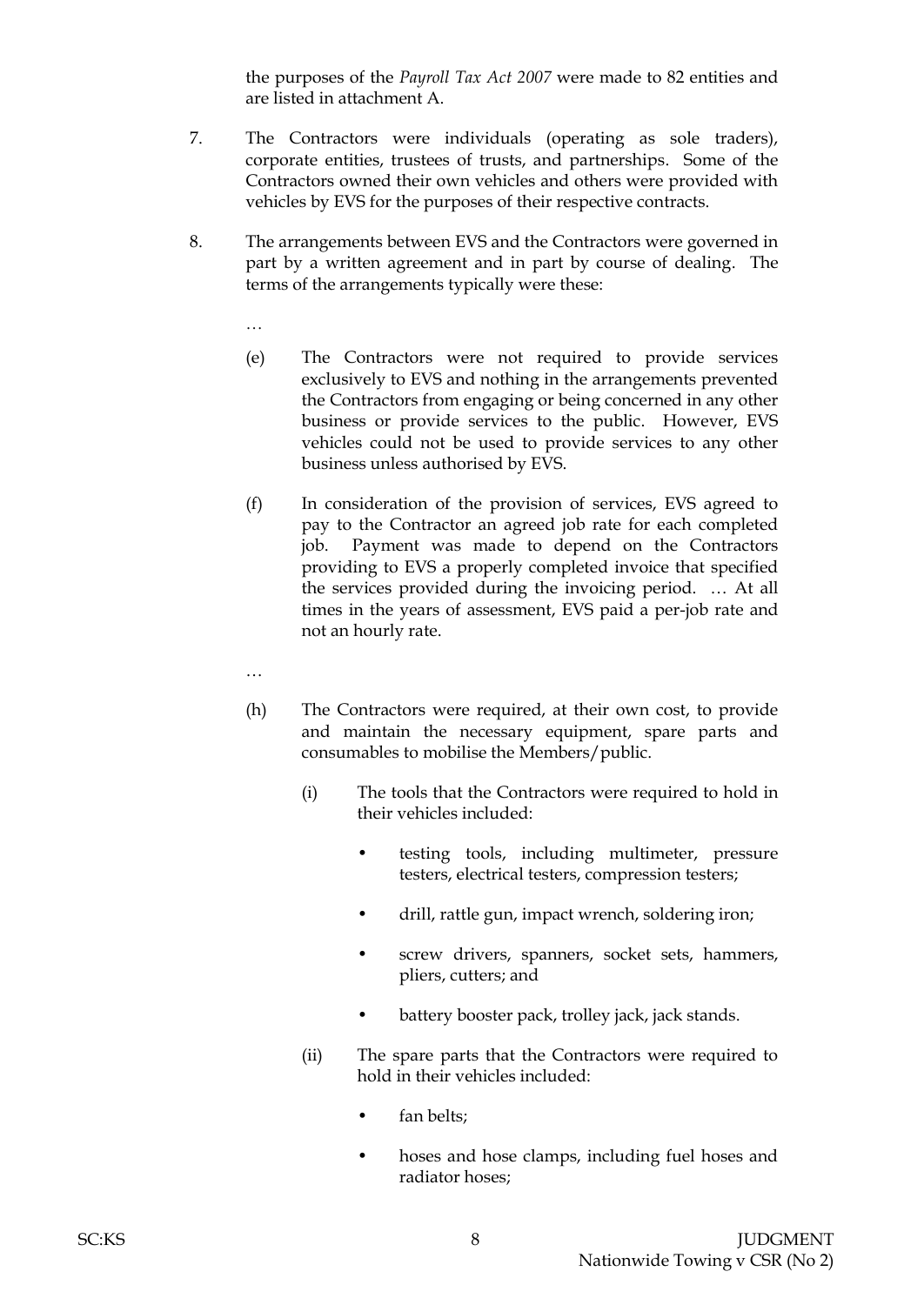the purposes of the *Payroll Tax Act 2007* were made to 82 entities and are listed in attachment A.

- 7. The Contractors were individuals (operating as sole traders), corporate entities, trustees of trusts, and partnerships. Some of the Contractors owned their own vehicles and others were provided with vehicles by EVS for the purposes of their respective contracts.
- 8. The arrangements between EVS and the Contractors were governed in part by a written agreement and in part by course of dealing. The terms of the arrangements typically were these:
	- …
	- (e) The Contractors were not required to provide services exclusively to EVS and nothing in the arrangements prevented the Contractors from engaging or being concerned in any other business or provide services to the public. However, EVS vehicles could not be used to provide services to any other business unless authorised by EVS.
	- (f) In consideration of the provision of services, EVS agreed to pay to the Contractor an agreed job rate for each completed job. Payment was made to depend on the Contractors providing to EVS a properly completed invoice that specified the services provided during the invoicing period. … At all times in the years of assessment, EVS paid a per-job rate and not an hourly rate.
	- …
	- (h) The Contractors were required, at their own cost, to provide and maintain the necessary equipment, spare parts and consumables to mobilise the Members/public.
		- (i) The tools that the Contractors were required to hold in their vehicles included:
			- testing tools, including multimeter, pressure testers, electrical testers, compression testers;
			- drill, rattle gun, impact wrench, soldering iron;
			- screw drivers, spanners, socket sets, hammers, pliers, cutters; and
			- battery booster pack, trolley jack, jack stands.
		- (ii) The spare parts that the Contractors were required to hold in their vehicles included:
			- fan belts:
			- hoses and hose clamps, including fuel hoses and radiator hoses;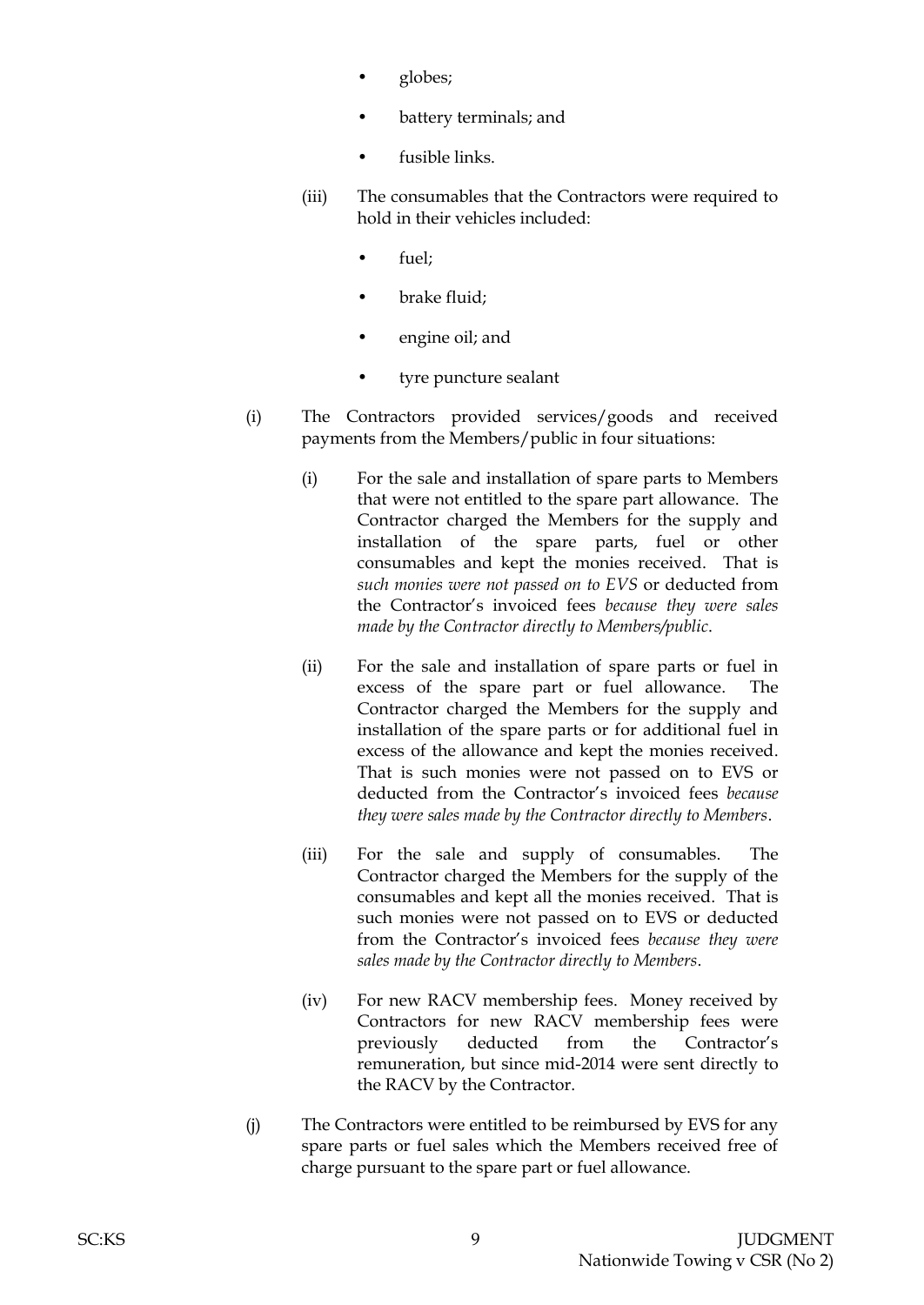- globes;
- battery terminals; and
- fusible links.
- (iii) The consumables that the Contractors were required to hold in their vehicles included:
	- fuel:
	- brake fluid;
	- engine oil; and
	- tyre puncture sealant
- (i) The Contractors provided services/goods and received payments from the Members/public in four situations:
	- (i) For the sale and installation of spare parts to Members that were not entitled to the spare part allowance. The Contractor charged the Members for the supply and installation of the spare parts, fuel or other consumables and kept the monies received. That is *such monies were not passed on to EVS* or deducted from the Contractor's invoiced fees *because they were sales made by the Contractor directly to Members/public*.
	- (ii) For the sale and installation of spare parts or fuel in excess of the spare part or fuel allowance. The Contractor charged the Members for the supply and installation of the spare parts or for additional fuel in excess of the allowance and kept the monies received. That is such monies were not passed on to EVS or deducted from the Contractor's invoiced fees *because they were sales made by the Contractor directly to Members*.
	- (iii) For the sale and supply of consumables. The Contractor charged the Members for the supply of the consumables and kept all the monies received. That is such monies were not passed on to EVS or deducted from the Contractor's invoiced fees *because they were sales made by the Contractor directly to Members*.
	- (iv) For new RACV membership fees. Money received by Contractors for new RACV membership fees were previously deducted from the Contractor's remuneration, but since mid-2014 were sent directly to the RACV by the Contractor.
- (j) The Contractors were entitled to be reimbursed by EVS for any spare parts or fuel sales which the Members received free of charge pursuant to the spare part or fuel allowance.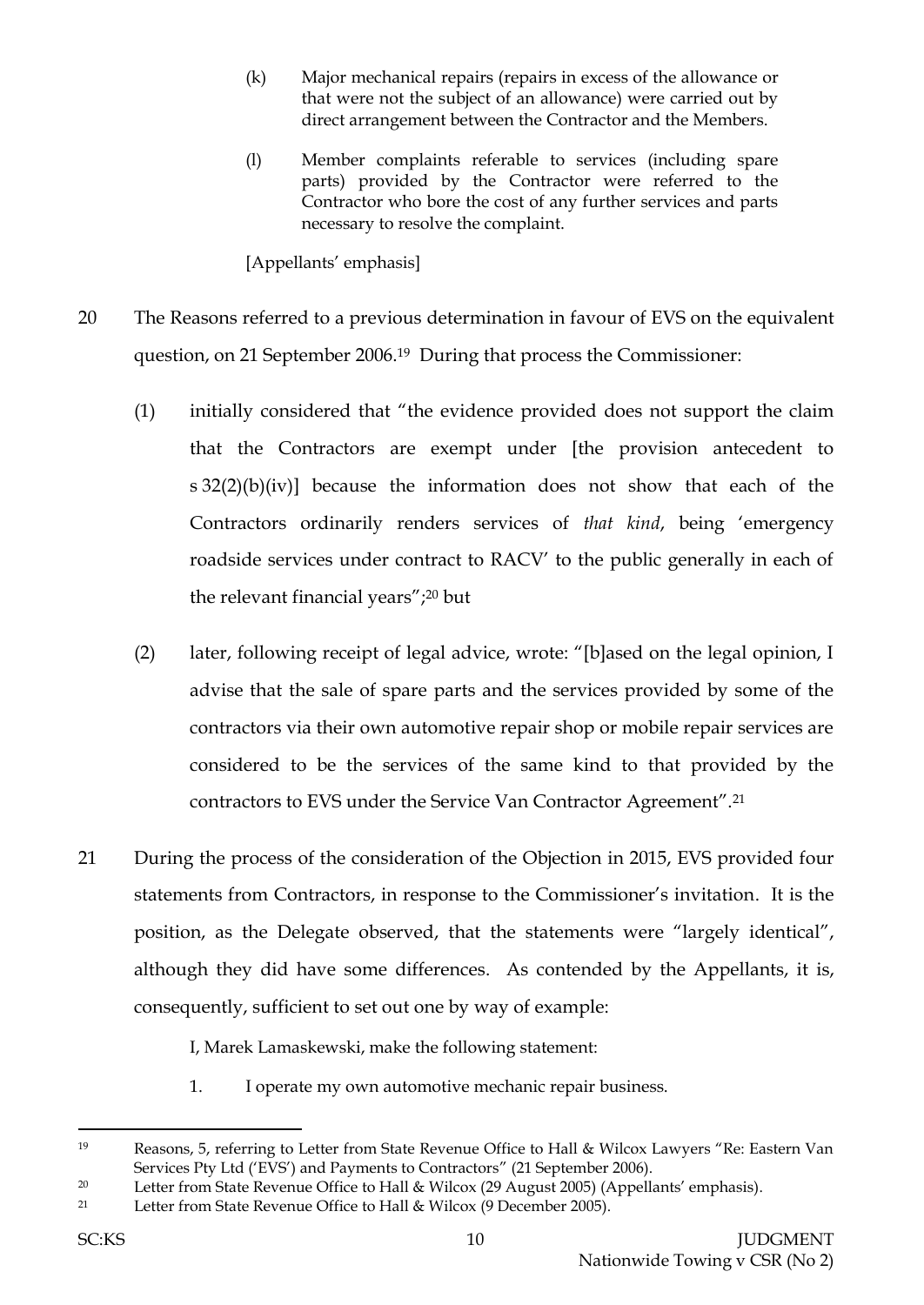- (k) Major mechanical repairs (repairs in excess of the allowance or that were not the subject of an allowance) were carried out by direct arrangement between the Contractor and the Members.
- (l) Member complaints referable to services (including spare parts) provided by the Contractor were referred to the Contractor who bore the cost of any further services and parts necessary to resolve the complaint.

[Appellants' emphasis]

- 20 The Reasons referred to a previous determination in favour of EVS on the equivalent question, on 21 September 2006.19 During that process the Commissioner:
	- (1) initially considered that "the evidence provided does not support the claim that the Contractors are exempt under [the provision antecedent to s 32(2)(b)(iv)] because the information does not show that each of the Contractors ordinarily renders services of *that kind*, being 'emergency roadside services under contract to RACV' to the public generally in each of the relevant financial years";<sup>20</sup> but
	- (2) later, following receipt of legal advice, wrote: "[b]ased on the legal opinion, I advise that the sale of spare parts and the services provided by some of the contractors via their own automotive repair shop or mobile repair services are considered to be the services of the same kind to that provided by the contractors to EVS under the Service Van Contractor Agreement".<sup>21</sup>
- 21 During the process of the consideration of the Objection in 2015, EVS provided four statements from Contractors, in response to the Commissioner's invitation. It is the position, as the Delegate observed, that the statements were "largely identical", although they did have some differences. As contended by the Appellants, it is, consequently, sufficient to set out one by way of example:

I, Marek Lamaskewski, make the following statement:

1. I operate my own automotive mechanic repair business.

<sup>19</sup> Reasons, 5, referring to Letter from State Revenue Office to Hall & Wilcox Lawyers "Re: Eastern Van Services Pty Ltd ('EVS') and Payments to Contractors" (21 September 2006).

<sup>&</sup>lt;sup>20</sup> Letter from State Revenue Office to Hall & Wilcox (29 August 2005) (Appellants' emphasis).

<sup>21</sup> Letter from State Revenue Office to Hall & Wilcox (9 December 2005).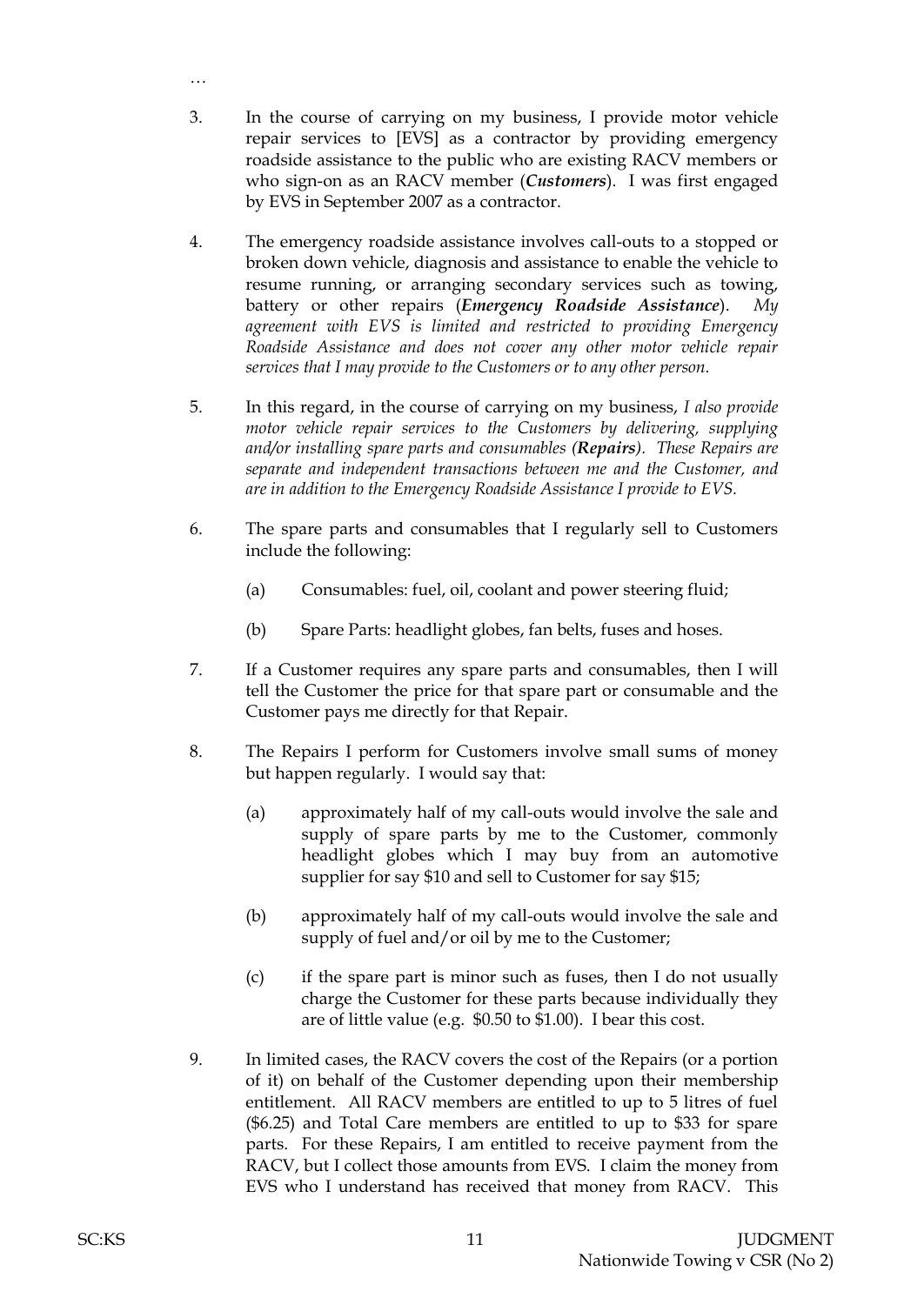3. In the course of carrying on my business, I provide motor vehicle repair services to [EVS] as a contractor by providing emergency roadside assistance to the public who are existing RACV members or who sign-on as an RACV member (*Customers*). I was first engaged by EVS in September 2007 as a contractor.

…

- 4. The emergency roadside assistance involves call-outs to a stopped or broken down vehicle, diagnosis and assistance to enable the vehicle to resume running, or arranging secondary services such as towing, battery or other repairs (*Emergency Roadside Assistance*). *My agreement with EVS is limited and restricted to providing Emergency Roadside Assistance and does not cover any other motor vehicle repair services that I may provide to the Customers or to any other person.*
- 5. In this regard, in the course of carrying on my business, *I also provide motor vehicle repair services to the Customers by delivering, supplying and/or installing spare parts and consumables (Repairs). These Repairs are separate and independent transactions between me and the Customer, and are in addition to the Emergency Roadside Assistance I provide to EVS.*
- 6. The spare parts and consumables that I regularly sell to Customers include the following:
	- (a) Consumables: fuel, oil, coolant and power steering fluid;
	- (b) Spare Parts: headlight globes, fan belts, fuses and hoses.
- 7. If a Customer requires any spare parts and consumables, then I will tell the Customer the price for that spare part or consumable and the Customer pays me directly for that Repair.
- 8. The Repairs I perform for Customers involve small sums of money but happen regularly. I would say that:
	- (a) approximately half of my call-outs would involve the sale and supply of spare parts by me to the Customer, commonly headlight globes which I may buy from an automotive supplier for say \$10 and sell to Customer for say \$15;
	- (b) approximately half of my call-outs would involve the sale and supply of fuel and/or oil by me to the Customer;
	- (c) if the spare part is minor such as fuses, then I do not usually charge the Customer for these parts because individually they are of little value (e.g. \$0.50 to \$1.00). I bear this cost.
- 9. In limited cases, the RACV covers the cost of the Repairs (or a portion of it) on behalf of the Customer depending upon their membership entitlement. All RACV members are entitled to up to 5 litres of fuel (\$6.25) and Total Care members are entitled to up to \$33 for spare parts. For these Repairs, I am entitled to receive payment from the RACV, but I collect those amounts from EVS. I claim the money from EVS who I understand has received that money from RACV. This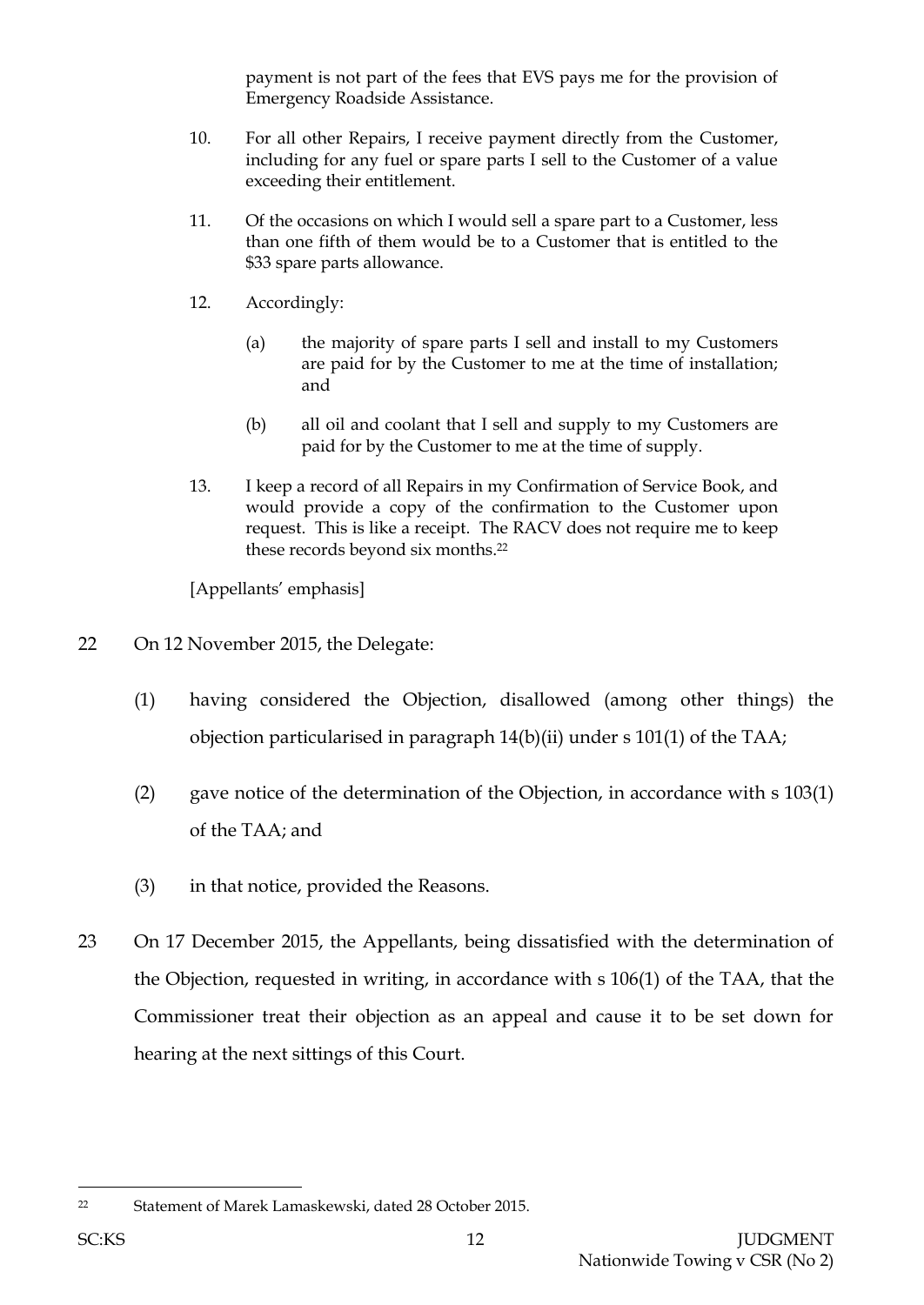payment is not part of the fees that EVS pays me for the provision of Emergency Roadside Assistance.

- 10. For all other Repairs, I receive payment directly from the Customer, including for any fuel or spare parts I sell to the Customer of a value exceeding their entitlement.
- 11. Of the occasions on which I would sell a spare part to a Customer, less than one fifth of them would be to a Customer that is entitled to the \$33 spare parts allowance.
- 12. Accordingly:
	- (a) the majority of spare parts I sell and install to my Customers are paid for by the Customer to me at the time of installation; and
	- (b) all oil and coolant that I sell and supply to my Customers are paid for by the Customer to me at the time of supply.
- 13. I keep a record of all Repairs in my Confirmation of Service Book, and would provide a copy of the confirmation to the Customer upon request. This is like a receipt. The RACV does not require me to keep these records beyond six months.<sup>22</sup>

[Appellants' emphasis]

- 22 On 12 November 2015, the Delegate:
	- (1) having considered the Objection, disallowed (among other things) the objection particularised in paragraph 14(b)(ii) under s 101(1) of the TAA;
	- (2) gave notice of the determination of the Objection, in accordance with s 103(1) of the TAA; and
	- (3) in that notice, provided the Reasons.
- 23 On 17 December 2015, the Appellants, being dissatisfied with the determination of the Objection, requested in writing, in accordance with s 106(1) of the TAA, that the Commissioner treat their objection as an appeal and cause it to be set down for hearing at the next sittings of this Court.

<sup>22</sup> Statement of Marek Lamaskewski, dated 28 October 2015.

l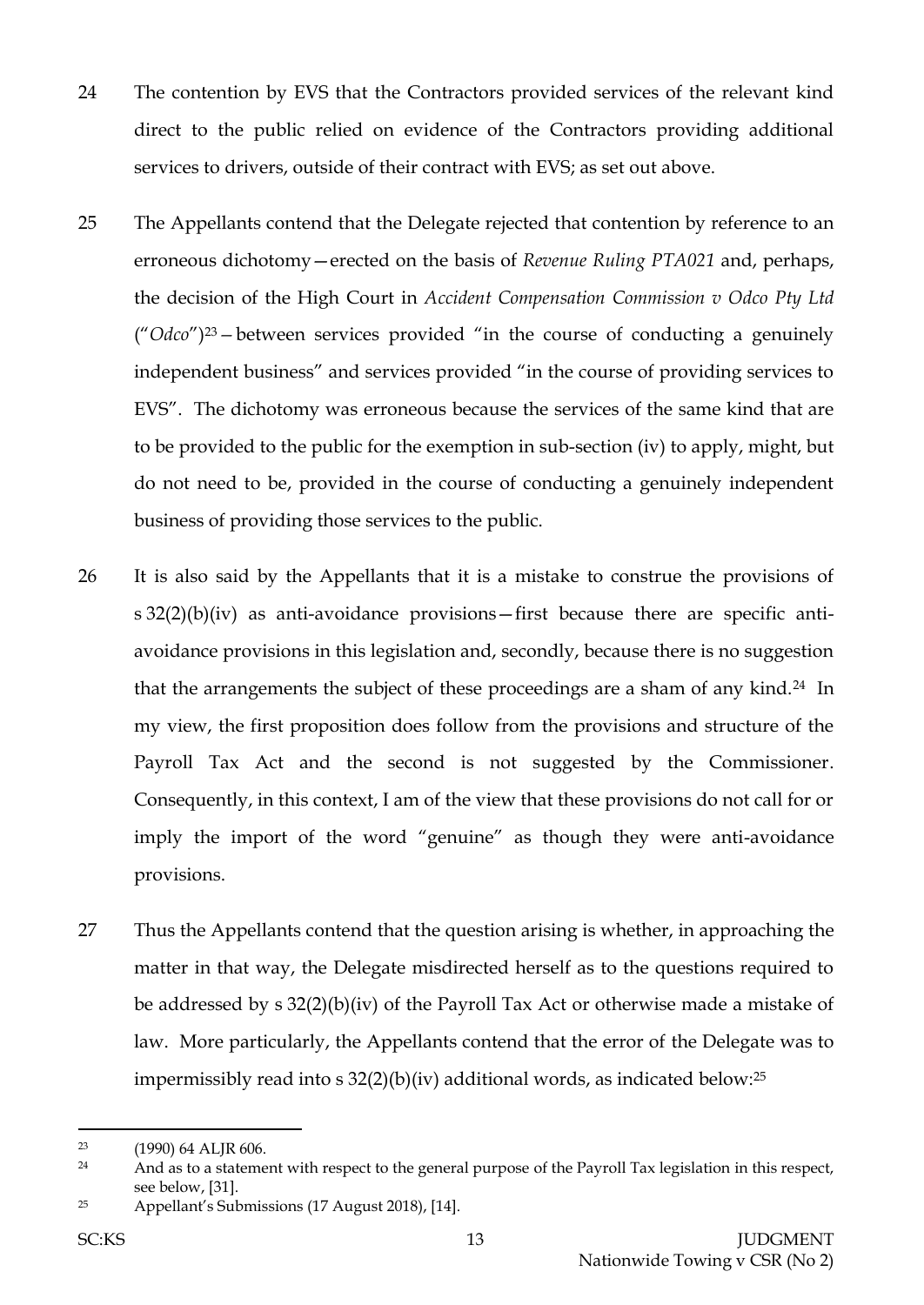- 24 The contention by EVS that the Contractors provided services of the relevant kind direct to the public relied on evidence of the Contractors providing additional services to drivers, outside of their contract with EVS; as set out above.
- 25 The Appellants contend that the Delegate rejected that contention by reference to an erroneous dichotomy—erected on the basis of *Revenue Ruling PTA021* and, perhaps, the decision of the High Court in *Accident Compensation Commission v Odco Pty Ltd*  ("*Odco*") <sup>23</sup>*—*between services provided "in the course of conducting a genuinely independent business" and services provided "in the course of providing services to EVS". The dichotomy was erroneous because the services of the same kind that are to be provided to the public for the exemption in sub-section (iv) to apply, might, but do not need to be, provided in the course of conducting a genuinely independent business of providing those services to the public.
- 26 It is also said by the Appellants that it is a mistake to construe the provisions of s 32(2)(b)(iv) as anti-avoidance provisions—first because there are specific antiavoidance provisions in this legislation and, secondly, because there is no suggestion that the arrangements the subject of these proceedings are a sham of any kind.24 In my view, the first proposition does follow from the provisions and structure of the Payroll Tax Act and the second is not suggested by the Commissioner. Consequently, in this context, I am of the view that these provisions do not call for or imply the import of the word "genuine" as though they were anti-avoidance provisions.
- 27 Thus the Appellants contend that the question arising is whether, in approaching the matter in that way, the Delegate misdirected herself as to the questions required to be addressed by s 32(2)(b)(iv) of the Payroll Tax Act or otherwise made a mistake of law. More particularly, the Appellants contend that the error of the Delegate was to impermissibly read into s 32(2)(b)(iv) additional words, as indicated below:<sup>25</sup>

<sup>23</sup> (1990) 64 ALJR 606.

<sup>&</sup>lt;sup>24</sup> And as to a statement with respect to the general purpose of the Payroll Tax legislation in this respect, see below, [31].

<sup>25</sup> Appellant's Submissions (17 August 2018), [14].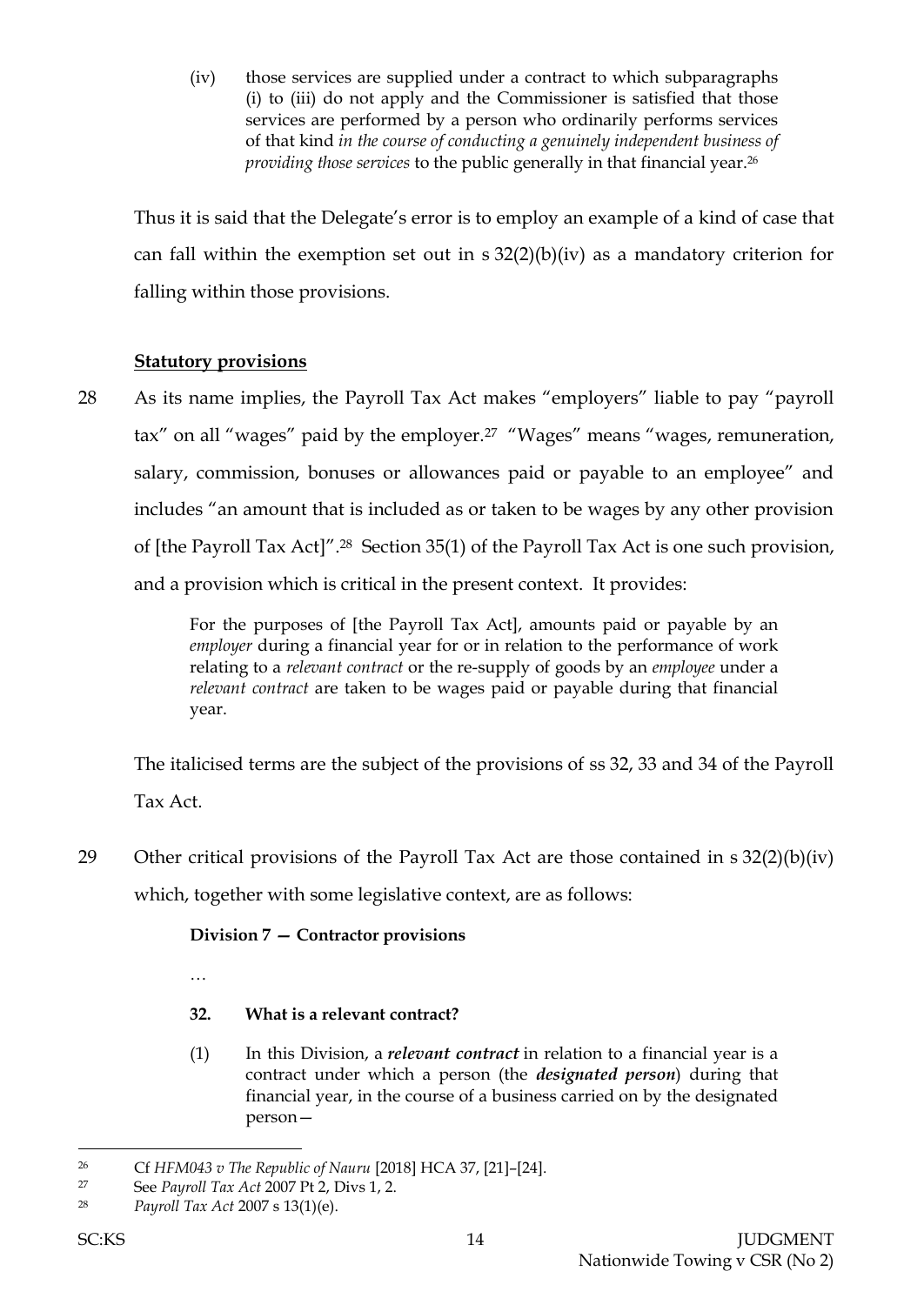(iv) those services are supplied under a contract to which subparagraphs (i) to (iii) do not apply and the Commissioner is satisfied that those services are performed by a person who ordinarily performs services of that kind *in the course of conducting a genuinely independent business of providing those services* to the public generally in that financial year.<sup>26</sup>

Thus it is said that the Delegate's error is to employ an example of a kind of case that can fall within the exemption set out in  $s$  32(2)(b)(iv) as a mandatory criterion for falling within those provisions.

# **Statutory provisions**

28 As its name implies, the Payroll Tax Act makes "employers" liable to pay "payroll tax" on all "wages" paid by the employer.<sup>27</sup> "Wages" means "wages, remuneration, salary, commission, bonuses or allowances paid or payable to an employee" and includes "an amount that is included as or taken to be wages by any other provision of [the Payroll Tax Act]".28 Section 35(1) of the Payroll Tax Act is one such provision, and a provision which is critical in the present context. It provides:

> For the purposes of [the Payroll Tax Act], amounts paid or payable by an *employer* during a financial year for or in relation to the performance of work relating to a *relevant contract* or the re-supply of goods by an *employee* under a *relevant contract* are taken to be wages paid or payable during that financial year.

The italicised terms are the subject of the provisions of ss 32, 33 and 34 of the Payroll Tax Act.

29 Other critical provisions of the Payroll Tax Act are those contained in s 32(2)(b)(iv) which, together with some legislative context, are as follows:

# **Division 7 — Contractor provisions**

- …
- **32. What is a relevant contract?**
- (1) In this Division, a *relevant contract* in relation to a financial year is a contract under which a person (the *designated person*) during that financial year, in the course of a business carried on by the designated person—

 $\overline{a}$ <sup>26</sup> Cf *HFM043 v The Republic of Nauru* [2018] HCA 37, [21]–[24].

<sup>27</sup> See *Payroll Tax Act* 2007 Pt 2, Divs 1, 2.

<sup>28</sup> *Payroll Tax Act* 2007 s 13(1)(e).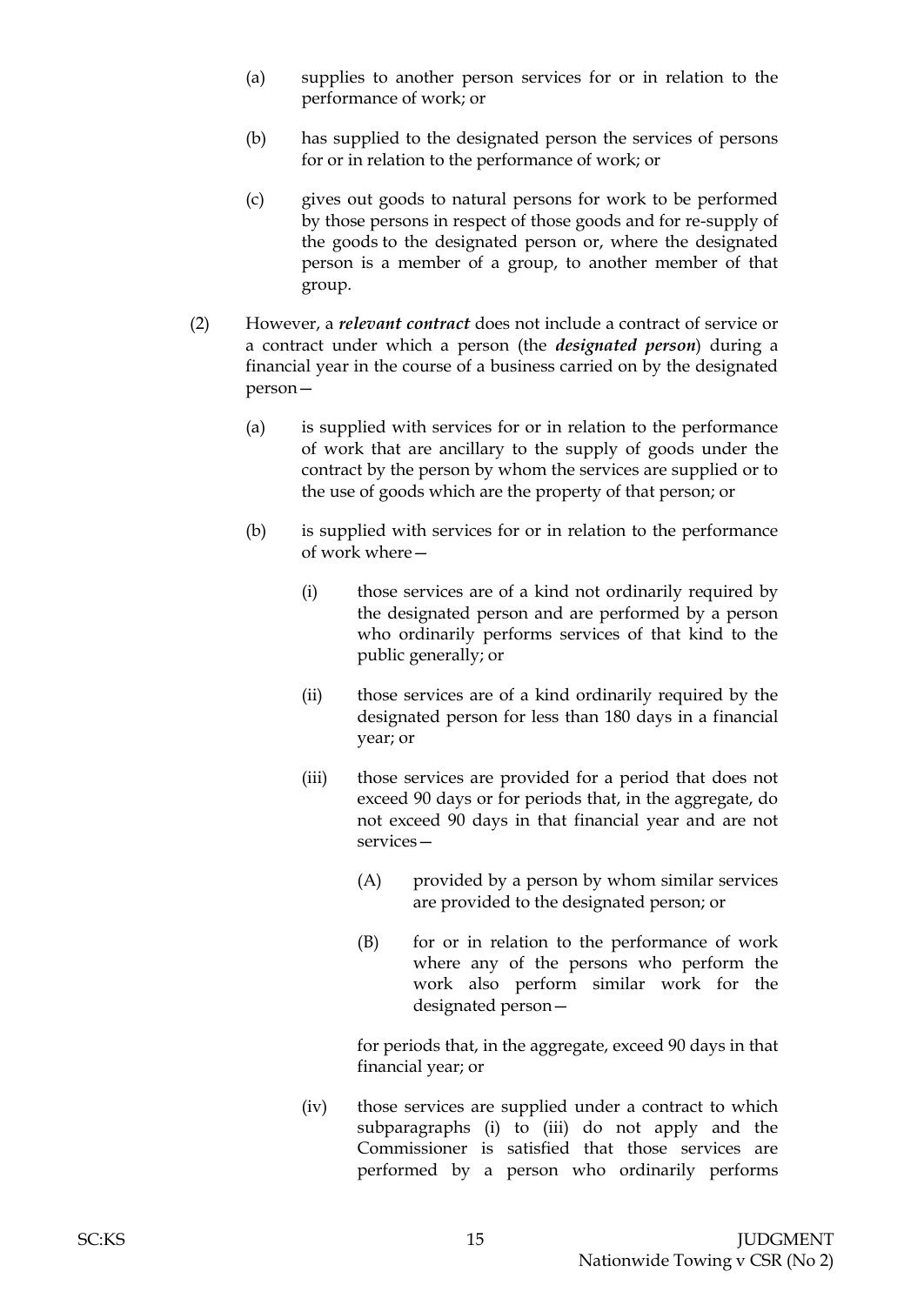- (a) supplies to another person services for or in relation to the performance of work; or
- (b) has supplied to the designated person the services of persons for or in relation to the performance of work; or
- (c) gives out goods to natural persons for work to be performed by those persons in respect of those goods and for re-supply of the goods to the designated person or, where the designated person is a member of a group, to another member of that group.
- (2) However, a *relevant contract* does not include a contract of service or a contract under which a person (the *designated person*) during a financial year in the course of a business carried on by the designated person—
	- (a) is supplied with services for or in relation to the performance of work that are ancillary to the supply of goods under the contract by the person by whom the services are supplied or to the use of goods which are the property of that person; or
	- (b) is supplied with services for or in relation to the performance of work where—
		- (i) those services are of a kind not ordinarily required by the designated person and are performed by a person who ordinarily performs services of that kind to the public generally; or
		- (ii) those services are of a kind ordinarily required by the designated person for less than 180 days in a financial year; or
		- (iii) those services are provided for a period that does not exceed 90 days or for periods that, in the aggregate, do not exceed 90 days in that financial year and are not services—
			- (A) provided by a person by whom similar services are provided to the designated person; or
			- (B) for or in relation to the performance of work where any of the persons who perform the work also perform similar work for the designated person—

for periods that, in the aggregate, exceed 90 days in that financial year; or

(iv) those services are supplied under a contract to which subparagraphs (i) to (iii) do not apply and the Commissioner is satisfied that those services are performed by a person who ordinarily performs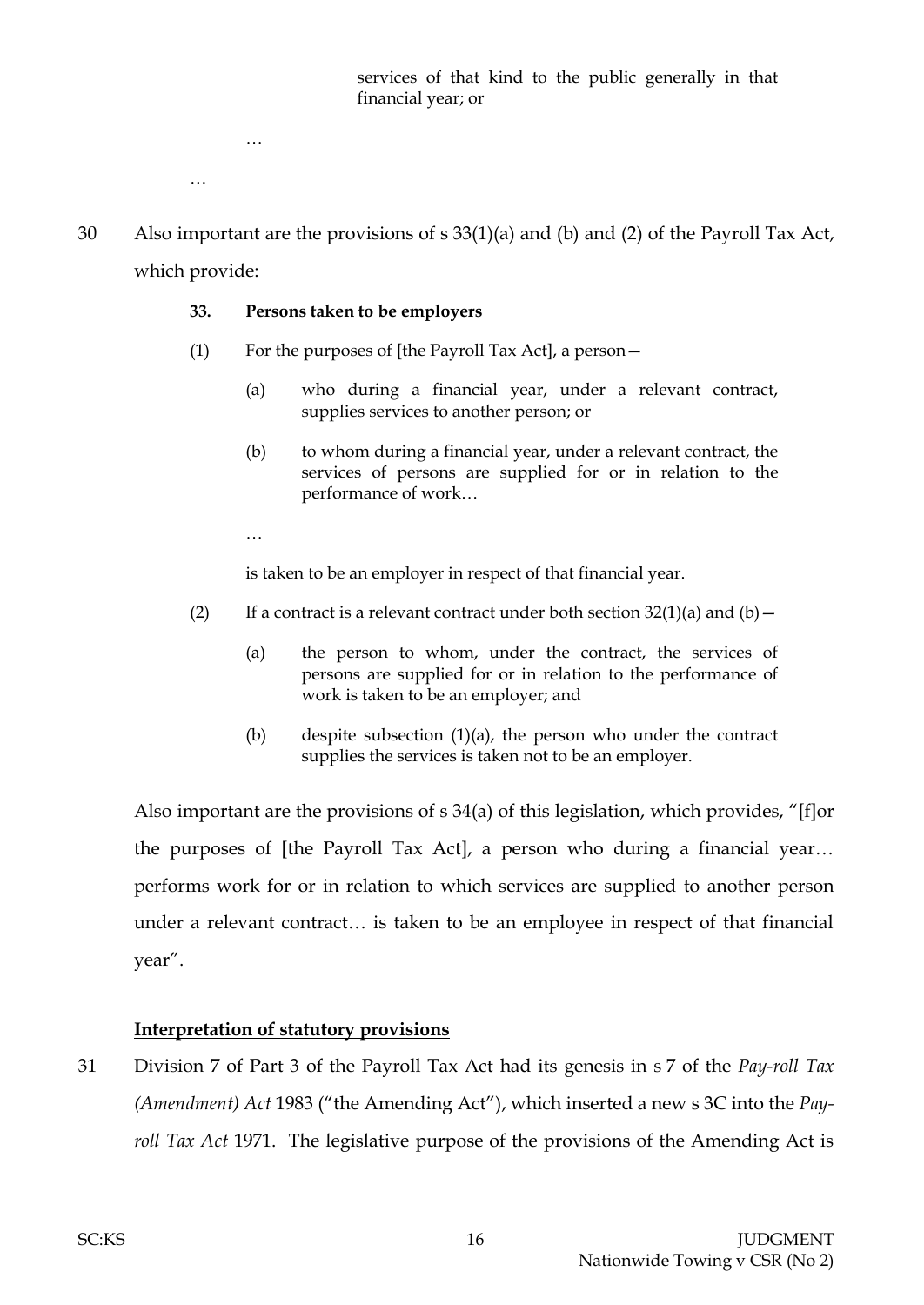services of that kind to the public generally in that financial year; or

…

…

30 Also important are the provisions of s 33(1)(a) and (b) and (2) of the Payroll Tax Act, which provide:

### **33. Persons taken to be employers**

- (1) For the purposes of [the Payroll Tax Act], a person—
	- (a) who during a financial year, under a relevant contract, supplies services to another person; or
	- (b) to whom during a financial year, under a relevant contract, the services of persons are supplied for or in relation to the performance of work…
	- …

is taken to be an employer in respect of that financial year.

- (2) If a contract is a relevant contract under both section  $32(1)(a)$  and  $(b)$  -
	- (a) the person to whom, under the contract, the services of persons are supplied for or in relation to the performance of work is taken to be an employer; and
	- (b) despite subsection  $(1)(a)$ , the person who under the contract supplies the services is taken not to be an employer.

Also important are the provisions of s 34(a) of this legislation, which provides, "[f]or the purposes of [the Payroll Tax Act], a person who during a financial year… performs work for or in relation to which services are supplied to another person under a relevant contract… is taken to be an employee in respect of that financial year".

## **Interpretation of statutory provisions**

31 Division 7 of Part 3 of the Payroll Tax Act had its genesis in s 7 of the *Pay-roll Tax (Amendment) Act* 1983 ("the Amending Act"), which inserted a new s 3C into the *Payroll Tax Act* 1971. The legislative purpose of the provisions of the Amending Act is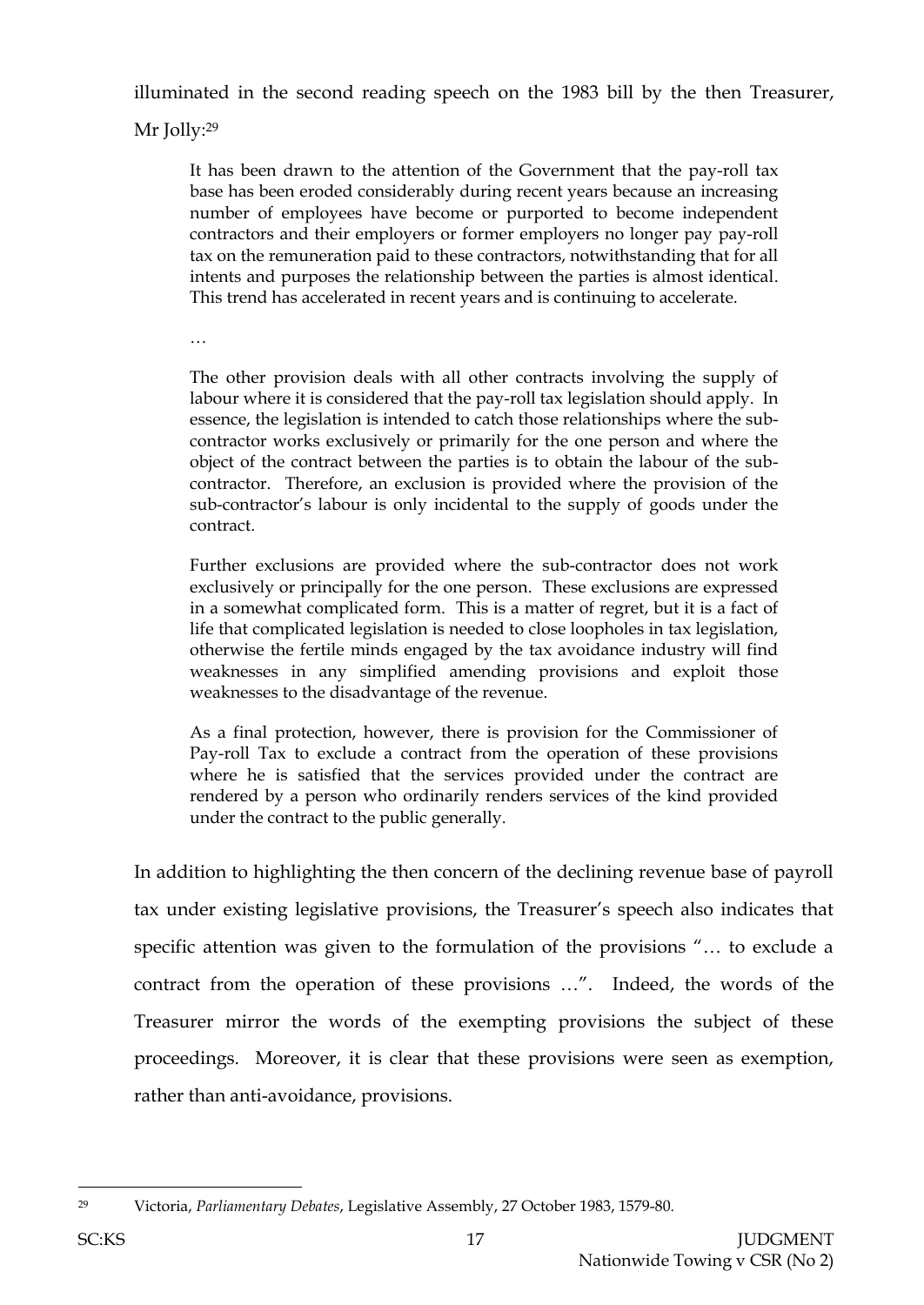illuminated in the second reading speech on the 1983 bill by the then Treasurer,

Mr Jolly:<sup>29</sup>

It has been drawn to the attention of the Government that the pay-roll tax base has been eroded considerably during recent years because an increasing number of employees have become or purported to become independent contractors and their employers or former employers no longer pay pay-roll tax on the remuneration paid to these contractors, notwithstanding that for all intents and purposes the relationship between the parties is almost identical. This trend has accelerated in recent years and is continuing to accelerate.

…

The other provision deals with all other contracts involving the supply of labour where it is considered that the pay-roll tax legislation should apply. In essence, the legislation is intended to catch those relationships where the subcontractor works exclusively or primarily for the one person and where the object of the contract between the parties is to obtain the labour of the subcontractor. Therefore, an exclusion is provided where the provision of the sub-contractor's labour is only incidental to the supply of goods under the contract.

Further exclusions are provided where the sub-contractor does not work exclusively or principally for the one person. These exclusions are expressed in a somewhat complicated form. This is a matter of regret, but it is a fact of life that complicated legislation is needed to close loopholes in tax legislation, otherwise the fertile minds engaged by the tax avoidance industry will find weaknesses in any simplified amending provisions and exploit those weaknesses to the disadvantage of the revenue.

As a final protection, however, there is provision for the Commissioner of Pay-roll Tax to exclude a contract from the operation of these provisions where he is satisfied that the services provided under the contract are rendered by a person who ordinarily renders services of the kind provided under the contract to the public generally.

In addition to highlighting the then concern of the declining revenue base of payroll tax under existing legislative provisions, the Treasurer's speech also indicates that specific attention was given to the formulation of the provisions "… to exclude a contract from the operation of these provisions …". Indeed, the words of the Treasurer mirror the words of the exempting provisions the subject of these proceedings. Moreover, it is clear that these provisions were seen as exemption, rather than anti-avoidance, provisions.

l

<sup>29</sup> Victoria, *Parliamentary Debates*, Legislative Assembly, 27 October 1983, 1579-80.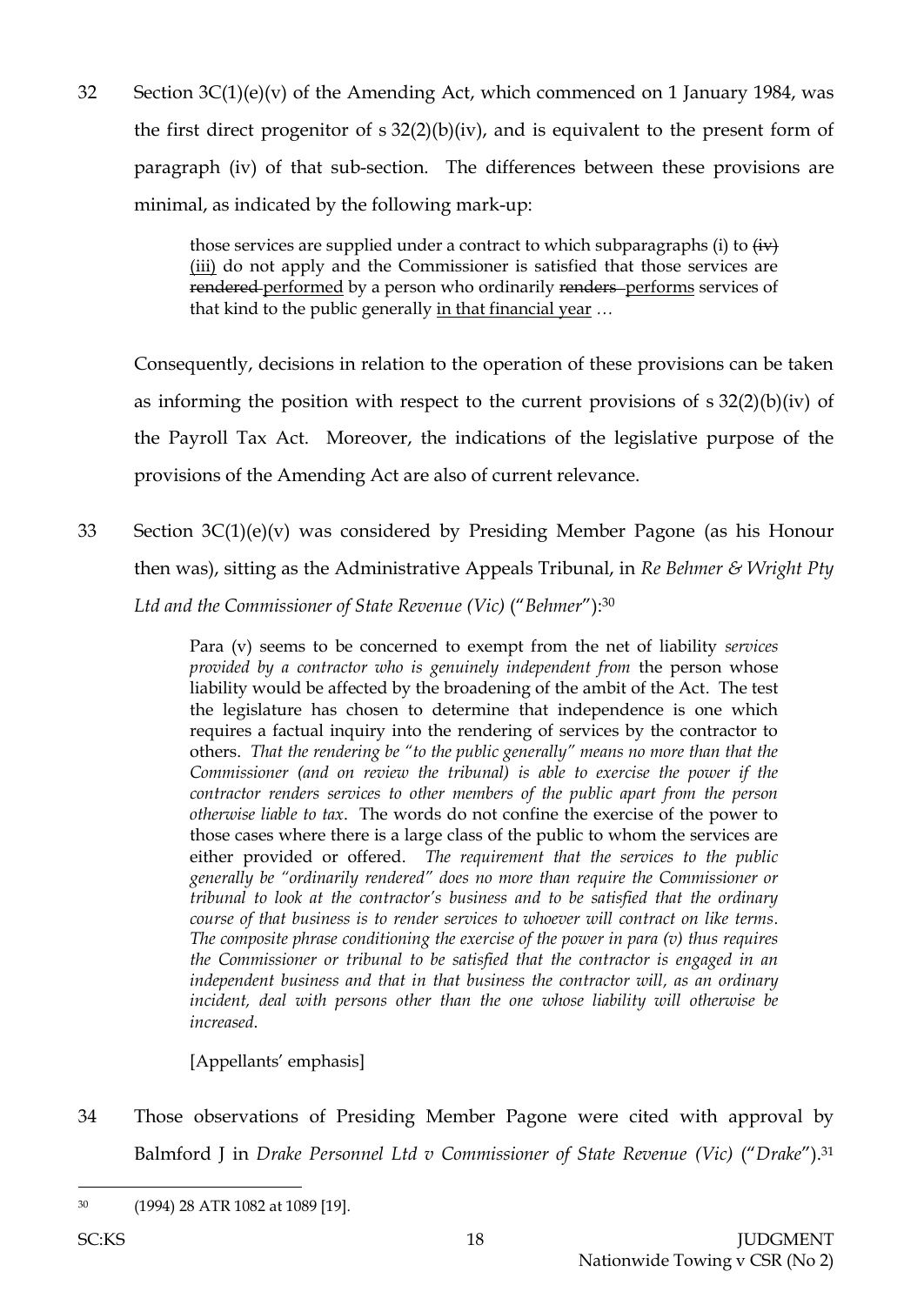32 Section  $3C(1)(e)(v)$  of the Amending Act, which commenced on 1 January 1984, was the first direct progenitor of  $s$  32(2)(b)(iv), and is equivalent to the present form of paragraph (iv) of that sub-section. The differences between these provisions are minimal, as indicated by the following mark-up:

> those services are supplied under a contract to which subparagraphs (i) to  $\overleftrightarrow{\text{iv}}$ (iii) do not apply and the Commissioner is satisfied that those services are rendered performed by a person who ordinarily renders performs services of that kind to the public generally in that financial year *…*

Consequently, decisions in relation to the operation of these provisions can be taken as informing the position with respect to the current provisions of s 32(2)(b)(iv) of the Payroll Tax Act. Moreover, the indications of the legislative purpose of the provisions of the Amending Act are also of current relevance.

33 Section 3C(1)(e)(v) was considered by Presiding Member Pagone (as his Honour then was), sitting as the Administrative Appeals Tribunal, in *Re Behmer & Wright Pty Ltd and the Commissioner of State Revenue (Vic)* ("*Behmer*"): 30

> Para (v) seems to be concerned to exempt from the net of liability *services provided by a contractor who is genuinely independent from* the person whose liability would be affected by the broadening of the ambit of the Act. The test the legislature has chosen to determine that independence is one which requires a factual inquiry into the rendering of services by the contractor to others. *That the rendering be "to the public generally" means no more than that the Commissioner (and on review the tribunal) is able to exercise the power if the contractor renders services to other members of the public apart from the person otherwise liable to tax*. The words do not confine the exercise of the power to those cases where there is a large class of the public to whom the services are either provided or offered. *The requirement that the services to the public generally be "ordinarily rendered" does no more than require the Commissioner or tribunal to look at the contractor's business and to be satisfied that the ordinary course of that business is to render services to whoever will contract on like terms. The composite phrase conditioning the exercise of the power in para (v) thus requires the Commissioner or tribunal to be satisfied that the contractor is engaged in an independent business and that in that business the contractor will, as an ordinary incident, deal with persons other than the one whose liability will otherwise be increased*.

[Appellants' emphasis]

34 Those observations of Presiding Member Pagone were cited with approval by Balmford J in *Drake Personnel Ltd v Commissioner of State Revenue (Vic)* ("*Drake*").<sup>31</sup>

l

<sup>30</sup> (1994) 28 ATR 1082 at 1089 [19].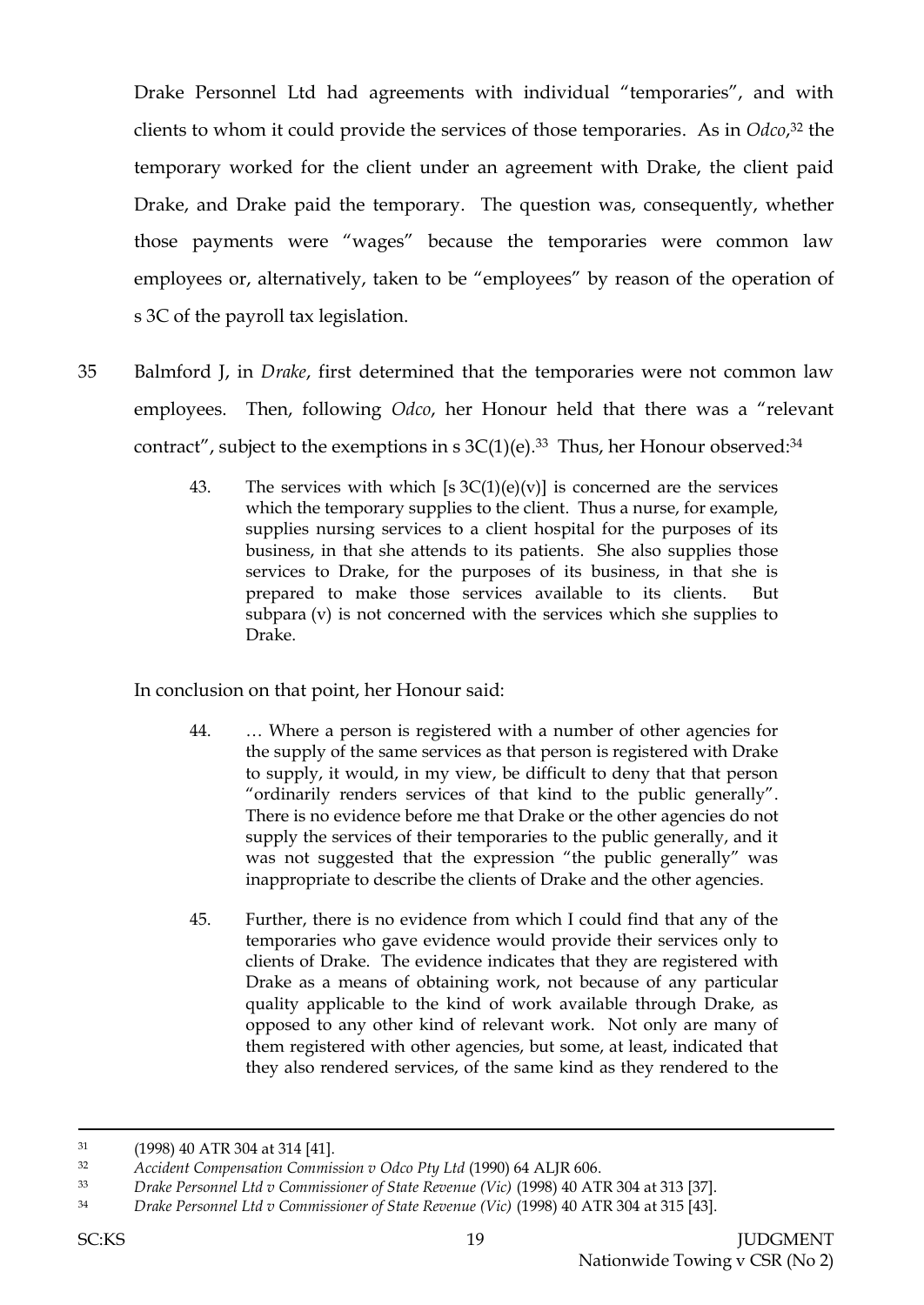Drake Personnel Ltd had agreements with individual "temporaries", and with clients to whom it could provide the services of those temporaries. As in *Odco*, <sup>32</sup> the temporary worked for the client under an agreement with Drake, the client paid Drake, and Drake paid the temporary. The question was, consequently, whether those payments were "wages" because the temporaries were common law employees or, alternatively, taken to be "employees" by reason of the operation of s 3C of the payroll tax legislation.

- 35 Balmford J, in *Drake*, first determined that the temporaries were not common law employees. Then, following *Odco*, her Honour held that there was a "relevant contract", subject to the exemptions in s  $3C(1)(e).$ <sup>33</sup> Thus, her Honour observed:<sup>34</sup>
	- 43. The services with which  $[s \cdot 3C(1)(e)(v)]$  is concerned are the services which the temporary supplies to the client. Thus a nurse, for example, supplies nursing services to a client hospital for the purposes of its business, in that she attends to its patients. She also supplies those services to Drake, for the purposes of its business, in that she is prepared to make those services available to its clients. But subpara (v) is not concerned with the services which she supplies to Drake.

In conclusion on that point, her Honour said:

- 44. … Where a person is registered with a number of other agencies for the supply of the same services as that person is registered with Drake to supply, it would, in my view, be difficult to deny that that person "ordinarily renders services of that kind to the public generally". There is no evidence before me that Drake or the other agencies do not supply the services of their temporaries to the public generally, and it was not suggested that the expression "the public generally" was inappropriate to describe the clients of Drake and the other agencies.
- 45. Further, there is no evidence from which I could find that any of the temporaries who gave evidence would provide their services only to clients of Drake. The evidence indicates that they are registered with Drake as a means of obtaining work, not because of any particular quality applicable to the kind of work available through Drake, as opposed to any other kind of relevant work. Not only are many of them registered with other agencies, but some, at least, indicated that they also rendered services, of the same kind as they rendered to the

<sup>31</sup> (1998) 40 ATR 304 at 314 [41].

<sup>32</sup> *Accident Compensation Commission v Odco Pty Ltd* (1990) 64 ALJR 606.

<sup>33</sup> *Drake Personnel Ltd v Commissioner of State Revenue (Vic)* (1998) 40 ATR 304 at 313 [37].

<sup>34</sup> *Drake Personnel Ltd v Commissioner of State Revenue (Vic)* (1998) 40 ATR 304 at 315 [43].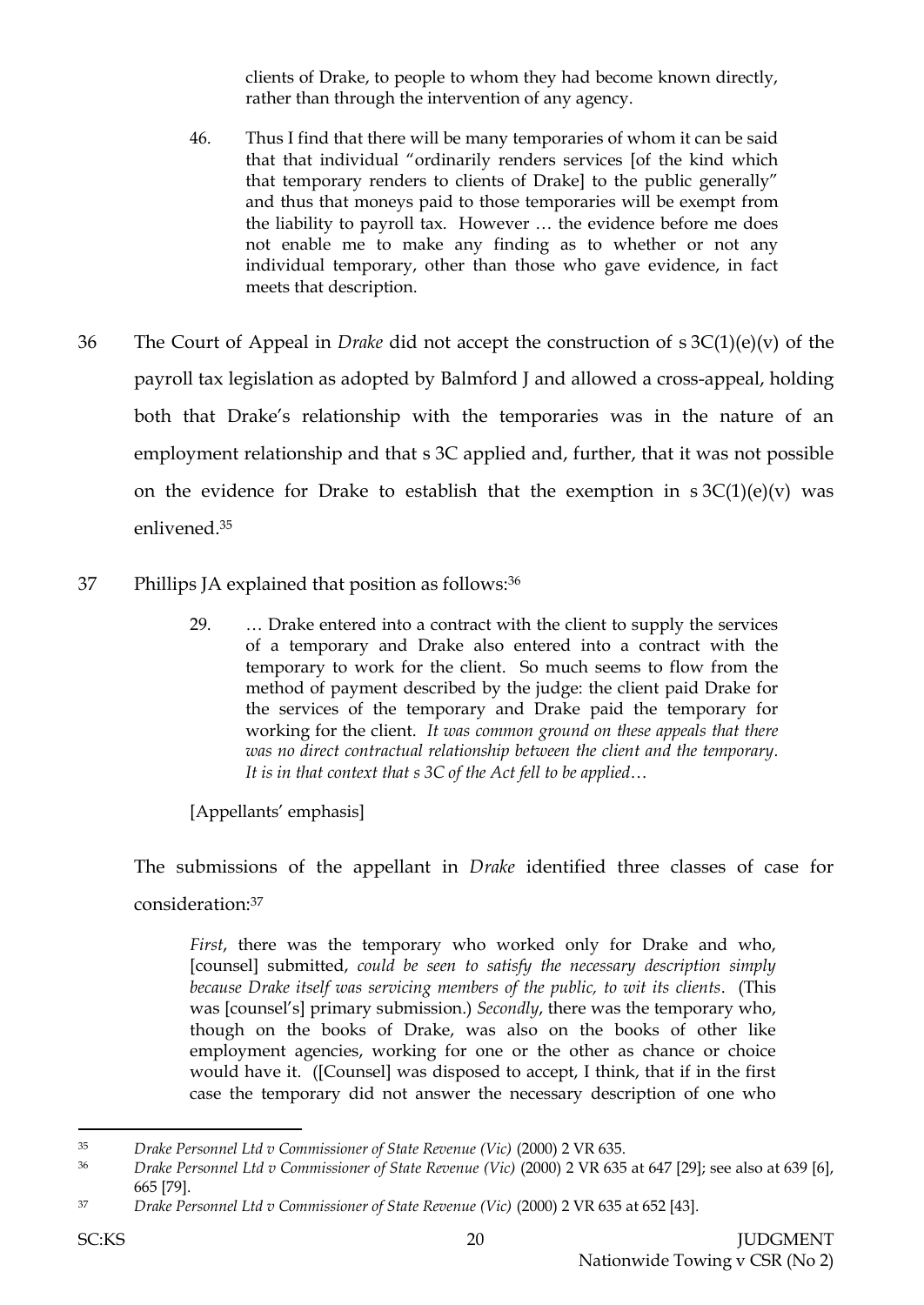clients of Drake, to people to whom they had become known directly, rather than through the intervention of any agency.

- 46. Thus I find that there will be many temporaries of whom it can be said that that individual "ordinarily renders services [of the kind which that temporary renders to clients of Drake] to the public generally" and thus that moneys paid to those temporaries will be exempt from the liability to payroll tax. However … the evidence before me does not enable me to make any finding as to whether or not any individual temporary, other than those who gave evidence, in fact meets that description.
- 36 The Court of Appeal in *Drake* did not accept the construction of s 3C(1)(e)(v) of the payroll tax legislation as adopted by Balmford J and allowed a cross-appeal, holding both that Drake's relationship with the temporaries was in the nature of an employment relationship and that s 3C applied and, further, that it was not possible on the evidence for Drake to establish that the exemption in  $s \, 3C(1)(e)(v)$  was enlivened.<sup>35</sup>
- 37 Phillips JA explained that position as follows:<sup>36</sup>
	- 29. … Drake entered into a contract with the client to supply the services of a temporary and Drake also entered into a contract with the temporary to work for the client. So much seems to flow from the method of payment described by the judge: the client paid Drake for the services of the temporary and Drake paid the temporary for working for the client. *It was common ground on these appeals that there was no direct contractual relationship between the client and the temporary. It is in that context that s 3C of the Act fell to be applied*…

[Appellants' emphasis]

The submissions of the appellant in *Drake* identified three classes of case for consideration:<sup>37</sup>

*First*, there was the temporary who worked only for Drake and who, [counsel] submitted, *could be seen to satisfy the necessary description simply because Drake itself was servicing members of the public, to wit its clients*. (This was [counsel's] primary submission.) *Secondly*, there was the temporary who, though on the books of Drake, was also on the books of other like employment agencies, working for one or the other as chance or choice would have it. ([Counsel] was disposed to accept, I think, that if in the first case the temporary did not answer the necessary description of one who

<sup>35</sup> *Drake Personnel Ltd v Commissioner of State Revenue (Vic)* (2000) 2 VR 635.

<sup>36</sup> *Drake Personnel Ltd v Commissioner of State Revenue (Vic)* (2000) 2 VR 635 at 647 [29]; see also at 639 [6], 665 [79].

<sup>37</sup> *Drake Personnel Ltd v Commissioner of State Revenue (Vic)* (2000) 2 VR 635 at 652 [43].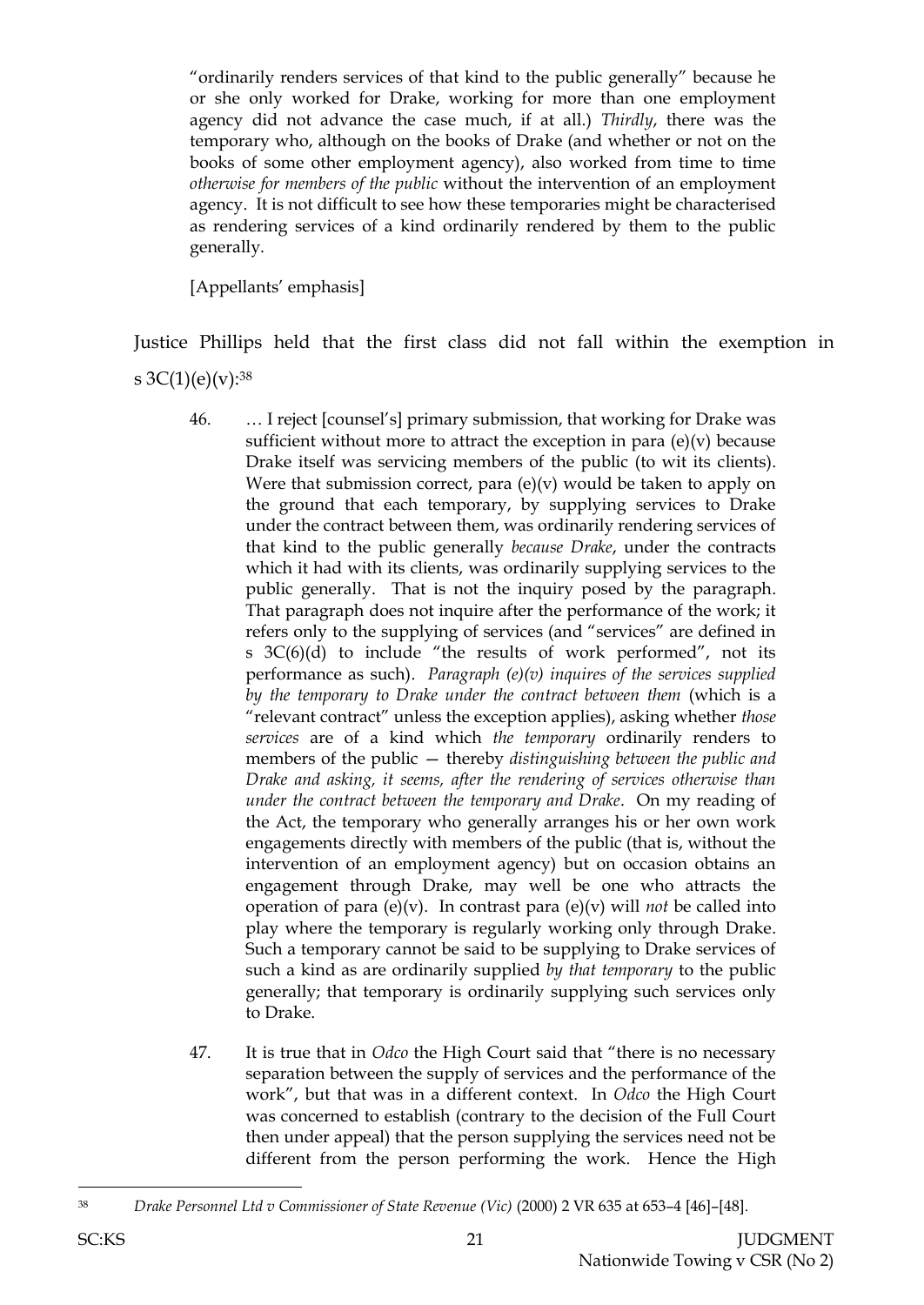"ordinarily renders services of that kind to the public generally" because he or she only worked for Drake, working for more than one employment agency did not advance the case much, if at all.) *Thirdly*, there was the temporary who, although on the books of Drake (and whether or not on the books of some other employment agency), also worked from time to time *otherwise for members of the public* without the intervention of an employment agency. It is not difficult to see how these temporaries might be characterised as rendering services of a kind ordinarily rendered by them to the public generally.

[Appellants' emphasis]

Justice Phillips held that the first class did not fall within the exemption in

s  $3C(1)(e)(v):^{38}$ 

- 46. … I reject [counsel's] primary submission, that working for Drake was sufficient without more to attract the exception in para  $(e)(v)$  because Drake itself was servicing members of the public (to wit its clients). Were that submission correct, para  $(e)(v)$  would be taken to apply on the ground that each temporary, by supplying services to Drake under the contract between them, was ordinarily rendering services of that kind to the public generally *because Drake*, under the contracts which it had with its clients, was ordinarily supplying services to the public generally. That is not the inquiry posed by the paragraph. That paragraph does not inquire after the performance of the work; it refers only to the supplying of services (and "services" are defined in s 3C(6)(d) to include "the results of work performed", not its performance as such). *Paragraph (e)(v) inquires of the services supplied by the temporary to Drake under the contract between them* (which is a "relevant contract" unless the exception applies), asking whether *those services* are of a kind which *the temporary* ordinarily renders to members of the public — thereby *distinguishing between the public and Drake and asking, it seems, after the rendering of services otherwise than under the contract between the temporary and Drake*. On my reading of the Act, the temporary who generally arranges his or her own work engagements directly with members of the public (that is, without the intervention of an employment agency) but on occasion obtains an engagement through Drake, may well be one who attracts the operation of para (e)(v). In contrast para (e)(v) will *not* be called into play where the temporary is regularly working only through Drake. Such a temporary cannot be said to be supplying to Drake services of such a kind as are ordinarily supplied *by that temporary* to the public generally; that temporary is ordinarily supplying such services only to Drake.
- 47. It is true that in *Odco* the High Court said that "there is no necessary separation between the supply of services and the performance of the work", but that was in a different context. In *Odco* the High Court was concerned to establish (contrary to the decision of the Full Court then under appeal) that the person supplying the services need not be different from the person performing the work. Hence the High

l

<sup>38</sup> *Drake Personnel Ltd v Commissioner of State Revenue (Vic)* (2000) 2 VR 635 at 653–4 [46]–[48].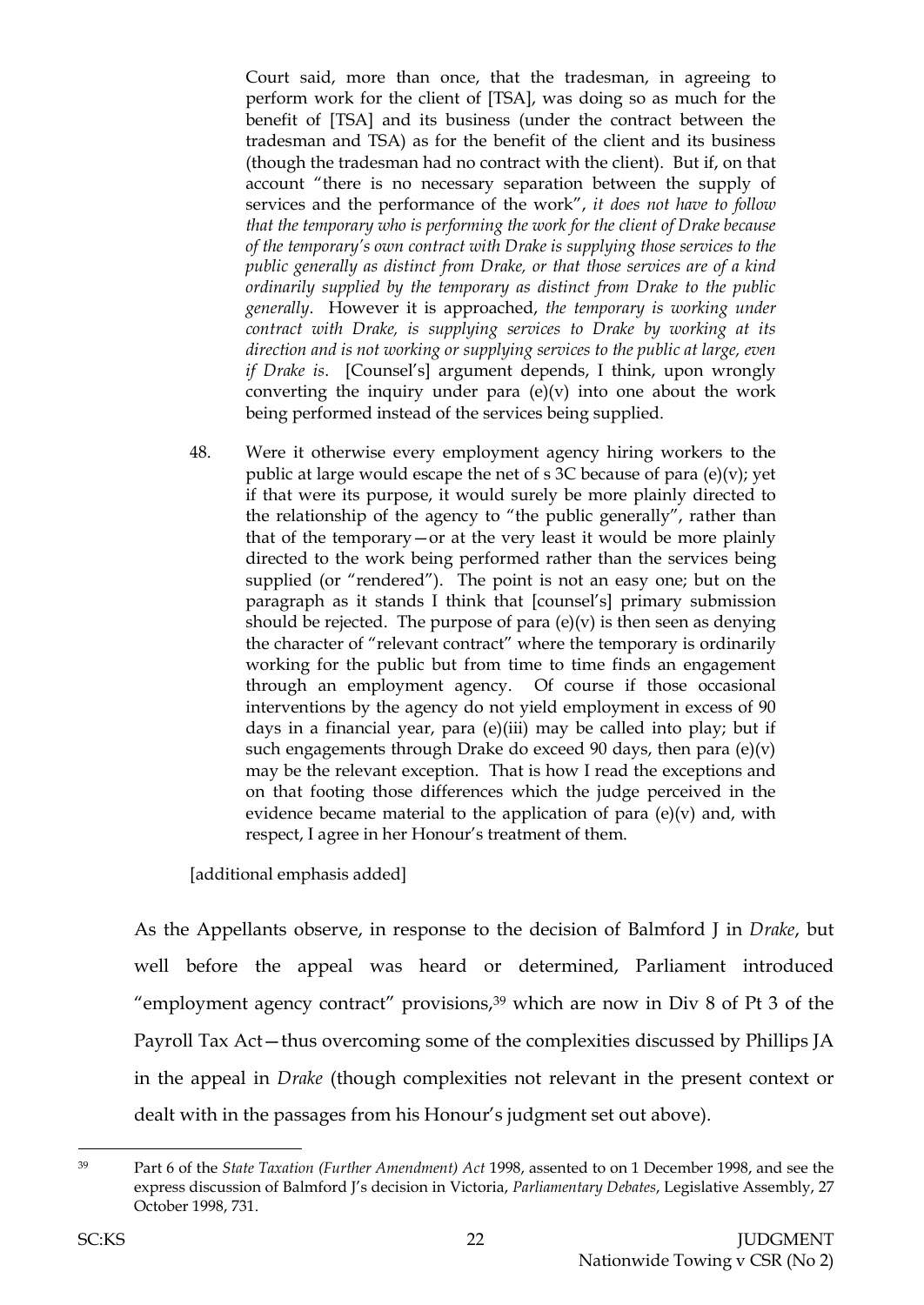Court said, more than once, that the tradesman, in agreeing to perform work for the client of [TSA], was doing so as much for the benefit of [TSA] and its business (under the contract between the tradesman and TSA) as for the benefit of the client and its business (though the tradesman had no contract with the client). But if, on that account "there is no necessary separation between the supply of services and the performance of the work", *it does not have to follow that the temporary who is performing the work for the client of Drake because of the temporary's own contract with Drake is supplying those services to the public generally as distinct from Drake, or that those services are of a kind ordinarily supplied by the temporary as distinct from Drake to the public generally*. However it is approached, *the temporary is working under contract with Drake, is supplying services to Drake by working at its direction and is not working or supplying services to the public at large, even if Drake is*. [Counsel's] argument depends, I think, upon wrongly converting the inquiry under para  $(e)(v)$  into one about the work being performed instead of the services being supplied.

48. Were it otherwise every employment agency hiring workers to the public at large would escape the net of s 3C because of para  $(e)(v)$ ; yet if that were its purpose, it would surely be more plainly directed to the relationship of the agency to "the public generally", rather than that of the temporary—or at the very least it would be more plainly directed to the work being performed rather than the services being supplied (or "rendered"). The point is not an easy one; but on the paragraph as it stands I think that [counsel's] primary submission should be rejected. The purpose of para  $(e)(v)$  is then seen as denying the character of "relevant contract" where the temporary is ordinarily working for the public but from time to time finds an engagement through an employment agency. Of course if those occasional interventions by the agency do not yield employment in excess of 90 days in a financial year, para (e)(iii) may be called into play; but if such engagements through Drake do exceed 90 days, then para  $(e)(v)$ may be the relevant exception. That is how I read the exceptions and on that footing those differences which the judge perceived in the evidence became material to the application of para  $(e)(v)$  and, with respect, I agree in her Honour's treatment of them.

[additional emphasis added]

As the Appellants observe, in response to the decision of Balmford J in *Drake*, but well before the appeal was heard or determined, Parliament introduced "employment agency contract" provisions, $39$  which are now in Div 8 of Pt 3 of the Payroll Tax Act—thus overcoming some of the complexities discussed by Phillips JA in the appeal in *Drake* (though complexities not relevant in the present context or dealt with in the passages from his Honour's judgment set out above).

 $\overline{a}$ 

<sup>39</sup> Part 6 of the *State Taxation (Further Amendment) Act* 1998, assented to on 1 December 1998, and see the express discussion of Balmford J's decision in Victoria, *Parliamentary Debates*, Legislative Assembly, 27 October 1998, 731.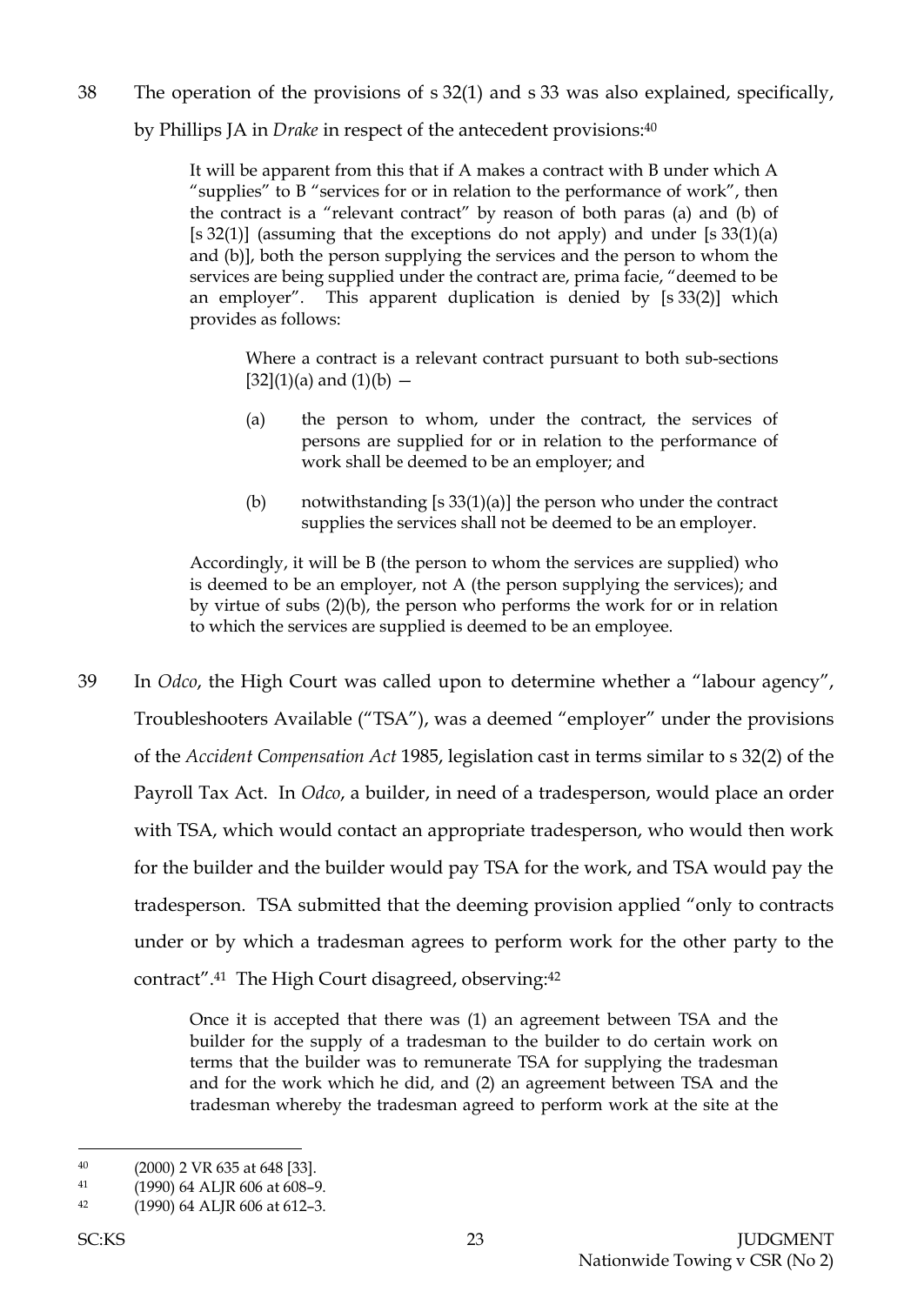38 The operation of the provisions of s 32(1) and s 33 was also explained, specifically,

by Phillips JA in *Drake* in respect of the antecedent provisions: 40

It will be apparent from this that if A makes a contract with B under which A "supplies" to B "services for or in relation to the performance of work", then the contract is a "relevant contract" by reason of both paras (a) and (b) of [s 32(1)] (assuming that the exceptions do not apply) and under [s  $33(1)(a)$ and (b)], both the person supplying the services and the person to whom the services are being supplied under the contract are, prima facie, "deemed to be an employer". This apparent duplication is denied by [s 33(2)] which provides as follows:

Where a contract is a relevant contract pursuant to both sub-sections  $[32](1)(a)$  and  $(1)(b)$  –

- (a) the person to whom, under the contract, the services of persons are supplied for or in relation to the performance of work shall be deemed to be an employer; and
- (b) notwithstanding  $[s 33(1)(a)]$  the person who under the contract supplies the services shall not be deemed to be an employer.

Accordingly, it will be B (the person to whom the services are supplied) who is deemed to be an employer, not A (the person supplying the services); and by virtue of subs (2)(b), the person who performs the work for or in relation to which the services are supplied is deemed to be an employee.

39 In *Odco*, the High Court was called upon to determine whether a "labour agency", Troubleshooters Available ("TSA"), was a deemed "employer" under the provisions of the *Accident Compensation Act* 1985, legislation cast in terms similar to s 32(2) of the Payroll Tax Act. In *Odco*, a builder, in need of a tradesperson, would place an order with TSA, which would contact an appropriate tradesperson, who would then work for the builder and the builder would pay TSA for the work, and TSA would pay the tradesperson. TSA submitted that the deeming provision applied "only to contracts under or by which a tradesman agrees to perform work for the other party to the contract".41 The High Court disagreed, observing: 42

> Once it is accepted that there was (1) an agreement between TSA and the builder for the supply of a tradesman to the builder to do certain work on terms that the builder was to remunerate TSA for supplying the tradesman and for the work which he did, and (2) an agreement between TSA and the tradesman whereby the tradesman agreed to perform work at the site at the

<sup>40</sup> (2000) 2 VR 635 at 648 [33].

<sup>41</sup> (1990) 64 ALJR 606 at 608–9.

<sup>42</sup> (1990) 64 ALJR 606 at 612–3.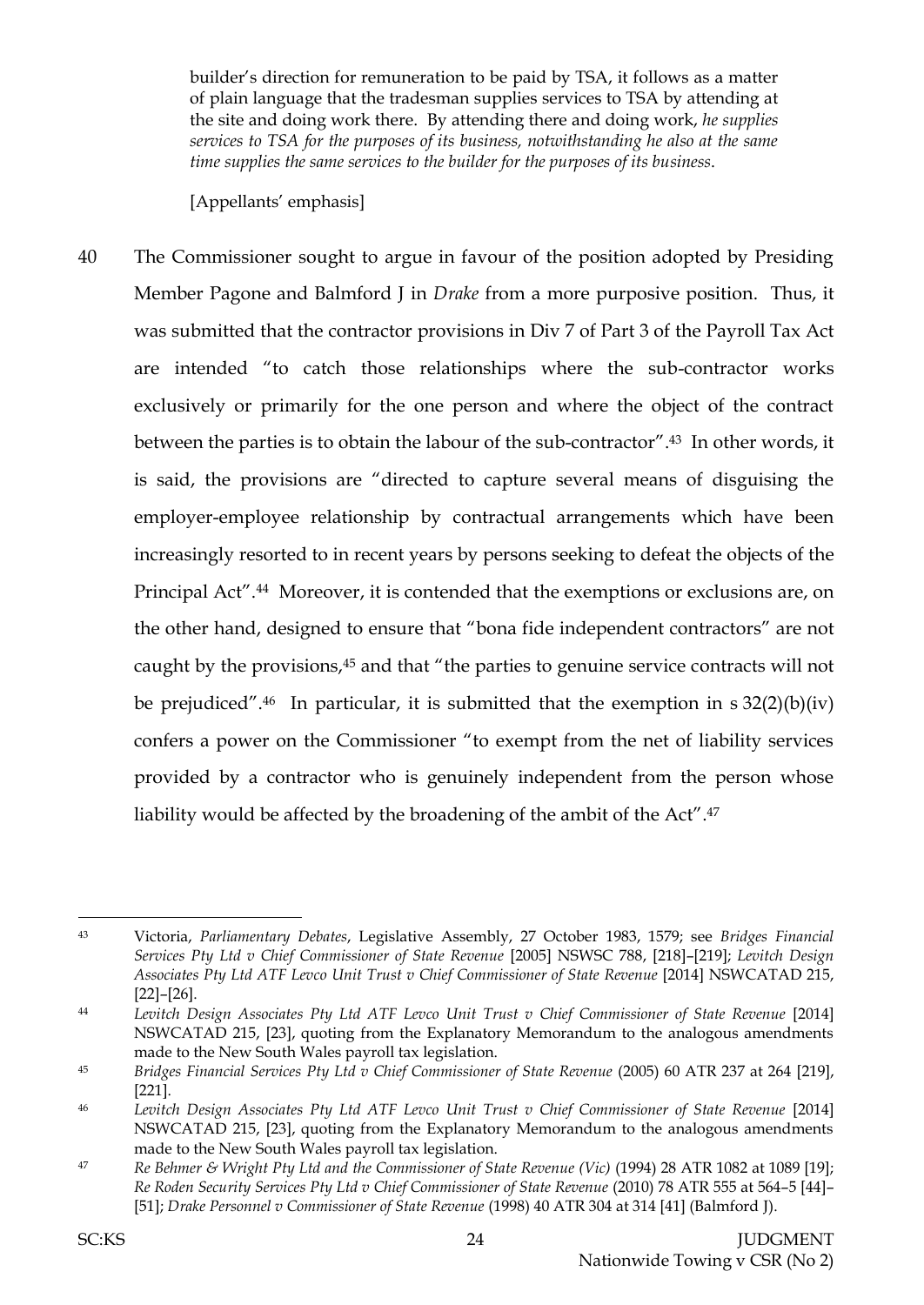builder's direction for remuneration to be paid by TSA, it follows as a matter of plain language that the tradesman supplies services to TSA by attending at the site and doing work there. By attending there and doing work, *he supplies services to TSA for the purposes of its business, notwithstanding he also at the same time supplies the same services to the builder for the purposes of its business*.

[Appellants' emphasis]

40 The Commissioner sought to argue in favour of the position adopted by Presiding Member Pagone and Balmford J in *Drake* from a more purposive position. Thus, it was submitted that the contractor provisions in Div 7 of Part 3 of the Payroll Tax Act are intended "to catch those relationships where the sub-contractor works exclusively or primarily for the one person and where the object of the contract between the parties is to obtain the labour of the sub-contractor". <sup>43</sup> In other words, it is said, the provisions are "directed to capture several means of disguising the employer-employee relationship by contractual arrangements which have been increasingly resorted to in recent years by persons seeking to defeat the objects of the Principal Act". <sup>44</sup> Moreover, it is contended that the exemptions or exclusions are, on the other hand, designed to ensure that "bona fide independent contractors" are not caught by the provisions,<sup>45</sup> and that "the parties to genuine service contracts will not be prejudiced". <sup>46</sup> In particular, it is submitted that the exemption in s 32(2)(b)(iv) confers a power on the Commissioner "to exempt from the net of liability services provided by a contractor who is genuinely independent from the person whose liability would be affected by the broadening of the ambit of the Act". 47

<sup>43</sup> Victoria, *Parliamentary Debates*, Legislative Assembly, 27 October 1983, 1579; see *Bridges Financial Services Pty Ltd v Chief Commissioner of State Revenue* [2005] NSWSC 788, [218]–[219]; *Levitch Design Associates Pty Ltd ATF Levco Unit Trust v Chief Commissioner of State Revenue* [2014] NSWCATAD 215, [22]–[26].

<sup>44</sup> *Levitch Design Associates Pty Ltd ATF Levco Unit Trust v Chief Commissioner of State Revenue* [2014] NSWCATAD 215, [23], quoting from the Explanatory Memorandum to the analogous amendments made to the New South Wales payroll tax legislation.

<sup>45</sup> *Bridges Financial Services Pty Ltd v Chief Commissioner of State Revenue* (2005) 60 ATR 237 at 264 [219], [221].

<sup>46</sup> *Levitch Design Associates Pty Ltd ATF Levco Unit Trust v Chief Commissioner of State Revenue* [2014] NSWCATAD 215, [23], quoting from the Explanatory Memorandum to the analogous amendments made to the New South Wales payroll tax legislation.

<sup>47</sup> *Re Behmer & Wright Pty Ltd and the Commissioner of State Revenue (Vic)* (1994) 28 ATR 1082 at 1089 [19]; *Re Roden Security Services Pty Ltd v Chief Commissioner of State Revenue* (2010) 78 ATR 555 at 564–5 [44]– [51]; *Drake Personnel v Commissioner of State Revenue* (1998) 40 ATR 304 at 314 [41] (Balmford J).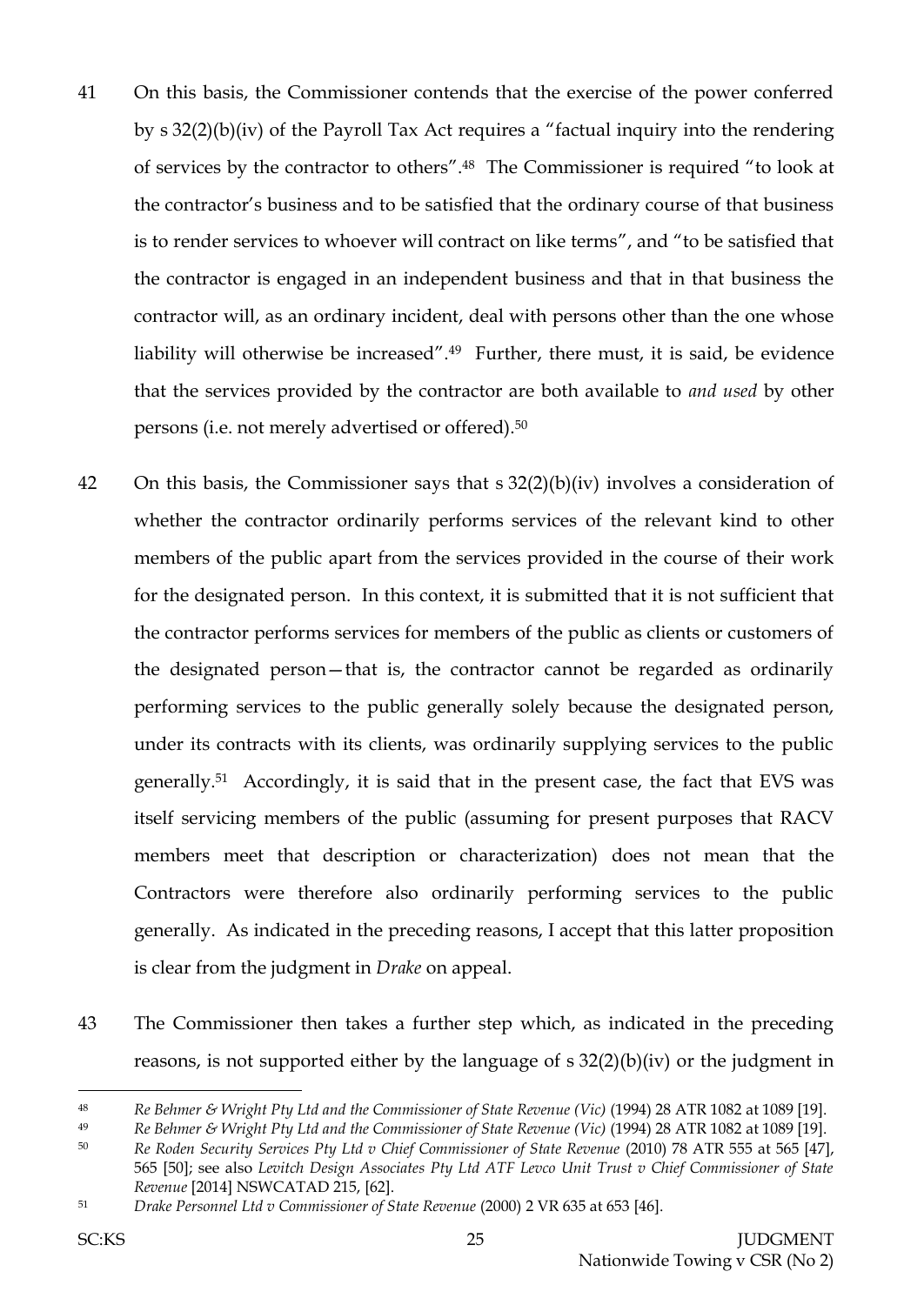- 41 On this basis, the Commissioner contends that the exercise of the power conferred by s 32(2)(b)(iv) of the Payroll Tax Act requires a "factual inquiry into the rendering of services by the contractor to others". <sup>48</sup> The Commissioner is required "to look at the contractor's business and to be satisfied that the ordinary course of that business is to render services to whoever will contract on like terms", and "to be satisfied that the contractor is engaged in an independent business and that in that business the contractor will, as an ordinary incident, deal with persons other than the one whose liability will otherwise be increased". <sup>49</sup> Further, there must, it is said, be evidence that the services provided by the contractor are both available to *and used* by other persons (i.e. not merely advertised or offered).<sup>50</sup>
- 42 On this basis, the Commissioner says that s 32(2)(b)(iv) involves a consideration of whether the contractor ordinarily performs services of the relevant kind to other members of the public apart from the services provided in the course of their work for the designated person. In this context, it is submitted that it is not sufficient that the contractor performs services for members of the public as clients or customers of the designated person—that is, the contractor cannot be regarded as ordinarily performing services to the public generally solely because the designated person, under its contracts with its clients, was ordinarily supplying services to the public generally.51 Accordingly, it is said that in the present case, the fact that EVS was itself servicing members of the public (assuming for present purposes that RACV members meet that description or characterization) does not mean that the Contractors were therefore also ordinarily performing services to the public generally. As indicated in the preceding reasons, I accept that this latter proposition is clear from the judgment in *Drake* on appeal.
- 43 The Commissioner then takes a further step which, as indicated in the preceding reasons, is not supported either by the language of s 32(2)(b)(iv) or the judgment in

<sup>48</sup> *Re Behmer & Wright Pty Ltd and the Commissioner of State Revenue (Vic)* (1994) 28 ATR 1082 at 1089 [19].

<sup>49</sup> *Re Behmer & Wright Pty Ltd and the Commissioner of State Revenue (Vic)* (1994) 28 ATR 1082 at 1089 [19].

<sup>50</sup> *Re Roden Security Services Pty Ltd v Chief Commissioner of State Revenue* (2010) 78 ATR 555 at 565 [47], 565 [50]; see also *Levitch Design Associates Pty Ltd ATF Levco Unit Trust v Chief Commissioner of State Revenue* [2014] NSWCATAD 215, [62].

<sup>51</sup> *Drake Personnel Ltd v Commissioner of State Revenue* (2000) 2 VR 635 at 653 [46].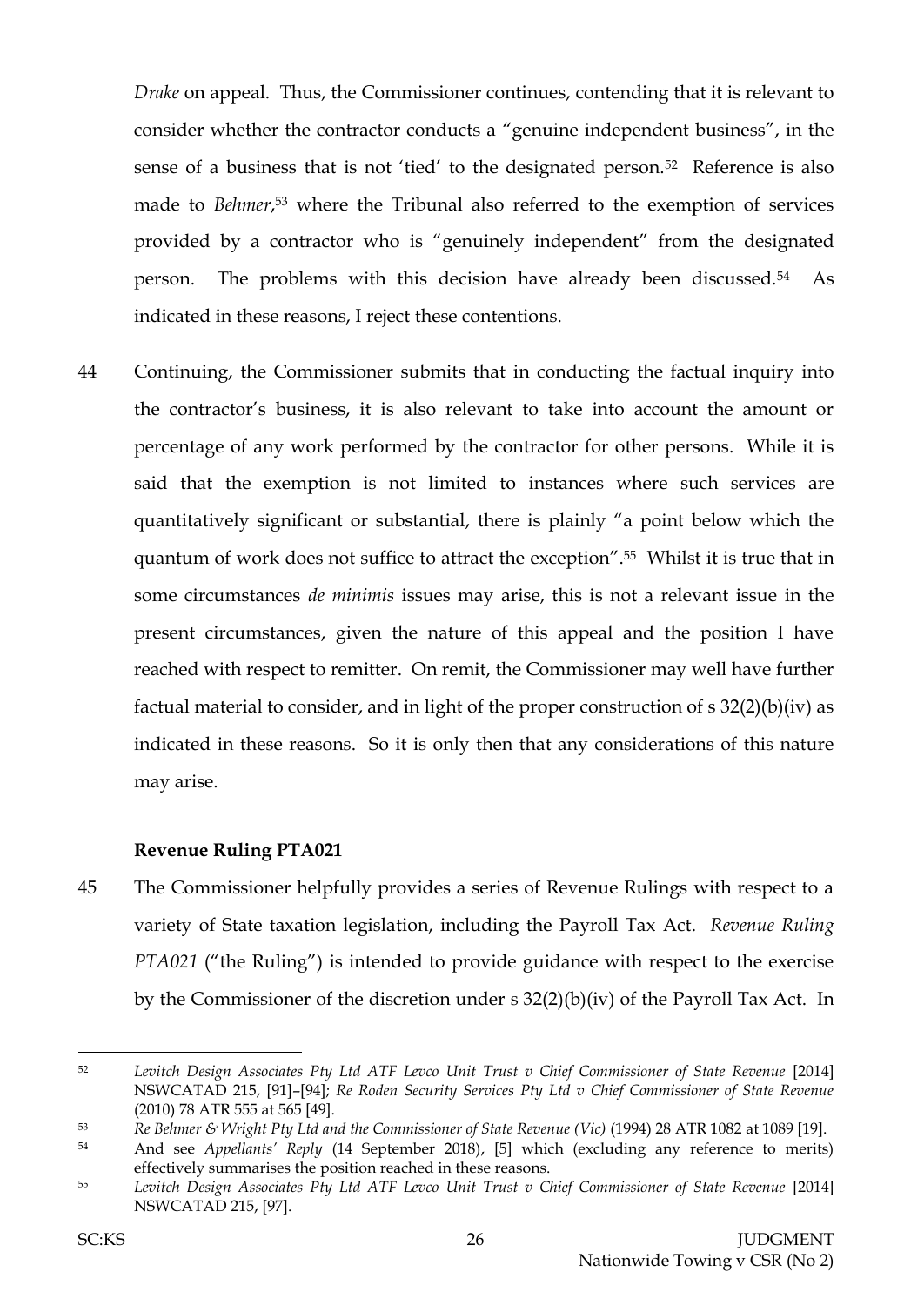*Drake* on appeal. Thus, the Commissioner continues, contending that it is relevant to consider whether the contractor conducts a "genuine independent business", in the sense of a business that is not 'tied' to the designated person.<sup>52</sup> Reference is also made to *Behmer*, <sup>53</sup> where the Tribunal also referred to the exemption of services provided by a contractor who is "genuinely independent" from the designated person. The problems with this decision have already been discussed.54 As indicated in these reasons, I reject these contentions.

44 Continuing, the Commissioner submits that in conducting the factual inquiry into the contractor's business, it is also relevant to take into account the amount or percentage of any work performed by the contractor for other persons. While it is said that the exemption is not limited to instances where such services are quantitatively significant or substantial, there is plainly "a point below which the quantum of work does not suffice to attract the exception". <sup>55</sup> Whilst it is true that in some circumstances *de minimis* issues may arise, this is not a relevant issue in the present circumstances, given the nature of this appeal and the position I have reached with respect to remitter. On remit, the Commissioner may well have further factual material to consider, and in light of the proper construction of s 32(2)(b)(iv) as indicated in these reasons. So it is only then that any considerations of this nature may arise.

### **Revenue Ruling PTA021**

45 The Commissioner helpfully provides a series of Revenue Rulings with respect to a variety of State taxation legislation, including the Payroll Tax Act. *Revenue Ruling PTA021* ("the Ruling") is intended to provide guidance with respect to the exercise by the Commissioner of the discretion under s 32(2)(b)(iv) of the Payroll Tax Act. In

<sup>52</sup> *Levitch Design Associates Pty Ltd ATF Levco Unit Trust v Chief Commissioner of State Revenue* [2014] NSWCATAD 215, [91]–[94]; *Re Roden Security Services Pty Ltd v Chief Commissioner of State Revenue* (2010) 78 ATR 555 at 565 [49].

<sup>53</sup> *Re Behmer & Wright Pty Ltd and the Commissioner of State Revenue (Vic)* (1994) 28 ATR 1082 at 1089 [19].

<sup>54</sup> And see *Appellants' Reply* (14 September 2018), [5] which (excluding any reference to merits) effectively summarises the position reached in these reasons.

<sup>55</sup> *Levitch Design Associates Pty Ltd ATF Levco Unit Trust v Chief Commissioner of State Revenue* [2014] NSWCATAD 215, [97].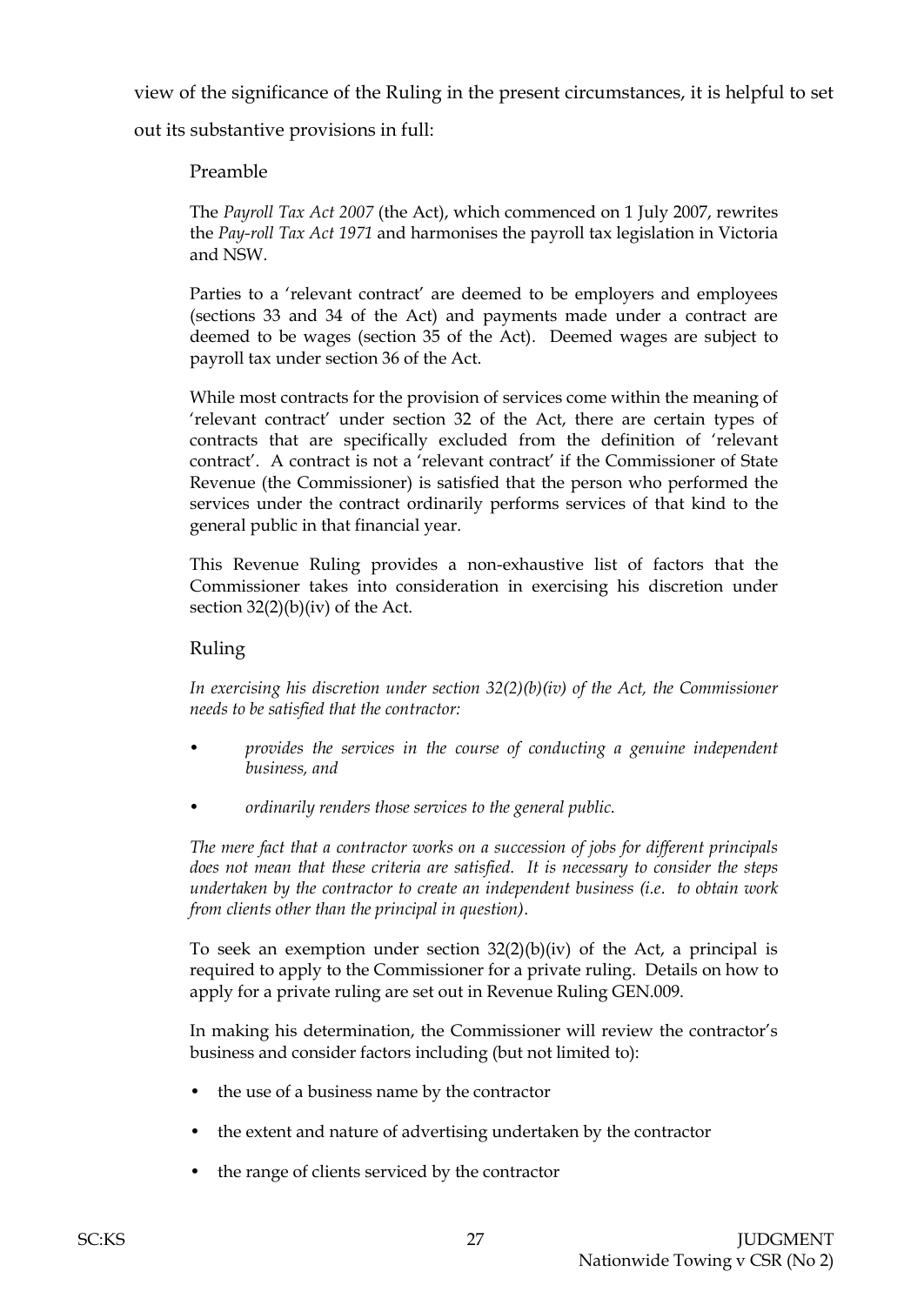view of the significance of the Ruling in the present circumstances, it is helpful to set

out its substantive provisions in full:

# Preamble

The *Payroll Tax Act 2007* (the Act), which commenced on 1 July 2007, rewrites the *Pay-roll Tax Act 1971* and harmonises the payroll tax legislation in Victoria and NSW.

Parties to a 'relevant contract' are deemed to be employers and employees (sections 33 and 34 of the Act) and payments made under a contract are deemed to be wages (section 35 of the Act). Deemed wages are subject to payroll tax under section 36 of the Act.

While most contracts for the provision of services come within the meaning of 'relevant contract' under section 32 of the Act, there are certain types of contracts that are specifically excluded from the definition of 'relevant contract'. A contract is not a 'relevant contract' if the Commissioner of State Revenue (the Commissioner) is satisfied that the person who performed the services under the contract ordinarily performs services of that kind to the general public in that financial year.

This Revenue Ruling provides a non-exhaustive list of factors that the Commissioner takes into consideration in exercising his discretion under section 32(2)(b)(iv) of the Act.

### Ruling

*In exercising his discretion under section 32(2)(b)(iv) of the Act, the Commissioner needs to be satisfied that the contractor:*

- *• provides the services in the course of conducting a genuine independent business, and*
- *• ordinarily renders those services to the general public.*

*The mere fact that a contractor works on a succession of jobs for different principals does not mean that these criteria are satisfied. It is necessary to consider the steps undertaken by the contractor to create an independent business (i.e. to obtain work from clients other than the principal in question)*.

To seek an exemption under section  $32(2)(b)(iv)$  of the Act, a principal is required to apply to the Commissioner for a private ruling. Details on how to apply for a private ruling are set out in Revenue Ruling GEN.009.

In making his determination, the Commissioner will review the contractor's business and consider factors including (but not limited to):

- the use of a business name by the contractor
- the extent and nature of advertising undertaken by the contractor
- the range of clients serviced by the contractor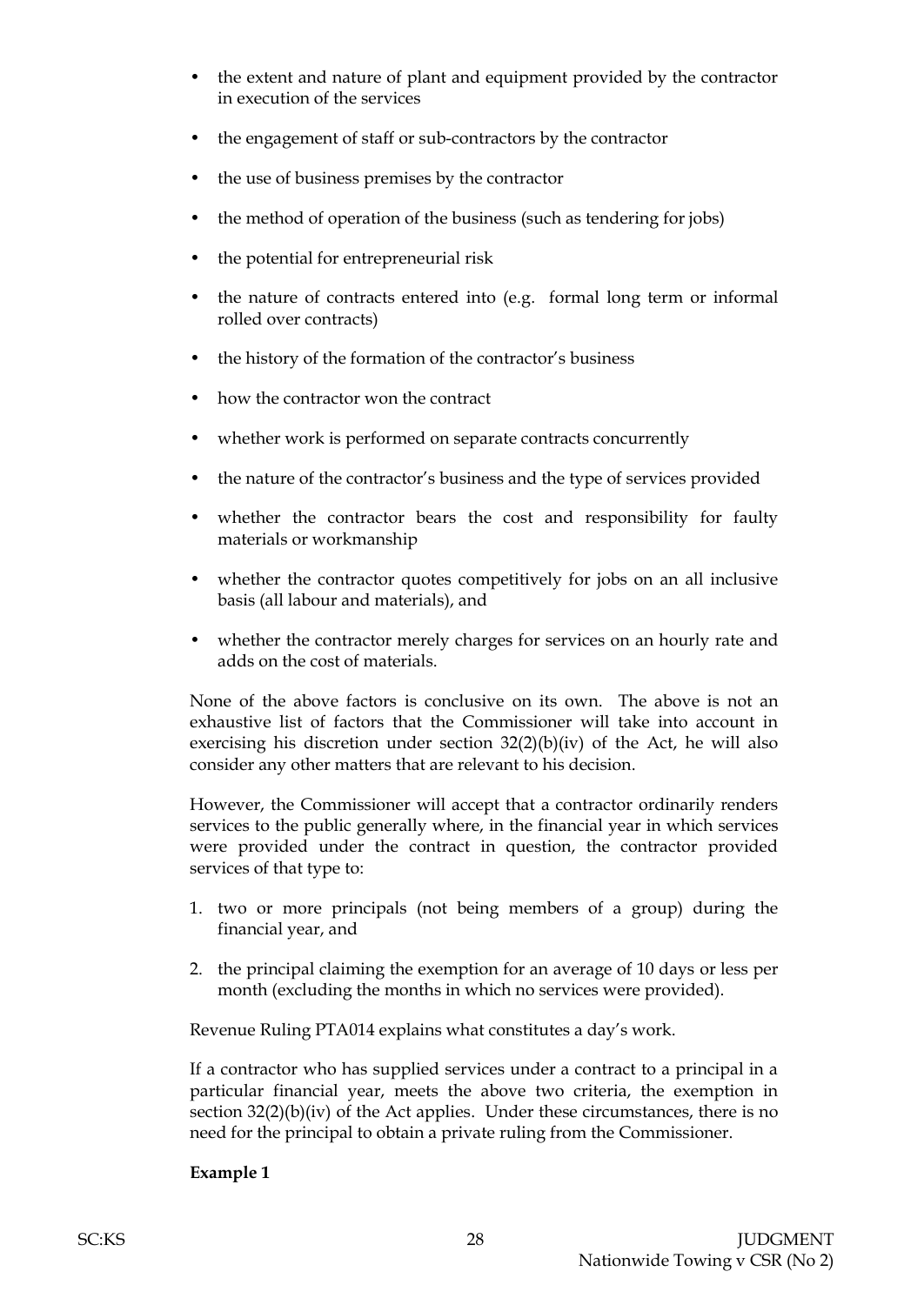- the extent and nature of plant and equipment provided by the contractor in execution of the services
- the engagement of staff or sub-contractors by the contractor
- the use of business premises by the contractor
- the method of operation of the business (such as tendering for jobs)
- the potential for entrepreneurial risk
- the nature of contracts entered into (e.g. formal long term or informal rolled over contracts)
- the history of the formation of the contractor's business
- how the contractor won the contract
- whether work is performed on separate contracts concurrently
- the nature of the contractor's business and the type of services provided
- whether the contractor bears the cost and responsibility for faulty materials or workmanship
- whether the contractor quotes competitively for jobs on an all inclusive basis (all labour and materials), and
- whether the contractor merely charges for services on an hourly rate and adds on the cost of materials.

None of the above factors is conclusive on its own. The above is not an exhaustive list of factors that the Commissioner will take into account in exercising his discretion under section 32(2)(b)(iv) of the Act, he will also consider any other matters that are relevant to his decision.

However, the Commissioner will accept that a contractor ordinarily renders services to the public generally where, in the financial year in which services were provided under the contract in question, the contractor provided services of that type to:

- 1. two or more principals (not being members of a group) during the financial year, and
- 2. the principal claiming the exemption for an average of 10 days or less per month (excluding the months in which no services were provided).

Revenue Ruling PTA014 explains what constitutes a day's work.

If a contractor who has supplied services under a contract to a principal in a particular financial year, meets the above two criteria, the exemption in section  $32(2)(b)(iv)$  of the Act applies. Under these circumstances, there is no need for the principal to obtain a private ruling from the Commissioner.

#### **Example 1**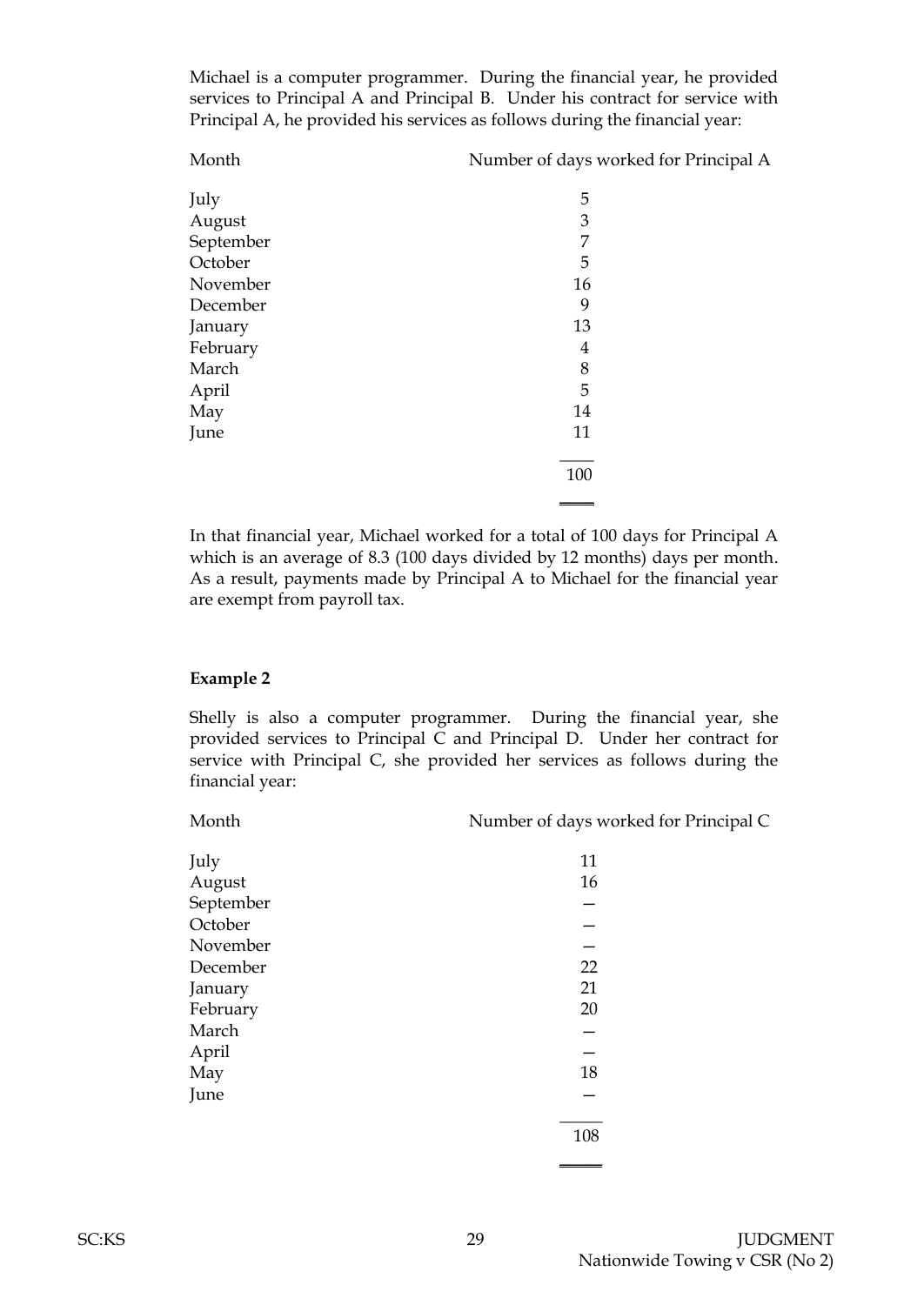Michael is a computer programmer. During the financial year, he provided services to Principal A and Principal B. Under his contract for service with Principal A, he provided his services as follows during the financial year:

Month Number of days worked for Principal A

| July      | 5              |
|-----------|----------------|
| August    | $\mathfrak{Z}$ |
| September | $\overline{7}$ |
| October   | 5              |
| November  | 16             |
| December  | 9              |
| January   | 13             |
| February  | 4              |
| March     | 8              |
| April     | 5              |
| May       | 14             |
| June      | 11             |
|           |                |
|           | 100            |
|           |                |

In that financial year, Michael worked for a total of 100 days for Principal A which is an average of 8.3 (100 days divided by 12 months) days per month. As a result, payments made by Principal A to Michael for the financial year are exempt from payroll tax.

#### **Example 2**

Shelly is also a computer programmer. During the financial year, she provided services to Principal C and Principal D. Under her contract for service with Principal C, she provided her services as follows during the financial year:

| Month | Number of days worked for Principal C |
|-------|---------------------------------------|
|       |                                       |

| July      | 11  |
|-----------|-----|
| August    | 16  |
| September |     |
| October   |     |
| November  |     |
| December  | 22  |
| January   | 21  |
| February  | 20  |
| March     |     |
| April     |     |
| May       | 18  |
| June      |     |
|           | 108 |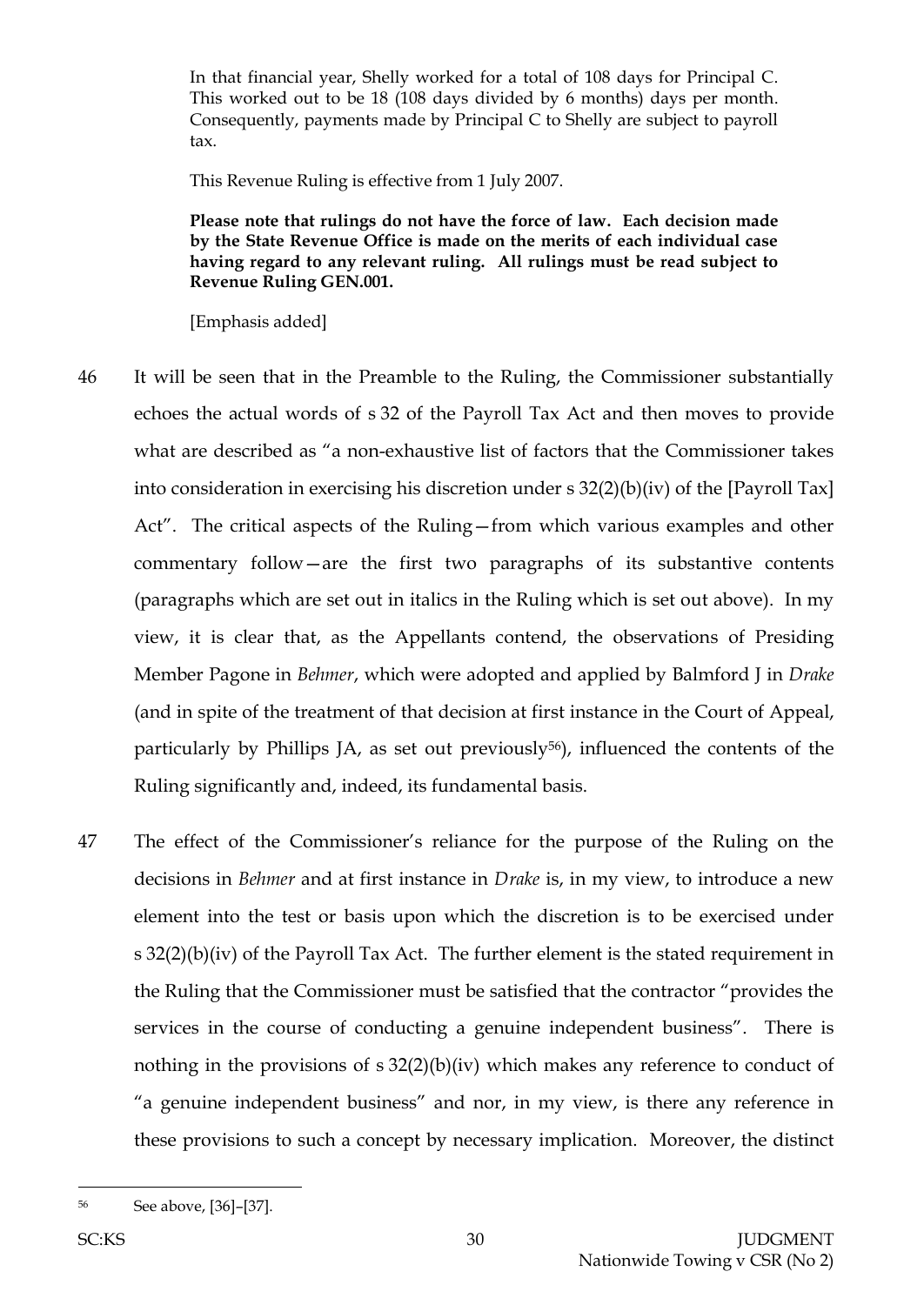In that financial year, Shelly worked for a total of 108 days for Principal C. This worked out to be 18 (108 days divided by 6 months) days per month. Consequently, payments made by Principal C to Shelly are subject to payroll tax.

This Revenue Ruling is effective from 1 July 2007.

**Please note that rulings do not have the force of law. Each decision made by the State Revenue Office is made on the merits of each individual case having regard to any relevant ruling. All rulings must be read subject to Revenue Ruling GEN.001.**

[Emphasis added]

- 46 It will be seen that in the Preamble to the Ruling, the Commissioner substantially echoes the actual words of s 32 of the Payroll Tax Act and then moves to provide what are described as "a non-exhaustive list of factors that the Commissioner takes into consideration in exercising his discretion under s 32(2)(b)(iv) of the [Payroll Tax] Act". The critical aspects of the Ruling—from which various examples and other commentary follow—are the first two paragraphs of its substantive contents (paragraphs which are set out in italics in the Ruling which is set out above). In my view, it is clear that, as the Appellants contend, the observations of Presiding Member Pagone in *Behmer*, which were adopted and applied by Balmford J in *Drake* (and in spite of the treatment of that decision at first instance in the Court of Appeal, particularly by Phillips JA, as set out previously<sup>56</sup>), influenced the contents of the Ruling significantly and, indeed, its fundamental basis.
- 47 The effect of the Commissioner's reliance for the purpose of the Ruling on the decisions in *Behmer* and at first instance in *Drake* is, in my view, to introduce a new element into the test or basis upon which the discretion is to be exercised under s 32(2)(b)(iv) of the Payroll Tax Act. The further element is the stated requirement in the Ruling that the Commissioner must be satisfied that the contractor "provides the services in the course of conducting a genuine independent business". There is nothing in the provisions of s 32(2)(b)(iv) which makes any reference to conduct of "a genuine independent business" and nor, in my view, is there any reference in these provisions to such a concept by necessary implication. Moreover, the distinct

l

<sup>56</sup> See above, [36]–[37].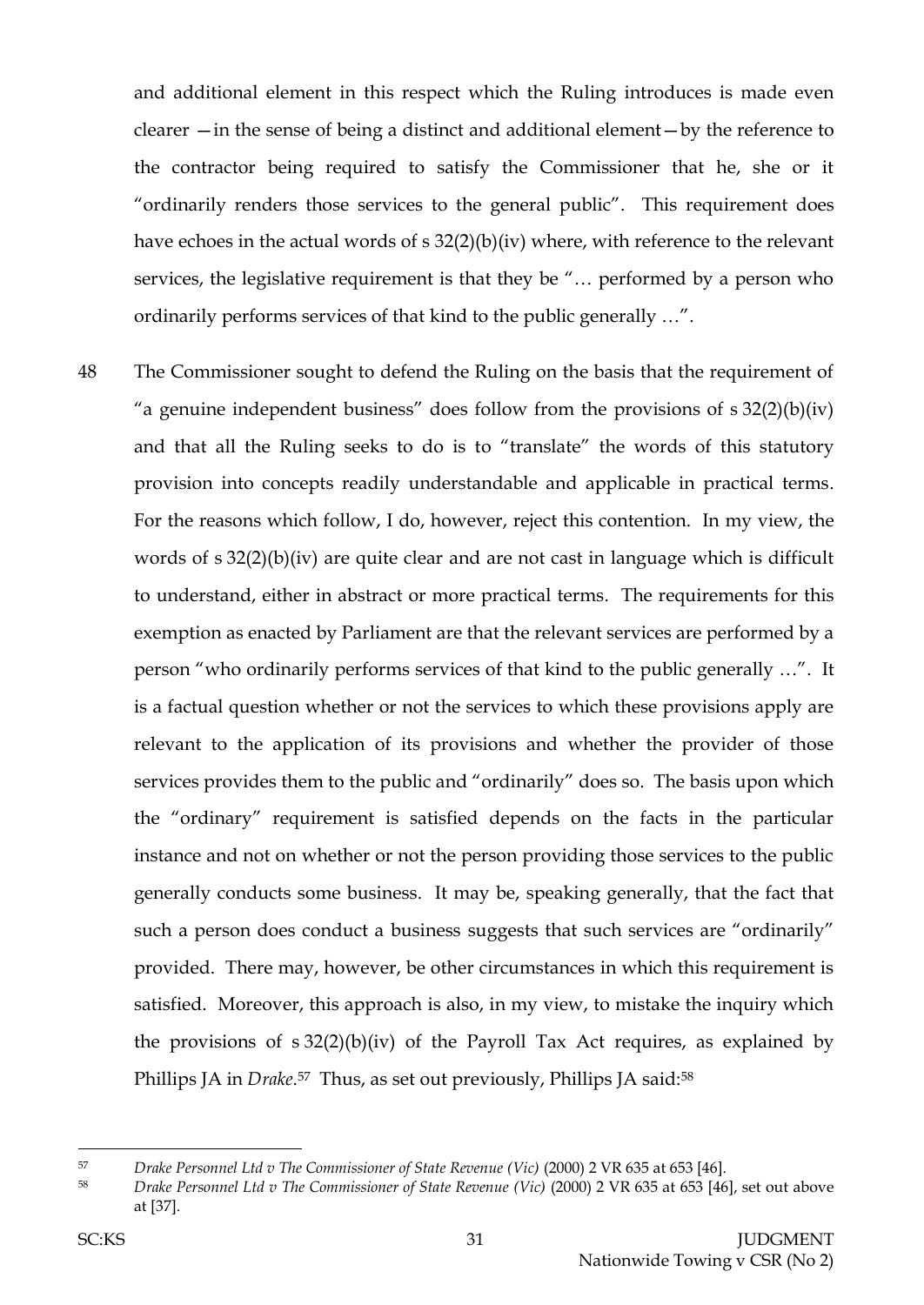and additional element in this respect which the Ruling introduces is made even clearer —in the sense of being a distinct and additional element—by the reference to the contractor being required to satisfy the Commissioner that he, she or it "ordinarily renders those services to the general public". This requirement does have echoes in the actual words of s 32(2)(b)(iv) where, with reference to the relevant services, the legislative requirement is that they be "… performed by a person who ordinarily performs services of that kind to the public generally …".

48 The Commissioner sought to defend the Ruling on the basis that the requirement of "a genuine independent business" does follow from the provisions of  $s \frac{32(2)(b)}{iv}$ and that all the Ruling seeks to do is to "translate" the words of this statutory provision into concepts readily understandable and applicable in practical terms. For the reasons which follow, I do, however, reject this contention. In my view, the words of s 32(2)(b)(iv) are quite clear and are not cast in language which is difficult to understand, either in abstract or more practical terms. The requirements for this exemption as enacted by Parliament are that the relevant services are performed by a person "who ordinarily performs services of that kind to the public generally …". It is a factual question whether or not the services to which these provisions apply are relevant to the application of its provisions and whether the provider of those services provides them to the public and "ordinarily" does so. The basis upon which the "ordinary" requirement is satisfied depends on the facts in the particular instance and not on whether or not the person providing those services to the public generally conducts some business. It may be, speaking generally, that the fact that such a person does conduct a business suggests that such services are "ordinarily" provided. There may, however, be other circumstances in which this requirement is satisfied. Moreover, this approach is also, in my view, to mistake the inquiry which the provisions of  $s \frac{32(2)(b)}{iv}$  of the Payroll Tax Act requires, as explained by Phillips JA in *Drake*. <sup>57</sup> Thus, as set out previously, Phillips JA said:<sup>58</sup>

<sup>57</sup> *Drake Personnel Ltd v The Commissioner of State Revenue (Vic)* (2000) 2 VR 635 at 653 [46].

<sup>58</sup> *Drake Personnel Ltd v The Commissioner of State Revenue (Vic)* (2000) 2 VR 635 at 653 [46], set out above at [37].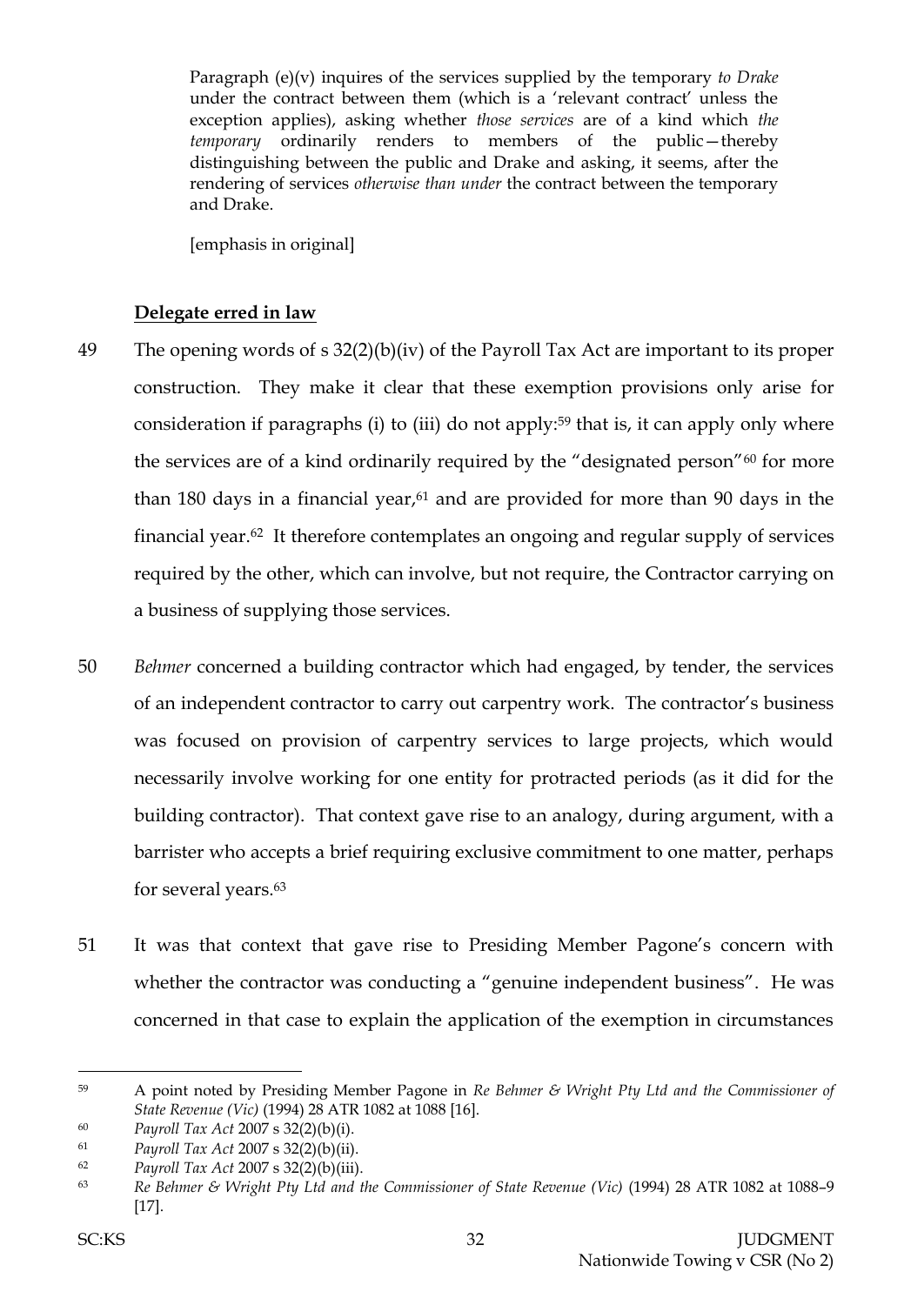Paragraph (e)(v) inquires of the services supplied by the temporary *to Drake* under the contract between them (which is a 'relevant contract' unless the exception applies), asking whether *those services* are of a kind which *the temporary* ordinarily renders to members of the public—thereby distinguishing between the public and Drake and asking, it seems, after the rendering of services *otherwise than under* the contract between the temporary and Drake.

[emphasis in original]

### **Delegate erred in law**

- 49 The opening words of s 32(2)(b)(iv) of the Payroll Tax Act are important to its proper construction. They make it clear that these exemption provisions only arise for consideration if paragraphs (i) to (iii) do not apply:<sup>59</sup> that is, it can apply only where the services are of a kind ordinarily required by the "designated person"<sup>60</sup> for more than 180 days in a financial year, $61$  and are provided for more than 90 days in the financial year.62 It therefore contemplates an ongoing and regular supply of services required by the other, which can involve, but not require, the Contractor carrying on a business of supplying those services.
- 50 *Behmer* concerned a building contractor which had engaged, by tender, the services of an independent contractor to carry out carpentry work. The contractor's business was focused on provision of carpentry services to large projects, which would necessarily involve working for one entity for protracted periods (as it did for the building contractor). That context gave rise to an analogy, during argument, with a barrister who accepts a brief requiring exclusive commitment to one matter, perhaps for several years.<sup>63</sup>
- 51 It was that context that gave rise to Presiding Member Pagone's concern with whether the contractor was conducting a "genuine independent business". He was concerned in that case to explain the application of the exemption in circumstances

<sup>59</sup> A point noted by Presiding Member Pagone in *Re Behmer & Wright Pty Ltd and the Commissioner of State Revenue (Vic)* (1994) 28 ATR 1082 at 1088 [16].

<sup>60</sup> *Payroll Tax Act* 2007 s 32(2)(b)(i).

<sup>61</sup> *Payroll Tax Act* 2007 s 32(2)(b)(ii).

<sup>62</sup> *Payroll Tax Act* 2007 s 32(2)(b)(iii).

<sup>63</sup> *Re Behmer & Wright Pty Ltd and the Commissioner of State Revenue (Vic)* (1994) 28 ATR 1082 at 1088–9 [17].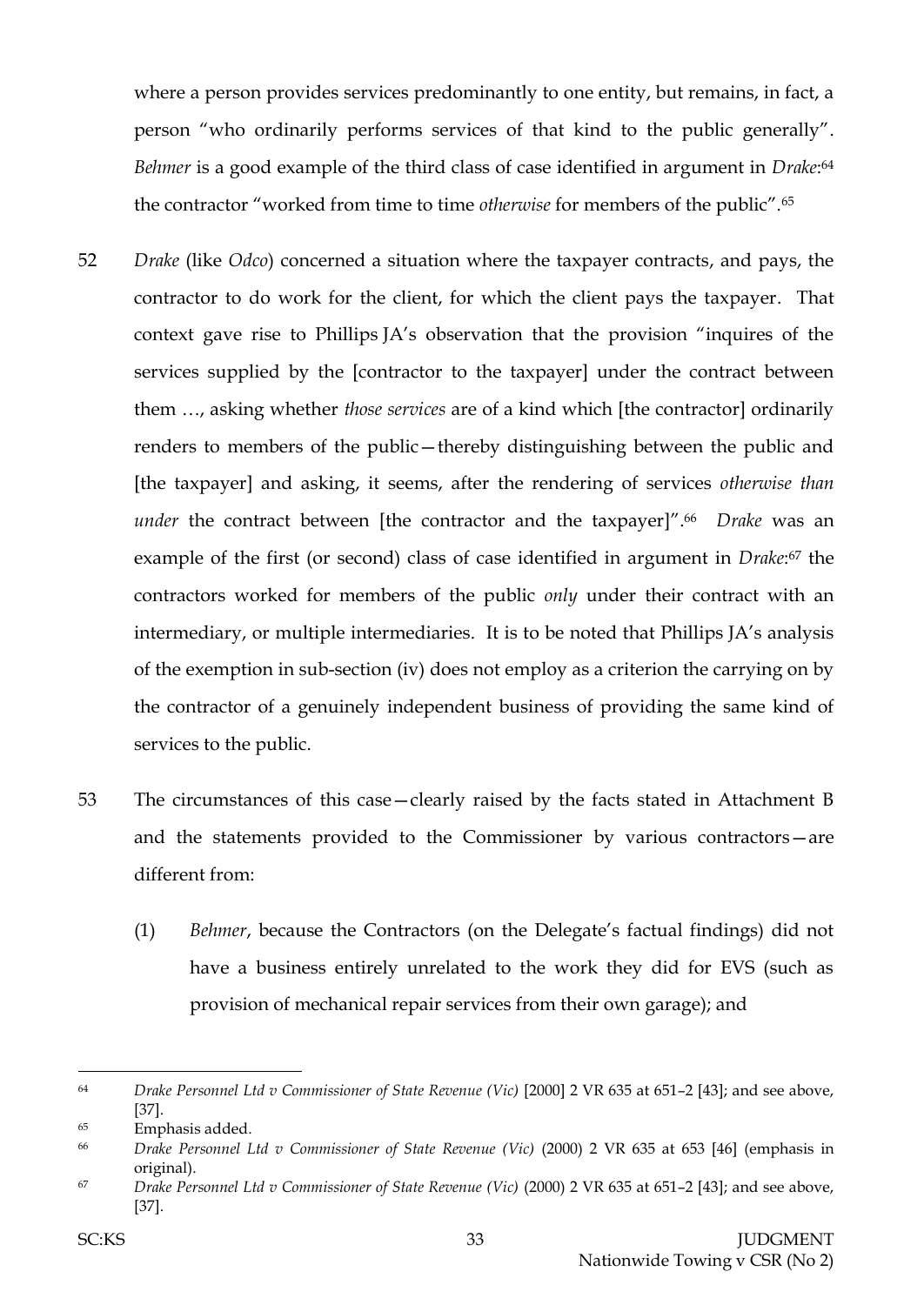where a person provides services predominantly to one entity, but remains, in fact, a person "who ordinarily performs services of that kind to the public generally". *Behmer* is a good example of the third class of case identified in argument in *Drake*: 64 the contractor "worked from time to time *otherwise* for members of the public".<sup>65</sup>

- 52 *Drake* (like *Odco*) concerned a situation where the taxpayer contracts, and pays, the contractor to do work for the client, for which the client pays the taxpayer. That context gave rise to Phillips JA's observation that the provision "inquires of the services supplied by the [contractor to the taxpayer] under the contract between them …, asking whether *those services* are of a kind which [the contractor] ordinarily renders to members of the public—thereby distinguishing between the public and [the taxpayer] and asking, it seems, after the rendering of services *otherwise than under* the contract between [the contractor and the taxpayer]".<sup>66</sup> *Drake* was an example of the first (or second) class of case identified in argument in *Drake*: <sup>67</sup> the contractors worked for members of the public *only* under their contract with an intermediary, or multiple intermediaries. It is to be noted that Phillips JA's analysis of the exemption in sub-section (iv) does not employ as a criterion the carrying on by the contractor of a genuinely independent business of providing the same kind of services to the public.
- 53 The circumstances of this case—clearly raised by the facts stated in Attachment B and the statements provided to the Commissioner by various contractors—are different from:
	- (1) *Behmer*, because the Contractors (on the Delegate's factual findings) did not have a business entirely unrelated to the work they did for EVS (such as provision of mechanical repair services from their own garage); and

<sup>64</sup> *Drake Personnel Ltd v Commissioner of State Revenue (Vic)* [2000] 2 VR 635 at 651–2 [43]; and see above, [37].

<sup>65</sup> Emphasis added.

<sup>66</sup> *Drake Personnel Ltd v Commissioner of State Revenue (Vic)* (2000) 2 VR 635 at 653 [46] (emphasis in original).

<sup>67</sup> *Drake Personnel Ltd v Commissioner of State Revenue (Vic)* (2000) 2 VR 635 at 651–2 [43]; and see above, [37].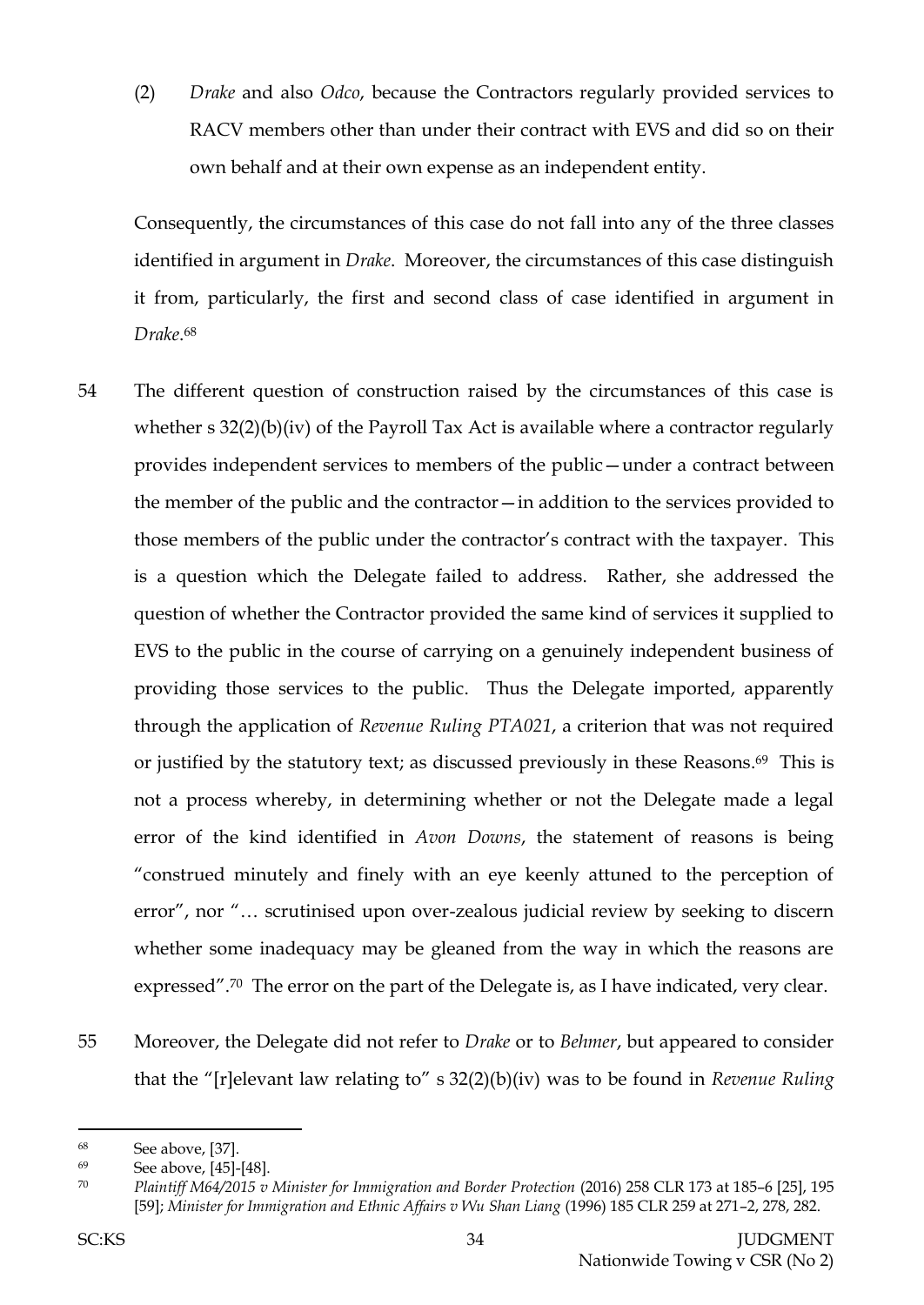(2) *Drake* and also *Odco*, because the Contractors regularly provided services to RACV members other than under their contract with EVS and did so on their own behalf and at their own expense as an independent entity.

Consequently, the circumstances of this case do not fall into any of the three classes identified in argument in *Drake*. Moreover, the circumstances of this case distinguish it from, particularly, the first and second class of case identified in argument in *Drake*. 68

- 54 The different question of construction raised by the circumstances of this case is whether s  $32(2)(b)(iv)$  of the Payroll Tax Act is available where a contractor regularly provides independent services to members of the public—under a contract between the member of the public and the contractor—in addition to the services provided to those members of the public under the contractor's contract with the taxpayer. This is a question which the Delegate failed to address. Rather, she addressed the question of whether the Contractor provided the same kind of services it supplied to EVS to the public in the course of carrying on a genuinely independent business of providing those services to the public. Thus the Delegate imported, apparently through the application of *Revenue Ruling PTA021*, a criterion that was not required or justified by the statutory text; as discussed previously in these Reasons. <sup>69</sup> This is not a process whereby, in determining whether or not the Delegate made a legal error of the kind identified in *Avon Downs*, the statement of reasons is being "construed minutely and finely with an eye keenly attuned to the perception of error", nor "… scrutinised upon over-zealous judicial review by seeking to discern whether some inadequacy may be gleaned from the way in which the reasons are expressed".<sup>70</sup> The error on the part of the Delegate is, as I have indicated, very clear.
- 55 Moreover, the Delegate did not refer to *Drake* or to *Behmer*, but appeared to consider that the "[r]elevant law relating to" s 32(2)(b)(iv) was to be found in *Revenue Ruling*
- <sup>68</sup> See above, [37].

<sup>69</sup> See above, [45]-[48].

<sup>70</sup> *Plaintiff M64/2015 v Minister for Immigration and Border Protection* (2016) 258 CLR 173 at 185–6 [25], 195 [59]; *Minister for Immigration and Ethnic Affairs v Wu Shan Liang* (1996) 185 CLR 259 at 271–2, 278, 282.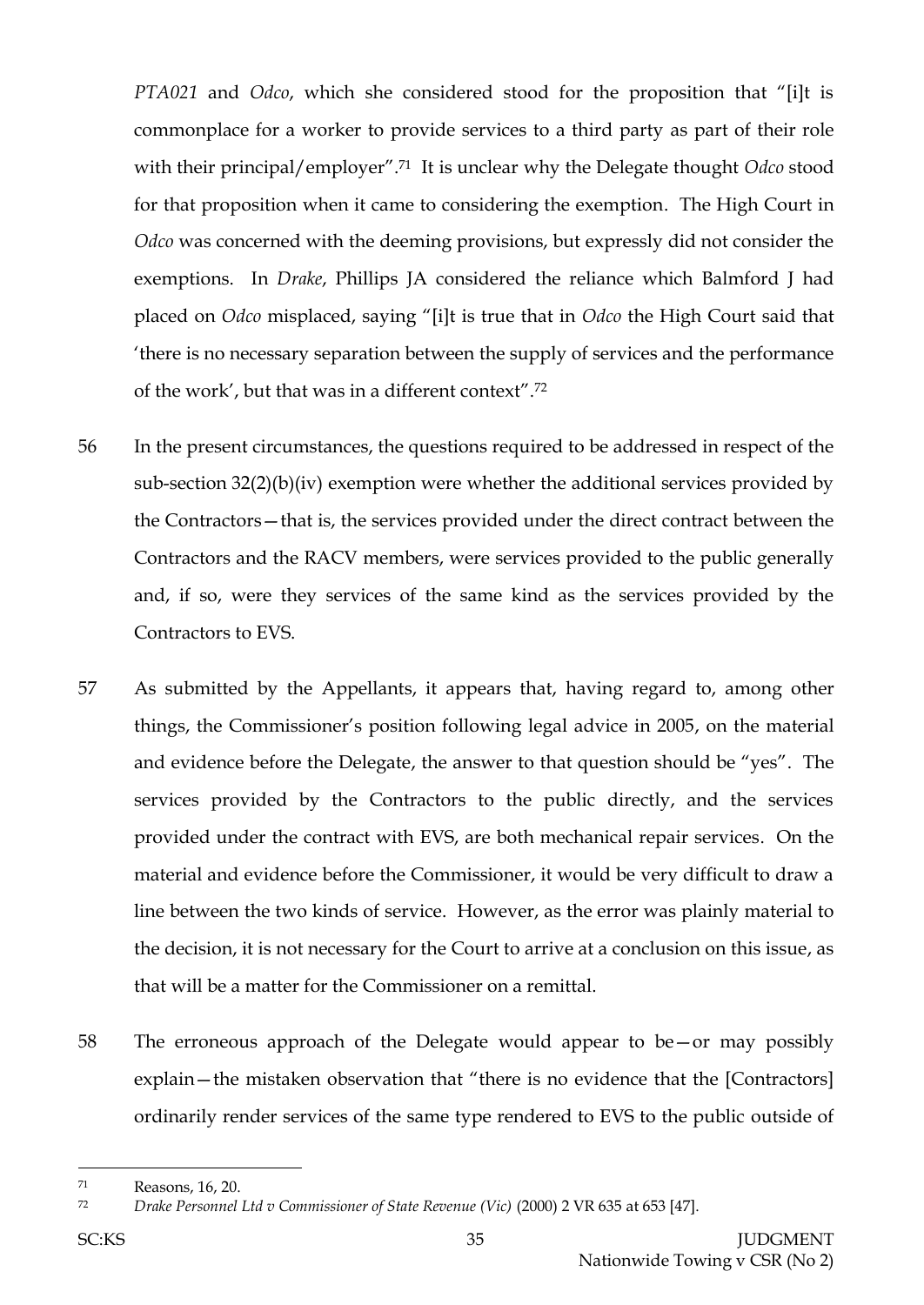*PTA021* and *Odco*, which she considered stood for the proposition that "[i]t is commonplace for a worker to provide services to a third party as part of their role with their principal/employer".71 It is unclear why the Delegate thought *Odco* stood for that proposition when it came to considering the exemption. The High Court in *Odco* was concerned with the deeming provisions, but expressly did not consider the exemptions. In *Drake*, Phillips JA considered the reliance which Balmford J had placed on *Odco* misplaced, saying "[i]t is true that in *Odco* the High Court said that 'there is no necessary separation between the supply of services and the performance of the work', but that was in a different context".<sup>72</sup>

- 56 In the present circumstances, the questions required to be addressed in respect of the sub-section 32(2)(b)(iv) exemption were whether the additional services provided by the Contractors—that is, the services provided under the direct contract between the Contractors and the RACV members, were services provided to the public generally and, if so, were they services of the same kind as the services provided by the Contractors to EVS.
- 57 As submitted by the Appellants, it appears that, having regard to, among other things, the Commissioner's position following legal advice in 2005, on the material and evidence before the Delegate, the answer to that question should be "yes". The services provided by the Contractors to the public directly, and the services provided under the contract with EVS, are both mechanical repair services. On the material and evidence before the Commissioner, it would be very difficult to draw a line between the two kinds of service. However, as the error was plainly material to the decision, it is not necessary for the Court to arrive at a conclusion on this issue, as that will be a matter for the Commissioner on a remittal.
- 58 The erroneous approach of the Delegate would appear to be—or may possibly explain—the mistaken observation that "there is no evidence that the [Contractors] ordinarily render services of the same type rendered to EVS to the public outside of

<sup>71</sup> Reasons, 16, 20.

<sup>72</sup> *Drake Personnel Ltd v Commissioner of State Revenue (Vic)* (2000) 2 VR 635 at 653 [47].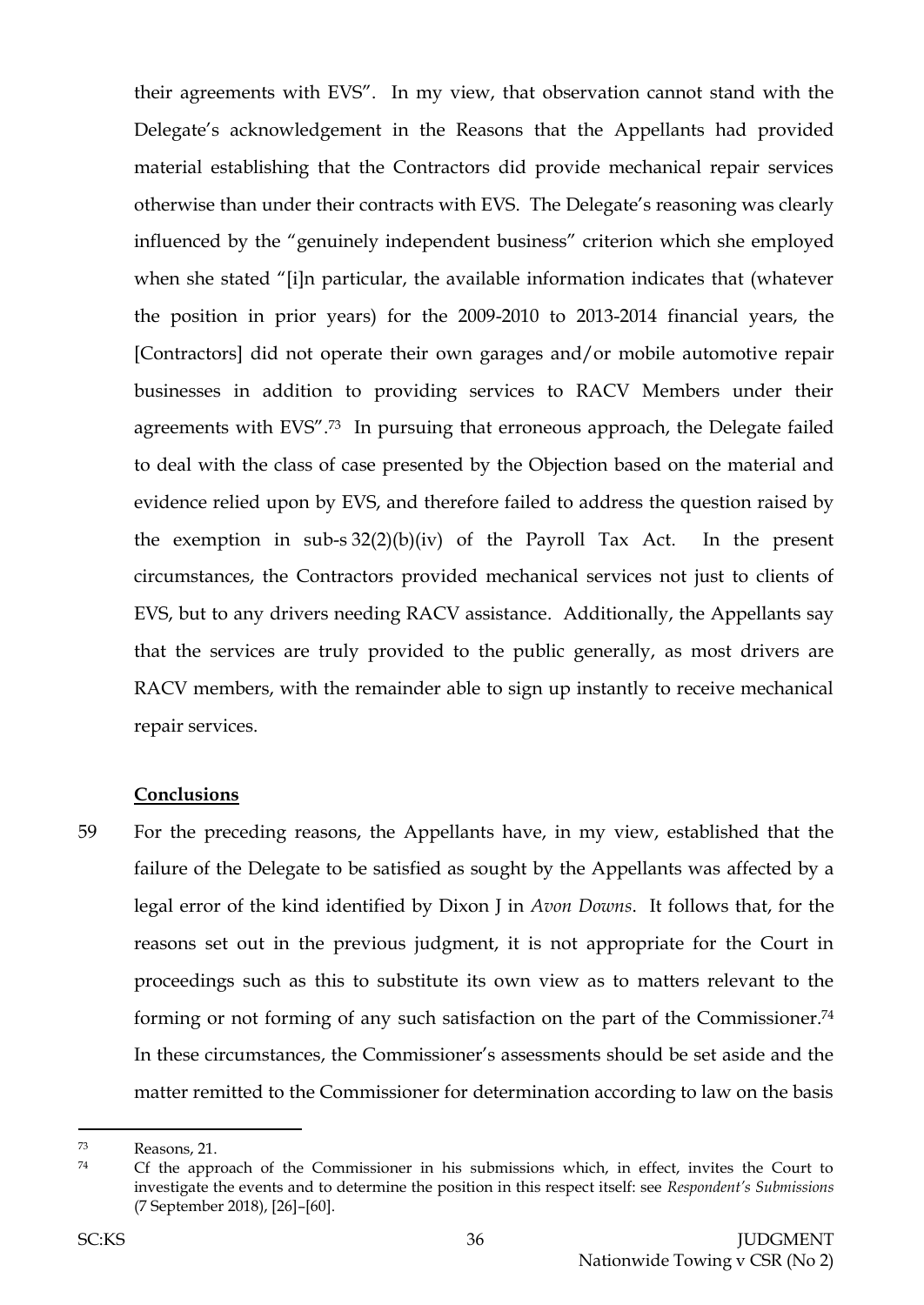their agreements with EVS". In my view, that observation cannot stand with the Delegate's acknowledgement in the Reasons that the Appellants had provided material establishing that the Contractors did provide mechanical repair services otherwise than under their contracts with EVS. The Delegate's reasoning was clearly influenced by the "genuinely independent business" criterion which she employed when she stated "[i]n particular, the available information indicates that (whatever the position in prior years) for the 2009-2010 to 2013-2014 financial years, the [Contractors] did not operate their own garages and/or mobile automotive repair businesses in addition to providing services to RACV Members under their agreements with EVS". <sup>73</sup> In pursuing that erroneous approach, the Delegate failed to deal with the class of case presented by the Objection based on the material and evidence relied upon by EVS, and therefore failed to address the question raised by the exemption in sub-s 32(2)(b)(iv) of the Payroll Tax Act. In the present circumstances, the Contractors provided mechanical services not just to clients of EVS, but to any drivers needing RACV assistance. Additionally, the Appellants say that the services are truly provided to the public generally, as most drivers are RACV members, with the remainder able to sign up instantly to receive mechanical repair services.

#### **Conclusions**

59 For the preceding reasons, the Appellants have, in my view, established that the failure of the Delegate to be satisfied as sought by the Appellants was affected by a legal error of the kind identified by Dixon J in *Avon Downs*. It follows that, for the reasons set out in the previous judgment, it is not appropriate for the Court in proceedings such as this to substitute its own view as to matters relevant to the forming or not forming of any such satisfaction on the part of the Commissioner. 74 In these circumstances, the Commissioner's assessments should be set aside and the matter remitted to the Commissioner for determination according to law on the basis

<sup>73</sup> Reasons, 21.

<sup>74</sup> Cf the approach of the Commissioner in his submissions which, in effect, invites the Court to investigate the events and to determine the position in this respect itself: see *Respondent's Submissions* (7 September 2018), [26]–[60].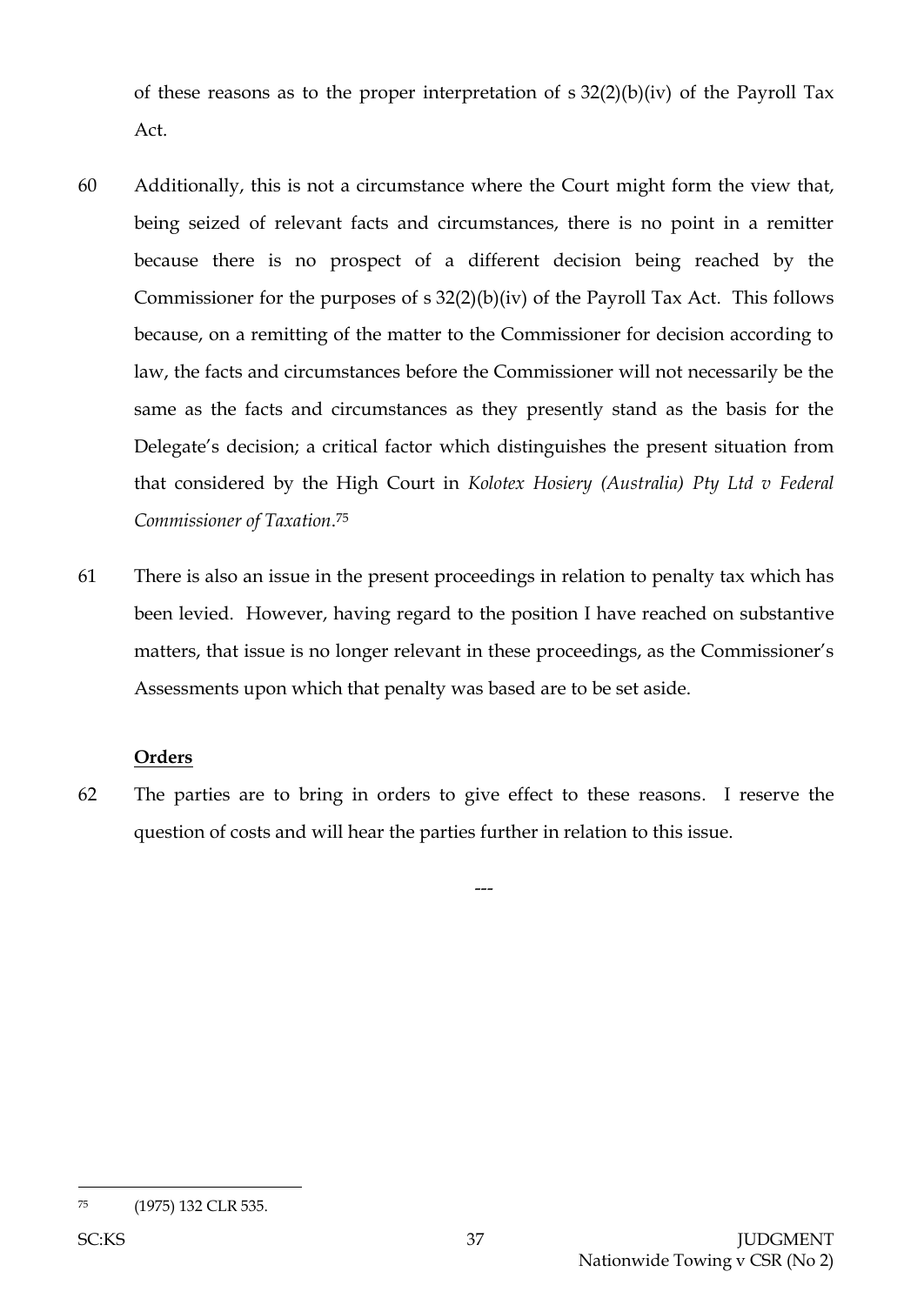of these reasons as to the proper interpretation of  $s$  32(2)(b)(iv) of the Payroll Tax Act.

- 60 Additionally, this is not a circumstance where the Court might form the view that, being seized of relevant facts and circumstances, there is no point in a remitter because there is no prospect of a different decision being reached by the Commissioner for the purposes of  $s$  32(2)(b)(iv) of the Payroll Tax Act. This follows because, on a remitting of the matter to the Commissioner for decision according to law, the facts and circumstances before the Commissioner will not necessarily be the same as the facts and circumstances as they presently stand as the basis for the Delegate's decision; a critical factor which distinguishes the present situation from that considered by the High Court in *Kolotex Hosiery (Australia) Pty Ltd v Federal Commissioner of Taxation*. 75
- 61 There is also an issue in the present proceedings in relation to penalty tax which has been levied. However, having regard to the position I have reached on substantive matters, that issue is no longer relevant in these proceedings, as the Commissioner's Assessments upon which that penalty was based are to be set aside.

## **Orders**

62 The parties are to bring in orders to give effect to these reasons. I reserve the question of costs and will hear the parties further in relation to this issue.

---

l <sup>75</sup> (1975) 132 CLR 535.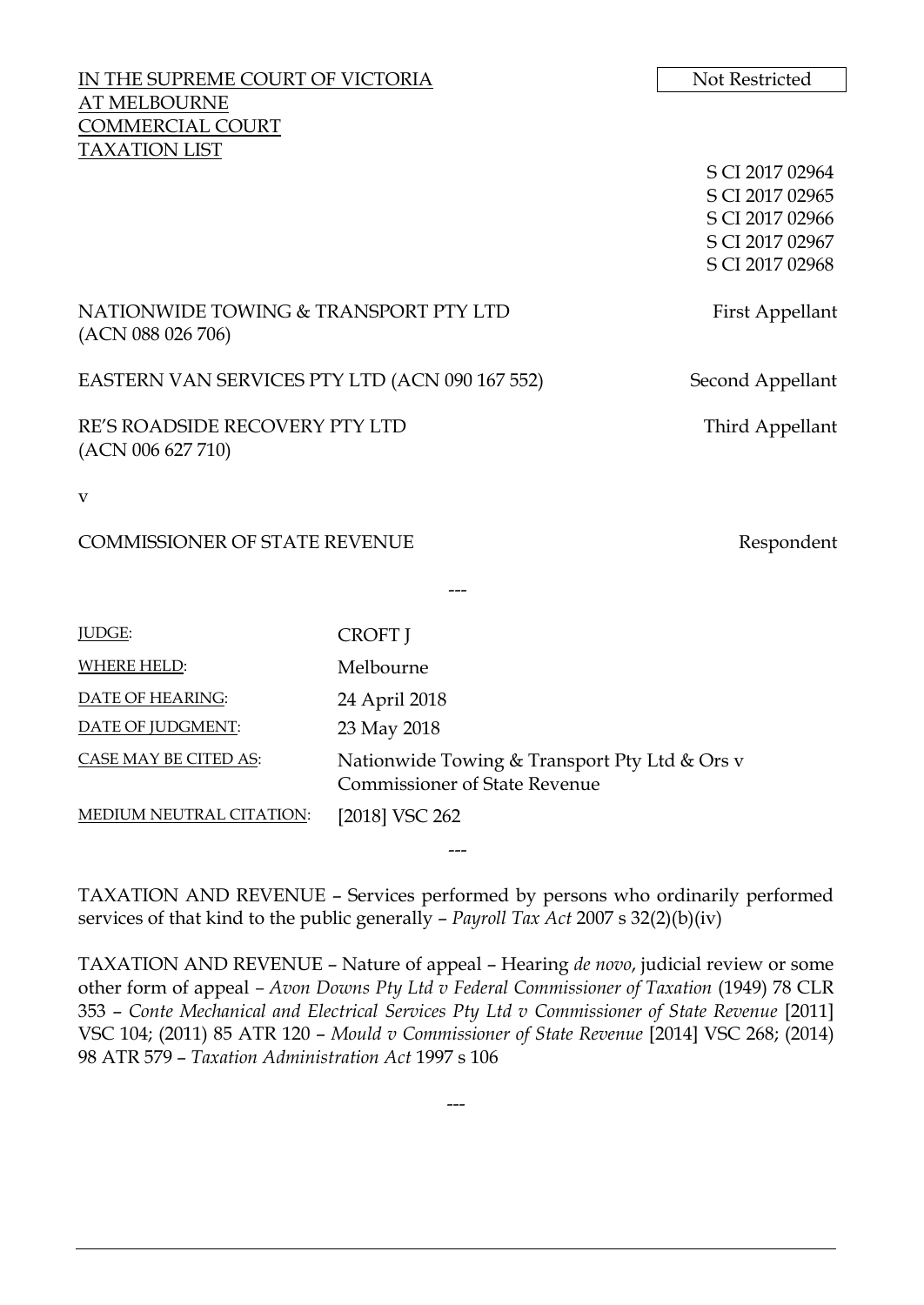| IN THE SUPREME COURT OF VICTORIA                           |                                                                                       | Not Restricted   |
|------------------------------------------------------------|---------------------------------------------------------------------------------------|------------------|
| AT MELBOURNE                                               |                                                                                       |                  |
| COMMERCIAL COURT<br><b>TAXATION LIST</b>                   |                                                                                       |                  |
|                                                            |                                                                                       | S CI 2017 02964  |
|                                                            |                                                                                       | S CI 2017 02965  |
|                                                            |                                                                                       | S CI 2017 02966  |
|                                                            |                                                                                       | S CI 2017 02967  |
|                                                            |                                                                                       | S CI 2017 02968  |
| NATIONWIDE TOWING & TRANSPORT PTY LTD<br>(ACN 088 026 706) |                                                                                       | First Appellant  |
| EASTERN VAN SERVICES PTY LTD (ACN 090 167 552)             |                                                                                       | Second Appellant |
| RE'S ROADSIDE RECOVERY PTY LTD<br>(ACN 006 627 710)        |                                                                                       | Third Appellant  |
| $\mathbf{V}$                                               |                                                                                       |                  |
| <b>COMMISSIONER OF STATE REVENUE</b>                       |                                                                                       | Respondent       |
|                                                            |                                                                                       |                  |
| JUDGE:                                                     | <b>CROFT</b> J                                                                        |                  |
| <b>WHERE HELD:</b>                                         | Melbourne                                                                             |                  |
| DATE OF HEARING:                                           | 24 April 2018                                                                         |                  |
| DATE OF JUDGMENT:                                          | 23 May 2018                                                                           |                  |
| CASE MAY BE CITED AS:                                      | Nationwide Towing & Transport Pty Ltd & Ors v<br><b>Commissioner of State Revenue</b> |                  |
| MEDIUM NEUTRAL CITATION:                                   | [2018] VSC 262                                                                        |                  |

TAXATION AND REVENUE – Services performed by persons who ordinarily performed services of that kind to the public generally – *Payroll Tax Act* 2007 s 32(2)(b)(iv)

---

TAXATION AND REVENUE – Nature of appeal – Hearing *de novo*, judicial review or some other form of appeal *– Avon Downs Pty Ltd v Federal Commissioner of Taxation* (1949) 78 CLR 353 – *Conte Mechanical and Electrical Services Pty Ltd v Commissioner of State Revenue* [2011] VSC 104; (2011) 85 ATR 120 – *Mould v Commissioner of State Revenue* [2014] VSC 268; (2014) 98 ATR 579 – *Taxation Administration Act* 1997 s 106

---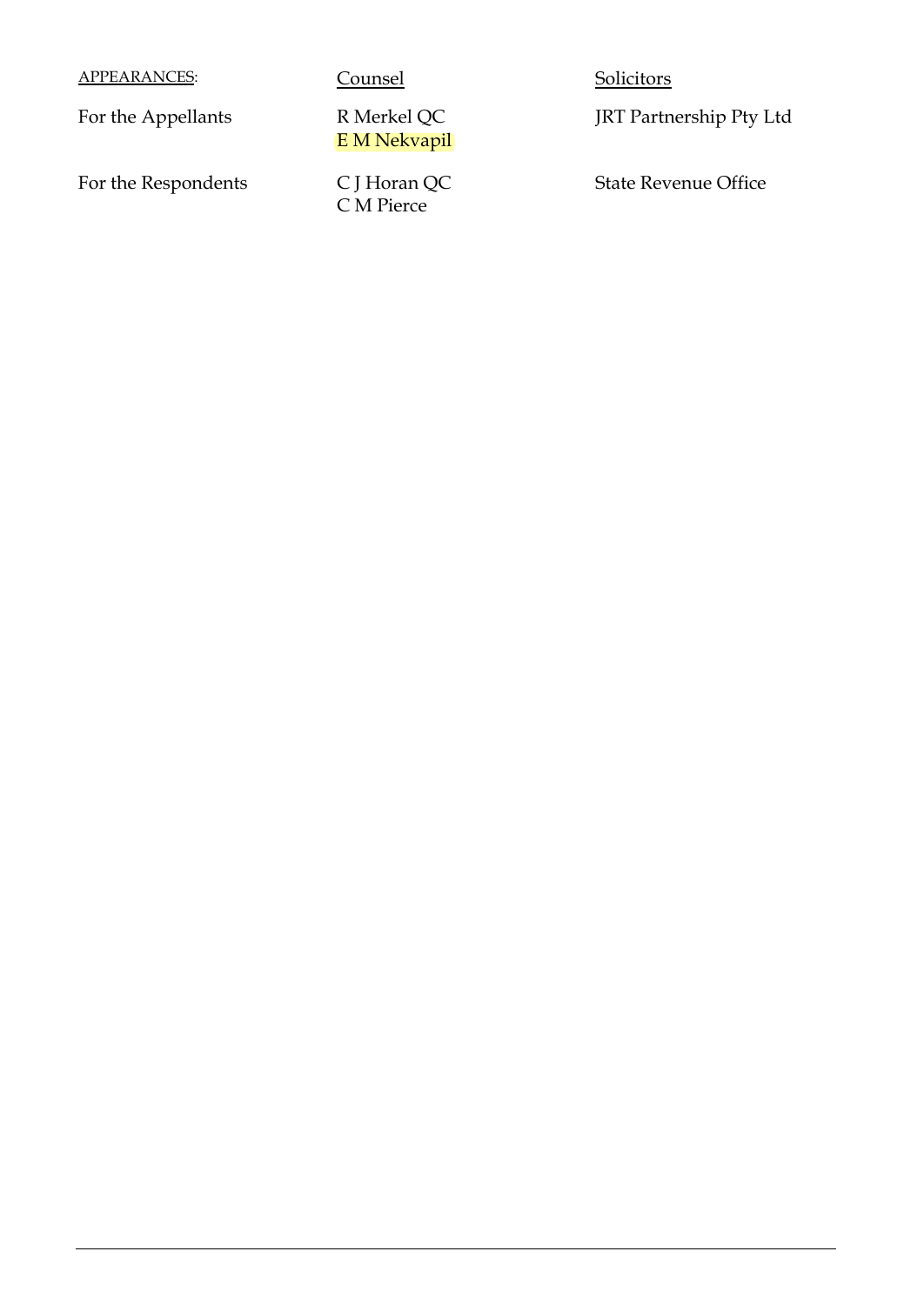APPEARANCES: Counsel Counsel Solicitors

For the Appellants R Merkel QC

E M Nekvapil

For the Respondents C J Horan QC C M Pierce

JRT Partnership Pty Ltd

State Revenue Office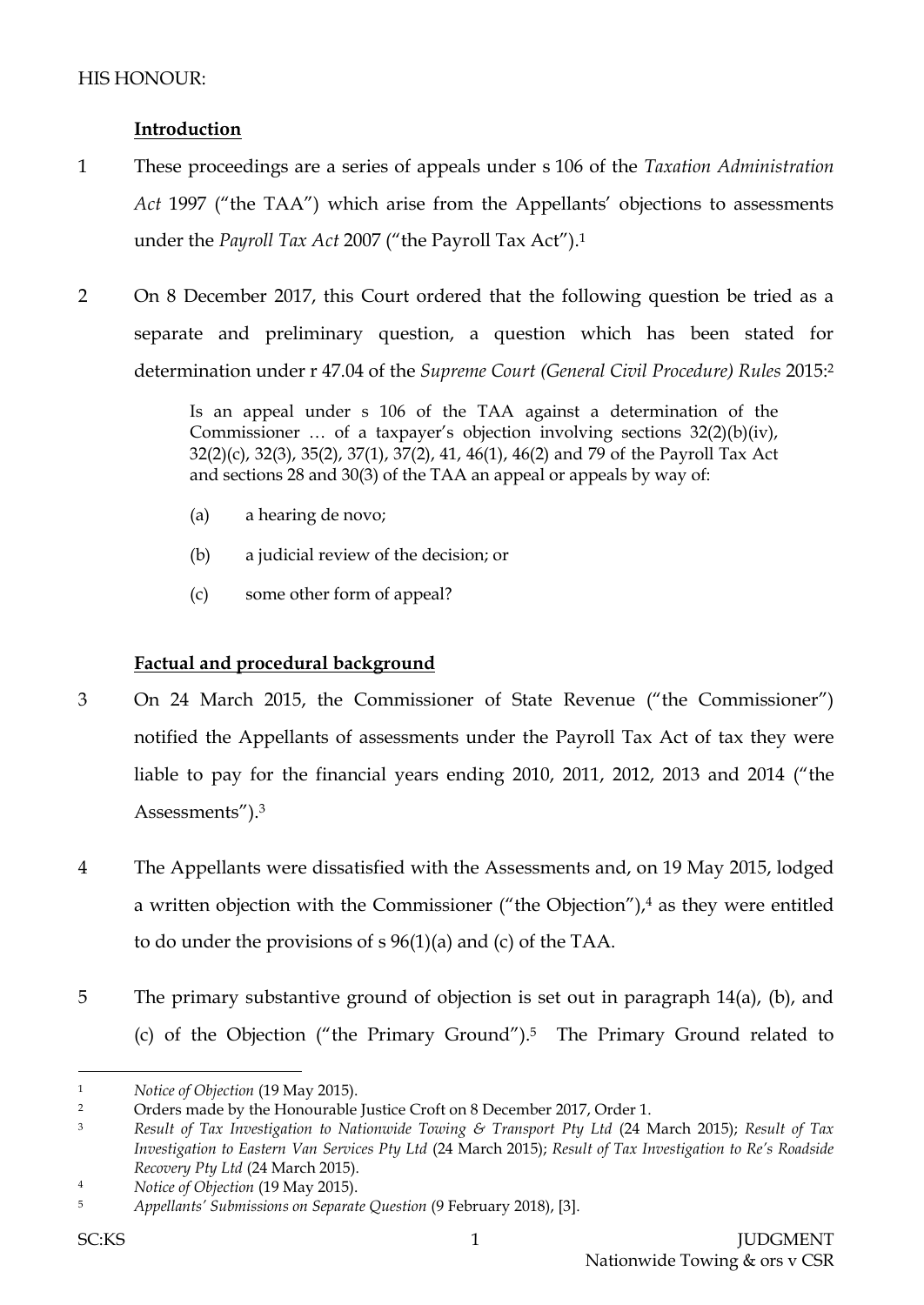# **Introduction**

- 1 These proceedings are a series of appeals under s 106 of the *Taxation Administration Act* 1997 ("the TAA") which arise from the Appellants' objections to assessments under the *Payroll Tax Act* 2007 ("the Payroll Tax Act"). 1
- 2 On 8 December 2017, this Court ordered that the following question be tried as a separate and preliminary question, a question which has been stated for determination under r 47.04 of the *Supreme Court (General Civil Procedure) Rules* 2015:<sup>2</sup>

Is an appeal under s 106 of the TAA against a determination of the Commissioner … of a taxpayer's objection involving sections 32(2)(b)(iv), 32(2)(c), 32(3), 35(2), 37(1), 37(2), 41, 46(1), 46(2) and 79 of the Payroll Tax Act and sections 28 and 30(3) of the TAA an appeal or appeals by way of:

- (a) a hearing de novo;
- (b) a judicial review of the decision; or
- (c) some other form of appeal?

# **Factual and procedural background**

- 3 On 24 March 2015, the Commissioner of State Revenue ("the Commissioner") notified the Appellants of assessments under the Payroll Tax Act of tax they were liable to pay for the financial years ending 2010, 2011, 2012, 2013 and 2014 ("the Assessments").<sup>3</sup>
- 4 The Appellants were dissatisfied with the Assessments and, on 19 May 2015, lodged a written objection with the Commissioner ("the Objection"), <sup>4</sup> as they were entitled to do under the provisions of s 96(1)(a) and (c) of the TAA.
- 5 The primary substantive ground of objection is set out in paragraph 14(a), (b), and (c) of the Objection ("the Primary Ground").5 The Primary Ground related to

 $\overline{a}$ <sup>1</sup> *Notice of Objection* (19 May 2015).

<sup>&</sup>lt;sup>2</sup> Orders made by the Honourable Justice Croft on 8 December 2017, Order 1.

<sup>3</sup> *Result of Tax Investigation to Nationwide Towing & Transport Pty Ltd* (24 March 2015); *Result of Tax Investigation to Eastern Van Services Pty Ltd* (24 March 2015); *Result of Tax Investigation to Re's Roadside Recovery Pty Ltd* (24 March 2015).

<sup>4</sup> *Notice of Objection* (19 May 2015).

<sup>5</sup> *Appellants' Submissions on Separate Question* (9 February 2018), [3].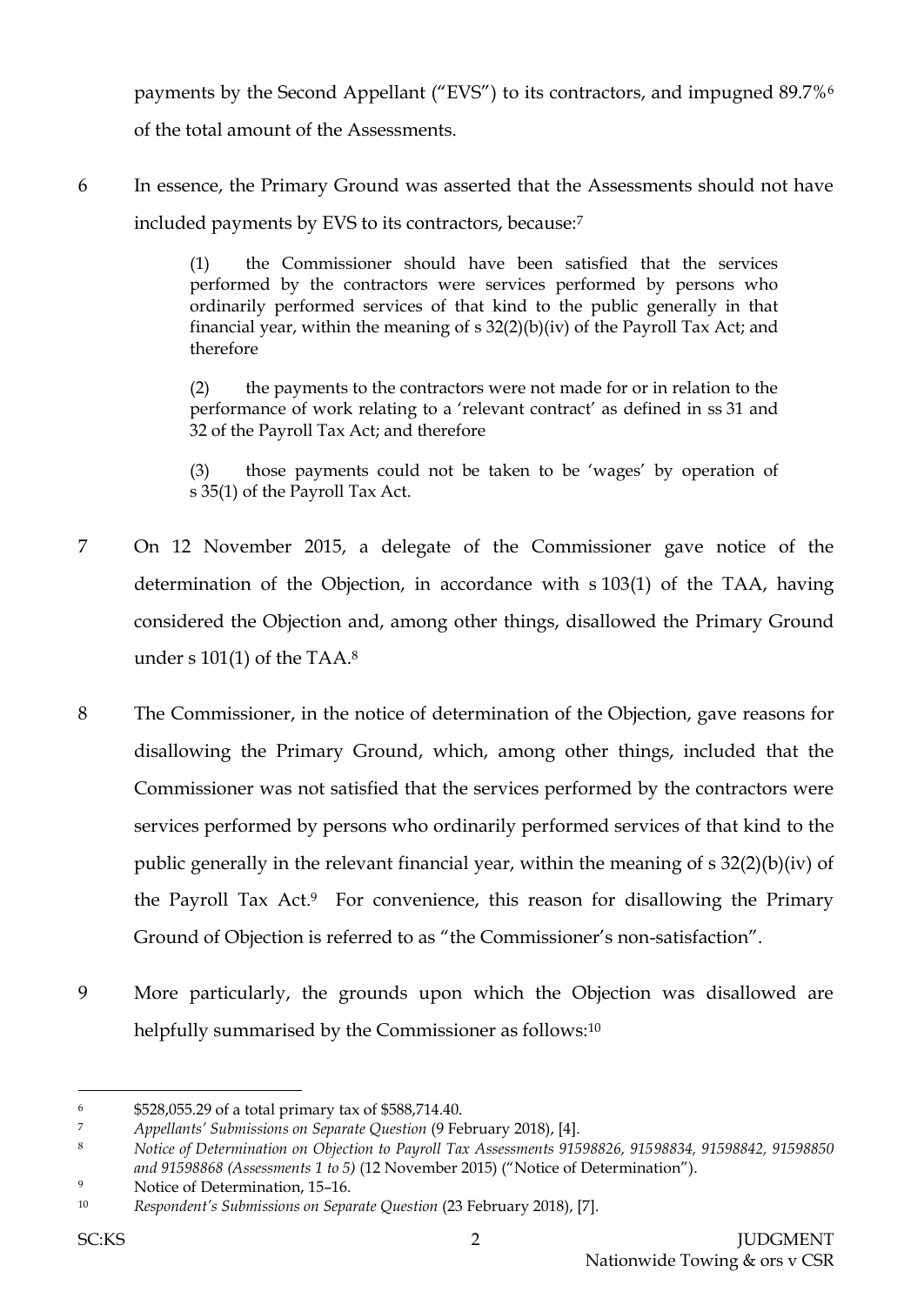payments by the Second Appellant ("EVS") to its contractors, and impugned 89.7%<sup>6</sup> of the total amount of the Assessments.

6 In essence, the Primary Ground was asserted that the Assessments should not have included payments by EVS to its contractors, because:<sup>7</sup>

> (1) the Commissioner should have been satisfied that the services performed by the contractors were services performed by persons who ordinarily performed services of that kind to the public generally in that financial year, within the meaning of  $s$  32(2)(b)(iv) of the Payroll Tax Act; and therefore

> (2) the payments to the contractors were not made for or in relation to the performance of work relating to a 'relevant contract' as defined in ss 31 and 32 of the Payroll Tax Act; and therefore

> (3) those payments could not be taken to be 'wages' by operation of s 35(1) of the Payroll Tax Act.

- 7 On 12 November 2015, a delegate of the Commissioner gave notice of the determination of the Objection, in accordance with s 103(1) of the TAA, having considered the Objection and, among other things, disallowed the Primary Ground under s 101(1) of the TAA. $^8$
- 8 The Commissioner, in the notice of determination of the Objection, gave reasons for disallowing the Primary Ground, which, among other things, included that the Commissioner was not satisfied that the services performed by the contractors were services performed by persons who ordinarily performed services of that kind to the public generally in the relevant financial year, within the meaning of s 32(2)(b)(iv) of the Payroll Tax Act. <sup>9</sup> For convenience, this reason for disallowing the Primary Ground of Objection is referred to as "the Commissioner's non-satisfaction".
- 9 More particularly, the grounds upon which the Objection was disallowed are helpfully summarised by the Commissioner as follows:<sup>10</sup>

<sup>6</sup> \$528,055.29 of a total primary tax of \$588,714.40.

<sup>7</sup> *Appellants' Submissions on Separate Question* (9 February 2018), [4].

<sup>8</sup> *Notice of Determination on Objection to Payroll Tax Assessments 91598826, 91598834, 91598842, 91598850 and 91598868 (Assessments 1 to 5)* (12 November 2015) ("Notice of Determination").

<sup>9</sup> Notice of Determination, 15–16.

<sup>10</sup> *Respondent's Submissions on Separate Question* (23 February 2018), [7].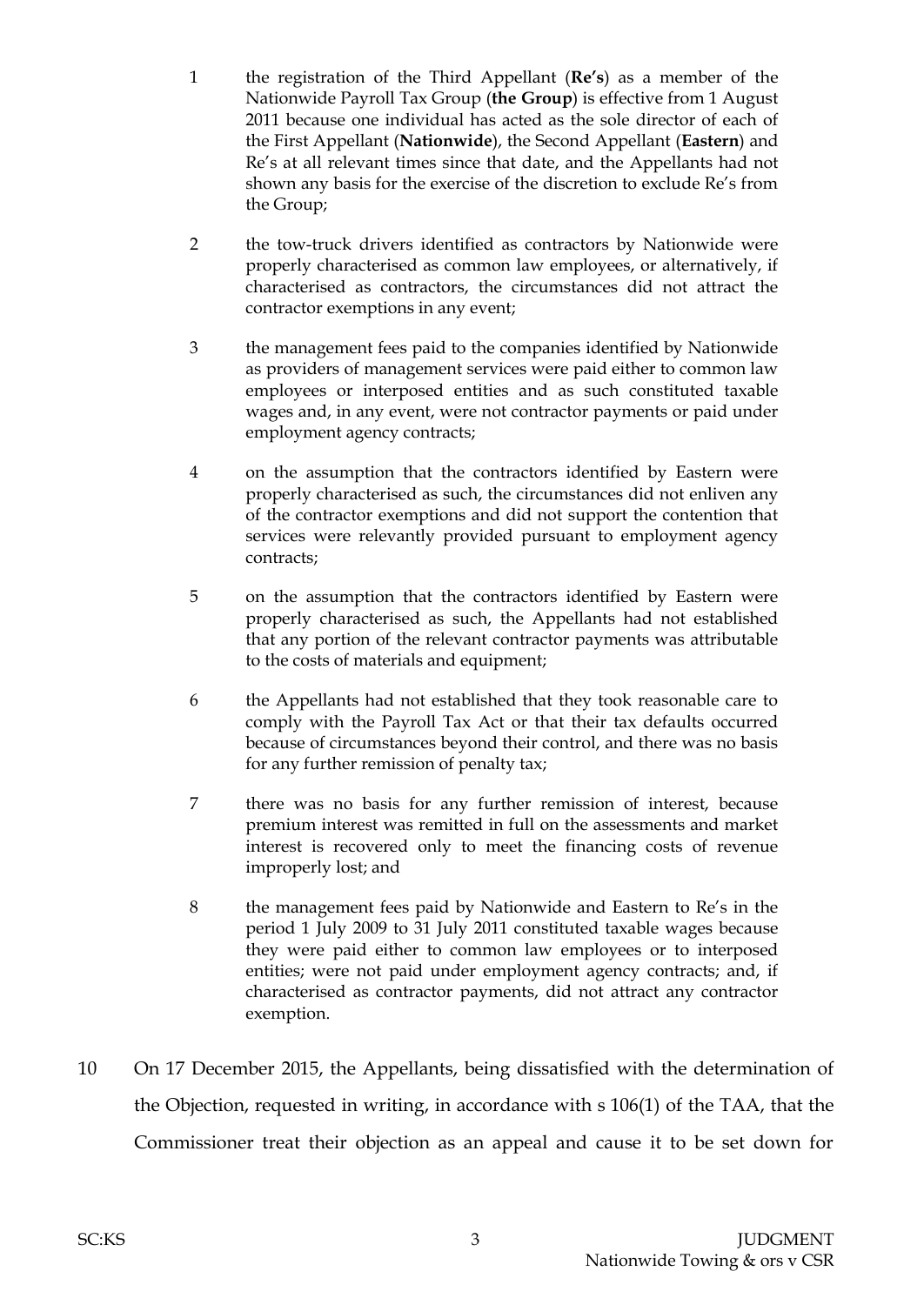- 1 the registration of the Third Appellant (**Re's**) as a member of the Nationwide Payroll Tax Group (**the Group**) is effective from 1 August 2011 because one individual has acted as the sole director of each of the First Appellant (**Nationwide**), the Second Appellant (**Eastern**) and Re's at all relevant times since that date, and the Appellants had not shown any basis for the exercise of the discretion to exclude Re's from the Group;
- 2 the tow-truck drivers identified as contractors by Nationwide were properly characterised as common law employees, or alternatively, if characterised as contractors, the circumstances did not attract the contractor exemptions in any event;
- 3 the management fees paid to the companies identified by Nationwide as providers of management services were paid either to common law employees or interposed entities and as such constituted taxable wages and, in any event, were not contractor payments or paid under employment agency contracts;
- 4 on the assumption that the contractors identified by Eastern were properly characterised as such, the circumstances did not enliven any of the contractor exemptions and did not support the contention that services were relevantly provided pursuant to employment agency contracts;
- 5 on the assumption that the contractors identified by Eastern were properly characterised as such, the Appellants had not established that any portion of the relevant contractor payments was attributable to the costs of materials and equipment;
- 6 the Appellants had not established that they took reasonable care to comply with the Payroll Tax Act or that their tax defaults occurred because of circumstances beyond their control, and there was no basis for any further remission of penalty tax;
- 7 there was no basis for any further remission of interest, because premium interest was remitted in full on the assessments and market interest is recovered only to meet the financing costs of revenue improperly lost; and
- 8 the management fees paid by Nationwide and Eastern to Re's in the period 1 July 2009 to 31 July 2011 constituted taxable wages because they were paid either to common law employees or to interposed entities; were not paid under employment agency contracts; and, if characterised as contractor payments, did not attract any contractor exemption.
- 10 On 17 December 2015, the Appellants, being dissatisfied with the determination of the Objection, requested in writing, in accordance with s 106(1) of the TAA, that the Commissioner treat their objection as an appeal and cause it to be set down for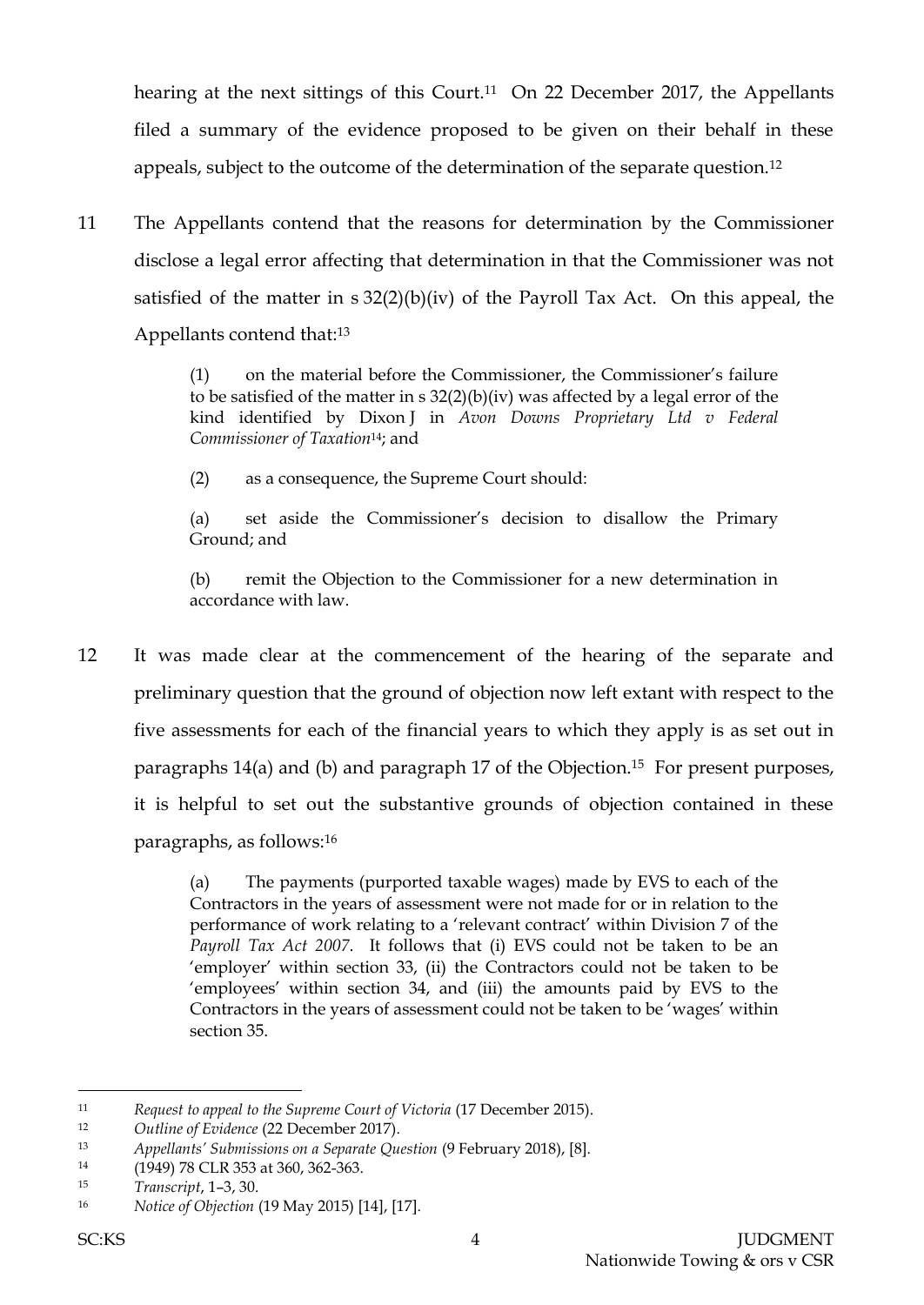hearing at the next sittings of this Court.<sup>11</sup> On 22 December 2017, the Appellants filed a summary of the evidence proposed to be given on their behalf in these appeals, subject to the outcome of the determination of the separate question.<sup>12</sup>

11 The Appellants contend that the reasons for determination by the Commissioner disclose a legal error affecting that determination in that the Commissioner was not satisfied of the matter in s 32(2)(b)(iv) of the Payroll Tax Act. On this appeal, the Appellants contend that:<sup>13</sup>

> (1) on the material before the Commissioner, the Commissioner's failure to be satisfied of the matter in  $s$  32(2)(b)(iv) was affected by a legal error of the kind identified by Dixon J in *Avon Downs Proprietary Ltd v Federal Commissioner of Taxation*14; and

(2) as a consequence, the Supreme Court should:

(a) set aside the Commissioner's decision to disallow the Primary Ground; and

(b) remit the Objection to the Commissioner for a new determination in accordance with law.

12 It was made clear at the commencement of the hearing of the separate and preliminary question that the ground of objection now left extant with respect to the five assessments for each of the financial years to which they apply is as set out in paragraphs 14(a) and (b) and paragraph 17 of the Objection.15 For present purposes, it is helpful to set out the substantive grounds of objection contained in these paragraphs, as follows:<sup>16</sup>

> (a) The payments (purported taxable wages) made by EVS to each of the Contractors in the years of assessment were not made for or in relation to the performance of work relating to a 'relevant contract' within Division 7 of the *Payroll Tax Act 2007*. It follows that (i) EVS could not be taken to be an 'employer' within section 33, (ii) the Contractors could not be taken to be 'employees' within section 34, and (iii) the amounts paid by EVS to the Contractors in the years of assessment could not be taken to be 'wages' within section 35.

<sup>11</sup> *Request to appeal to the Supreme Court of Victoria* (17 December 2015).

<sup>12</sup> *Outline of Evidence* (22 December 2017).

<sup>13</sup> *Appellants' Submissions on a Separate Question* (9 February 2018), [8].

<sup>14</sup> (1949) 78 CLR 353 at 360, 362-363.

<sup>15</sup> *Transcript*, 1–3, 30.

<sup>16</sup> *Notice of Objection* (19 May 2015) [14], [17].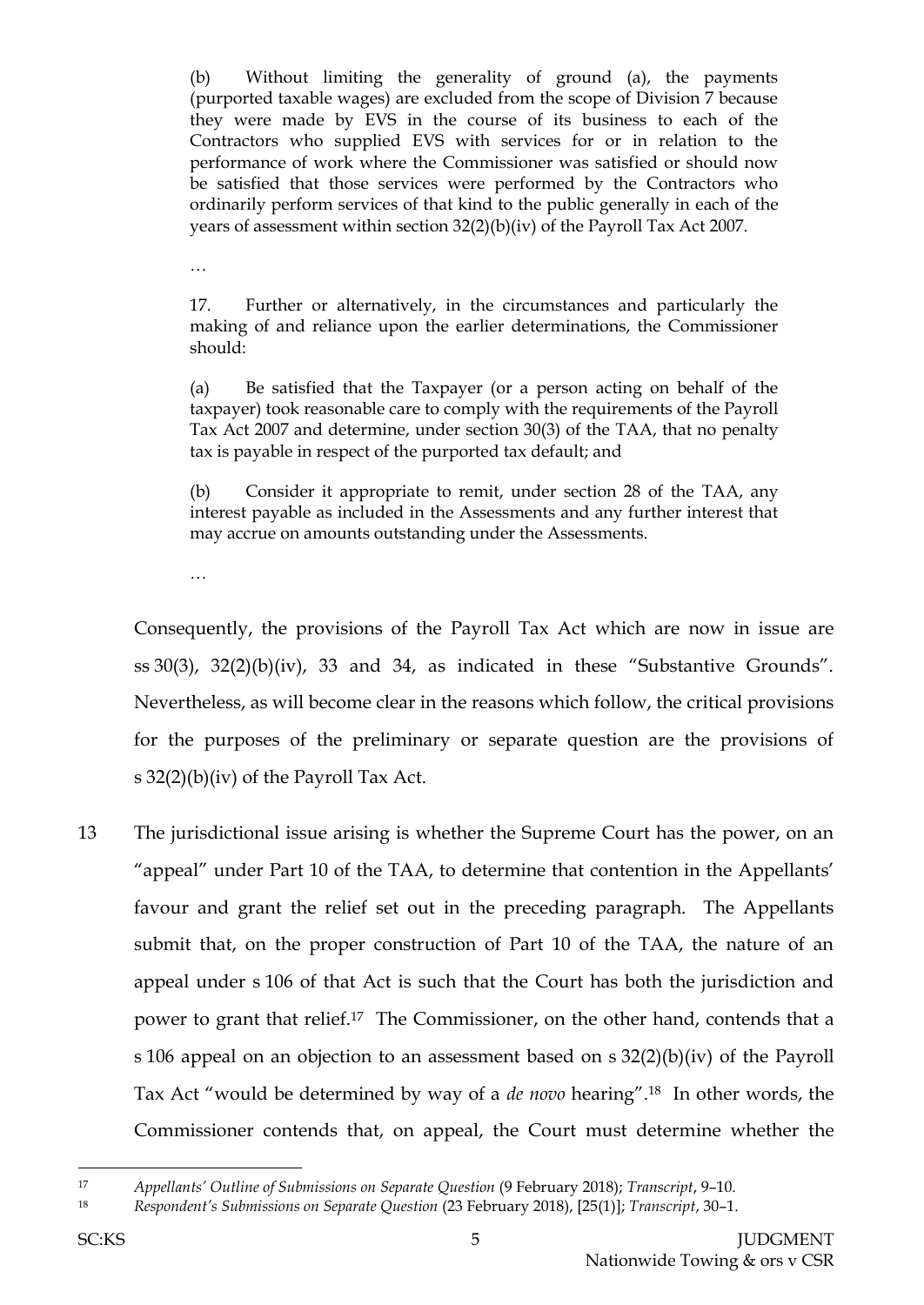(b) Without limiting the generality of ground (a), the payments (purported taxable wages) are excluded from the scope of Division 7 because they were made by EVS in the course of its business to each of the Contractors who supplied EVS with services for or in relation to the performance of work where the Commissioner was satisfied or should now be satisfied that those services were performed by the Contractors who ordinarily perform services of that kind to the public generally in each of the years of assessment within section 32(2)(b)(iv) of the Payroll Tax Act 2007.

…

17. Further or alternatively, in the circumstances and particularly the making of and reliance upon the earlier determinations, the Commissioner should:

(a) Be satisfied that the Taxpayer (or a person acting on behalf of the taxpayer) took reasonable care to comply with the requirements of the Payroll Tax Act 2007 and determine, under section 30(3) of the TAA, that no penalty tax is payable in respect of the purported tax default; and

(b) Consider it appropriate to remit, under section 28 of the TAA, any interest payable as included in the Assessments and any further interest that may accrue on amounts outstanding under the Assessments.

…

Consequently, the provisions of the Payroll Tax Act which are now in issue are ss 30(3), 32(2)(b)(iv), 33 and 34, as indicated in these "Substantive Grounds". Nevertheless, as will become clear in the reasons which follow, the critical provisions for the purposes of the preliminary or separate question are the provisions of s 32(2)(b)(iv) of the Payroll Tax Act.

13 The jurisdictional issue arising is whether the Supreme Court has the power, on an "appeal" under Part 10 of the TAA, to determine that contention in the Appellants' favour and grant the relief set out in the preceding paragraph. The Appellants submit that, on the proper construction of Part 10 of the TAA, the nature of an appeal under s 106 of that Act is such that the Court has both the jurisdiction and power to grant that relief.17 The Commissioner, on the other hand, contends that a s 106 appeal on an objection to an assessment based on s 32(2)(b)(iv) of the Payroll Tax Act "would be determined by way of a *de novo* hearing".<sup>18</sup> In other words, the Commissioner contends that, on appeal, the Court must determine whether the

<sup>17</sup> *Appellants' Outline of Submissions on Separate Question* (9 February 2018); *Transcript*, 9–10.

<sup>18</sup> *Respondent's Submissions on Separate Question* (23 February 2018), [25(1)]; *Transcript*, 30–1.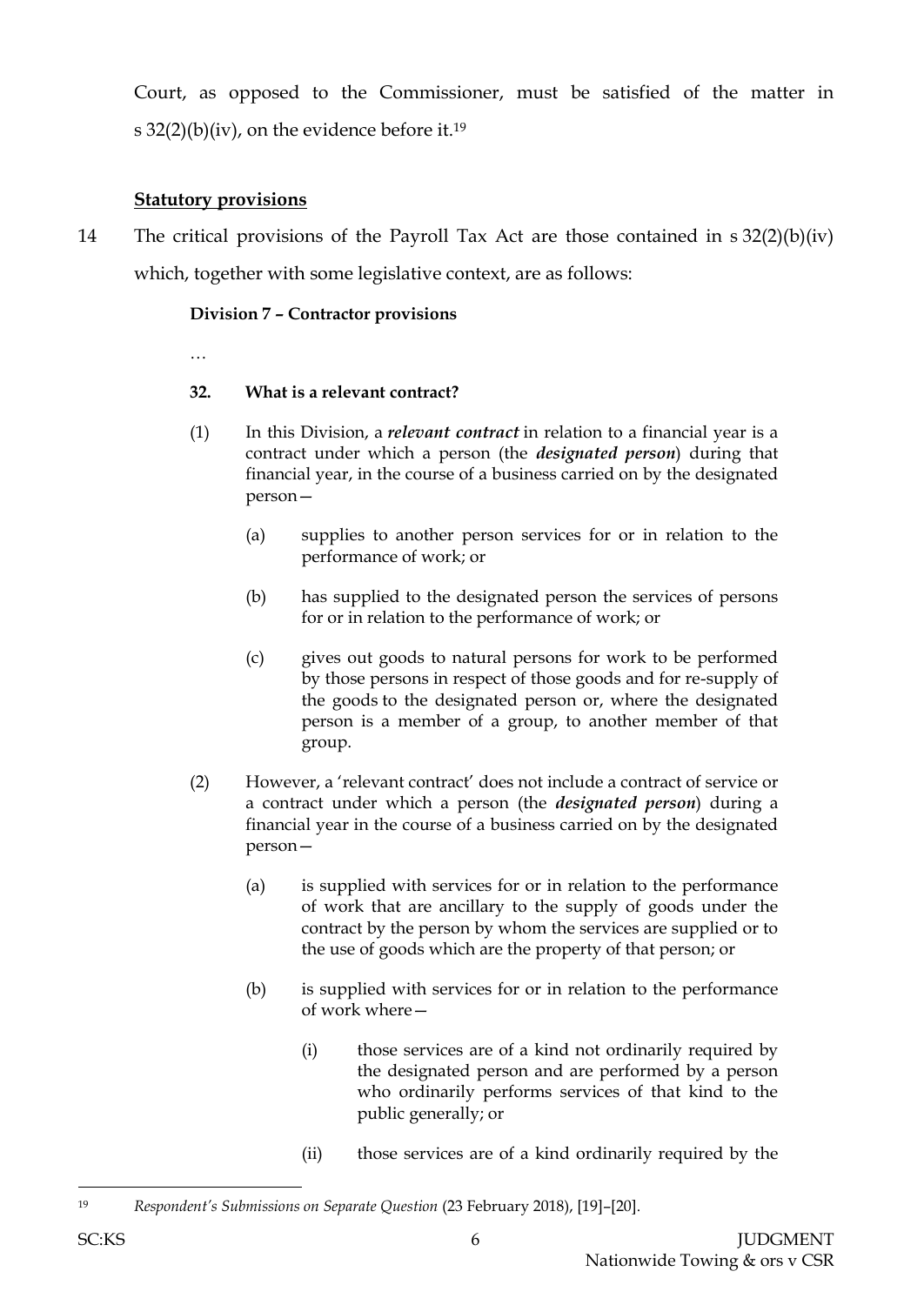Court, as opposed to the Commissioner, must be satisfied of the matter in s 32(2)(b)(iv), on the evidence before it.<sup>19</sup>

# **Statutory provisions**

14 The critical provisions of the Payroll Tax Act are those contained in s 32(2)(b)(iv) which, together with some legislative context, are as follows:

## **Division 7 – Contractor provisions**

…

## **32. What is a relevant contract?**

- (1) In this Division, a *relevant contract* in relation to a financial year is a contract under which a person (the *designated person*) during that financial year, in the course of a business carried on by the designated person—
	- (a) supplies to another person services for or in relation to the performance of work; or
	- (b) has supplied to the designated person the services of persons for or in relation to the performance of work; or
	- (c) gives out goods to natural persons for work to be performed by those persons in respect of those goods and for re-supply of the goods to the designated person or, where the designated person is a member of a group, to another member of that group.
- (2) However, a 'relevant contract' does not include a contract of service or a contract under which a person (the *designated person*) during a financial year in the course of a business carried on by the designated person—
	- (a) is supplied with services for or in relation to the performance of work that are ancillary to the supply of goods under the contract by the person by whom the services are supplied or to the use of goods which are the property of that person; or
	- (b) is supplied with services for or in relation to the performance of work where—
		- (i) those services are of a kind not ordinarily required by the designated person and are performed by a person who ordinarily performs services of that kind to the public generally; or
		- (ii) those services are of a kind ordinarily required by the

l

<sup>19</sup> *Respondent's Submissions on Separate Question* (23 February 2018), [19]–[20].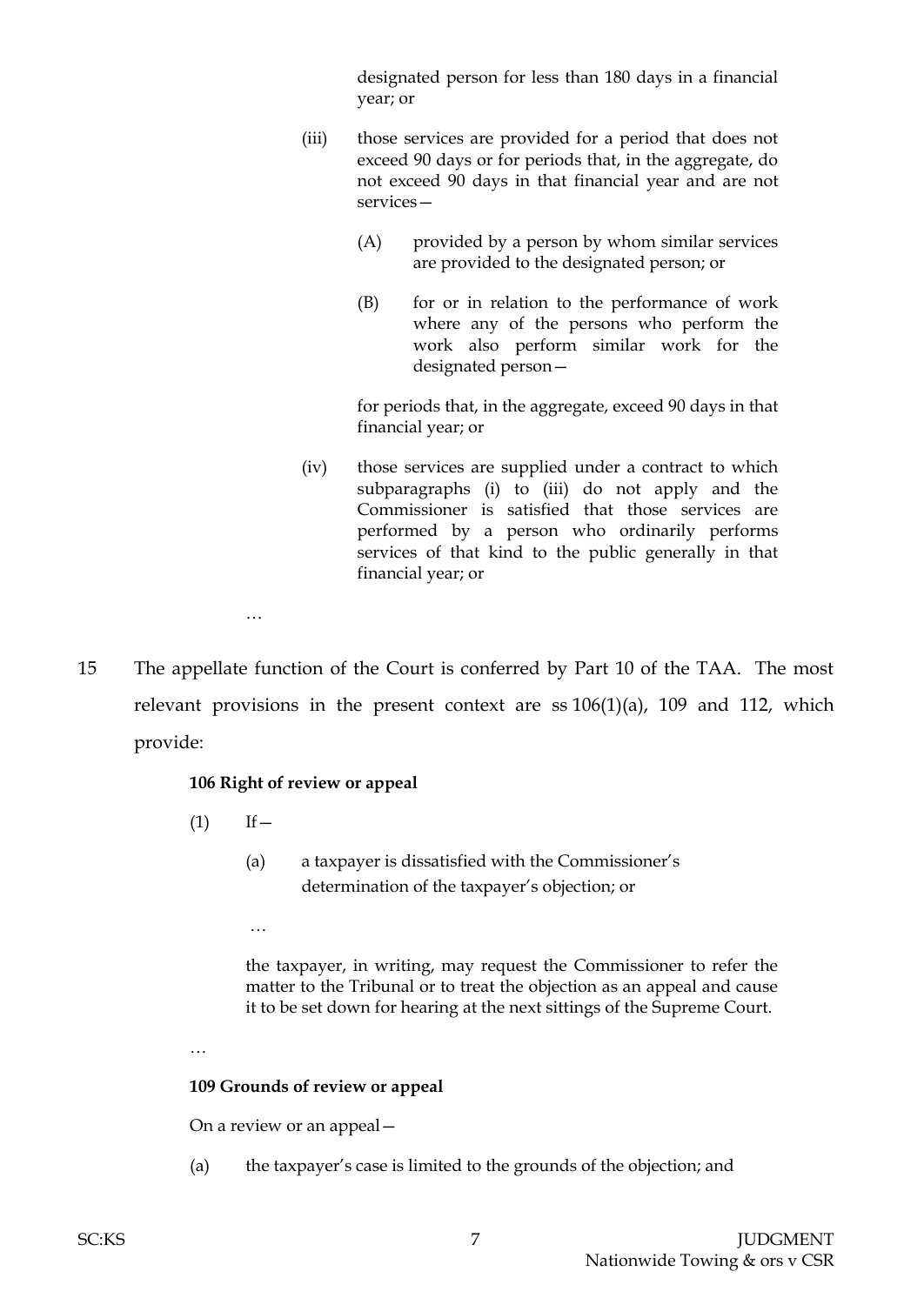designated person for less than 180 days in a financial year; or

- (iii) those services are provided for a period that does not exceed 90 days or for periods that, in the aggregate, do not exceed 90 days in that financial year and are not services—
	- (A) provided by a person by whom similar services are provided to the designated person; or
	- (B) for or in relation to the performance of work where any of the persons who perform the work also perform similar work for the designated person—

for periods that, in the aggregate, exceed 90 days in that financial year; or

(iv) those services are supplied under a contract to which subparagraphs (i) to (iii) do not apply and the Commissioner is satisfied that those services are performed by a person who ordinarily performs services of that kind to the public generally in that financial year; or

…

15 The appellate function of the Court is conferred by Part 10 of the TAA. The most relevant provisions in the present context are  $ss 106(1)(a)$ , 109 and 112, which provide:

#### **106 Right of review or appeal**

- $(1)$  If  $-$ 
	- (a) a taxpayer is dissatisfied with the Commissioner's determination of the taxpayer's objection; or
	- …

the taxpayer, in writing, may request the Commissioner to refer the matter to the Tribunal or to treat the objection as an appeal and cause it to be set down for hearing at the next sittings of the Supreme Court.

…

#### **109 Grounds of review or appeal**

On a review or an appeal—

(a) the taxpayer's case is limited to the grounds of the objection; and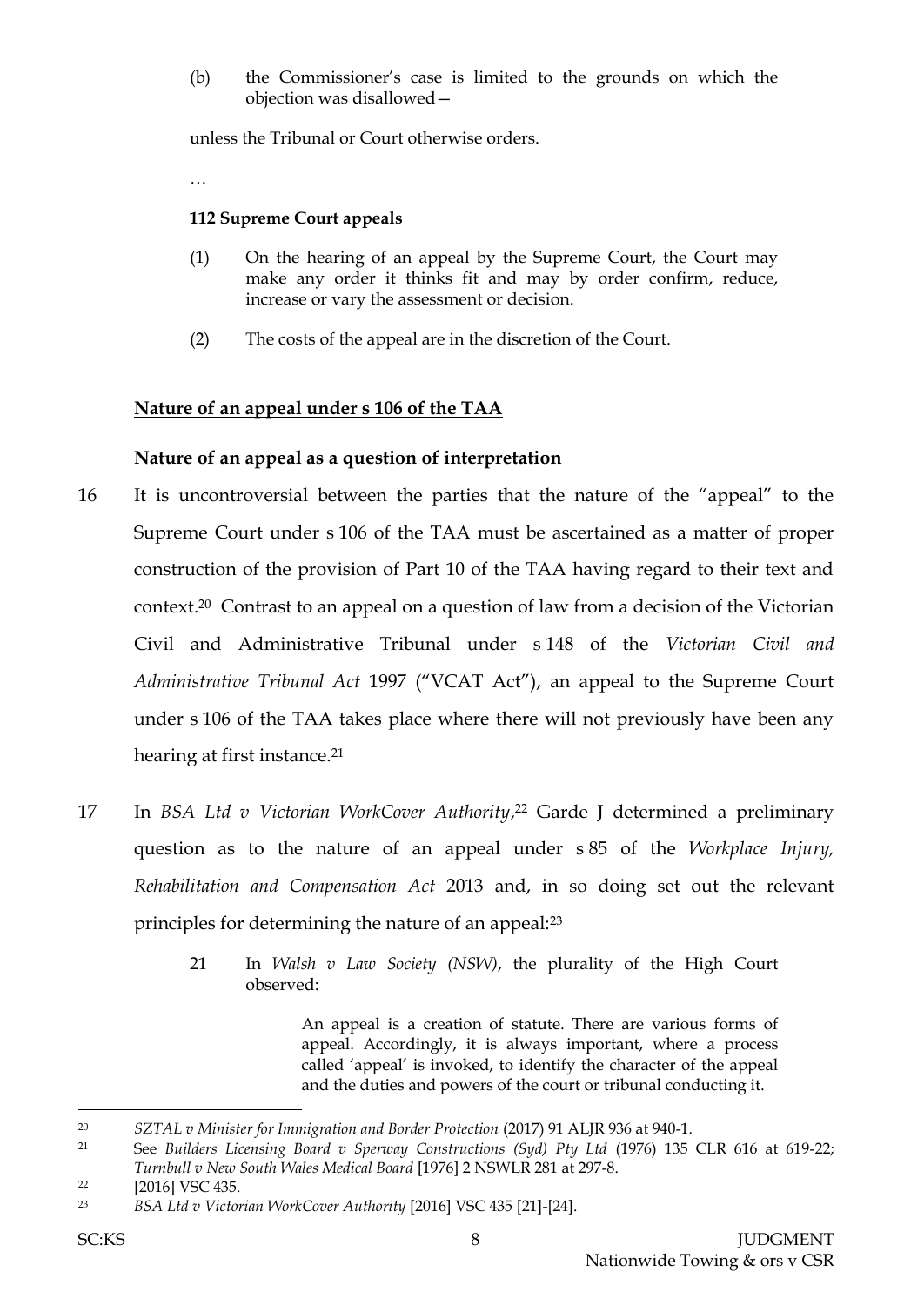(b) the Commissioner's case is limited to the grounds on which the objection was disallowed—

unless the Tribunal or Court otherwise orders.

…

#### **112 Supreme Court appeals**

- (1) On the hearing of an appeal by the Supreme Court, the Court may make any order it thinks fit and may by order confirm, reduce, increase or vary the assessment or decision.
- (2) The costs of the appeal are in the discretion of the Court.

## **Nature of an appeal under s 106 of the TAA**

#### **Nature of an appeal as a question of interpretation**

- 16 It is uncontroversial between the parties that the nature of the "appeal" to the Supreme Court under s 106 of the TAA must be ascertained as a matter of proper construction of the provision of Part 10 of the TAA having regard to their text and context.20 Contrast to an appeal on a question of law from a decision of the Victorian Civil and Administrative Tribunal under s 148 of the *Victorian Civil and Administrative Tribunal Act* 1997 ("VCAT Act"), an appeal to the Supreme Court under s 106 of the TAA takes place where there will not previously have been any hearing at first instance.<sup>21</sup>
- 17 In *BSA Ltd v Victorian WorkCover Authority*, <sup>22</sup> Garde J determined a preliminary question as to the nature of an appeal under s 85 of the *Workplace Injury, Rehabilitation and Compensation Act* 2013 and, in so doing set out the relevant principles for determining the nature of an appeal:<sup>23</sup>
	- 21 In *Walsh v Law Society (NSW)*, the plurality of the High Court observed:

An appeal is a creation of statute. There are various forms of appeal. Accordingly, it is always important, where a process called 'appeal' is invoked, to identify the character of the appeal and the duties and powers of the court or tribunal conducting it.

<sup>20</sup> *SZTAL v Minister for Immigration and Border Protection* (2017) 91 ALJR 936 at 940-1.

<sup>21</sup> See *Builders Licensing Board v Sperway Constructions (Syd) Pty Ltd* (1976) 135 CLR 616 at 619-22; *Turnbull v New South Wales Medical Board* [1976] 2 NSWLR 281 at 297-8.

<sup>&</sup>lt;sup>22</sup> [2016] VSC 435.

<sup>23</sup> *BSA Ltd v Victorian WorkCover Authority* [2016] VSC 435 [21]-[24].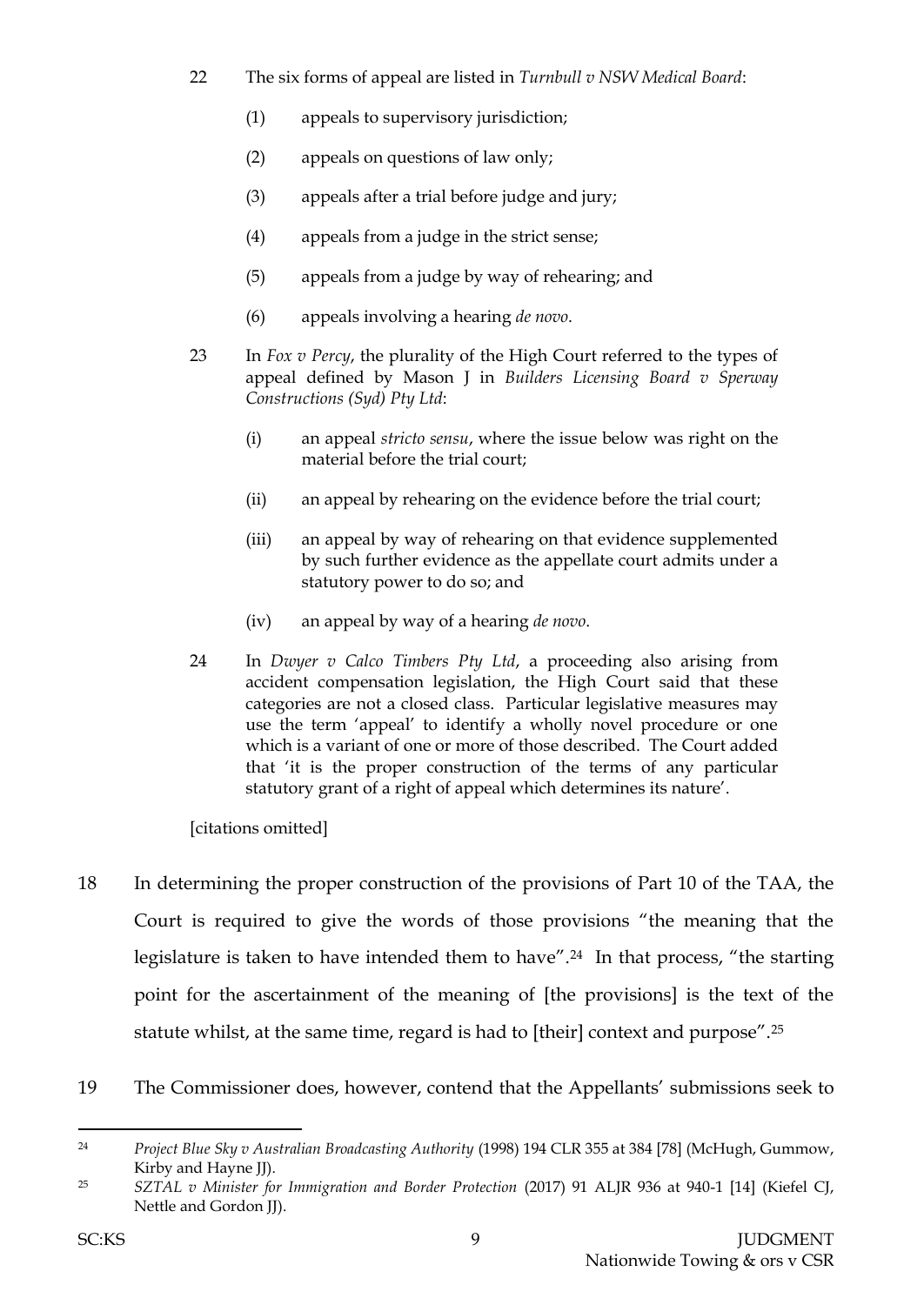- 22 The six forms of appeal are listed in *Turnbull v NSW Medical Board*:
	- (1) appeals to supervisory jurisdiction;
	- (2) appeals on questions of law only;
	- (3) appeals after a trial before judge and jury;
	- (4) appeals from a judge in the strict sense;
	- (5) appeals from a judge by way of rehearing; and
	- (6) appeals involving a hearing *de novo*.
- 23 In *Fox v Percy*, the plurality of the High Court referred to the types of appeal defined by Mason J in *Builders Licensing Board v Sperway Constructions (Syd) Pty Ltd*:
	- (i) an appeal *stricto sensu*, where the issue below was right on the material before the trial court;
	- (ii) an appeal by rehearing on the evidence before the trial court;
	- (iii) an appeal by way of rehearing on that evidence supplemented by such further evidence as the appellate court admits under a statutory power to do so; and
	- (iv) an appeal by way of a hearing *de novo*.
- 24 In *Dwyer v Calco Timbers Pty Ltd*, a proceeding also arising from accident compensation legislation, the High Court said that these categories are not a closed class. Particular legislative measures may use the term 'appeal' to identify a wholly novel procedure or one which is a variant of one or more of those described. The Court added that 'it is the proper construction of the terms of any particular statutory grant of a right of appeal which determines its nature'.

[citations omitted]

- 18 In determining the proper construction of the provisions of Part 10 of the TAA, the Court is required to give the words of those provisions "the meaning that the legislature is taken to have intended them to have".<sup>24</sup> In that process, "the starting point for the ascertainment of the meaning of [the provisions] is the text of the statute whilst, at the same time, regard is had to [their] context and purpose".<sup>25</sup>
- 19 The Commissioner does, however, contend that the Appellants' submissions seek to

<sup>24</sup> *Project Blue Sky v Australian Broadcasting Authority* (1998) 194 CLR 355 at 384 [78] (McHugh, Gummow, Kirby and Hayne JJ).

<sup>25</sup> *SZTAL v Minister for Immigration and Border Protection* (2017) 91 ALJR 936 at 940-1 [14] (Kiefel CJ, Nettle and Gordon JJ).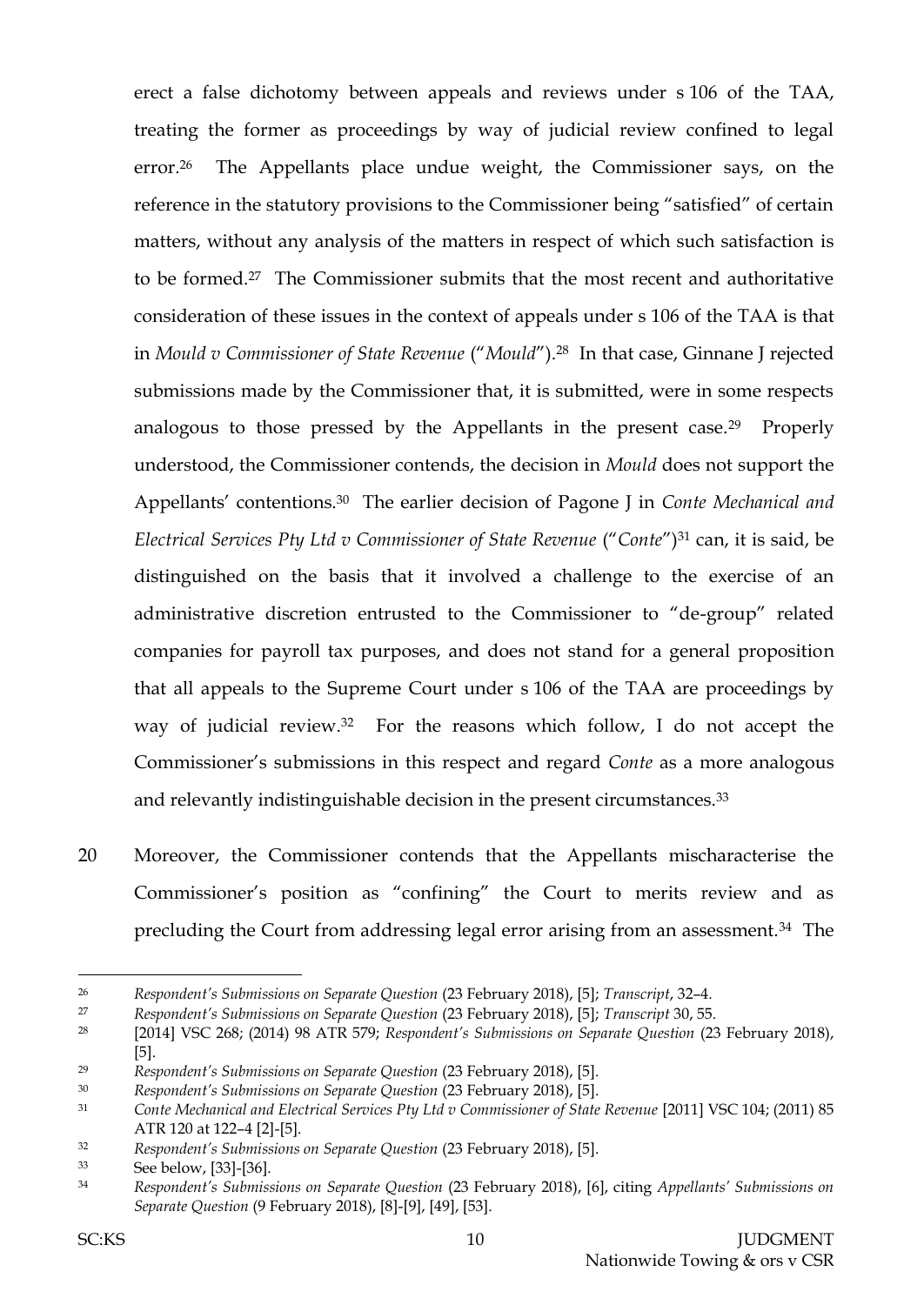erect a false dichotomy between appeals and reviews under s 106 of the TAA, treating the former as proceedings by way of judicial review confined to legal error.26 The Appellants place undue weight, the Commissioner says, on the reference in the statutory provisions to the Commissioner being "satisfied" of certain matters, without any analysis of the matters in respect of which such satisfaction is to be formed.27 The Commissioner submits that the most recent and authoritative consideration of these issues in the context of appeals under s 106 of the TAA is that in *Mould v Commissioner of State Revenue* ("*Mould*"). <sup>28</sup> In that case, Ginnane J rejected submissions made by the Commissioner that, it is submitted, were in some respects analogous to those pressed by the Appellants in the present case.29 Properly understood, the Commissioner contends, the decision in *Mould* does not support the Appellants' contentions.30 The earlier decision of Pagone J in *Conte Mechanical and Electrical Services Pty Ltd v Commissioner of State Revenue* ("*Conte*")<sup>31</sup> can, it is said, be distinguished on the basis that it involved a challenge to the exercise of an administrative discretion entrusted to the Commissioner to "de-group" related companies for payroll tax purposes, and does not stand for a general proposition that all appeals to the Supreme Court under s 106 of the TAA are proceedings by way of judicial review.32 For the reasons which follow, I do not accept the Commissioner's submissions in this respect and regard *Conte* as a more analogous and relevantly indistinguishable decision in the present circumstances.<sup>33</sup>

20 Moreover, the Commissioner contends that the Appellants mischaracterise the Commissioner's position as "confining" the Court to merits review and as precluding the Court from addressing legal error arising from an assessment.34 The

<sup>26</sup> *Respondent's Submissions on Separate Question* (23 February 2018), [5]; *Transcript*, 32–4.

<sup>27</sup> *Respondent's Submissions on Separate Question* (23 February 2018), [5]; *Transcript* 30, 55.

<sup>28</sup> [2014] VSC 268; (2014) 98 ATR 579; *Respondent's Submissions on Separate Question* (23 February 2018), [5].

<sup>29</sup> *Respondent's Submissions on Separate Question* (23 February 2018), [5].

<sup>30</sup> *Respondent's Submissions on Separate Question* (23 February 2018), [5].

<sup>31</sup> *Conte Mechanical and Electrical Services Pty Ltd v Commissioner of State Revenue* [2011] VSC 104; (2011) 85 ATR 120 at 122–4 [2]-[5].

<sup>32</sup> *Respondent's Submissions on Separate Question* (23 February 2018), [5].

<sup>33</sup> See below, [33]-[36].

<sup>34</sup> *Respondent's Submissions on Separate Question* (23 February 2018), [6], citing *Appellants' Submissions on Separate Question* (9 February 2018), [8]-[9], [49], [53].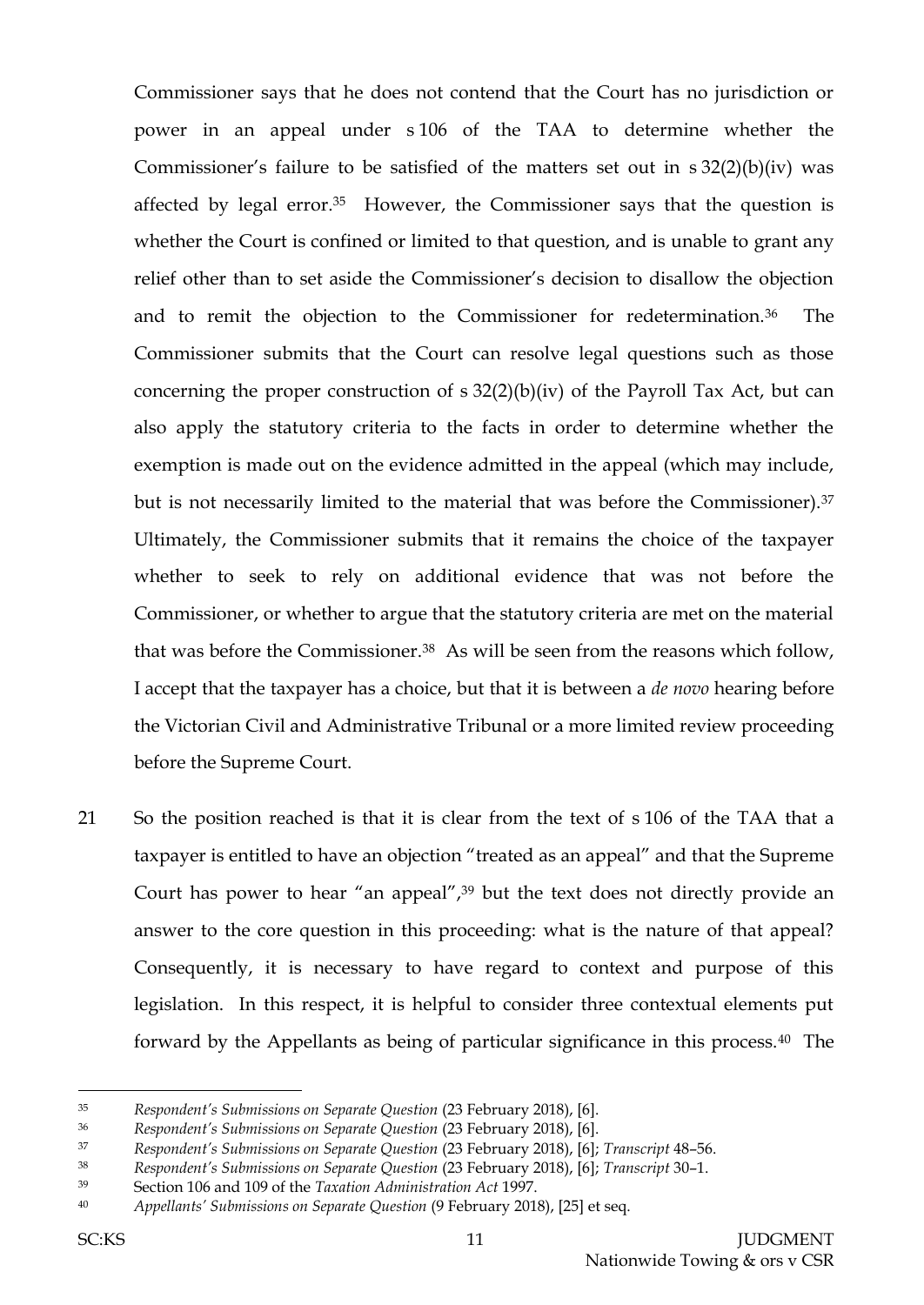Commissioner says that he does not contend that the Court has no jurisdiction or power in an appeal under s 106 of the TAA to determine whether the Commissioner's failure to be satisfied of the matters set out in s 32(2)(b)(iv) was affected by legal error.35 However, the Commissioner says that the question is whether the Court is confined or limited to that question, and is unable to grant any relief other than to set aside the Commissioner's decision to disallow the objection and to remit the objection to the Commissioner for redetermination.36 The Commissioner submits that the Court can resolve legal questions such as those concerning the proper construction of s 32(2)(b)(iv) of the Payroll Tax Act, but can also apply the statutory criteria to the facts in order to determine whether the exemption is made out on the evidence admitted in the appeal (which may include, but is not necessarily limited to the material that was before the Commissioner).<sup>37</sup> Ultimately, the Commissioner submits that it remains the choice of the taxpayer whether to seek to rely on additional evidence that was not before the Commissioner, or whether to argue that the statutory criteria are met on the material that was before the Commissioner.<sup>38</sup> As will be seen from the reasons which follow, I accept that the taxpayer has a choice, but that it is between a *de novo* hearing before the Victorian Civil and Administrative Tribunal or a more limited review proceeding before the Supreme Court.

21 So the position reached is that it is clear from the text of s 106 of the TAA that a taxpayer is entitled to have an objection "treated as an appeal" and that the Supreme Court has power to hear "an appeal",<sup>39</sup> but the text does not directly provide an answer to the core question in this proceeding: what is the nature of that appeal? Consequently, it is necessary to have regard to context and purpose of this legislation. In this respect, it is helpful to consider three contextual elements put forward by the Appellants as being of particular significance in this process.40 The

<sup>35</sup> *Respondent's Submissions on Separate Question* (23 February 2018), [6].

<sup>36</sup> *Respondent's Submissions on Separate Question* (23 February 2018), [6].

<sup>37</sup> *Respondent's Submissions on Separate Question* (23 February 2018), [6]; *Transcript* 48–56.

<sup>38</sup> *Respondent's Submissions on Separate Question* (23 February 2018), [6]; *Transcript* 30–1.

<sup>39</sup> Section 106 and 109 of the *Taxation Administration Act* 1997.

<sup>40</sup> *Appellants' Submissions on Separate Question* (9 February 2018), [25] et seq.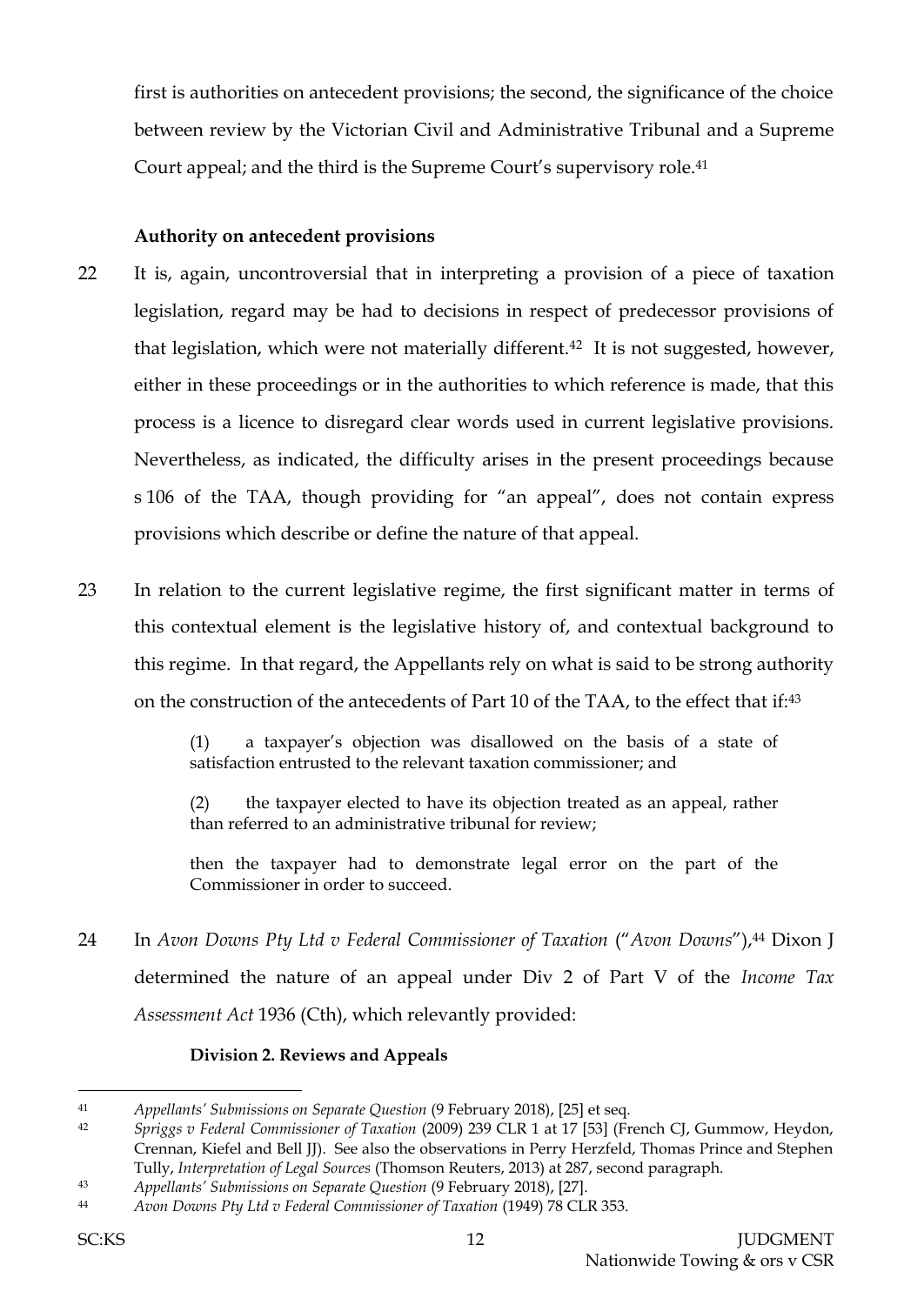first is authorities on antecedent provisions; the second, the significance of the choice between review by the Victorian Civil and Administrative Tribunal and a Supreme Court appeal; and the third is the Supreme Court's supervisory role.<sup>41</sup>

## **Authority on antecedent provisions**

- 22 It is, again, uncontroversial that in interpreting a provision of a piece of taxation legislation, regard may be had to decisions in respect of predecessor provisions of that legislation, which were not materially different.<sup>42</sup> It is not suggested, however, either in these proceedings or in the authorities to which reference is made, that this process is a licence to disregard clear words used in current legislative provisions. Nevertheless, as indicated, the difficulty arises in the present proceedings because s 106 of the TAA, though providing for "an appeal", does not contain express provisions which describe or define the nature of that appeal.
- 23 In relation to the current legislative regime, the first significant matter in terms of this contextual element is the legislative history of, and contextual background to this regime. In that regard, the Appellants rely on what is said to be strong authority on the construction of the antecedents of Part 10 of the TAA, to the effect that if:<sup>43</sup>

(1) a taxpayer's objection was disallowed on the basis of a state of satisfaction entrusted to the relevant taxation commissioner; and

(2) the taxpayer elected to have its objection treated as an appeal, rather than referred to an administrative tribunal for review;

then the taxpayer had to demonstrate legal error on the part of the Commissioner in order to succeed.

24 In *Avon Downs Pty Ltd v Federal Commissioner of Taxation* ("*Avon Downs*"), <sup>44</sup> Dixon J determined the nature of an appeal under Div 2 of Part V of the *Income Tax Assessment Act* 1936 (Cth), which relevantly provided:

## **Division 2. Reviews and Appeals**

<sup>41</sup> *Appellants' Submissions on Separate Question* (9 February 2018), [25] et seq.

<sup>42</sup> *Spriggs v Federal Commissioner of Taxation* (2009) 239 CLR 1 at 17 [53] (French CJ, Gummow, Heydon, Crennan, Kiefel and Bell JJ). See also the observations in Perry Herzfeld, Thomas Prince and Stephen Tully, *Interpretation of Legal Sources* (Thomson Reuters, 2013) at 287, second paragraph.

<sup>43</sup> *Appellants' Submissions on Separate Question* (9 February 2018), [27].

<sup>44</sup> *Avon Downs Pty Ltd v Federal Commissioner of Taxation* (1949) 78 CLR 353.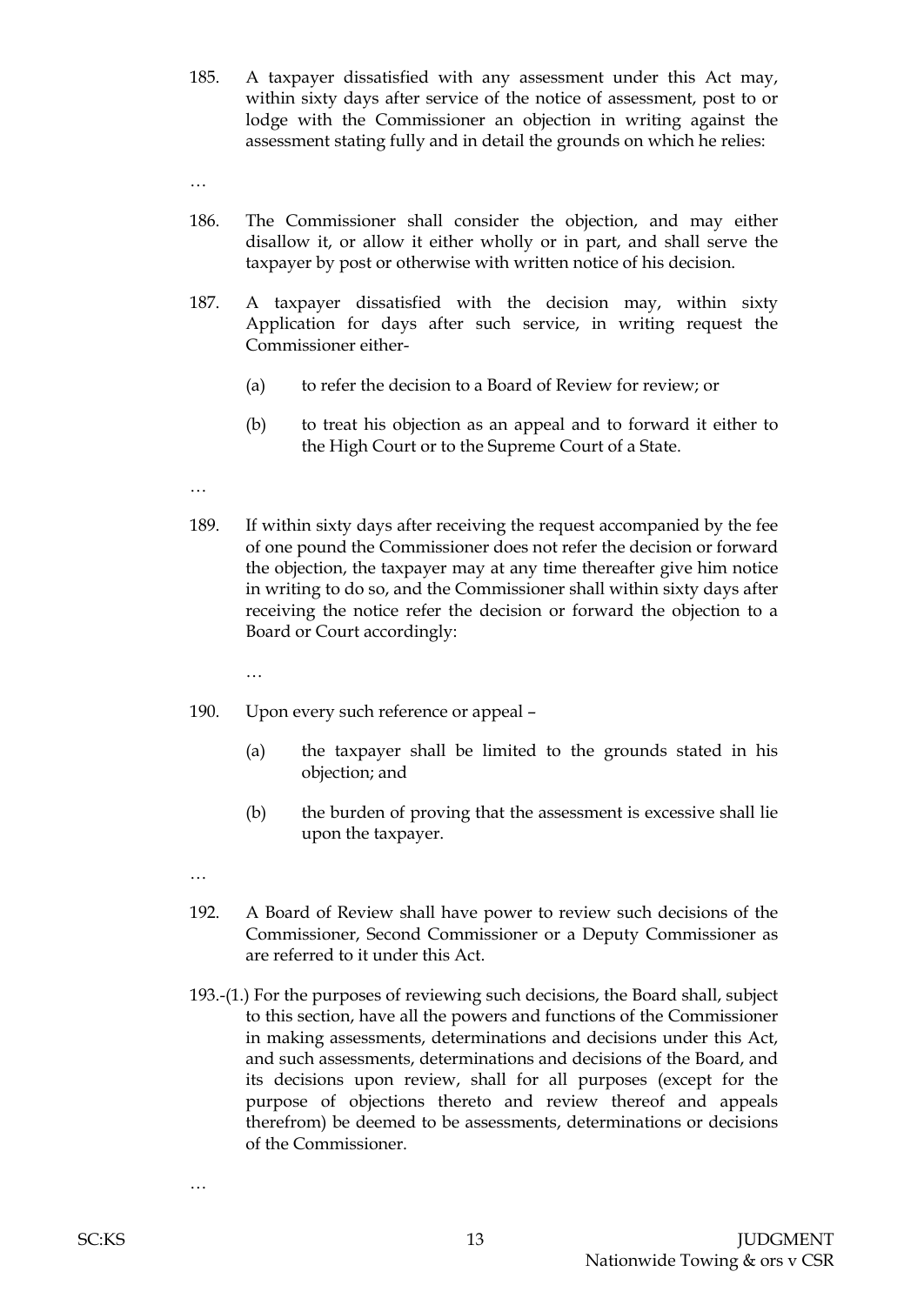185. A taxpayer dissatisfied with any assessment under this Act may, within sixty days after service of the notice of assessment, post to or lodge with the Commissioner an objection in writing against the assessment stating fully and in detail the grounds on which he relies:

- …
- 186. The Commissioner shall consider the objection, and may either disallow it, or allow it either wholly or in part, and shall serve the taxpayer by post or otherwise with written notice of his decision.
- 187. A taxpayer dissatisfied with the decision may, within sixty Application for days after such service, in writing request the Commissioner either-
	- (a) to refer the decision to a Board of Review for review; or
	- (b) to treat his objection as an appeal and to forward it either to the High Court or to the Supreme Court of a State.
- …
- 189. If within sixty days after receiving the request accompanied by the fee of one pound the Commissioner does not refer the decision or forward the objection, the taxpayer may at any time thereafter give him notice in writing to do so, and the Commissioner shall within sixty days after receiving the notice refer the decision or forward the objection to a Board or Court accordingly:
	- …
- 190. Upon every such reference or appeal
	- (a) the taxpayer shall be limited to the grounds stated in his objection; and
	- (b) the burden of proving that the assessment is excessive shall lie upon the taxpayer.
- …
- 192. A Board of Review shall have power to review such decisions of the Commissioner, Second Commissioner or a Deputy Commissioner as are referred to it under this Act.
- 193.-(1.) For the purposes of reviewing such decisions, the Board shall, subject to this section, have all the powers and functions of the Commissioner in making assessments, determinations and decisions under this Act, and such assessments, determinations and decisions of the Board, and its decisions upon review, shall for all purposes (except for the purpose of objections thereto and review thereof and appeals therefrom) be deemed to be assessments, determinations or decisions of the Commissioner.

…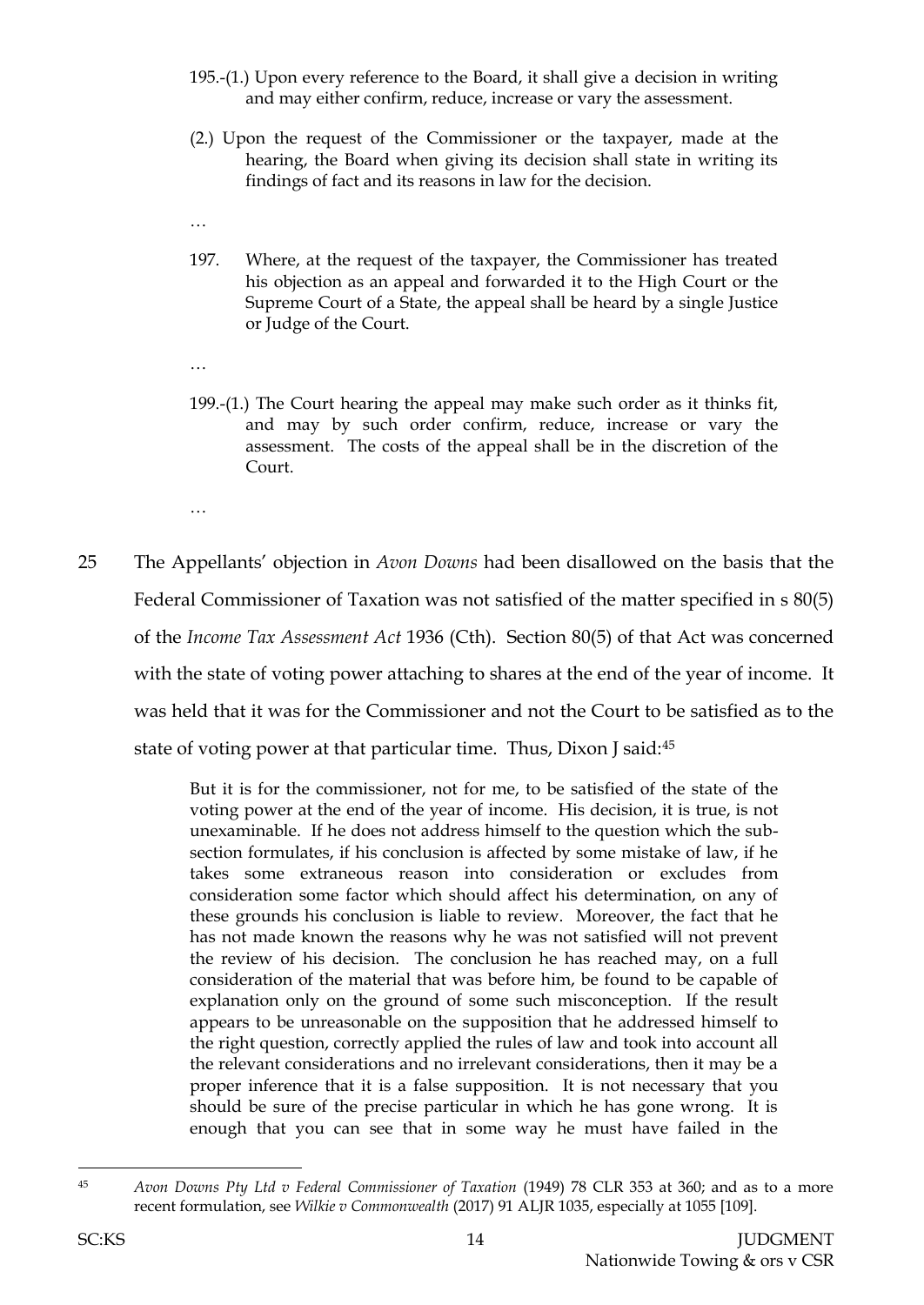- 195.-(1.) Upon every reference to the Board, it shall give a decision in writing and may either confirm, reduce, increase or vary the assessment.
- (2.) Upon the request of the Commissioner or the taxpayer, made at the hearing, the Board when giving its decision shall state in writing its findings of fact and its reasons in law for the decision.
- …
- 197. Where, at the request of the taxpayer, the Commissioner has treated his objection as an appeal and forwarded it to the High Court or the Supreme Court of a State, the appeal shall be heard by a single Justice or Judge of the Court.
- …
- 199.-(1.) The Court hearing the appeal may make such order as it thinks fit, and may by such order confirm, reduce, increase or vary the assessment. The costs of the appeal shall be in the discretion of the Court.
- …
- 25 The Appellants' objection in *Avon Downs* had been disallowed on the basis that the Federal Commissioner of Taxation was not satisfied of the matter specified in s 80(5) of the *Income Tax Assessment Act* 1936 (Cth). Section 80(5) of that Act was concerned with the state of voting power attaching to shares at the end of the year of income. It was held that it was for the Commissioner and not the Court to be satisfied as to the state of voting power at that particular time. Thus, Dixon J said:<sup>45</sup>

But it is for the commissioner, not for me, to be satisfied of the state of the voting power at the end of the year of income. His decision, it is true, is not unexaminable. If he does not address himself to the question which the subsection formulates, if his conclusion is affected by some mistake of law, if he takes some extraneous reason into consideration or excludes from consideration some factor which should affect his determination, on any of these grounds his conclusion is liable to review. Moreover, the fact that he has not made known the reasons why he was not satisfied will not prevent the review of his decision. The conclusion he has reached may, on a full consideration of the material that was before him, be found to be capable of explanation only on the ground of some such misconception. If the result appears to be unreasonable on the supposition that he addressed himself to the right question, correctly applied the rules of law and took into account all the relevant considerations and no irrelevant considerations, then it may be a proper inference that it is a false supposition. It is not necessary that you should be sure of the precise particular in which he has gone wrong. It is enough that you can see that in some way he must have failed in the

 $\overline{a}$ <sup>45</sup> *Avon Downs Pty Ltd v Federal Commissioner of Taxation* (1949) 78 CLR 353 at 360; and as to a more recent formulation, see *Wilkie v Commonwealth* (2017) 91 ALJR 1035, especially at 1055 [109].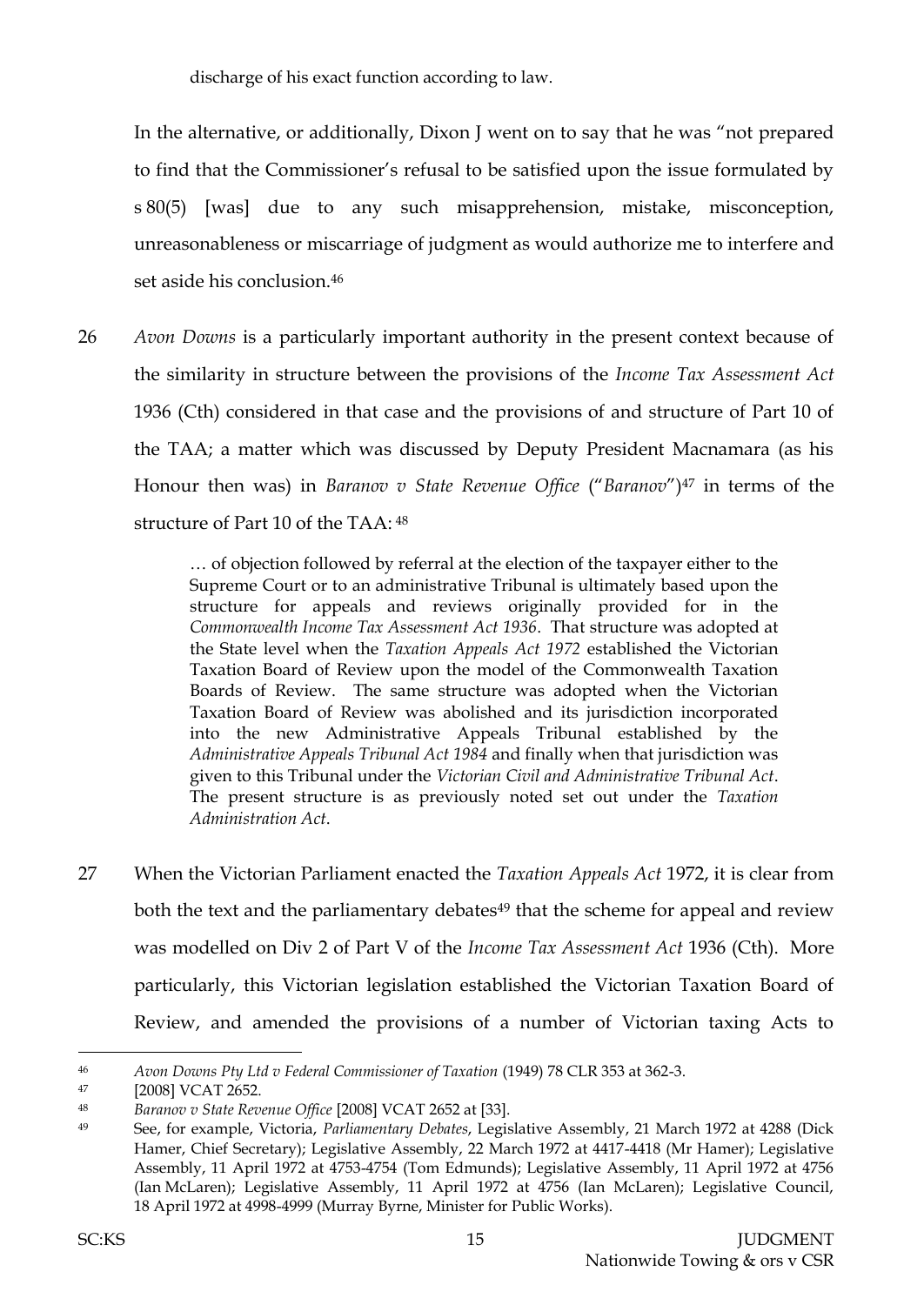discharge of his exact function according to law.

In the alternative, or additionally, Dixon J went on to say that he was "not prepared to find that the Commissioner's refusal to be satisfied upon the issue formulated by s 80(5) [was] due to any such misapprehension, mistake, misconception, unreasonableness or miscarriage of judgment as would authorize me to interfere and set aside his conclusion.<sup>46</sup>

26 *Avon Downs* is a particularly important authority in the present context because of the similarity in structure between the provisions of the *Income Tax Assessment Act* 1936 (Cth) considered in that case and the provisions of and structure of Part 10 of the TAA; a matter which was discussed by Deputy President Macnamara (as his Honour then was) in *Baranov v State Revenue Office* ("*Baranov*")<sup>47</sup> in terms of the structure of Part 10 of the TAA: <sup>48</sup>

> … of objection followed by referral at the election of the taxpayer either to the Supreme Court or to an administrative Tribunal is ultimately based upon the structure for appeals and reviews originally provided for in the *Commonwealth Income Tax Assessment Act 1936*. That structure was adopted at the State level when the *Taxation Appeals Act 1972* established the Victorian Taxation Board of Review upon the model of the Commonwealth Taxation Boards of Review. The same structure was adopted when the Victorian Taxation Board of Review was abolished and its jurisdiction incorporated into the new Administrative Appeals Tribunal established by the *Administrative Appeals Tribunal Act 1984* and finally when that jurisdiction was given to this Tribunal under the *Victorian Civil and Administrative Tribunal Act*. The present structure is as previously noted set out under the *Taxation Administration Act*.

27 When the Victorian Parliament enacted the *Taxation Appeals Act* 1972, it is clear from both the text and the parliamentary debates<sup>49</sup> that the scheme for appeal and review was modelled on Div 2 of Part V of the *Income Tax Assessment Act* 1936 (Cth). More particularly, this Victorian legislation established the Victorian Taxation Board of Review, and amended the provisions of a number of Victorian taxing Acts to

<sup>46</sup> *Avon Downs Pty Ltd v Federal Commissioner of Taxation* (1949) 78 CLR 353 at 362-3.

<sup>47</sup> [2008] VCAT 2652.

<sup>48</sup> *Baranov v State Revenue Office* [2008] VCAT 2652 at [33].

<sup>49</sup> See, for example, Victoria, *Parliamentary Debates*, Legislative Assembly, 21 March 1972 at 4288 (Dick Hamer, Chief Secretary); Legislative Assembly, 22 March 1972 at 4417-4418 (Mr Hamer); Legislative Assembly, 11 April 1972 at 4753-4754 (Tom Edmunds); Legislative Assembly, 11 April 1972 at 4756 (Ian McLaren); Legislative Assembly, 11 April 1972 at 4756 (Ian McLaren); Legislative Council, 18 April 1972 at 4998-4999 (Murray Byrne, Minister for Public Works).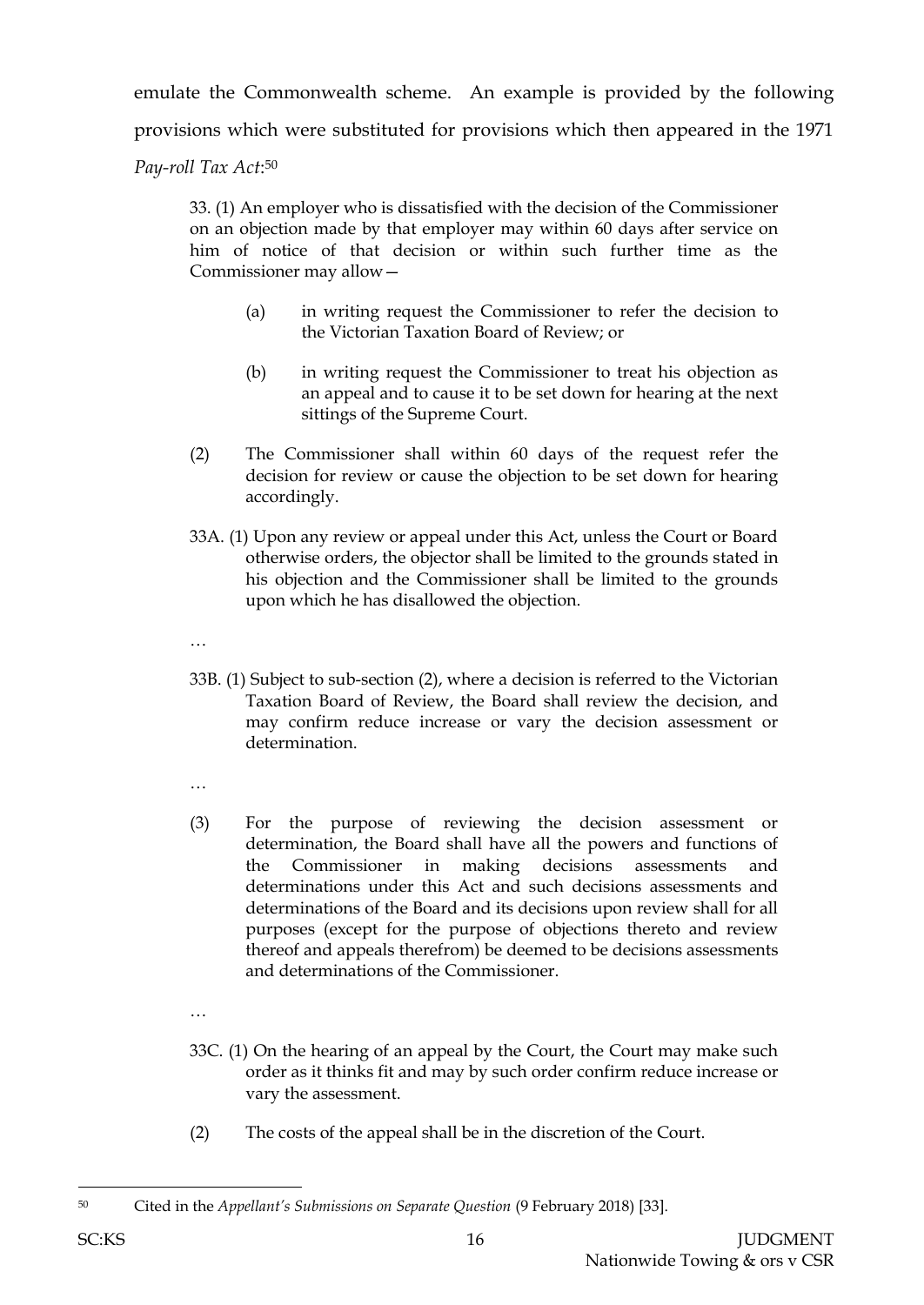emulate the Commonwealth scheme. An example is provided by the following provisions which were substituted for provisions which then appeared in the 1971 *Pay-roll Tax Act*: 50

33. (1) An employer who is dissatisfied with the decision of the Commissioner on an objection made by that employer may within 60 days after service on him of notice of that decision or within such further time as the Commissioner may allow—

- (a) in writing request the Commissioner to refer the decision to the Victorian Taxation Board of Review; or
- (b) in writing request the Commissioner to treat his objection as an appeal and to cause it to be set down for hearing at the next sittings of the Supreme Court.
- (2) The Commissioner shall within 60 days of the request refer the decision for review or cause the objection to be set down for hearing accordingly.
- 33A. (1) Upon any review or appeal under this Act, unless the Court or Board otherwise orders, the objector shall be limited to the grounds stated in his objection and the Commissioner shall be limited to the grounds upon which he has disallowed the objection.
- …
- 33B. (1) Subject to sub-section (2), where a decision is referred to the Victorian Taxation Board of Review, the Board shall review the decision, and may confirm reduce increase or vary the decision assessment or determination.
- …
- (3) For the purpose of reviewing the decision assessment or determination, the Board shall have all the powers and functions of the Commissioner in making decisions assessments and determinations under this Act and such decisions assessments and determinations of the Board and its decisions upon review shall for all purposes (except for the purpose of objections thereto and review thereof and appeals therefrom) be deemed to be decisions assessments and determinations of the Commissioner.
- …
- 33C. (1) On the hearing of an appeal by the Court, the Court may make such order as it thinks fit and may by such order confirm reduce increase or vary the assessment.
- (2) The costs of the appeal shall be in the discretion of the Court.

l

<sup>50</sup> Cited in the *Appellant's Submissions on Separate Question* (9 February 2018) [33].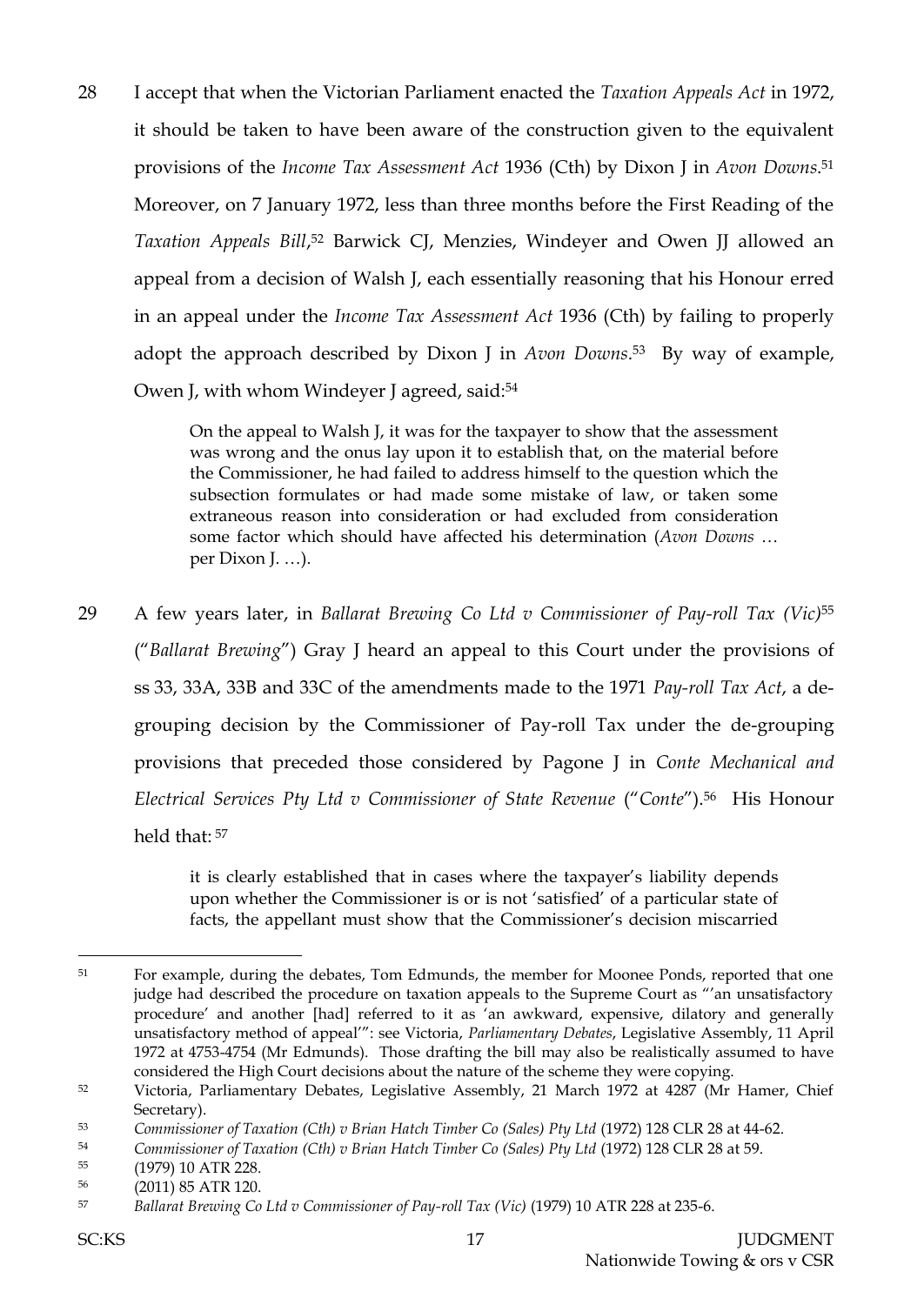28 I accept that when the Victorian Parliament enacted the *Taxation Appeals Act* in 1972, it should be taken to have been aware of the construction given to the equivalent provisions of the *Income Tax Assessment Act* 1936 (Cth) by Dixon J in *Avon Downs*. 51 Moreover, on 7 January 1972, less than three months before the First Reading of the *Taxation Appeals Bill*, <sup>52</sup> Barwick CJ, Menzies, Windeyer and Owen JJ allowed an appeal from a decision of Walsh J, each essentially reasoning that his Honour erred in an appeal under the *Income Tax Assessment Act* 1936 (Cth) by failing to properly adopt the approach described by Dixon J in *Avon Downs*. <sup>53</sup> By way of example, Owen J, with whom Windeyer J agreed, said:<sup>54</sup>

> On the appeal to Walsh J, it was for the taxpayer to show that the assessment was wrong and the onus lay upon it to establish that, on the material before the Commissioner, he had failed to address himself to the question which the subsection formulates or had made some mistake of law, or taken some extraneous reason into consideration or had excluded from consideration some factor which should have affected his determination (*Avon Downs* … per Dixon J. …).

29 A few years later, in *Ballarat Brewing Co Ltd v Commissioner of Pay-roll Tax (Vic)*<sup>55</sup> ("*Ballarat Brewing*") Gray J heard an appeal to this Court under the provisions of ss 33, 33A, 33B and 33C of the amendments made to the 1971 *Pay-roll Tax Act*, a degrouping decision by the Commissioner of Pay-roll Tax under the de-grouping provisions that preceded those considered by Pagone J in *Conte Mechanical and Electrical Services Pty Ltd v Commissioner of State Revenue* ("*Conte*"). <sup>56</sup> His Honour held that: <sup>57</sup>

> it is clearly established that in cases where the taxpayer's liability depends upon whether the Commissioner is or is not 'satisfied' of a particular state of facts, the appellant must show that the Commissioner's decision miscarried

<sup>&</sup>lt;sup>51</sup> For example, during the debates, Tom Edmunds, the member for Moonee Ponds, reported that one judge had described the procedure on taxation appeals to the Supreme Court as "'an unsatisfactory procedure' and another [had] referred to it as 'an awkward, expensive, dilatory and generally unsatisfactory method of appeal'": see Victoria, *Parliamentary Debates*, Legislative Assembly, 11 April 1972 at 4753-4754 (Mr Edmunds). Those drafting the bill may also be realistically assumed to have considered the High Court decisions about the nature of the scheme they were copying.

<sup>&</sup>lt;sup>52</sup> Victoria, Parliamentary Debates, Legislative Assembly, 21 March 1972 at 4287 (Mr Hamer, Chief Secretary).

<sup>53</sup> *Commissioner of Taxation (Cth) v Brian Hatch Timber Co (Sales) Pty Ltd* (1972) 128 CLR 28 at 44-62.

<sup>54</sup> *Commissioner of Taxation (Cth) v Brian Hatch Timber Co (Sales) Pty Ltd* (1972) 128 CLR 28 at 59.

<sup>55</sup> (1979) 10 ATR 228.

<sup>56</sup> (2011) 85 ATR 120.

<sup>57</sup> *Ballarat Brewing Co Ltd v Commissioner of Pay-roll Tax (Vic)* (1979) 10 ATR 228 at 235-6.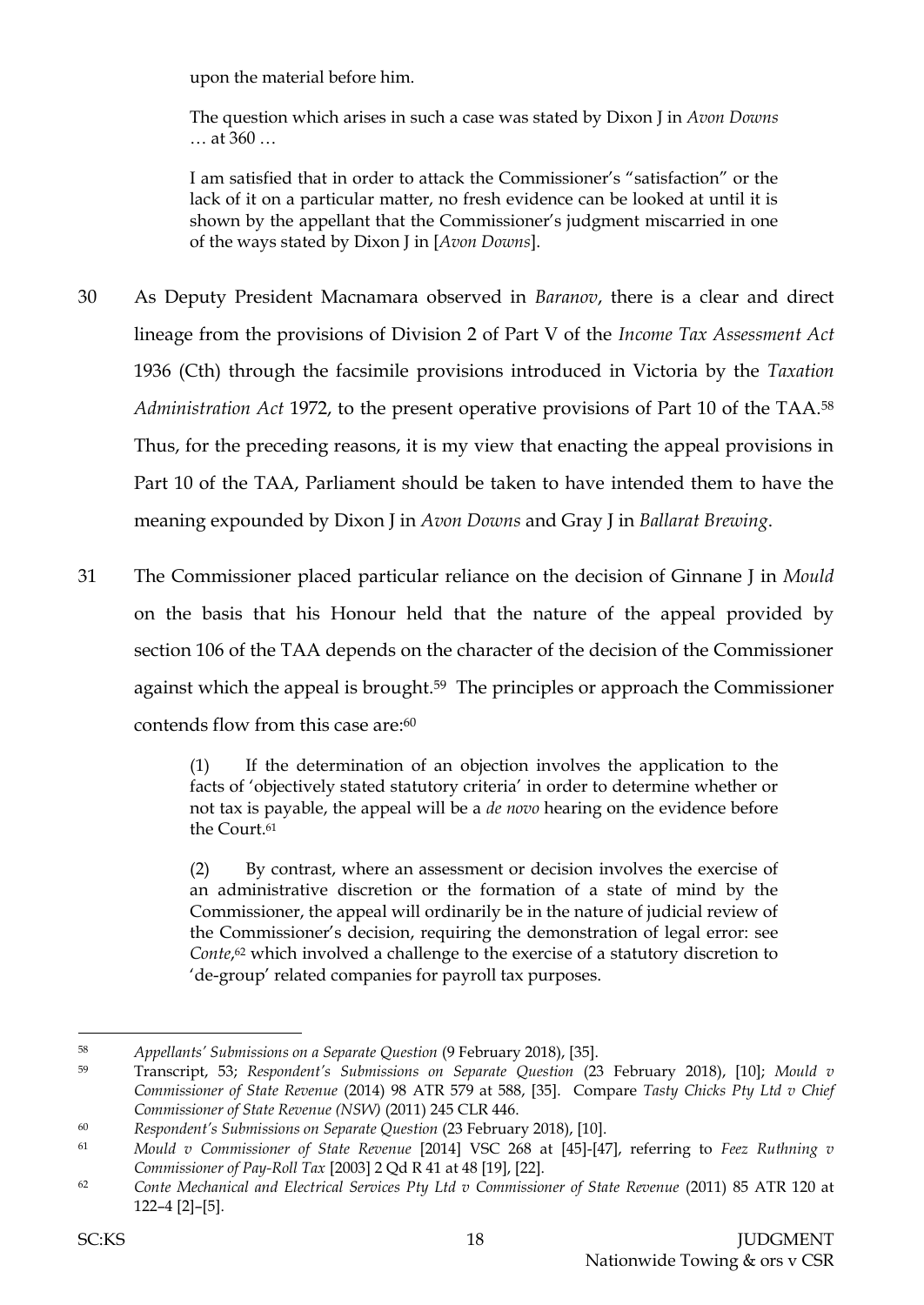upon the material before him.

The question which arises in such a case was stated by Dixon J in *Avon Downs* … at 360 …

I am satisfied that in order to attack the Commissioner's "satisfaction" or the lack of it on a particular matter, no fresh evidence can be looked at until it is shown by the appellant that the Commissioner's judgment miscarried in one of the ways stated by Dixon J in [*Avon Downs*].

- 30 As Deputy President Macnamara observed in *Baranov*, there is a clear and direct lineage from the provisions of Division 2 of Part V of the *Income Tax Assessment Act* 1936 (Cth) through the facsimile provisions introduced in Victoria by the *Taxation Administration Act* 1972, to the present operative provisions of Part 10 of the TAA.<sup>58</sup> Thus, for the preceding reasons, it is my view that enacting the appeal provisions in Part 10 of the TAA, Parliament should be taken to have intended them to have the meaning expounded by Dixon J in *Avon Downs* and Gray J in *Ballarat Brewing*.
- 31 The Commissioner placed particular reliance on the decision of Ginnane J in *Mould* on the basis that his Honour held that the nature of the appeal provided by section 106 of the TAA depends on the character of the decision of the Commissioner against which the appeal is brought.59 The principles or approach the Commissioner contends flow from this case are: 60

(1) If the determination of an objection involves the application to the facts of 'objectively stated statutory criteria' in order to determine whether or not tax is payable, the appeal will be a *de novo* hearing on the evidence before the Court.<sup>61</sup>

(2) By contrast, where an assessment or decision involves the exercise of an administrative discretion or the formation of a state of mind by the Commissioner, the appeal will ordinarily be in the nature of judicial review of the Commissioner's decision, requiring the demonstration of legal error: see *Conte*, <sup>62</sup> which involved a challenge to the exercise of a statutory discretion to 'de-group' related companies for payroll tax purposes.

<sup>58</sup> *Appellants' Submissions on a Separate Question* (9 February 2018), [35].

<sup>59</sup> Transcript, 53; *Respondent's Submissions on Separate Question* (23 February 2018), [10]; *Mould v Commissioner of State Revenue* (2014) 98 ATR 579 at 588, [35]. Compare *Tasty Chicks Pty Ltd v Chief Commissioner of State Revenue (NSW)* (2011) 245 CLR 446.

<sup>60</sup> *Respondent's Submissions on Separate Question* (23 February 2018), [10].

<sup>61</sup> *Mould v Commissioner of State Revenue* [2014] VSC 268 at [45]-[47], referring to *Feez Ruthning v Commissioner of Pay-Roll Tax* [2003] 2 Qd R 41 at 48 [19], [22].

<sup>62</sup> *Conte Mechanical and Electrical Services Pty Ltd v Commissioner of State Revenue* (2011) 85 ATR 120 at 122–4 [2]–[5].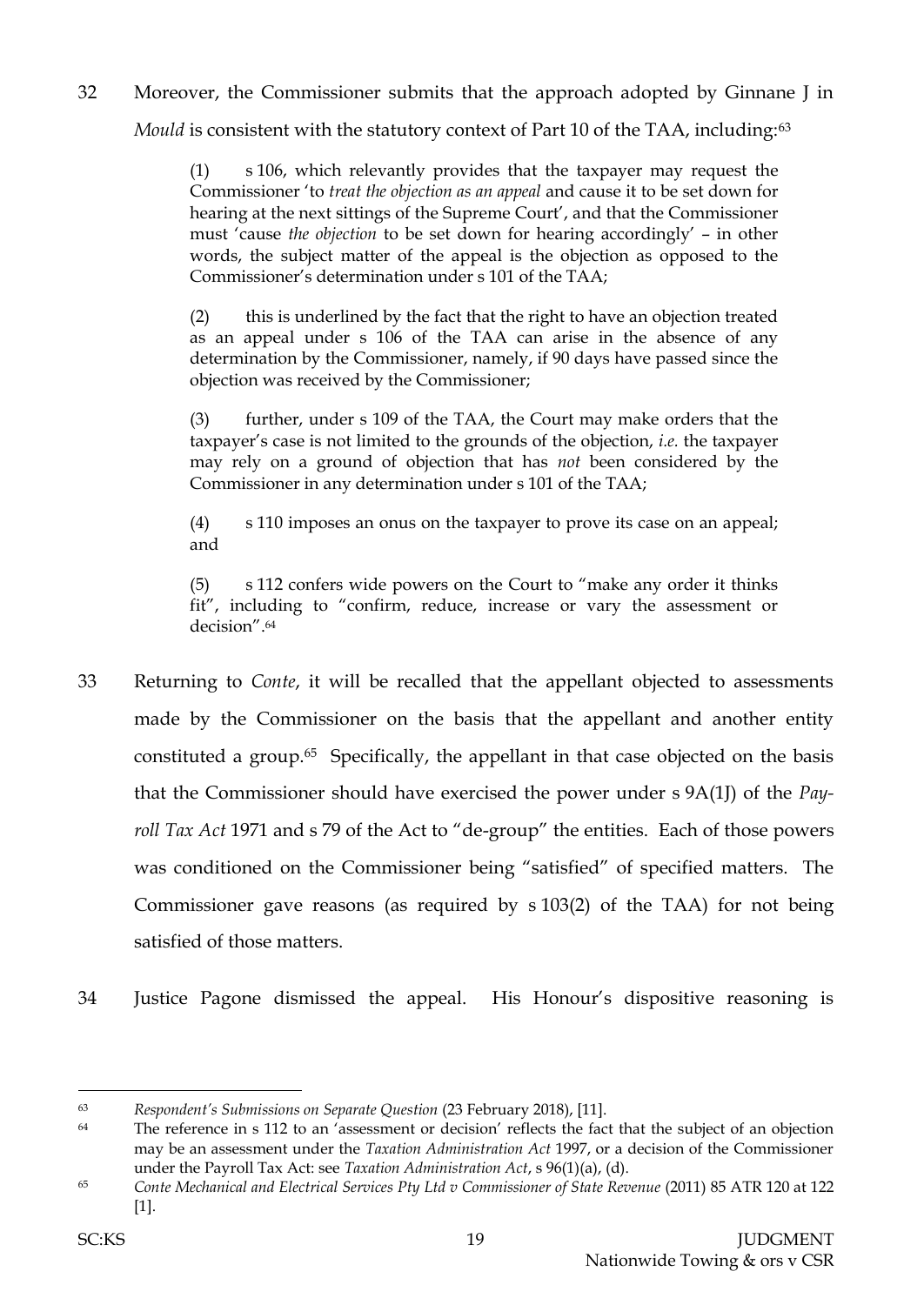32 Moreover, the Commissioner submits that the approach adopted by Ginnane J in *Mould* is consistent with the statutory context of Part 10 of the TAA, including:<sup>63</sup>

> (1) s 106, which relevantly provides that the taxpayer may request the Commissioner 'to *treat the objection as an appeal* and cause it to be set down for hearing at the next sittings of the Supreme Court', and that the Commissioner must 'cause *the objection* to be set down for hearing accordingly' – in other words, the subject matter of the appeal is the objection as opposed to the Commissioner's determination under s 101 of the TAA;

> (2) this is underlined by the fact that the right to have an objection treated as an appeal under s 106 of the TAA can arise in the absence of any determination by the Commissioner, namely, if 90 days have passed since the objection was received by the Commissioner;

> (3) further, under s 109 of the TAA, the Court may make orders that the taxpayer's case is not limited to the grounds of the objection, *i.e.* the taxpayer may rely on a ground of objection that has *not* been considered by the Commissioner in any determination under s 101 of the TAA;

> (4) s 110 imposes an onus on the taxpayer to prove its case on an appeal; and

> (5) s 112 confers wide powers on the Court to "make any order it thinks fit", including to "confirm, reduce, increase or vary the assessment or decision".<sup>64</sup>

- 33 Returning to *Conte*, it will be recalled that the appellant objected to assessments made by the Commissioner on the basis that the appellant and another entity constituted a group.65 Specifically, the appellant in that case objected on the basis that the Commissioner should have exercised the power under s 9A(1J) of the *Payroll Tax Act* 1971 and s 79 of the Act to "de-group" the entities. Each of those powers was conditioned on the Commissioner being "satisfied" of specified matters. The Commissioner gave reasons (as required by s 103(2) of the TAA) for not being satisfied of those matters.
- 34 Justice Pagone dismissed the appeal. His Honour's dispositive reasoning is

<sup>63</sup> *Respondent's Submissions on Separate Question* (23 February 2018), [11].

<sup>&</sup>lt;sup>64</sup> The reference in s 112 to an 'assessment or decision' reflects the fact that the subject of an objection may be an assessment under the *Taxation Administration Act* 1997, or a decision of the Commissioner under the Payroll Tax Act: see *Taxation Administration Act*, s 96(1)(a), (d).

<sup>65</sup> *Conte Mechanical and Electrical Services Pty Ltd v Commissioner of State Revenue* (2011) 85 ATR 120 at 122 [1].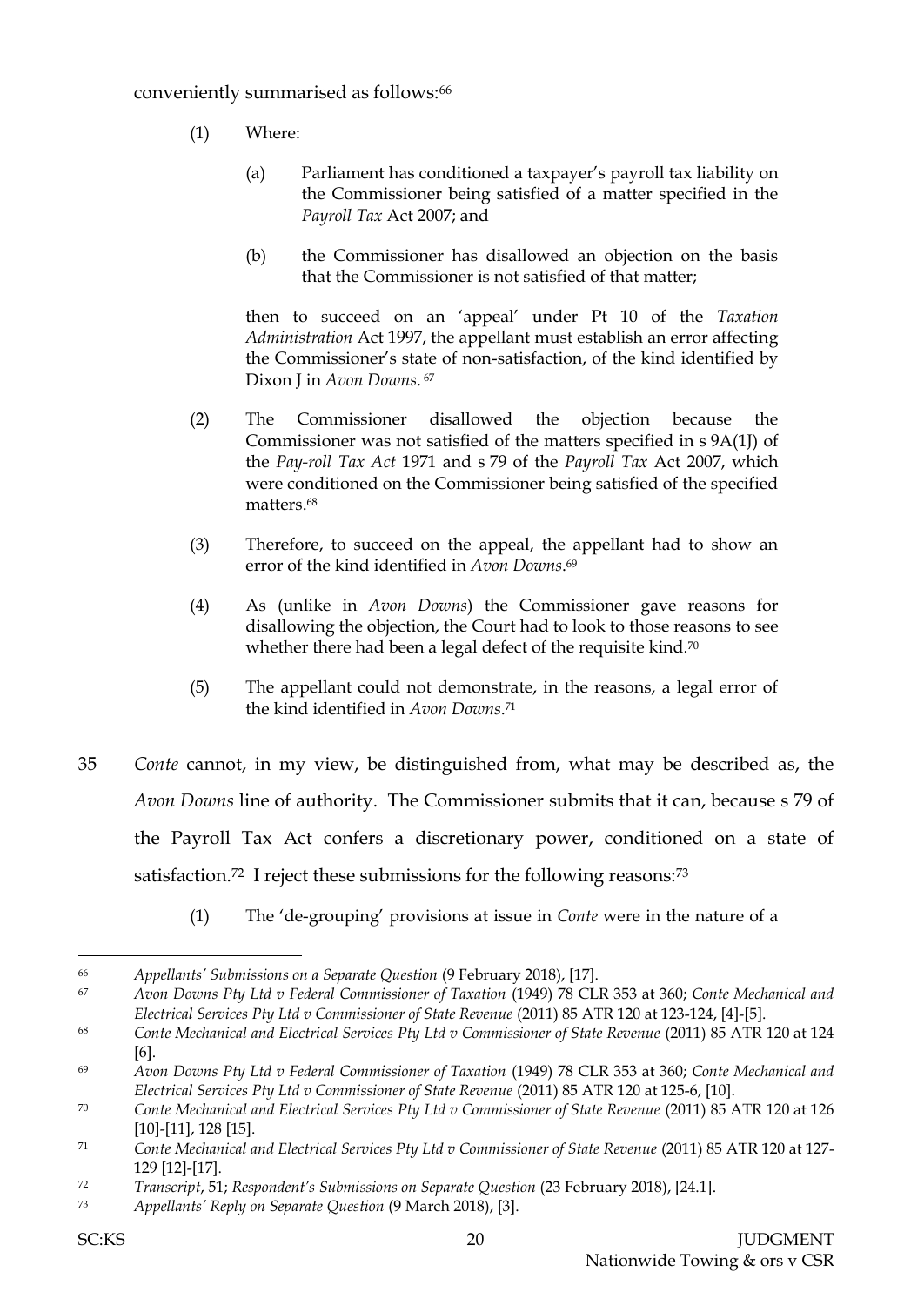- (1) Where:
	- (a) Parliament has conditioned a taxpayer's payroll tax liability on the Commissioner being satisfied of a matter specified in the *Payroll Tax* Act 2007; and
	- (b) the Commissioner has disallowed an objection on the basis that the Commissioner is not satisfied of that matter;

then to succeed on an 'appeal' under Pt 10 of the *Taxation Administration* Act 1997, the appellant must establish an error affecting the Commissioner's state of non-satisfaction, of the kind identified by Dixon J in *Avon Downs*. 67

- (2) The Commissioner disallowed the objection because the Commissioner was not satisfied of the matters specified in s 9A(1J) of the *Pay-roll Tax Act* 1971 and s 79 of the *Payroll Tax* Act 2007, which were conditioned on the Commissioner being satisfied of the specified matters.<sup>68</sup>
- (3) Therefore, to succeed on the appeal, the appellant had to show an error of the kind identified in *Avon Downs*. 69
- (4) As (unlike in *Avon Downs*) the Commissioner gave reasons for disallowing the objection, the Court had to look to those reasons to see whether there had been a legal defect of the requisite kind.<sup>70</sup>
- (5) The appellant could not demonstrate, in the reasons, a legal error of the kind identified in *Avon Downs*. 71
- 35 *Conte* cannot, in my view, be distinguished from, what may be described as, the *Avon Downs* line of authority. The Commissioner submits that it can, because s 79 of the Payroll Tax Act confers a discretionary power, conditioned on a state of satisfaction.<sup>72</sup> I reject these submissions for the following reasons:<sup>73</sup>
	- (1) The 'de-grouping' provisions at issue in *Conte* were in the nature of a

<sup>66</sup> *Appellants' Submissions on a Separate Question* (9 February 2018), [17].

<sup>67</sup> *Avon Downs Pty Ltd v Federal Commissioner of Taxation* (1949) 78 CLR 353 at 360; *Conte Mechanical and Electrical Services Pty Ltd v Commissioner of State Revenue* (2011) 85 ATR 120 at 123-124, [4]-[5].

<sup>68</sup> *Conte Mechanical and Electrical Services Pty Ltd v Commissioner of State Revenue* (2011) 85 ATR 120 at 124 [6].

<sup>69</sup> *Avon Downs Pty Ltd v Federal Commissioner of Taxation* (1949) 78 CLR 353 at 360; *Conte Mechanical and Electrical Services Pty Ltd v Commissioner of State Revenue* (2011) 85 ATR 120 at 125-6, [10].

<sup>70</sup> *Conte Mechanical and Electrical Services Pty Ltd v Commissioner of State Revenue* (2011) 85 ATR 120 at 126 [10]-[11], 128 [15].

<sup>71</sup> *Conte Mechanical and Electrical Services Pty Ltd v Commissioner of State Revenue* (2011) 85 ATR 120 at 127- 129 [12]-[17].

<sup>72</sup> *Transcript*, 51; *Respondent's Submissions on Separate Question* (23 February 2018), [24.1].

<sup>73</sup> *Appellants' Reply on Separate Question* (9 March 2018), [3].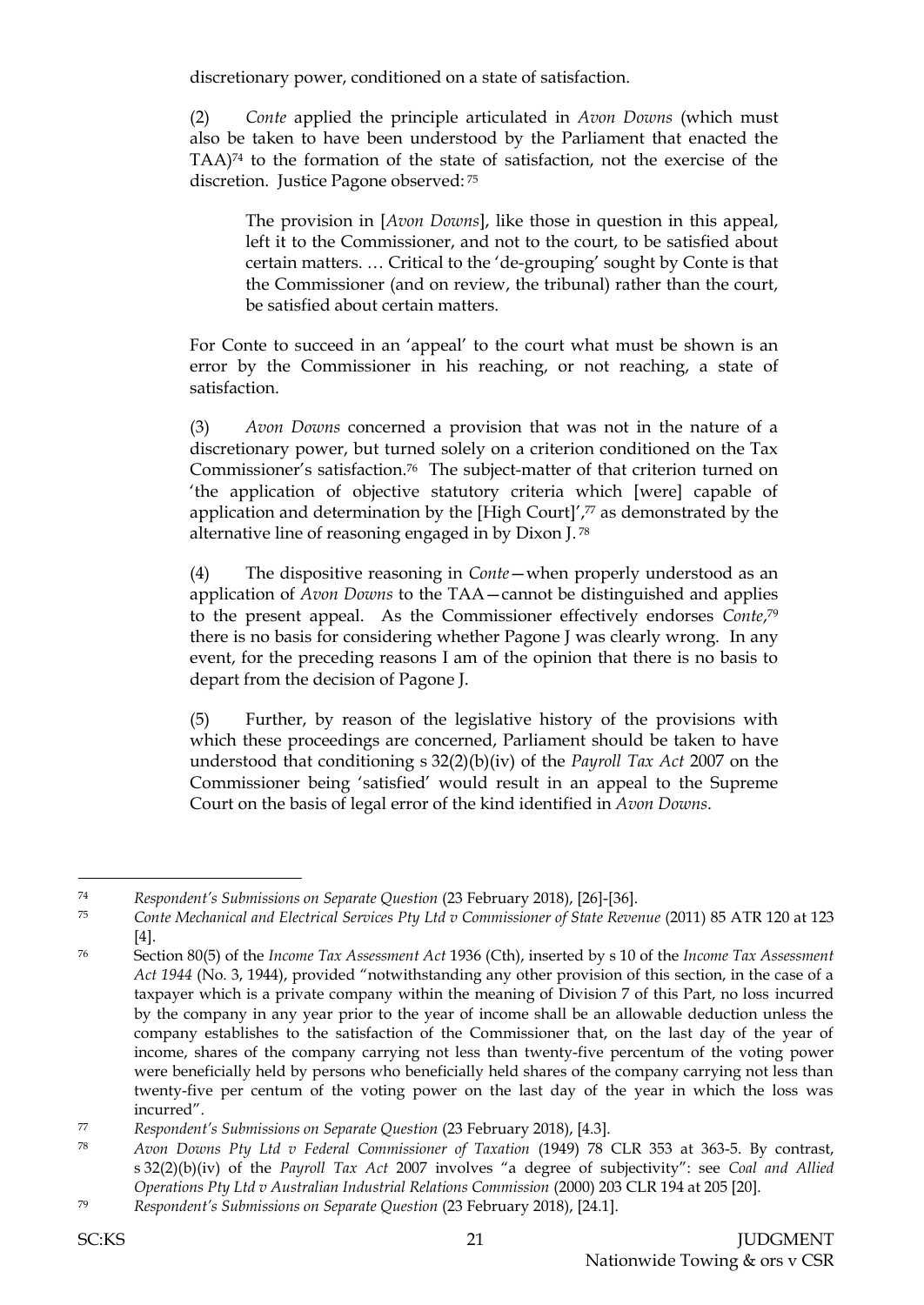discretionary power, conditioned on a state of satisfaction.

(2) *Conte* applied the principle articulated in *Avon Downs* (which must also be taken to have been understood by the Parliament that enacted the TAA) <sup>74</sup> to the formation of the state of satisfaction, not the exercise of the discretion. Justice Pagone observed: <sup>75</sup>

The provision in [*Avon Downs*], like those in question in this appeal, left it to the Commissioner, and not to the court, to be satisfied about certain matters. … Critical to the 'de-grouping' sought by Conte is that the Commissioner (and on review, the tribunal) rather than the court, be satisfied about certain matters.

For Conte to succeed in an 'appeal' to the court what must be shown is an error by the Commissioner in his reaching, or not reaching, a state of satisfaction.

(3) *Avon Downs* concerned a provision that was not in the nature of a discretionary power, but turned solely on a criterion conditioned on the Tax Commissioner's satisfaction.76 The subject-matter of that criterion turned on 'the application of objective statutory criteria which [were] capable of application and determination by the [High Court]', <sup>77</sup> as demonstrated by the alternative line of reasoning engaged in by Dixon J. 78

(4) The dispositive reasoning in *Conte*—when properly understood as an application of *Avon Downs* to the TAA—cannot be distinguished and applies to the present appeal. As the Commissioner effectively endorses *Conte*, 79 there is no basis for considering whether Pagone J was clearly wrong. In any event, for the preceding reasons I am of the opinion that there is no basis to depart from the decision of Pagone J.

(5) Further, by reason of the legislative history of the provisions with which these proceedings are concerned, Parliament should be taken to have understood that conditioning s 32(2)(b)(iv) of the *Payroll Tax Act* 2007 on the Commissioner being 'satisfied' would result in an appeal to the Supreme Court on the basis of legal error of the kind identified in *Avon Downs*.

<sup>74</sup> *Respondent's Submissions on Separate Question* (23 February 2018), [26]-[36].

<sup>75</sup> *Conte Mechanical and Electrical Services Pty Ltd v Commissioner of State Revenue* (2011) 85 ATR 120 at 123 [4].

<sup>76</sup> Section 80(5) of the *Income Tax Assessment Act* 1936 (Cth), inserted by s 10 of the *Income Tax Assessment Act 1944* (No. 3, 1944), provided "notwithstanding any other provision of this section, in the case of a taxpayer which is a private company within the meaning of Division 7 of this Part, no loss incurred by the company in any year prior to the year of income shall be an allowable deduction unless the company establishes to the satisfaction of the Commissioner that, on the last day of the year of income, shares of the company carrying not less than twenty-five percentum of the voting power were beneficially held by persons who beneficially held shares of the company carrying not less than twenty-five per centum of the voting power on the last day of the year in which the loss was incurred".

<sup>77</sup> *Respondent's Submissions on Separate Question* (23 February 2018), [4.3].

<sup>78</sup> *Avon Downs Pty Ltd v Federal Commissioner of Taxation* (1949) 78 CLR 353 at 363-5. By contrast, s 32(2)(b)(iv) of the *Payroll Tax Act* 2007 involves "a degree of subjectivity": see *Coal and Allied Operations Pty Ltd v Australian Industrial Relations Commission* (2000) 203 CLR 194 at 205 [20].

<sup>79</sup> *Respondent's Submissions on Separate Question* (23 February 2018), [24.1].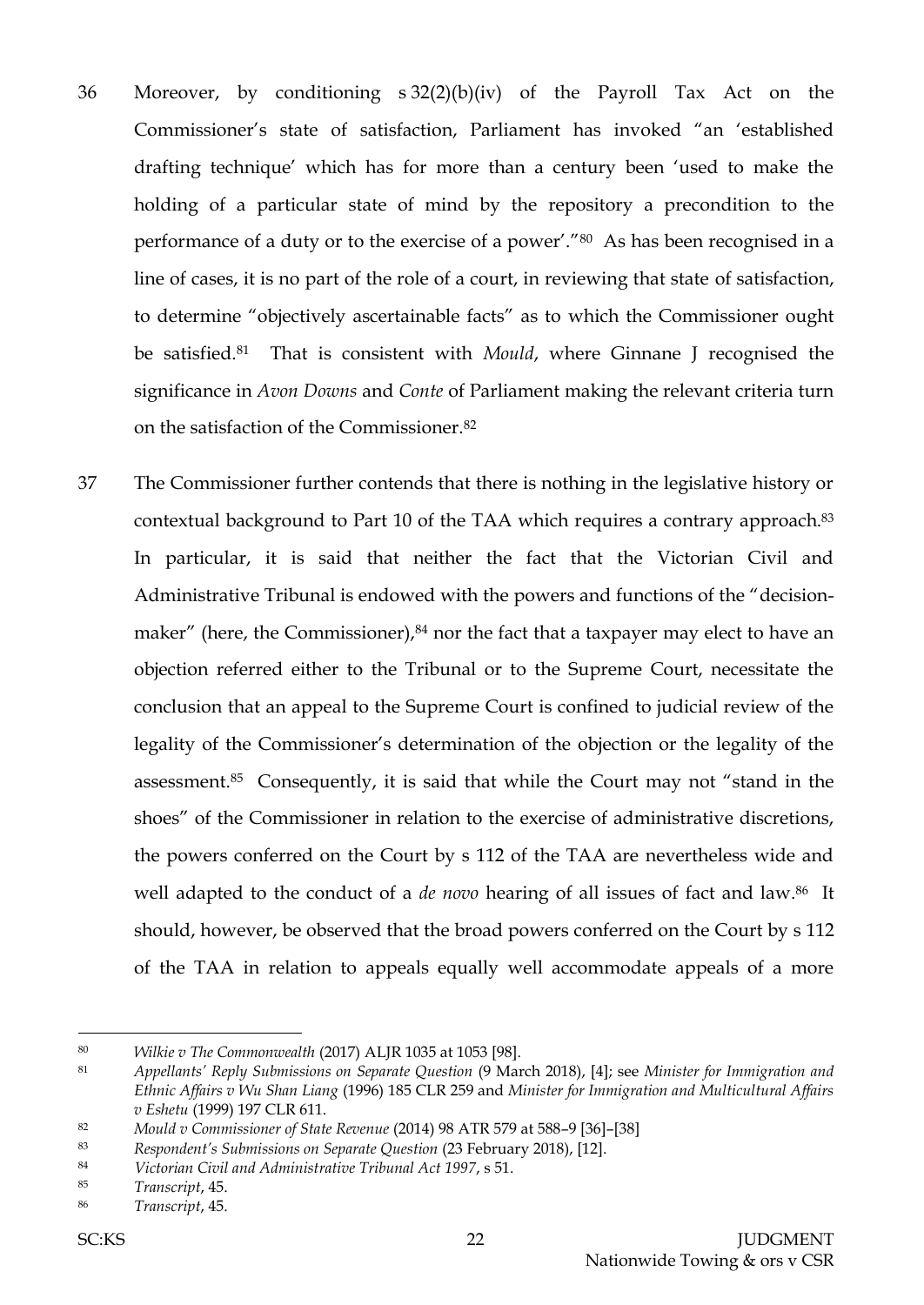- 36 Moreover, by conditioning s 32(2)(b)(iv) of the Payroll Tax Act on the Commissioner's state of satisfaction, Parliament has invoked "an 'established drafting technique' which has for more than a century been 'used to make the holding of a particular state of mind by the repository a precondition to the performance of a duty or to the exercise of a power'."80 As has been recognised in a line of cases, it is no part of the role of a court, in reviewing that state of satisfaction, to determine "objectively ascertainable facts" as to which the Commissioner ought be satisfied.81 That is consistent with *Mould*, where Ginnane J recognised the significance in *Avon Downs* and *Conte* of Parliament making the relevant criteria turn on the satisfaction of the Commissioner.<sup>82</sup>
- 37 The Commissioner further contends that there is nothing in the legislative history or contextual background to Part 10 of the TAA which requires a contrary approach.<sup>83</sup> In particular, it is said that neither the fact that the Victorian Civil and Administrative Tribunal is endowed with the powers and functions of the "decisionmaker" (here, the Commissioner), 84 nor the fact that a taxpayer may elect to have an objection referred either to the Tribunal or to the Supreme Court, necessitate the conclusion that an appeal to the Supreme Court is confined to judicial review of the legality of the Commissioner's determination of the objection or the legality of the assessment.85 Consequently, it is said that while the Court may not "stand in the shoes" of the Commissioner in relation to the exercise of administrative discretions, the powers conferred on the Court by s 112 of the TAA are nevertheless wide and well adapted to the conduct of a *de novo* hearing of all issues of fact and law. <sup>86</sup> It should, however, be observed that the broad powers conferred on the Court by s 112 of the TAA in relation to appeals equally well accommodate appeals of a more

<sup>80</sup> *Wilkie v The Commonwealth* (2017) ALJR 1035 at 1053 [98].

<sup>81</sup> *Appellants' Reply Submissions on Separate Question* (9 March 2018), [4]; see *Minister for Immigration and Ethnic Affairs v Wu Shan Liang* (1996) 185 CLR 259 and *Minister for Immigration and Multicultural Affairs v Eshetu* (1999) 197 CLR 611.

<sup>82</sup> *Mould v Commissioner of State Revenue* (2014) 98 ATR 579 at 588–9 [36]–[38]

<sup>83</sup> *Respondent's Submissions on Separate Question* (23 February 2018), [12].

<sup>84</sup> *Victorian Civil and Administrative Tribunal Act 1997*, s 51.

<sup>85</sup> *Transcript*, 45.

<sup>86</sup> *Transcript*, 45.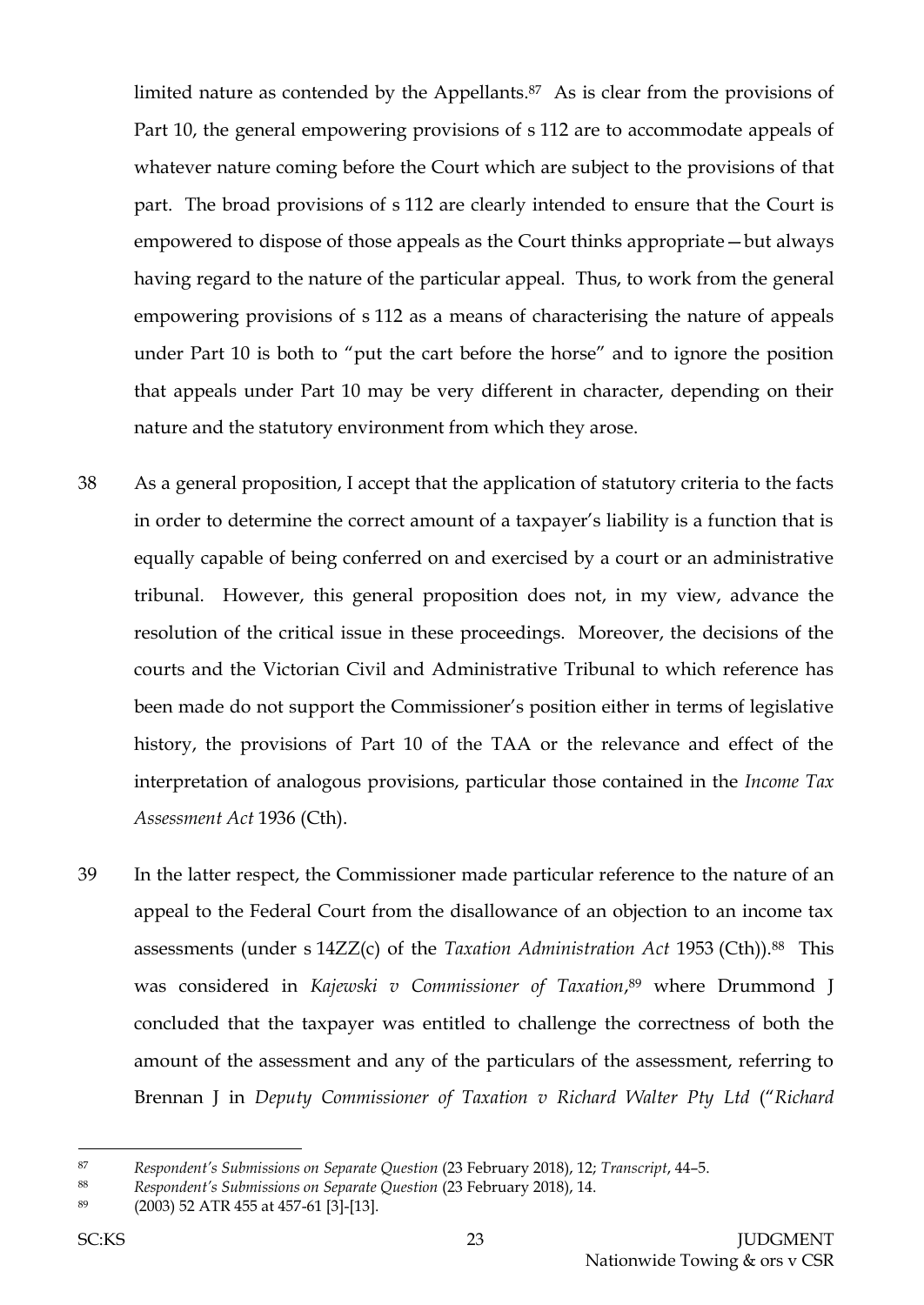limited nature as contended by the Appellants.87 As is clear from the provisions of Part 10, the general empowering provisions of s 112 are to accommodate appeals of whatever nature coming before the Court which are subject to the provisions of that part. The broad provisions of s 112 are clearly intended to ensure that the Court is empowered to dispose of those appeals as the Court thinks appropriate—but always having regard to the nature of the particular appeal. Thus, to work from the general empowering provisions of s 112 as a means of characterising the nature of appeals under Part 10 is both to "put the cart before the horse" and to ignore the position that appeals under Part 10 may be very different in character, depending on their nature and the statutory environment from which they arose.

- 38 As a general proposition, I accept that the application of statutory criteria to the facts in order to determine the correct amount of a taxpayer's liability is a function that is equally capable of being conferred on and exercised by a court or an administrative tribunal. However, this general proposition does not, in my view, advance the resolution of the critical issue in these proceedings. Moreover, the decisions of the courts and the Victorian Civil and Administrative Tribunal to which reference has been made do not support the Commissioner's position either in terms of legislative history, the provisions of Part 10 of the TAA or the relevance and effect of the interpretation of analogous provisions, particular those contained in the *Income Tax Assessment Act* 1936 (Cth).
- 39 In the latter respect, the Commissioner made particular reference to the nature of an appeal to the Federal Court from the disallowance of an objection to an income tax assessments (under s 14ZZ(c) of the *Taxation Administration Act* 1953 (Cth)). <sup>88</sup> This was considered in *Kajewski v Commissioner of Taxation*, <sup>89</sup> where Drummond J concluded that the taxpayer was entitled to challenge the correctness of both the amount of the assessment and any of the particulars of the assessment, referring to Brennan J in *Deputy Commissioner of Taxation v Richard Walter Pty Ltd* ("*Richard*

<sup>87</sup> *Respondent's Submissions on Separate Question* (23 February 2018), 12; *Transcript*, 44–5.

<sup>88</sup> *Respondent's Submissions on Separate Question* (23 February 2018), 14.

<sup>89</sup> (2003) 52 ATR 455 at 457-61 [3]-[13].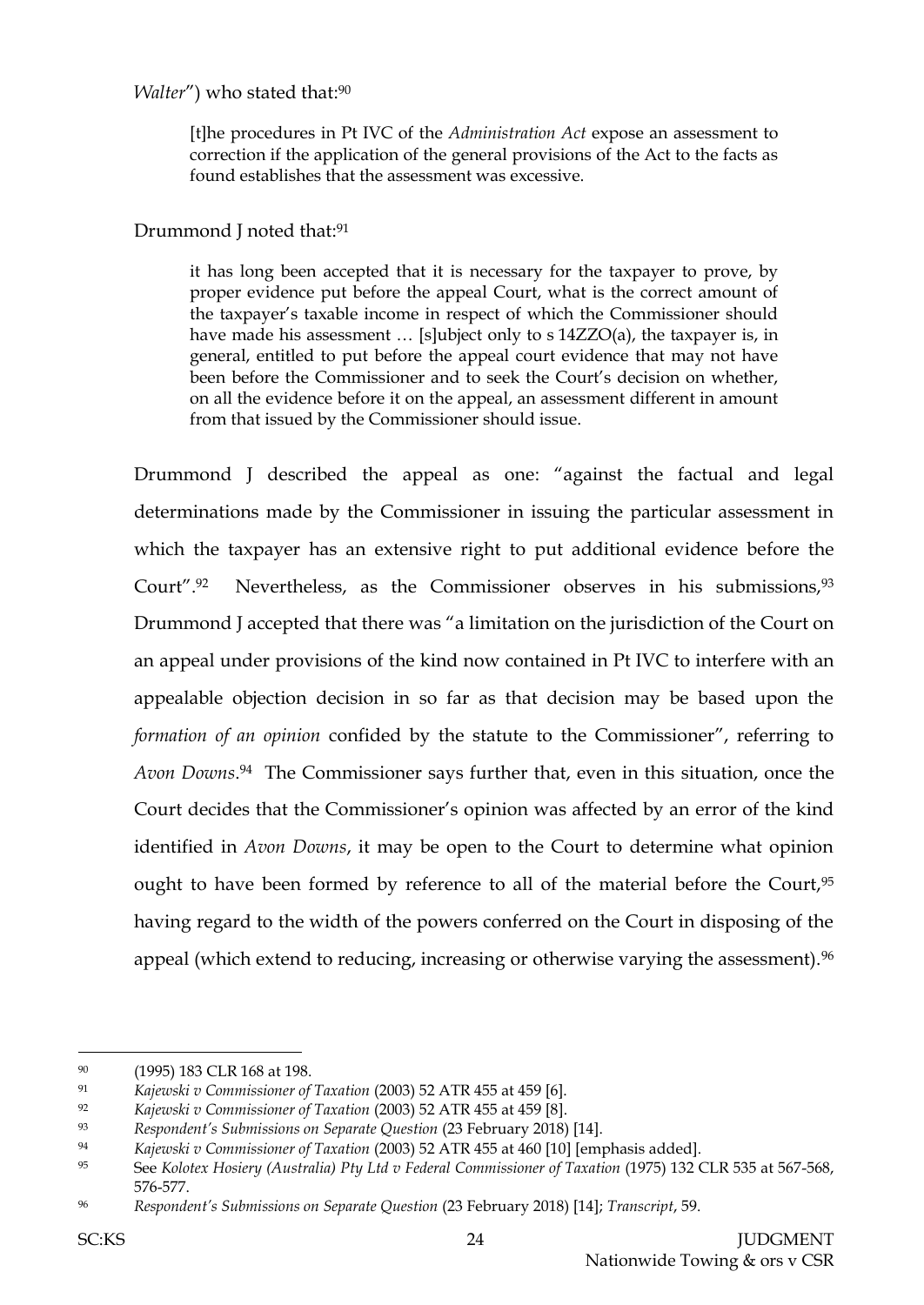# *Walter*") who stated that: 90

[t]he procedures in Pt IVC of the *Administration Act* expose an assessment to correction if the application of the general provisions of the Act to the facts as found establishes that the assessment was excessive.

# Drummond J noted that: 91

it has long been accepted that it is necessary for the taxpayer to prove, by proper evidence put before the appeal Court, what is the correct amount of the taxpayer's taxable income in respect of which the Commissioner should have made his assessment … [s]ubject only to s 14ZZO(a), the taxpayer is, in general, entitled to put before the appeal court evidence that may not have been before the Commissioner and to seek the Court's decision on whether, on all the evidence before it on the appeal, an assessment different in amount from that issued by the Commissioner should issue.

Drummond J described the appeal as one: "against the factual and legal determinations made by the Commissioner in issuing the particular assessment in which the taxpayer has an extensive right to put additional evidence before the Court".92 Nevertheless, as the Commissioner observes in his submissions,93 Drummond J accepted that there was "a limitation on the jurisdiction of the Court on an appeal under provisions of the kind now contained in Pt IVC to interfere with an appealable objection decision in so far as that decision may be based upon the *formation of an opinion* confided by the statute to the Commissioner", referring to *Avon Downs*. <sup>94</sup> The Commissioner says further that, even in this situation, once the Court decides that the Commissioner's opinion was affected by an error of the kind identified in *Avon Downs*, it may be open to the Court to determine what opinion ought to have been formed by reference to all of the material before the Court, 95 having regard to the width of the powers conferred on the Court in disposing of the appeal (which extend to reducing, increasing or otherwise varying the assessment).<sup>96</sup>

<sup>90</sup> (1995) 183 CLR 168 at 198.

<sup>91</sup> *Kajewski v Commissioner of Taxation* (2003) 52 ATR 455 at 459 [6].

<sup>92</sup> *Kajewski v Commissioner of Taxation* (2003) 52 ATR 455 at 459 [8].

<sup>93</sup> *Respondent's Submissions on Separate Question* (23 February 2018) [14].

<sup>94</sup> *Kajewski v Commissioner of Taxation* (2003) 52 ATR 455 at 460 [10] [emphasis added].

<sup>95</sup> See *Kolotex Hosiery (Australia) Pty Ltd v Federal Commissioner of Taxation* (1975) 132 CLR 535 at 567-568, 576-577.

<sup>96</sup> *Respondent's Submissions on Separate Question* (23 February 2018) [14]; *Transcript*, 59.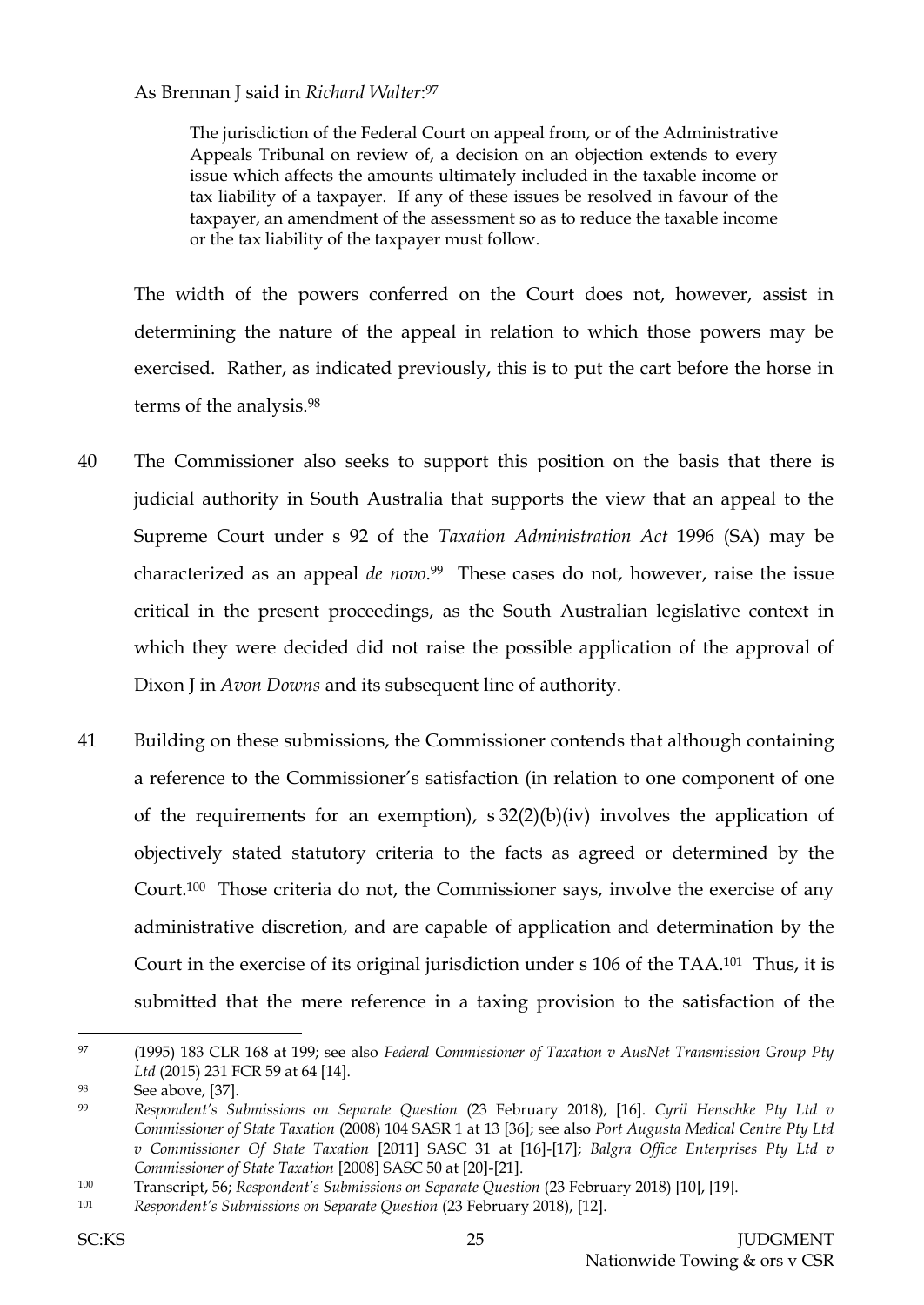## As Brennan J said in *Richard Walter*: 97

The jurisdiction of the Federal Court on appeal from, or of the Administrative Appeals Tribunal on review of, a decision on an objection extends to every issue which affects the amounts ultimately included in the taxable income or tax liability of a taxpayer. If any of these issues be resolved in favour of the taxpayer, an amendment of the assessment so as to reduce the taxable income or the tax liability of the taxpayer must follow.

The width of the powers conferred on the Court does not, however, assist in determining the nature of the appeal in relation to which those powers may be exercised. Rather, as indicated previously, this is to put the cart before the horse in terms of the analysis.<sup>98</sup>

- 40 The Commissioner also seeks to support this position on the basis that there is judicial authority in South Australia that supports the view that an appeal to the Supreme Court under s 92 of the *Taxation Administration Act* 1996 (SA) may be characterized as an appeal *de novo*. <sup>99</sup> These cases do not, however, raise the issue critical in the present proceedings, as the South Australian legislative context in which they were decided did not raise the possible application of the approval of Dixon J in *Avon Downs* and its subsequent line of authority.
- 41 Building on these submissions, the Commissioner contends that although containing a reference to the Commissioner's satisfaction (in relation to one component of one of the requirements for an exemption),  $s \frac{32(2)(b)}{iv}$  involves the application of objectively stated statutory criteria to the facts as agreed or determined by the Court.<sup>100</sup> Those criteria do not, the Commissioner says, involve the exercise of any administrative discretion, and are capable of application and determination by the Court in the exercise of its original jurisdiction under s 106 of the TAA.101 Thus, it is submitted that the mere reference in a taxing provision to the satisfaction of the

<sup>97</sup> (1995) 183 CLR 168 at 199; see also *Federal Commissioner of Taxation v AusNet Transmission Group Pty Ltd* (2015) 231 FCR 59 at 64 [14].

<sup>98</sup> See above, [37].

<sup>99</sup> *Respondent's Submissions on Separate Question* (23 February 2018), [16]. *Cyril Henschke Pty Ltd v Commissioner of State Taxation* (2008) 104 SASR 1 at 13 [36]; see also *Port Augusta Medical Centre Pty Ltd v Commissioner Of State Taxation* [2011] SASC 31 at [16]-[17]; *Balgra Office Enterprises Pty Ltd v Commissioner of State Taxation* [2008] SASC 50 at [20]-[21].

<sup>100</sup> Transcript, 56; *Respondent's Submissions on Separate Question* (23 February 2018) [10], [19].

<sup>101</sup> *Respondent's Submissions on Separate Question* (23 February 2018), [12].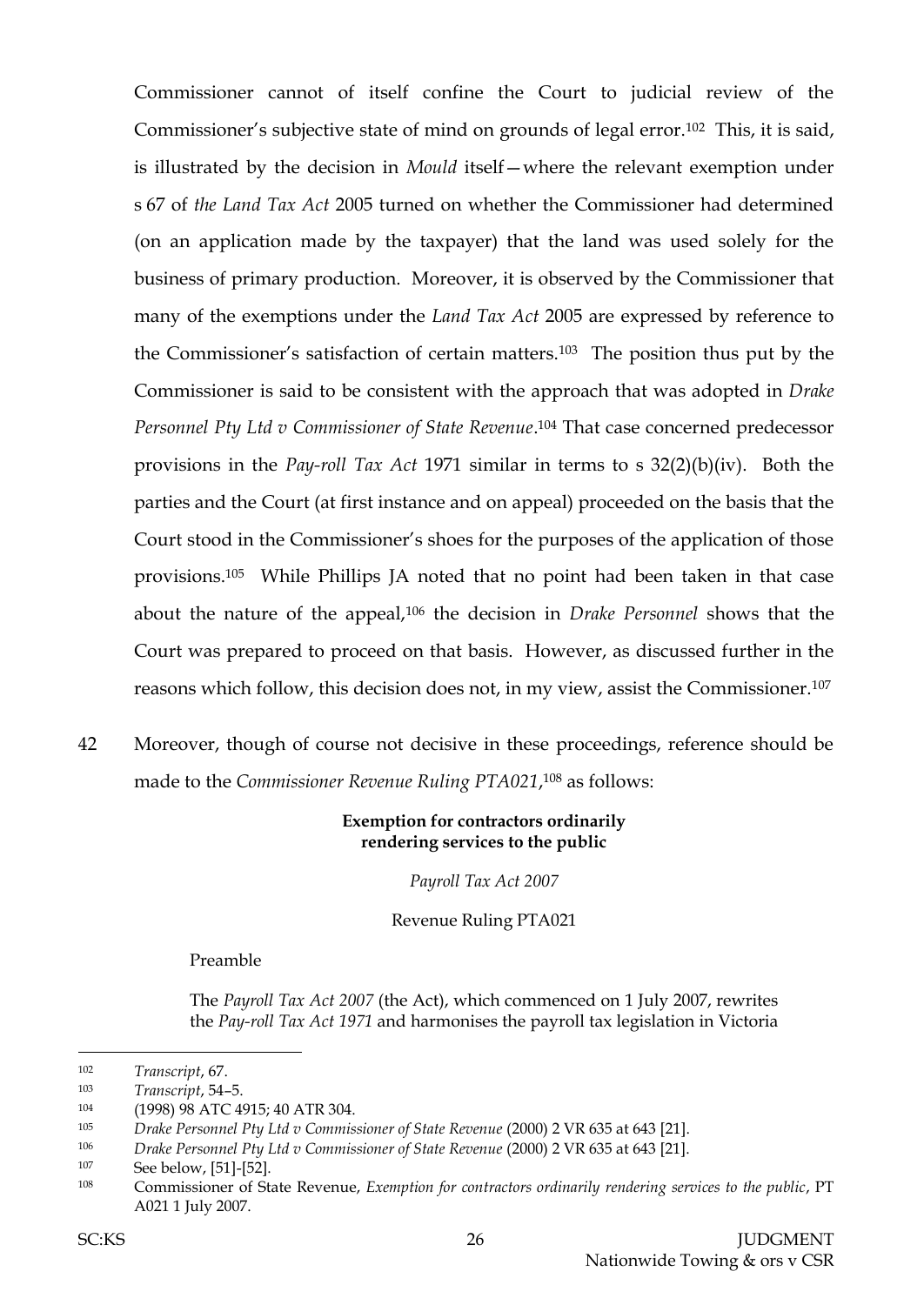Commissioner cannot of itself confine the Court to judicial review of the Commissioner's subjective state of mind on grounds of legal error.102 This, it is said, is illustrated by the decision in *Mould* itself—where the relevant exemption under s 67 of *the Land Tax Act* 2005 turned on whether the Commissioner had determined (on an application made by the taxpayer) that the land was used solely for the business of primary production. Moreover, it is observed by the Commissioner that many of the exemptions under the *Land Tax Act* 2005 are expressed by reference to the Commissioner's satisfaction of certain matters.103 The position thus put by the Commissioner is said to be consistent with the approach that was adopted in *Drake*  Personnel Pty Ltd v Commissioner of State Revenue.<sup>104</sup> That case concerned predecessor provisions in the *Pay-roll Tax Act* 1971 similar in terms to s 32(2)(b)(iv). Both the parties and the Court (at first instance and on appeal) proceeded on the basis that the Court stood in the Commissioner's shoes for the purposes of the application of those provisions.105 While Phillips JA noted that no point had been taken in that case about the nature of the appeal,<sup>106</sup> the decision in *Drake Personnel* shows that the Court was prepared to proceed on that basis. However, as discussed further in the reasons which follow, this decision does not, in my view, assist the Commissioner.<sup>107</sup>

42 Moreover, though of course not decisive in these proceedings, reference should be made to the *Commissioner Revenue Ruling PTA021*, <sup>108</sup> as follows:

#### **Exemption for contractors ordinarily rendering services to the public**

*Payroll Tax Act 2007*

Revenue Ruling PTA021

Preamble

The *Payroll Tax Act 2007* (the Act), which commenced on 1 July 2007, rewrites the *Pay-roll Tax Act 1971* and harmonises the payroll tax legislation in Victoria

104 (1998) 98 ATC 4915; 40 ATR 304.

<sup>102</sup> *Transcript*, 67.

<sup>103</sup> *Transcript*, 54–5.

<sup>105</sup> *Drake Personnel Pty Ltd v Commissioner of State Revenue* (2000) 2 VR 635 at 643 [21].

<sup>106</sup> *Drake Personnel Pty Ltd v Commissioner of State Revenue* (2000) 2 VR 635 at 643 [21].

<sup>107</sup> See below, [51]-[52].

<sup>108</sup> Commissioner of State Revenue, *Exemption for contractors ordinarily rendering services to the public*, PT A021 1 July 2007.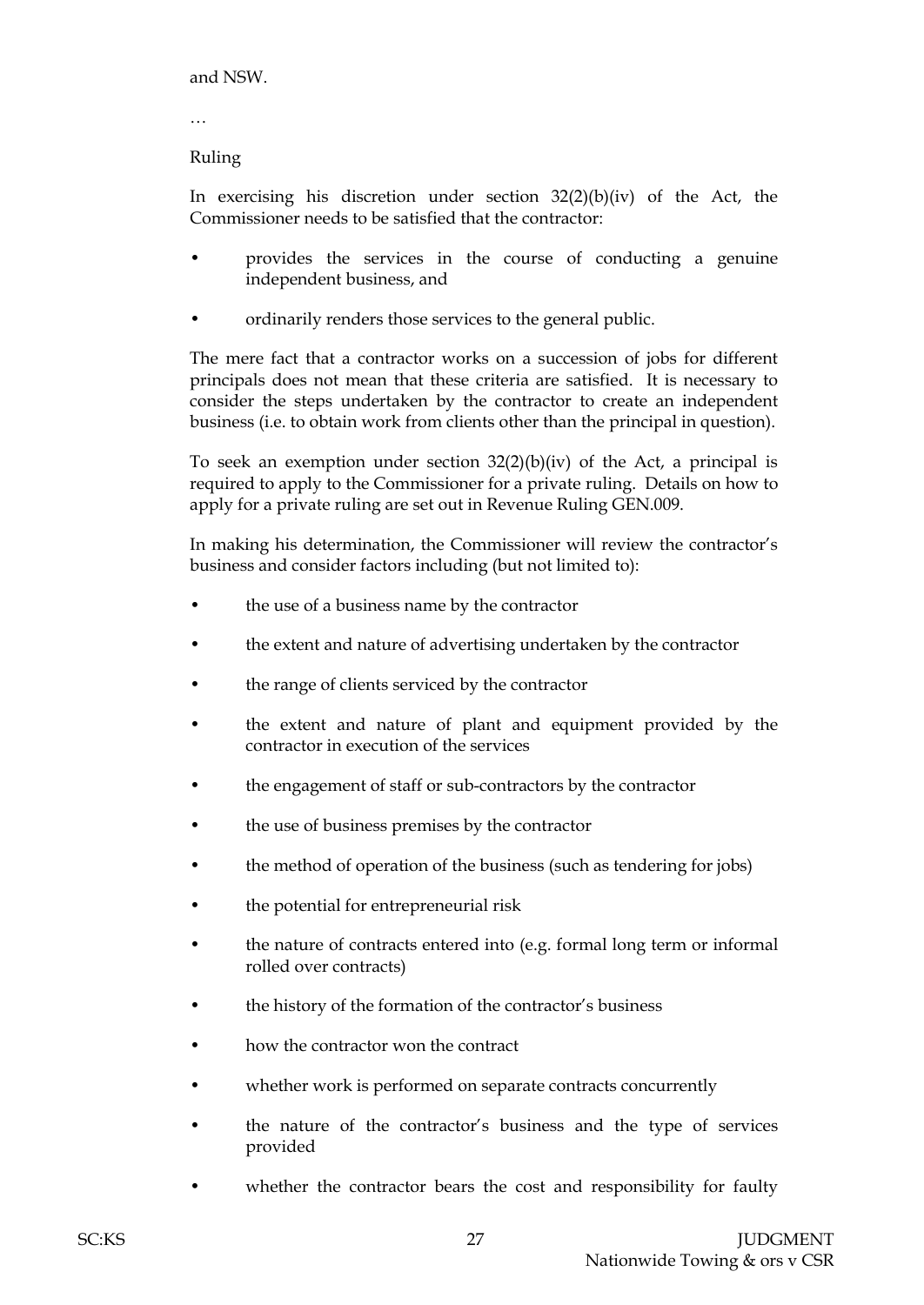and NSW.

…

#### Ruling

In exercising his discretion under section 32(2)(b)(iv) of the Act, the Commissioner needs to be satisfied that the contractor:

- provides the services in the course of conducting a genuine independent business, and
- ordinarily renders those services to the general public.

The mere fact that a contractor works on a succession of jobs for different principals does not mean that these criteria are satisfied. It is necessary to consider the steps undertaken by the contractor to create an independent business (i.e. to obtain work from clients other than the principal in question).

To seek an exemption under section  $32(2)(b)(iv)$  of the Act, a principal is required to apply to the Commissioner for a private ruling. Details on how to apply for a private ruling are set out in Revenue Ruling GEN.009.

In making his determination, the Commissioner will review the contractor's business and consider factors including (but not limited to):

- the use of a business name by the contractor
- the extent and nature of advertising undertaken by the contractor
- the range of clients serviced by the contractor
- the extent and nature of plant and equipment provided by the contractor in execution of the services
- the engagement of staff or sub-contractors by the contractor
- the use of business premises by the contractor
- the method of operation of the business (such as tendering for jobs)
- the potential for entrepreneurial risk
- the nature of contracts entered into (e.g. formal long term or informal rolled over contracts)
- the history of the formation of the contractor's business
- how the contractor won the contract
- whether work is performed on separate contracts concurrently
- the nature of the contractor's business and the type of services provided
- whether the contractor bears the cost and responsibility for faulty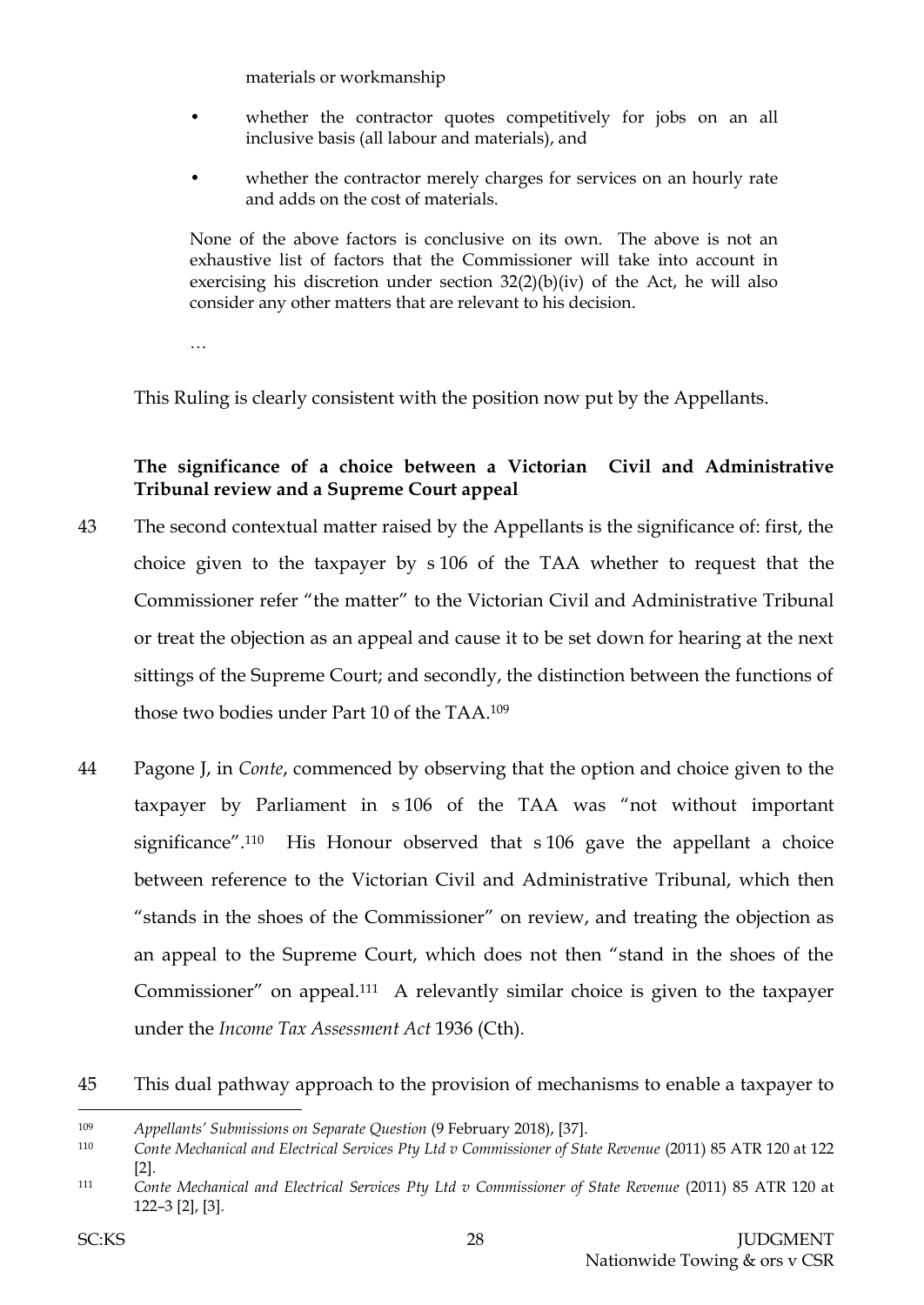materials or workmanship

- whether the contractor quotes competitively for jobs on an all inclusive basis (all labour and materials), and
- whether the contractor merely charges for services on an hourly rate and adds on the cost of materials.

None of the above factors is conclusive on its own. The above is not an exhaustive list of factors that the Commissioner will take into account in exercising his discretion under section 32(2)(b)(iv) of the Act, he will also consider any other matters that are relevant to his decision.

…

This Ruling is clearly consistent with the position now put by the Appellants.

# **The significance of a choice between a Victorian Civil and Administrative Tribunal review and a Supreme Court appeal**

- 43 The second contextual matter raised by the Appellants is the significance of: first, the choice given to the taxpayer by s 106 of the TAA whether to request that the Commissioner refer "the matter" to the Victorian Civil and Administrative Tribunal or treat the objection as an appeal and cause it to be set down for hearing at the next sittings of the Supreme Court; and secondly, the distinction between the functions of those two bodies under Part 10 of the TAA.<sup>109</sup>
- 44 Pagone J, in *Conte*, commenced by observing that the option and choice given to the taxpayer by Parliament in s 106 of the TAA was "not without important significance". <sup>110</sup> His Honour observed that s 106 gave the appellant a choice between reference to the Victorian Civil and Administrative Tribunal, which then "stands in the shoes of the Commissioner" on review, and treating the objection as an appeal to the Supreme Court, which does not then "stand in the shoes of the Commissioner" on appeal.111 A relevantly similar choice is given to the taxpayer under the *Income Tax Assessment Act* 1936 (Cth).
- 45 This dual pathway approach to the provision of mechanisms to enable a taxpayer to

<sup>109</sup> *Appellants' Submissions on Separate Question* (9 February 2018), [37].

<sup>110</sup> *Conte Mechanical and Electrical Services Pty Ltd v Commissioner of State Revenue* (2011) 85 ATR 120 at 122 [2].

<sup>111</sup> *Conte Mechanical and Electrical Services Pty Ltd v Commissioner of State Revenue* (2011) 85 ATR 120 at 122–3 [2], [3].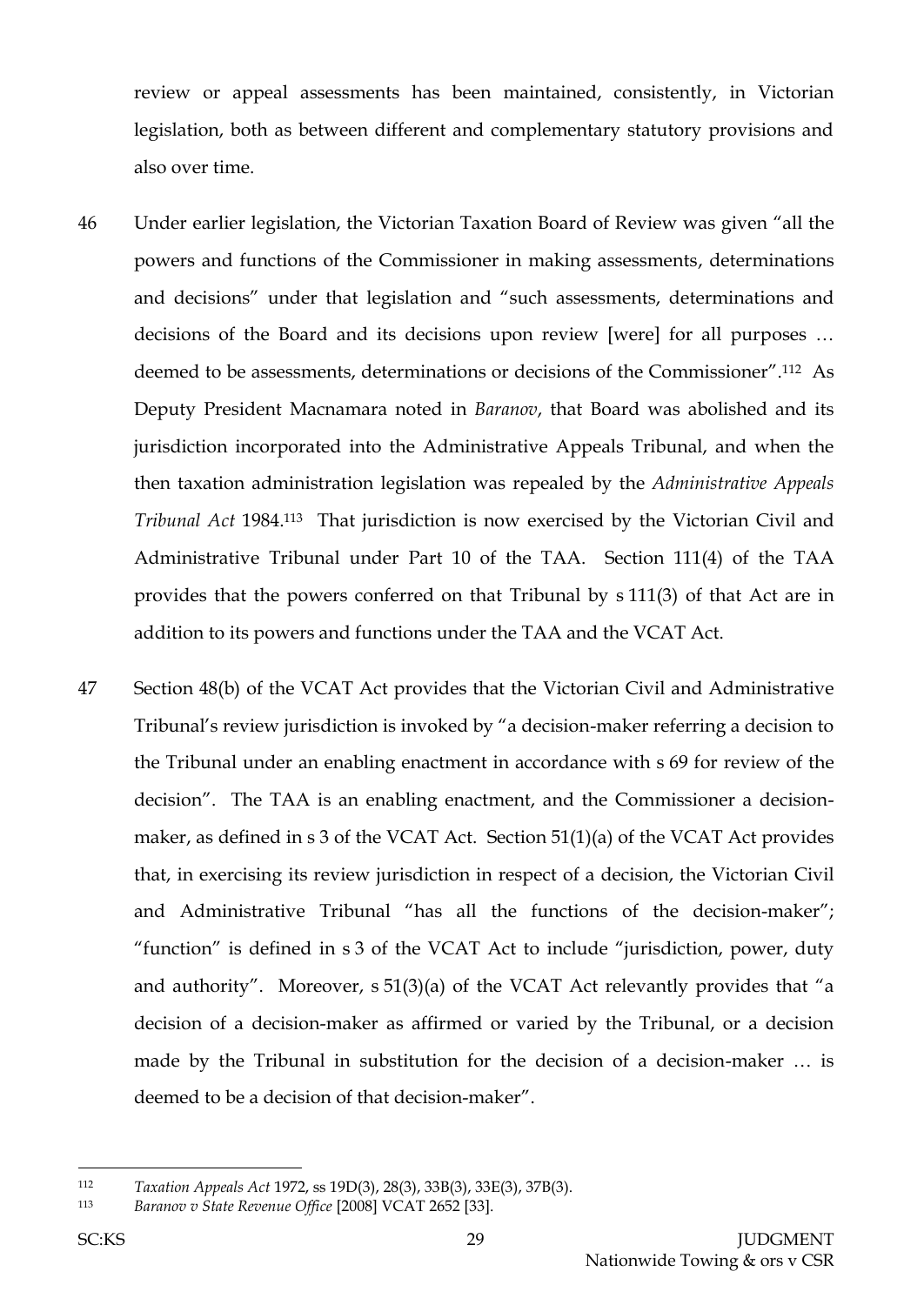review or appeal assessments has been maintained, consistently, in Victorian legislation, both as between different and complementary statutory provisions and also over time.

- 46 Under earlier legislation, the Victorian Taxation Board of Review was given "all the powers and functions of the Commissioner in making assessments, determinations and decisions" under that legislation and "such assessments, determinations and decisions of the Board and its decisions upon review [were] for all purposes … deemed to be assessments, determinations or decisions of the Commissioner".112 As Deputy President Macnamara noted in *Baranov*, that Board was abolished and its jurisdiction incorporated into the Administrative Appeals Tribunal, and when the then taxation administration legislation was repealed by the *Administrative Appeals*  Tribunal Act 1984.<sup>113</sup> That jurisdiction is now exercised by the Victorian Civil and Administrative Tribunal under Part 10 of the TAA. Section 111(4) of the TAA provides that the powers conferred on that Tribunal by s 111(3) of that Act are in addition to its powers and functions under the TAA and the VCAT Act.
- 47 Section 48(b) of the VCAT Act provides that the Victorian Civil and Administrative Tribunal's review jurisdiction is invoked by "a decision-maker referring a decision to the Tribunal under an enabling enactment in accordance with s 69 for review of the decision". The TAA is an enabling enactment, and the Commissioner a decisionmaker, as defined in s 3 of the VCAT Act. Section 51(1)(a) of the VCAT Act provides that, in exercising its review jurisdiction in respect of a decision, the Victorian Civil and Administrative Tribunal "has all the functions of the decision-maker"; "function" is defined in s 3 of the VCAT Act to include "jurisdiction, power, duty and authority". Moreover, s 51(3)(a) of the VCAT Act relevantly provides that "a decision of a decision-maker as affirmed or varied by the Tribunal, or a decision made by the Tribunal in substitution for the decision of a decision-maker … is deemed to be a decision of that decision-maker".

<sup>112</sup> *Taxation Appeals Act* 1972, ss 19D(3), 28(3), 33B(3), 33E(3), 37B(3).

<sup>113</sup> *Baranov v State Revenue Office* [2008] VCAT 2652 [33].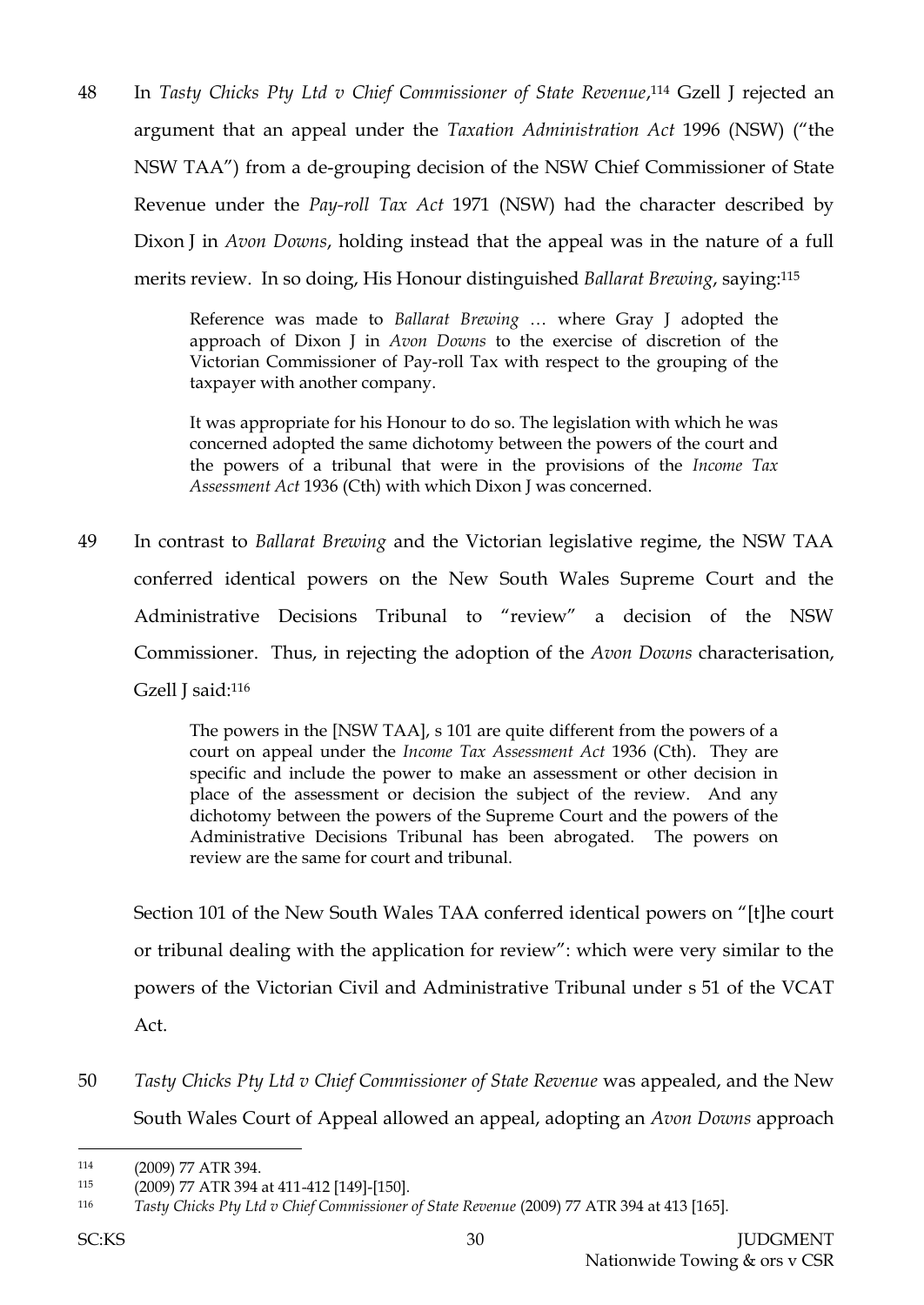48 In *Tasty Chicks Pty Ltd v Chief Commissioner of State Revenue*, <sup>114</sup> Gzell J rejected an argument that an appeal under the *Taxation Administration Act* 1996 (NSW) ("the NSW TAA") from a de-grouping decision of the NSW Chief Commissioner of State Revenue under the *Pay-roll Tax Act* 1971 (NSW) had the character described by Dixon J in *Avon Downs*, holding instead that the appeal was in the nature of a full merits review. In so doing, His Honour distinguished *Ballarat Brewing*, saying:<sup>115</sup>

> Reference was made to *Ballarat Brewing* … where Gray J adopted the approach of Dixon J in *Avon Downs* to the exercise of discretion of the Victorian Commissioner of Pay-roll Tax with respect to the grouping of the taxpayer with another company.

> It was appropriate for his Honour to do so. The legislation with which he was concerned adopted the same dichotomy between the powers of the court and the powers of a tribunal that were in the provisions of the *Income Tax Assessment Act* 1936 (Cth) with which Dixon J was concerned.

49 In contrast to *Ballarat Brewing* and the Victorian legislative regime, the NSW TAA conferred identical powers on the New South Wales Supreme Court and the Administrative Decisions Tribunal to "review" a decision of the NSW Commissioner. Thus, in rejecting the adoption of the *Avon Downs* characterisation, Gzell J said:<sup>116</sup>

> The powers in the [NSW TAA], s 101 are quite different from the powers of a court on appeal under the *Income Tax Assessment Act* 1936 (Cth). They are specific and include the power to make an assessment or other decision in place of the assessment or decision the subject of the review. And any dichotomy between the powers of the Supreme Court and the powers of the Administrative Decisions Tribunal has been abrogated. The powers on review are the same for court and tribunal.

Section 101 of the New South Wales TAA conferred identical powers on "[t]he court or tribunal dealing with the application for review": which were very similar to the powers of the Victorian Civil and Administrative Tribunal under s 51 of the VCAT Act.

50 *Tasty Chicks Pty Ltd v Chief Commissioner of State Revenue* was appealed, and the New South Wales Court of Appeal allowed an appeal, adopting an *Avon Downs* approach

<sup>114</sup> (2009) 77 ATR 394.

<sup>115</sup> (2009) 77 ATR 394 at 411-412 [149]-[150].

<sup>116</sup> *Tasty Chicks Pty Ltd v Chief Commissioner of State Revenue* (2009) 77 ATR 394 at 413 [165].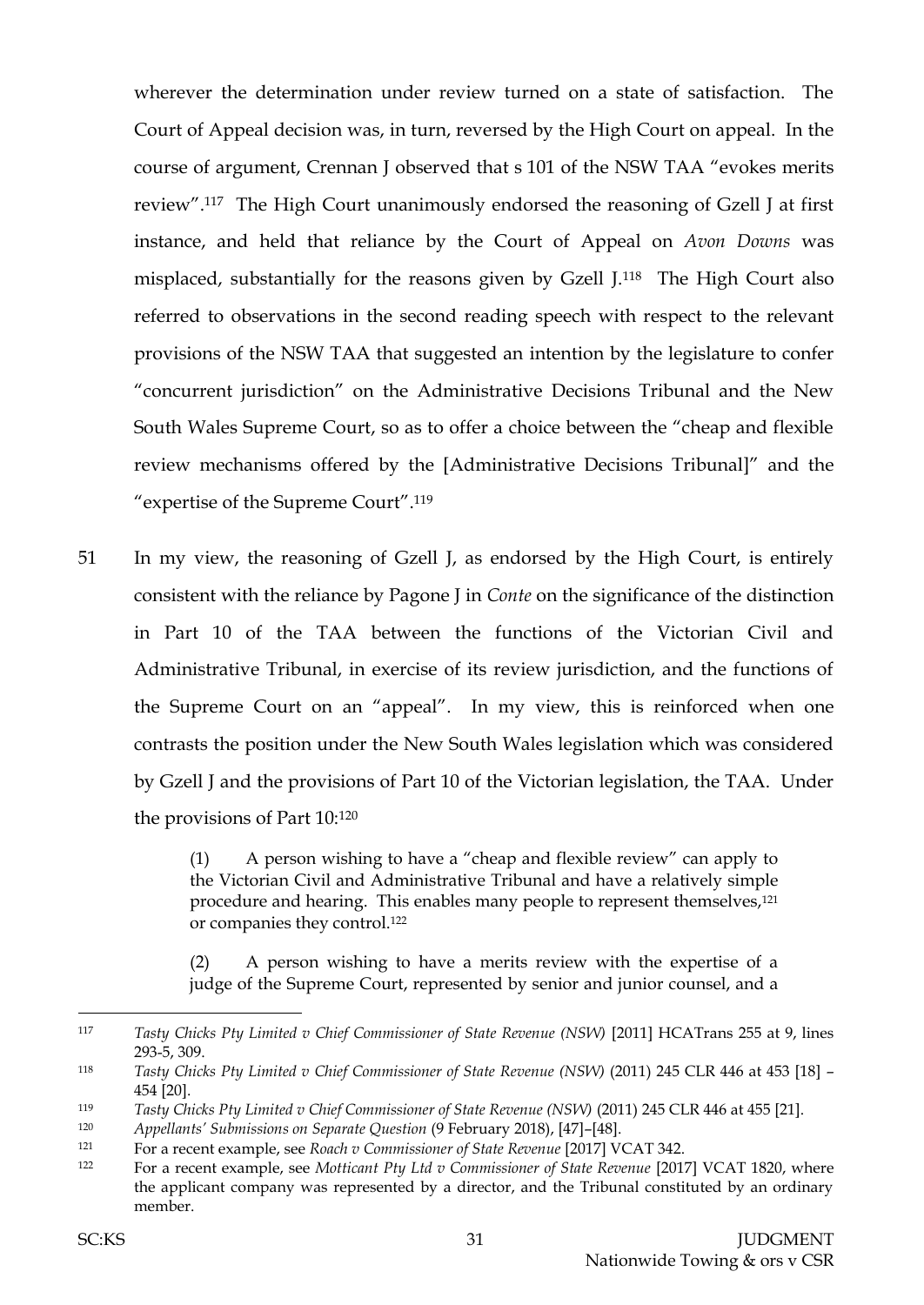wherever the determination under review turned on a state of satisfaction. The Court of Appeal decision was, in turn, reversed by the High Court on appeal. In the course of argument, Crennan J observed that s 101 of the NSW TAA "evokes merits review".117 The High Court unanimously endorsed the reasoning of Gzell J at first instance, and held that reliance by the Court of Appeal on *Avon Downs* was misplaced, substantially for the reasons given by Gzell J.118 The High Court also referred to observations in the second reading speech with respect to the relevant provisions of the NSW TAA that suggested an intention by the legislature to confer "concurrent jurisdiction" on the Administrative Decisions Tribunal and the New South Wales Supreme Court, so as to offer a choice between the "cheap and flexible review mechanisms offered by the [Administrative Decisions Tribunal]" and the "expertise of the Supreme Court".<sup>119</sup>

51 In my view, the reasoning of Gzell J, as endorsed by the High Court, is entirely consistent with the reliance by Pagone J in *Conte* on the significance of the distinction in Part 10 of the TAA between the functions of the Victorian Civil and Administrative Tribunal, in exercise of its review jurisdiction, and the functions of the Supreme Court on an "appeal". In my view, this is reinforced when one contrasts the position under the New South Wales legislation which was considered by Gzell J and the provisions of Part 10 of the Victorian legislation, the TAA. Under the provisions of Part 10:<sup>120</sup>

> (1) A person wishing to have a "cheap and flexible review" can apply to the Victorian Civil and Administrative Tribunal and have a relatively simple procedure and hearing. This enables many people to represent themselves,<sup>121</sup> or companies they control.<sup>122</sup>

> (2) A person wishing to have a merits review with the expertise of a judge of the Supreme Court, represented by senior and junior counsel, and a

<sup>117</sup> *Tasty Chicks Pty Limited v Chief Commissioner of State Revenue (NSW)* [2011] HCATrans 255 at 9, lines 293-5, 309.

<sup>118</sup> *Tasty Chicks Pty Limited v Chief Commissioner of State Revenue (NSW)* (2011) 245 CLR 446 at 453 [18] – 454 [20].

<sup>119</sup> *Tasty Chicks Pty Limited v Chief Commissioner of State Revenue (NSW)* (2011) 245 CLR 446 at 455 [21].

<sup>120</sup> *Appellants' Submissions on Separate Question* (9 February 2018), [47]–[48].

<sup>121</sup> For a recent example, see *Roach v Commissioner of State Revenue* [2017] VCAT 342.

<sup>122</sup> For a recent example, see *Motticant Pty Ltd v Commissioner of State Revenue* [2017] VCAT 1820, where the applicant company was represented by a director, and the Tribunal constituted by an ordinary member.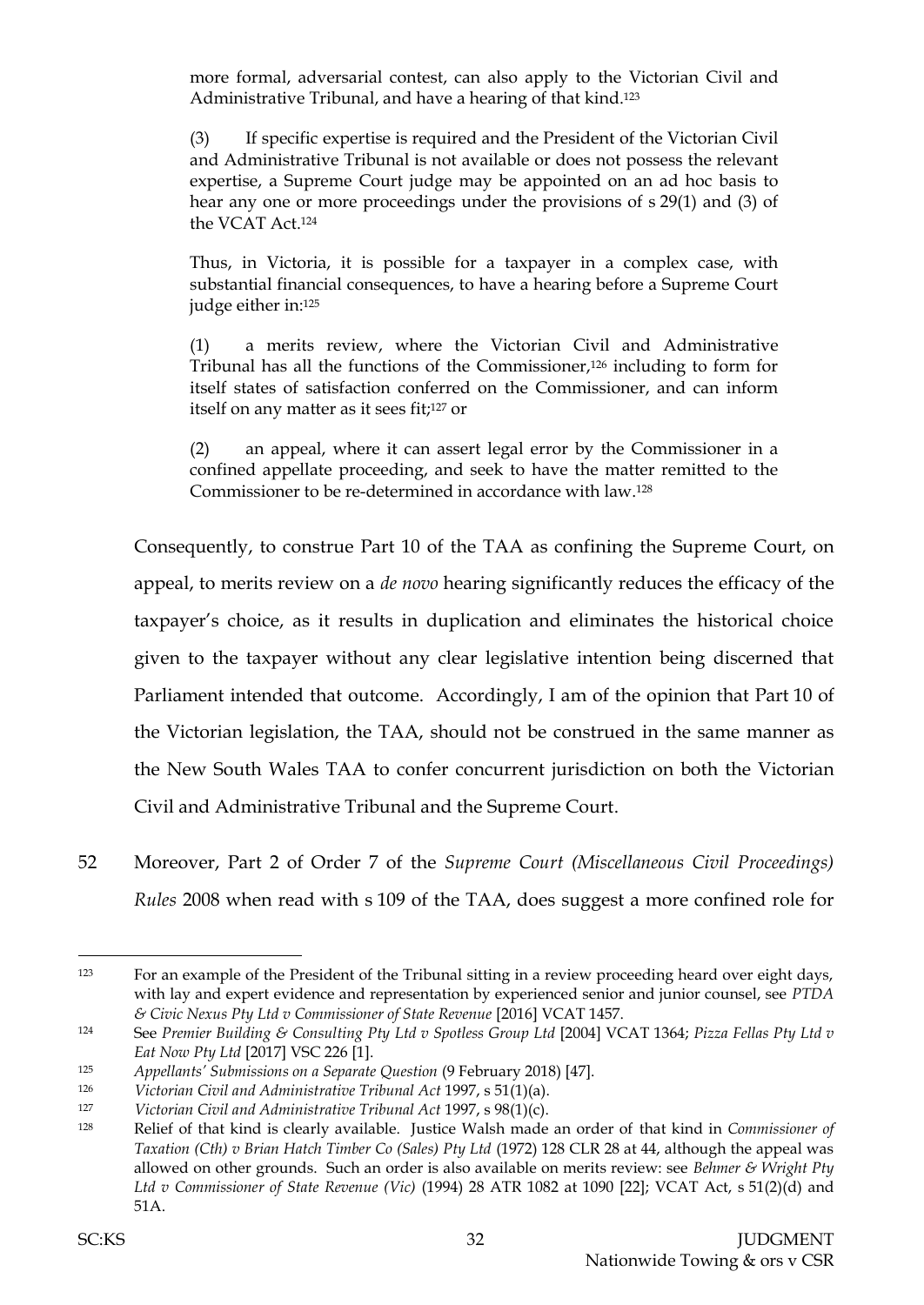more formal, adversarial contest, can also apply to the Victorian Civil and Administrative Tribunal, and have a hearing of that kind.<sup>123</sup>

(3) If specific expertise is required and the President of the Victorian Civil and Administrative Tribunal is not available or does not possess the relevant expertise, a Supreme Court judge may be appointed on an ad hoc basis to hear any one or more proceedings under the provisions of s 29(1) and (3) of the VCAT Act.<sup>124</sup>

Thus, in Victoria, it is possible for a taxpayer in a complex case, with substantial financial consequences, to have a hearing before a Supreme Court judge either in:<sup>125</sup>

(1) a merits review, where the Victorian Civil and Administrative Tribunal has all the functions of the Commissioner,<sup>126</sup> including to form for itself states of satisfaction conferred on the Commissioner, and can inform itself on any matter as it sees fit;<sup>127</sup> or

(2) an appeal, where it can assert legal error by the Commissioner in a confined appellate proceeding, and seek to have the matter remitted to the Commissioner to be re-determined in accordance with law.<sup>128</sup>

Consequently, to construe Part 10 of the TAA as confining the Supreme Court, on appeal, to merits review on a *de novo* hearing significantly reduces the efficacy of the taxpayer's choice, as it results in duplication and eliminates the historical choice given to the taxpayer without any clear legislative intention being discerned that Parliament intended that outcome. Accordingly, I am of the opinion that Part 10 of the Victorian legislation, the TAA, should not be construed in the same manner as the New South Wales TAA to confer concurrent jurisdiction on both the Victorian Civil and Administrative Tribunal and the Supreme Court.

52 Moreover, Part 2 of Order 7 of the *Supreme Court (Miscellaneous Civil Proceedings) Rules* 2008 when read with s 109 of the TAA, does suggest a more confined role for

<sup>123</sup> For an example of the President of the Tribunal sitting in a review proceeding heard over eight days, with lay and expert evidence and representation by experienced senior and junior counsel, see *PTDA & Civic Nexus Pty Ltd v Commissioner of State Revenue* [2016] VCAT 1457.

<sup>124</sup> See *Premier Building & Consulting Pty Ltd v Spotless Group Ltd* [2004] VCAT 1364; *Pizza Fellas Pty Ltd v Eat Now Pty Ltd* [2017] VSC 226 [1].

<sup>125</sup> *Appellants' Submissions on a Separate Question* (9 February 2018) [47].

<sup>126</sup> *Victorian Civil and Administrative Tribunal Act* 1997, s 51(1)(a).

<sup>127</sup> *Victorian Civil and Administrative Tribunal Act* 1997, s 98(1)(c).

<sup>128</sup> Relief of that kind is clearly available. Justice Walsh made an order of that kind in *Commissioner of Taxation (Cth) v Brian Hatch Timber Co (Sales) Pty Ltd* (1972) 128 CLR 28 at 44, although the appeal was allowed on other grounds. Such an order is also available on merits review: see *Behmer & Wright Pty Ltd v Commissioner of State Revenue (Vic)* (1994) 28 ATR 1082 at 1090 [22]; VCAT Act, s 51(2)(d) and 51A.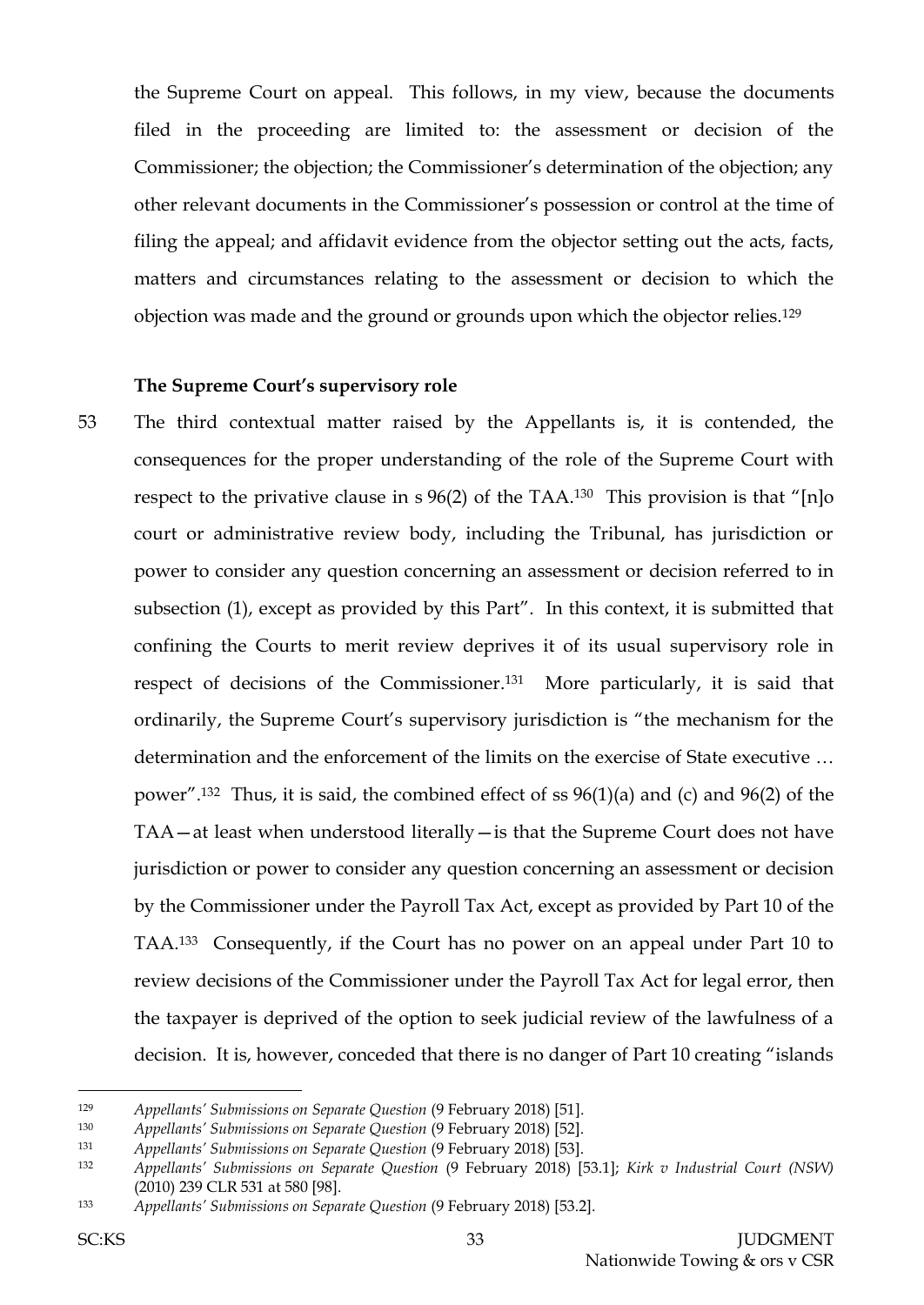the Supreme Court on appeal. This follows, in my view, because the documents filed in the proceeding are limited to: the assessment or decision of the Commissioner; the objection; the Commissioner's determination of the objection; any other relevant documents in the Commissioner's possession or control at the time of filing the appeal; and affidavit evidence from the objector setting out the acts, facts, matters and circumstances relating to the assessment or decision to which the objection was made and the ground or grounds upon which the objector relies.<sup>129</sup>

## **The Supreme Court's supervisory role**

53 The third contextual matter raised by the Appellants is, it is contended, the consequences for the proper understanding of the role of the Supreme Court with respect to the privative clause in s 96(2) of the TAA.<sup>130</sup> This provision is that "[n]o court or administrative review body, including the Tribunal, has jurisdiction or power to consider any question concerning an assessment or decision referred to in subsection (1), except as provided by this Part". In this context, it is submitted that confining the Courts to merit review deprives it of its usual supervisory role in respect of decisions of the Commissioner. <sup>131</sup> More particularly, it is said that ordinarily, the Supreme Court's supervisory jurisdiction is "the mechanism for the determination and the enforcement of the limits on the exercise of State executive … power".132 Thus, it is said, the combined effect of ss 96(1)(a) and (c) and 96(2) of the TAA—at least when understood literally—is that the Supreme Court does not have jurisdiction or power to consider any question concerning an assessment or decision by the Commissioner under the Payroll Tax Act, except as provided by Part 10 of the TAA.133 Consequently, if the Court has no power on an appeal under Part 10 to review decisions of the Commissioner under the Payroll Tax Act for legal error, then the taxpayer is deprived of the option to seek judicial review of the lawfulness of a decision. It is, however, conceded that there is no danger of Part 10 creating "islands

<sup>129</sup> *Appellants' Submissions on Separate Question* (9 February 2018) [51].

<sup>130</sup> *Appellants' Submissions on Separate Question* (9 February 2018) [52].

<sup>131</sup> *Appellants' Submissions on Separate Question* (9 February 2018) [53].

<sup>132</sup> *Appellants' Submissions on Separate Question* (9 February 2018) [53.1]; *Kirk v Industrial Court (NSW)* (2010) 239 CLR 531 at 580 [98].

<sup>133</sup> *Appellants' Submissions on Separate Question* (9 February 2018) [53.2].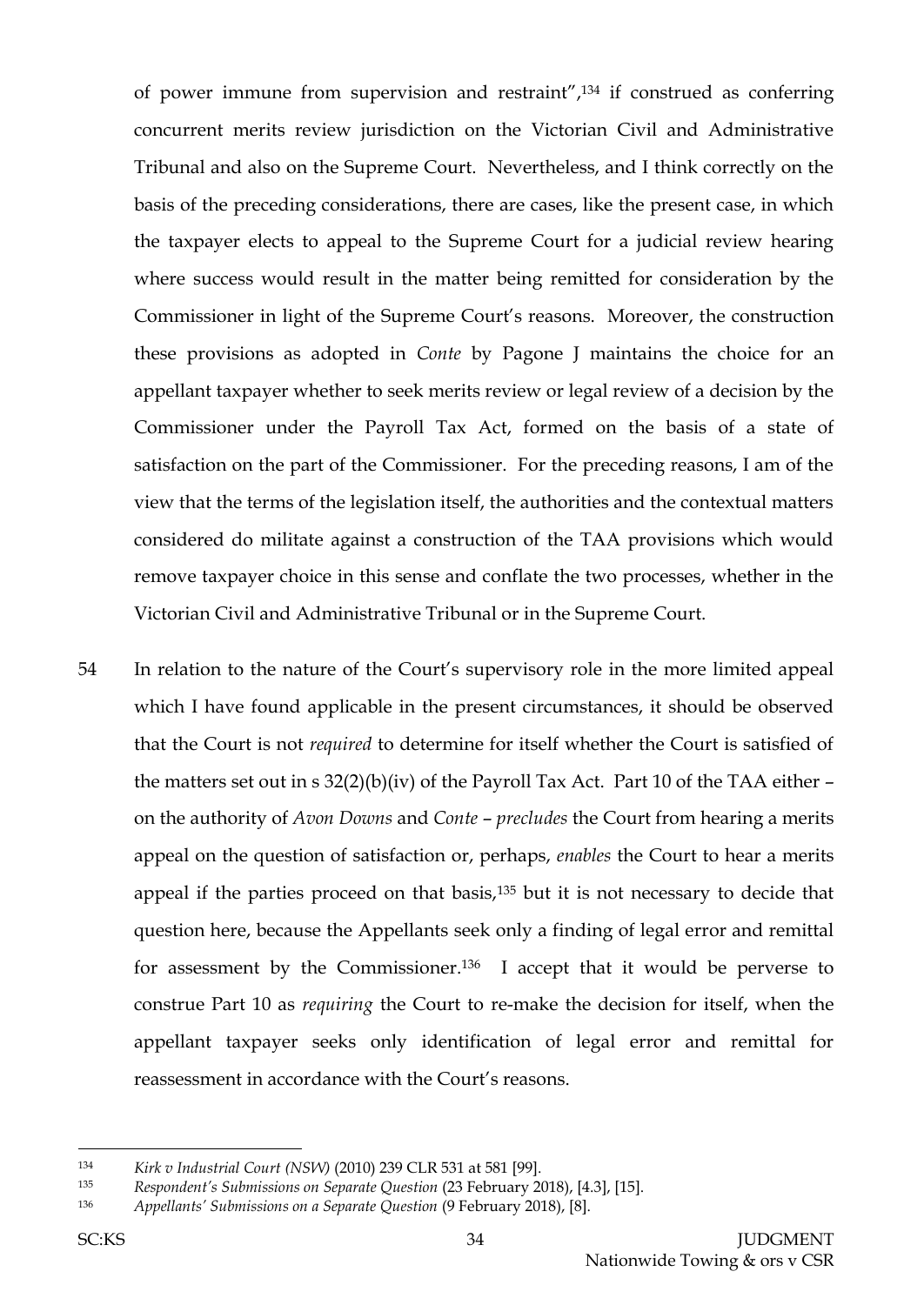of power immune from supervision and restraint",<sup>134</sup> if construed as conferring concurrent merits review jurisdiction on the Victorian Civil and Administrative Tribunal and also on the Supreme Court. Nevertheless, and I think correctly on the basis of the preceding considerations, there are cases, like the present case, in which the taxpayer elects to appeal to the Supreme Court for a judicial review hearing where success would result in the matter being remitted for consideration by the Commissioner in light of the Supreme Court's reasons. Moreover, the construction these provisions as adopted in *Conte* by Pagone J maintains the choice for an appellant taxpayer whether to seek merits review or legal review of a decision by the Commissioner under the Payroll Tax Act, formed on the basis of a state of satisfaction on the part of the Commissioner. For the preceding reasons, I am of the view that the terms of the legislation itself, the authorities and the contextual matters considered do militate against a construction of the TAA provisions which would remove taxpayer choice in this sense and conflate the two processes, whether in the Victorian Civil and Administrative Tribunal or in the Supreme Court.

54 In relation to the nature of the Court's supervisory role in the more limited appeal which I have found applicable in the present circumstances, it should be observed that the Court is not *required* to determine for itself whether the Court is satisfied of the matters set out in s  $32(2)(b)(iv)$  of the Payroll Tax Act. Part 10 of the TAA either – on the authority of *Avon Downs* and *Conte* – *precludes* the Court from hearing a merits appeal on the question of satisfaction or, perhaps, *enables* the Court to hear a merits appeal if the parties proceed on that basis,<sup>135</sup> but it is not necessary to decide that question here, because the Appellants seek only a finding of legal error and remittal for assessment by the Commissioner.136 I accept that it would be perverse to construe Part 10 as *requiring* the Court to re-make the decision for itself, when the appellant taxpayer seeks only identification of legal error and remittal for reassessment in accordance with the Court's reasons.

<sup>134</sup> *Kirk v Industrial Court (NSW)* (2010) 239 CLR 531 at 581 [99].

<sup>135</sup> *Respondent's Submissions on Separate Question* (23 February 2018), [4.3], [15].

<sup>136</sup> *Appellants' Submissions on a Separate Question* (9 February 2018), [8].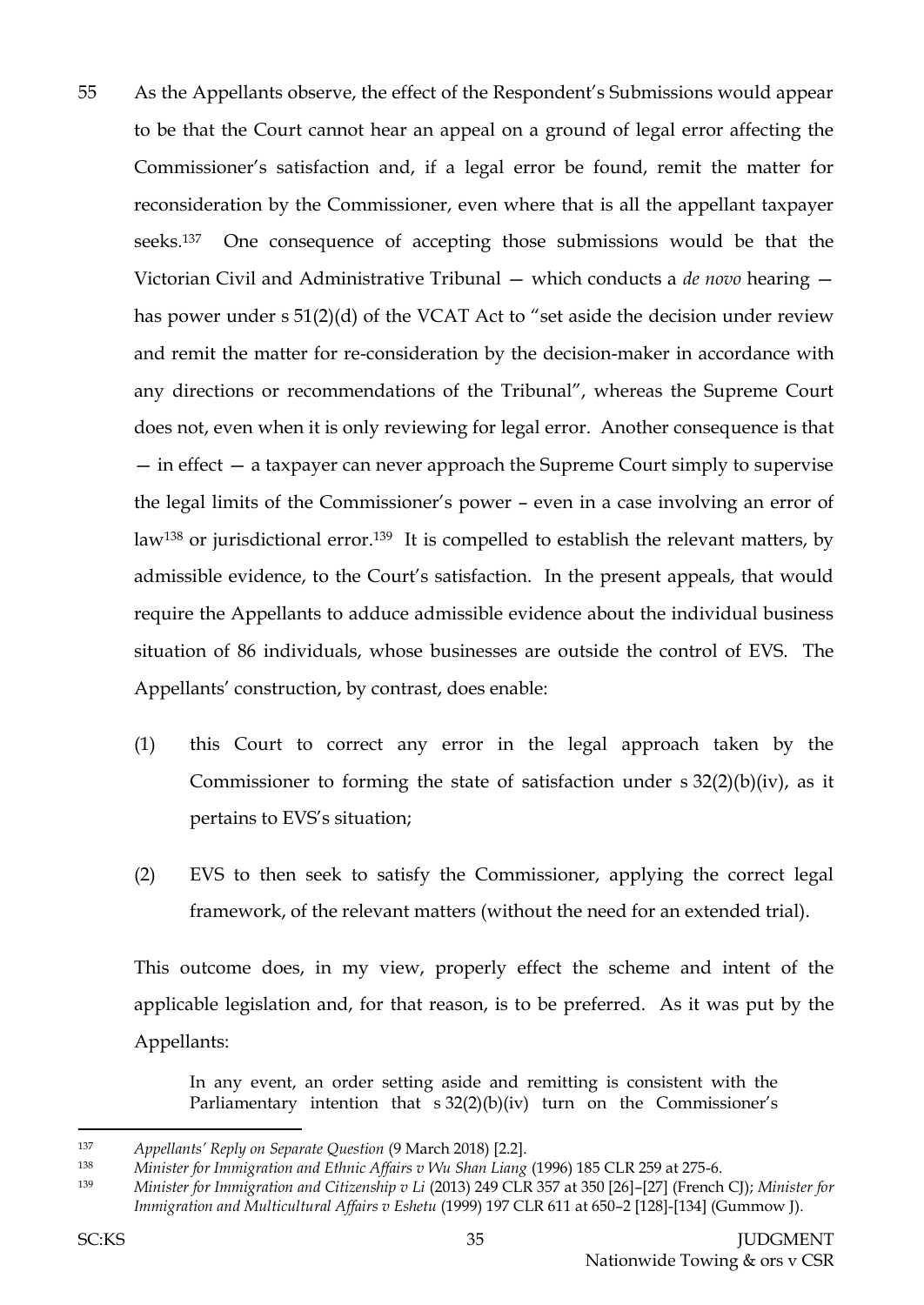- 55 As the Appellants observe, the effect of the Respondent's Submissions would appear to be that the Court cannot hear an appeal on a ground of legal error affecting the Commissioner's satisfaction and, if a legal error be found, remit the matter for reconsideration by the Commissioner, even where that is all the appellant taxpayer seeks.137 One consequence of accepting those submissions would be that the Victorian Civil and Administrative Tribunal — which conducts a *de novo* hearing has power under s 51(2)(d) of the VCAT Act to "set aside the decision under review and remit the matter for re-consideration by the decision-maker in accordance with any directions or recommendations of the Tribunal", whereas the Supreme Court does not, even when it is only reviewing for legal error. Another consequence is that — in effect — a taxpayer can never approach the Supreme Court simply to supervise the legal limits of the Commissioner's power – even in a case involving an error of law<sup>138</sup> or jurisdictional error.<sup>139</sup> It is compelled to establish the relevant matters, by admissible evidence, to the Court's satisfaction. In the present appeals, that would require the Appellants to adduce admissible evidence about the individual business situation of 86 individuals, whose businesses are outside the control of EVS. The Appellants' construction, by contrast, does enable:
	- (1) this Court to correct any error in the legal approach taken by the Commissioner to forming the state of satisfaction under  $s \frac{32(2)}{b}$  (iv), as it pertains to EVS's situation;
	- (2) EVS to then seek to satisfy the Commissioner, applying the correct legal framework, of the relevant matters (without the need for an extended trial).

This outcome does, in my view, properly effect the scheme and intent of the applicable legislation and, for that reason, is to be preferred. As it was put by the Appellants:

In any event, an order setting aside and remitting is consistent with the Parliamentary intention that s 32(2)(b)(iv) turn on the Commissioner's

<sup>137</sup> *Appellants' Reply on Separate Question* (9 March 2018) [2.2].

<sup>&</sup>lt;sup>138</sup> Minister for Immigration and Ethnic Affairs v Wu Shan Liang (1996) 185 CLR 259 at 275-6.

<sup>139</sup> *Minister for Immigration and Citizenship v Li* (2013) 249 CLR 357 at 350 [26]–[27] (French CJ); *Minister for Immigration and Multicultural Affairs v Eshetu* (1999) 197 CLR 611 at 650–2 [128]-[134] (Gummow J).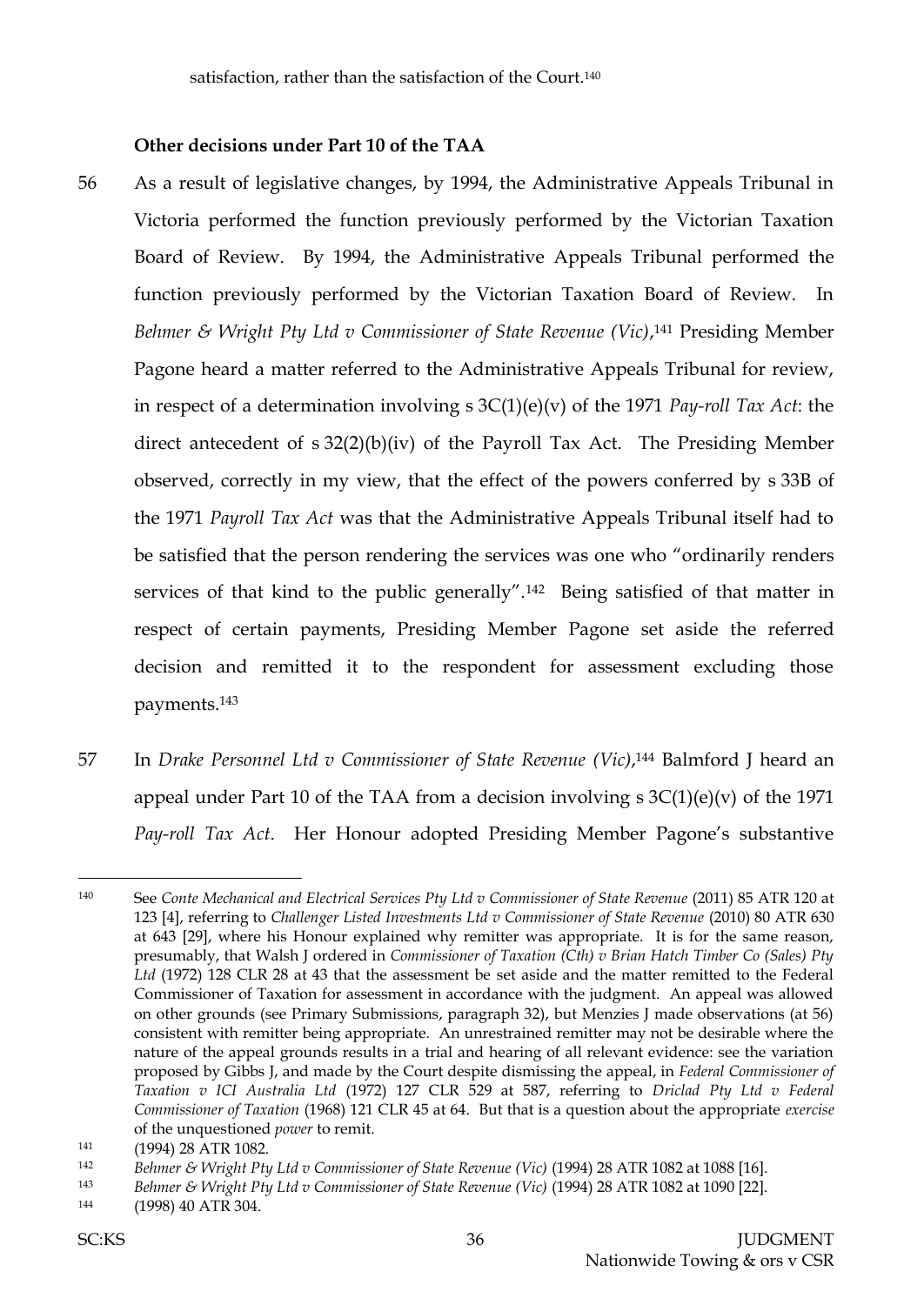## **Other decisions under Part 10 of the TAA**

- 56 As a result of legislative changes, by 1994, the Administrative Appeals Tribunal in Victoria performed the function previously performed by the Victorian Taxation Board of Review. By 1994, the Administrative Appeals Tribunal performed the function previously performed by the Victorian Taxation Board of Review. In *Behmer & Wright Pty Ltd v Commissioner of State Revenue (Vic)*, <sup>141</sup> Presiding Member Pagone heard a matter referred to the Administrative Appeals Tribunal for review, in respect of a determination involving s 3C(1)(e)(v) of the 1971 *Pay-roll Tax Act*: the direct antecedent of s 32(2)(b)(iv) of the Payroll Tax Act. The Presiding Member observed, correctly in my view, that the effect of the powers conferred by s 33B of the 1971 *Payroll Tax Act* was that the Administrative Appeals Tribunal itself had to be satisfied that the person rendering the services was one who "ordinarily renders services of that kind to the public generally".142 Being satisfied of that matter in respect of certain payments, Presiding Member Pagone set aside the referred decision and remitted it to the respondent for assessment excluding those payments.<sup>143</sup>
- 57 In *Drake Personnel Ltd v Commissioner of State Revenue (Vic)*, <sup>144</sup> Balmford J heard an appeal under Part 10 of the TAA from a decision involving  $s \, 3C(1)(e)(v)$  of the 1971 *Pay-roll Tax Act*. Her Honour adopted Presiding Member Pagone's substantive

<sup>140</sup> See *Conte Mechanical and Electrical Services Pty Ltd v Commissioner of State Revenue* (2011) 85 ATR 120 at 123 [4], referring to *Challenger Listed Investments Ltd v Commissioner of State Revenue* (2010) 80 ATR 630 at 643 [29], where his Honour explained why remitter was appropriate. It is for the same reason, presumably, that Walsh J ordered in *Commissioner of Taxation (Cth) v Brian Hatch Timber Co (Sales) Pty Ltd* (1972) 128 CLR 28 at 43 that the assessment be set aside and the matter remitted to the Federal Commissioner of Taxation for assessment in accordance with the judgment. An appeal was allowed on other grounds (see Primary Submissions, paragraph 32), but Menzies J made observations (at 56) consistent with remitter being appropriate. An unrestrained remitter may not be desirable where the nature of the appeal grounds results in a trial and hearing of all relevant evidence: see the variation proposed by Gibbs J, and made by the Court despite dismissing the appeal, in *Federal Commissioner of Taxation v ICI Australia Ltd* (1972) 127 CLR 529 at 587, referring to *Driclad Pty Ltd v Federal Commissioner of Taxation* (1968) 121 CLR 45 at 64. But that is a question about the appropriate *exercise*  of the unquestioned *power* to remit.

<sup>141</sup> (1994) 28 ATR 1082.

<sup>142</sup> *Behmer & Wright Pty Ltd v Commissioner of State Revenue (Vic)* (1994) 28 ATR 1082 at 1088 [16].

<sup>143</sup> *Behmer & Wright Pty Ltd v Commissioner of State Revenue (Vic)* (1994) 28 ATR 1082 at 1090 [22].

<sup>144</sup> (1998) 40 ATR 304.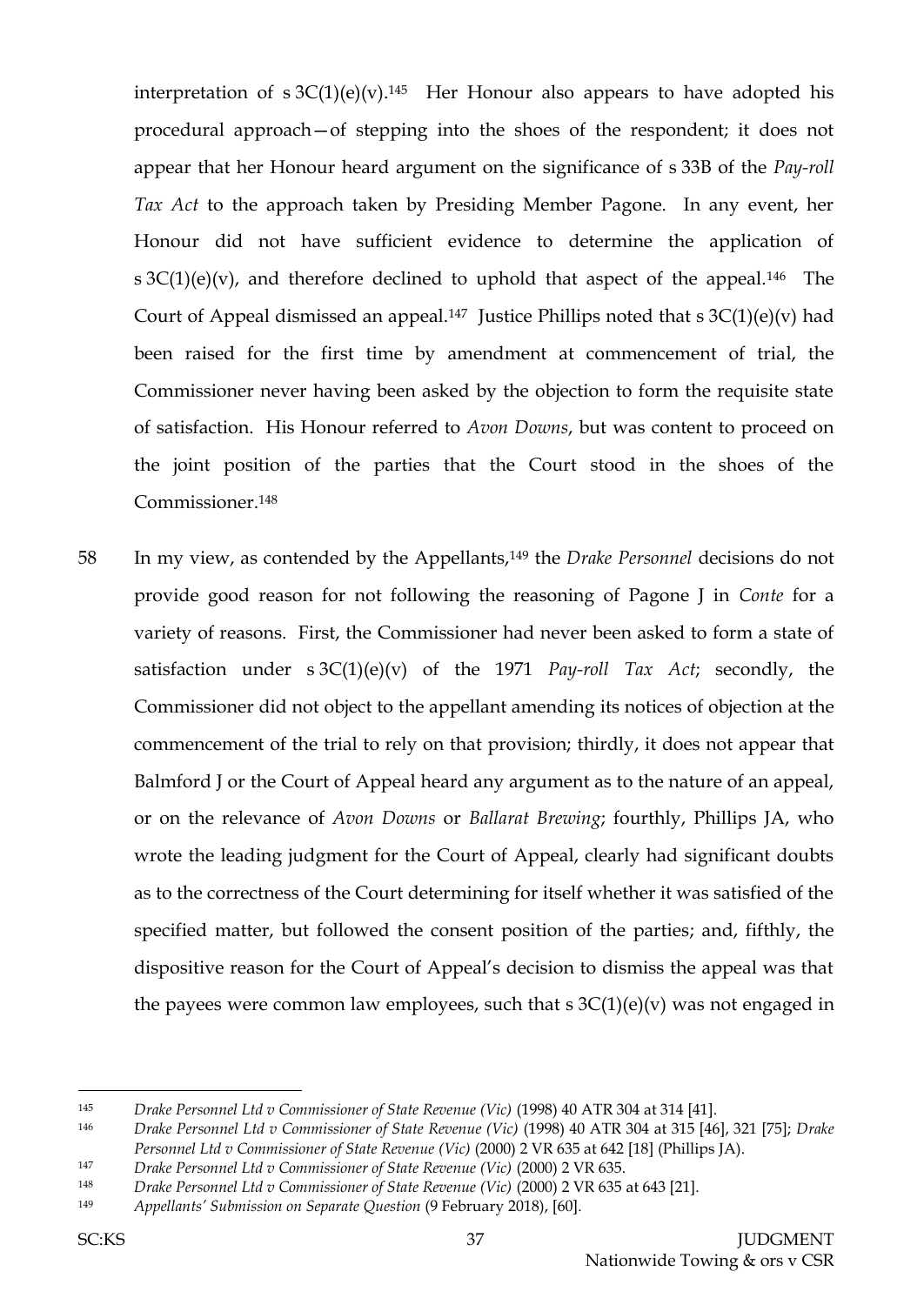interpretation of  $s 3C(1)(e)(v)$ .<sup>145</sup> Her Honour also appears to have adopted his procedural approach—of stepping into the shoes of the respondent; it does not appear that her Honour heard argument on the significance of s 33B of the *Pay-roll Tax Act* to the approach taken by Presiding Member Pagone. In any event, her Honour did not have sufficient evidence to determine the application of s  $3C(1)(e)(v)$ , and therefore declined to uphold that aspect of the appeal.<sup>146</sup> The Court of Appeal dismissed an appeal.<sup>147</sup> Justice Phillips noted that s  $3C(1)(e)(v)$  had been raised for the first time by amendment at commencement of trial, the Commissioner never having been asked by the objection to form the requisite state of satisfaction. His Honour referred to *Avon Downs*, but was content to proceed on the joint position of the parties that the Court stood in the shoes of the Commissioner.<sup>148</sup>

58 In my view, as contended by the Appellants,<sup>149</sup> the *Drake Personnel* decisions do not provide good reason for not following the reasoning of Pagone J in *Conte* for a variety of reasons. First, the Commissioner had never been asked to form a state of satisfaction under s 3C(1)(e)(v) of the 1971 *Pay-roll Tax Act*; secondly, the Commissioner did not object to the appellant amending its notices of objection at the commencement of the trial to rely on that provision; thirdly, it does not appear that Balmford J or the Court of Appeal heard any argument as to the nature of an appeal, or on the relevance of *Avon Downs* or *Ballarat Brewing*; fourthly, Phillips JA, who wrote the leading judgment for the Court of Appeal, clearly had significant doubts as to the correctness of the Court determining for itself whether it was satisfied of the specified matter, but followed the consent position of the parties; and, fifthly, the dispositive reason for the Court of Appeal's decision to dismiss the appeal was that the payees were common law employees, such that  $s \, 3C(1)(e)(v)$  was not engaged in

<sup>145</sup> *Drake Personnel Ltd v Commissioner of State Revenue (Vic)* (1998) 40 ATR 304 at 314 [41].

<sup>146</sup> *Drake Personnel Ltd v Commissioner of State Revenue (Vic)* (1998) 40 ATR 304 at 315 [46], 321 [75]; *Drake Personnel Ltd v Commissioner of State Revenue (Vic)* (2000) 2 VR 635 at 642 [18] (Phillips JA).

<sup>147</sup> *Drake Personnel Ltd v Commissioner of State Revenue (Vic)* (2000) 2 VR 635.

<sup>148</sup> *Drake Personnel Ltd v Commissioner of State Revenue (Vic)* (2000) 2 VR 635 at 643 [21].

<sup>149</sup> *Appellants' Submission on Separate Question* (9 February 2018), [60].